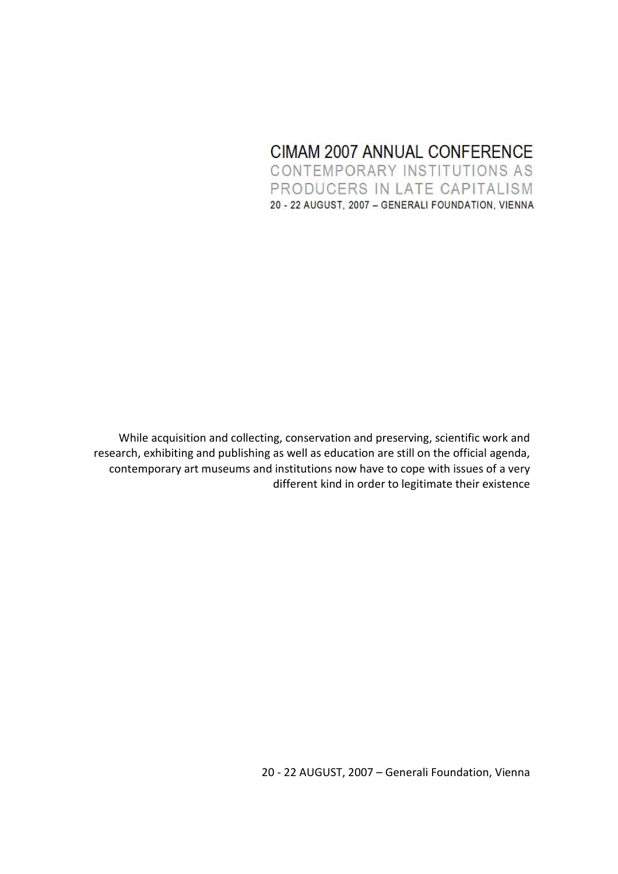# CIMAM 2007 ANNUAL CONFERENCE CONTEMPORARY INSTITUTIONS AS PRODUCERS IN LATE CAPITALISM 20 - 22 AUGUST, 2007 - GENERALI FOUNDATION, VIENNA

While acquisition and collecting, conservation and preserving, scientific work and research, exhibiting and publishing as well as education are still on the official agenda, contemporary art museums and institutions now have to cope with issues of a very different kind in order to legitimate their existence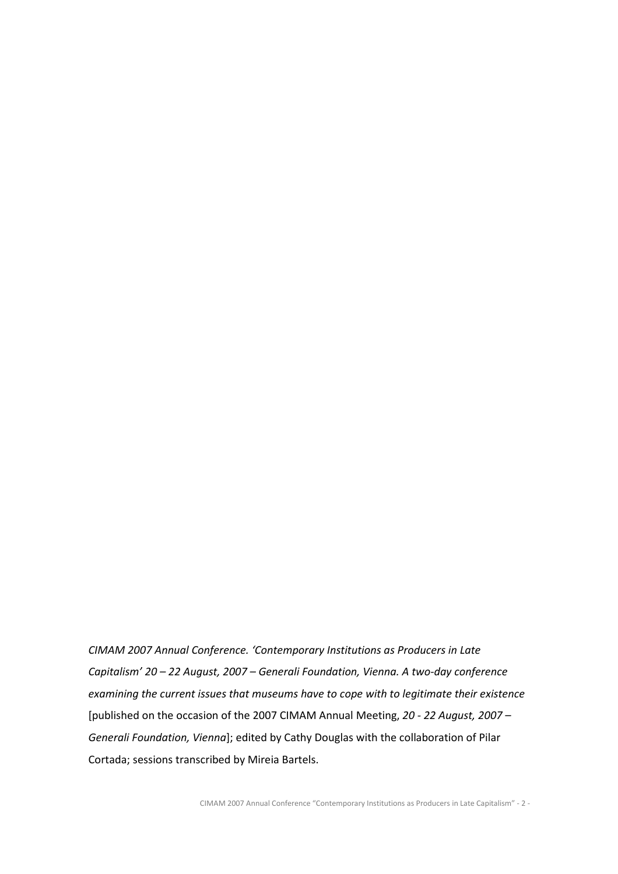CIMAM 2007 Annual Conference. 'Contemporary Institutions as Producers in Late Capitalism' 20 – 22 August, 2007 – Generali Foundation, Vienna. A two-day conference examining the current issues that museums have to cope with to legitimate their existence [published on the occasion of the 2007 CIMAM Annual Meeting, 20 - 22 August, 2007 – Generali Foundation, Vienna]; edited by Cathy Douglas with the collaboration of Pilar Cortada; sessions transcribed by Mireia Bartels.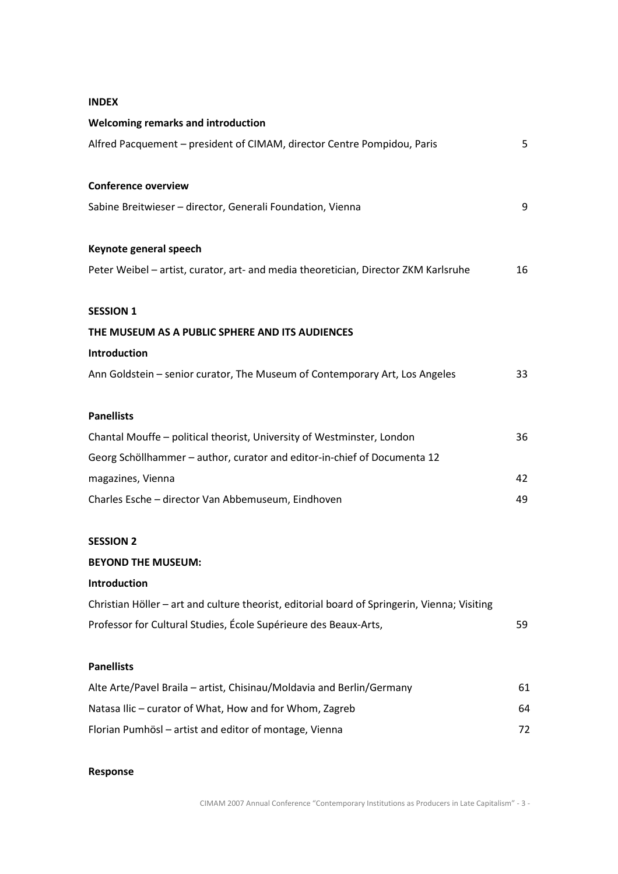### INDEX

| Welcoming remarks and introduction                                                           |    |  |  |
|----------------------------------------------------------------------------------------------|----|--|--|
| Alfred Pacquement - president of CIMAM, director Centre Pompidou, Paris                      | 5  |  |  |
| <b>Conference overview</b>                                                                   |    |  |  |
| Sabine Breitwieser - director, Generali Foundation, Vienna                                   | 9  |  |  |
| Keynote general speech                                                                       |    |  |  |
| Peter Weibel - artist, curator, art- and media theoretician, Director ZKM Karlsruhe          | 16 |  |  |
| <b>SESSION 1</b>                                                                             |    |  |  |
| THE MUSEUM AS A PUBLIC SPHERE AND ITS AUDIENCES                                              |    |  |  |
| Introduction                                                                                 |    |  |  |
| Ann Goldstein - senior curator, The Museum of Contemporary Art, Los Angeles                  | 33 |  |  |
| <b>Panellists</b>                                                                            |    |  |  |
| Chantal Mouffe - political theorist, University of Westminster, London                       | 36 |  |  |
| Georg Schöllhammer - author, curator and editor-in-chief of Documenta 12                     |    |  |  |
| magazines, Vienna                                                                            |    |  |  |
| Charles Esche - director Van Abbemuseum, Eindhoven                                           | 49 |  |  |
| <b>SESSION 2</b>                                                                             |    |  |  |
| <b>BEYOND THE MUSEUM:</b>                                                                    |    |  |  |
| Introduction                                                                                 |    |  |  |
| Christian Höller - art and culture theorist, editorial board of Springerin, Vienna; Visiting |    |  |  |
| Professor for Cultural Studies, École Supérieure des Beaux-Arts,                             | 59 |  |  |
| <b>Panellists</b>                                                                            |    |  |  |
| Alte Arte/Pavel Braila - artist, Chisinau/Moldavia and Berlin/Germany                        | 61 |  |  |
| Natasa Ilic - curator of What, How and for Whom, Zagreb                                      |    |  |  |
| Florian Pumhösl - artist and editor of montage, Vienna                                       |    |  |  |

## Response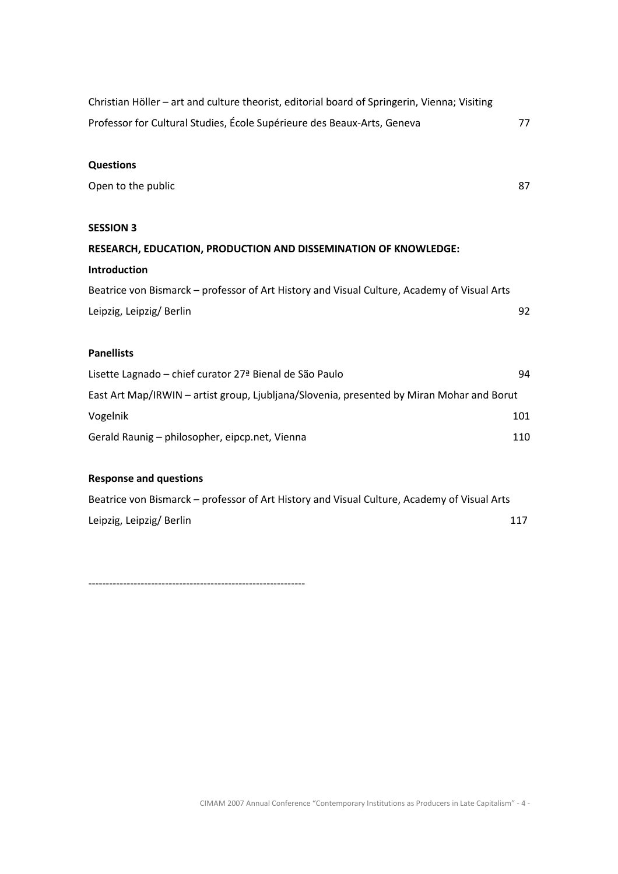| Christian Höller - art and culture theorist, editorial board of Springerin, Vienna; Visiting |     |
|----------------------------------------------------------------------------------------------|-----|
| Professor for Cultural Studies, École Supérieure des Beaux-Arts, Geneva                      | 77  |
| <b>Questions</b>                                                                             |     |
| Open to the public                                                                           | 87  |
| <b>SESSION 3</b>                                                                             |     |
| RESEARCH, EDUCATION, PRODUCTION AND DISSEMINATION OF KNOWLEDGE:                              |     |
| Introduction                                                                                 |     |
| Beatrice von Bismarck - professor of Art History and Visual Culture, Academy of Visual Arts  |     |
| Leipzig, Leipzig/Berlin                                                                      | 92  |
| <b>Panellists</b>                                                                            |     |
| Lisette Lagnado - chief curator 27 <sup>ª</sup> Bienal de São Paulo                          | 94  |
| East Art Map/IRWIN - artist group, Ljubljana/Slovenia, presented by Miran Mohar and Borut    |     |
| Vogelnik                                                                                     | 101 |
| Gerald Raunig - philosopher, eipcp.net, Vienna                                               | 110 |
| Recnance and questions                                                                       |     |

## Response and questions

| Beatrice von Bismarck – professor of Art History and Visual Culture, Academy of Visual Arts |     |
|---------------------------------------------------------------------------------------------|-----|
| Leipzig, Leipzig/Berlin                                                                     | 117 |

--------------------------------------------------------------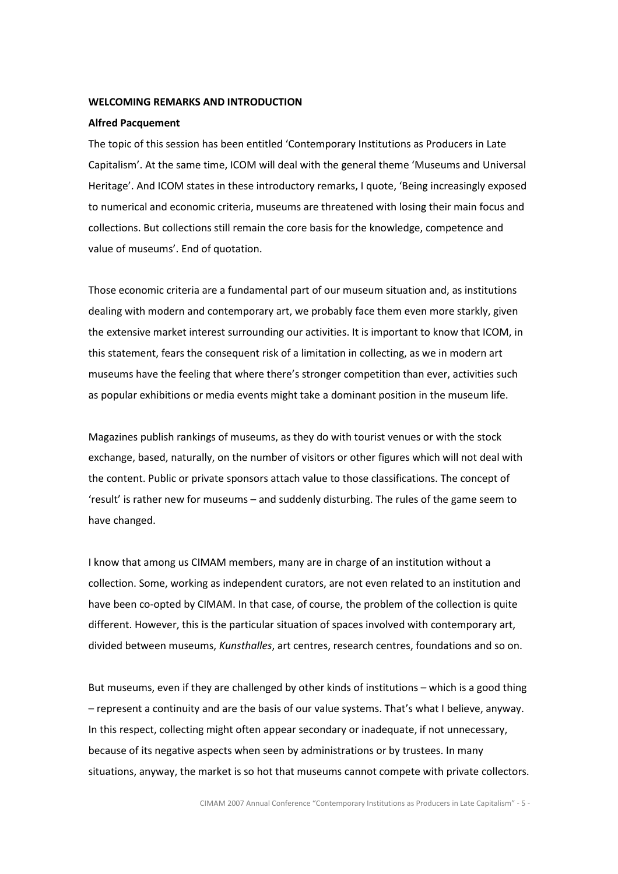#### WELCOMING REMARKS AND INTRODUCTION

#### Alfred Pacquement

The topic of this session has been entitled 'Contemporary Institutions as Producers in Late Capitalism'. At the same time, ICOM will deal with the general theme 'Museums and Universal Heritage'. And ICOM states in these introductory remarks, I quote, 'Being increasingly exposed to numerical and economic criteria, museums are threatened with losing their main focus and collections. But collections still remain the core basis for the knowledge, competence and value of museums'. End of quotation.

Those economic criteria are a fundamental part of our museum situation and, as institutions dealing with modern and contemporary art, we probably face them even more starkly, given the extensive market interest surrounding our activities. It is important to know that ICOM, in this statement, fears the consequent risk of a limitation in collecting, as we in modern art museums have the feeling that where there's stronger competition than ever, activities such as popular exhibitions or media events might take a dominant position in the museum life.

Magazines publish rankings of museums, as they do with tourist venues or with the stock exchange, based, naturally, on the number of visitors or other figures which will not deal with the content. Public or private sponsors attach value to those classifications. The concept of 'result' is rather new for museums – and suddenly disturbing. The rules of the game seem to have changed.

I know that among us CIMAM members, many are in charge of an institution without a collection. Some, working as independent curators, are not even related to an institution and have been co-opted by CIMAM. In that case, of course, the problem of the collection is quite different. However, this is the particular situation of spaces involved with contemporary art, divided between museums, Kunsthalles, art centres, research centres, foundations and so on.

But museums, even if they are challenged by other kinds of institutions – which is a good thing – represent a continuity and are the basis of our value systems. That's what I believe, anyway. In this respect, collecting might often appear secondary or inadequate, if not unnecessary, because of its negative aspects when seen by administrations or by trustees. In many situations, anyway, the market is so hot that museums cannot compete with private collectors.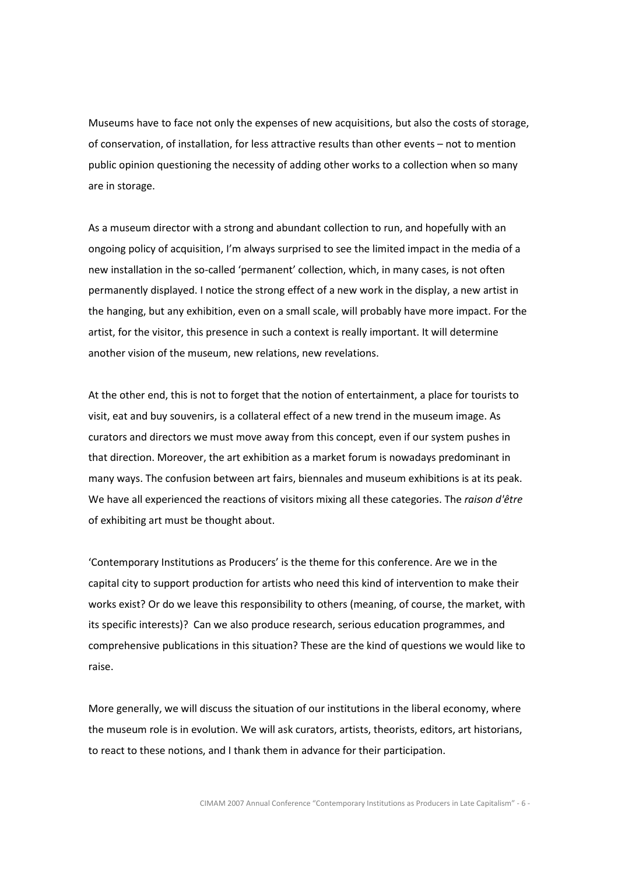Museums have to face not only the expenses of new acquisitions, but also the costs of storage, of conservation, of installation, for less attractive results than other events – not to mention public opinion questioning the necessity of adding other works to a collection when so many are in storage.

As a museum director with a strong and abundant collection to run, and hopefully with an ongoing policy of acquisition, I'm always surprised to see the limited impact in the media of a new installation in the so-called 'permanent' collection, which, in many cases, is not often permanently displayed. I notice the strong effect of a new work in the display, a new artist in the hanging, but any exhibition, even on a small scale, will probably have more impact. For the artist, for the visitor, this presence in such a context is really important. It will determine another vision of the museum, new relations, new revelations.

At the other end, this is not to forget that the notion of entertainment, a place for tourists to visit, eat and buy souvenirs, is a collateral effect of a new trend in the museum image. As curators and directors we must move away from this concept, even if our system pushes in that direction. Moreover, the art exhibition as a market forum is nowadays predominant in many ways. The confusion between art fairs, biennales and museum exhibitions is at its peak. We have all experienced the reactions of visitors mixing all these categories. The raison d'être of exhibiting art must be thought about.

'Contemporary Institutions as Producers' is the theme for this conference. Are we in the capital city to support production for artists who need this kind of intervention to make their works exist? Or do we leave this responsibility to others (meaning, of course, the market, with its specific interests)? Can we also produce research, serious education programmes, and comprehensive publications in this situation? These are the kind of questions we would like to raise.

More generally, we will discuss the situation of our institutions in the liberal economy, where the museum role is in evolution. We will ask curators, artists, theorists, editors, art historians, to react to these notions, and I thank them in advance for their participation.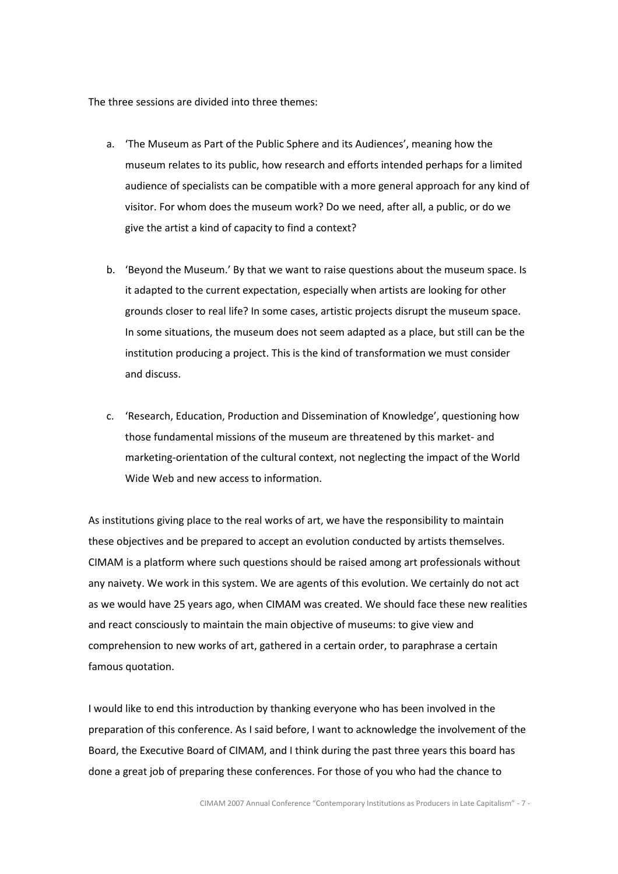The three sessions are divided into three themes:

- a. 'The Museum as Part of the Public Sphere and its Audiences', meaning how the museum relates to its public, how research and efforts intended perhaps for a limited audience of specialists can be compatible with a more general approach for any kind of visitor. For whom does the museum work? Do we need, after all, a public, or do we give the artist a kind of capacity to find a context?
- b. 'Beyond the Museum.' By that we want to raise questions about the museum space. Is it adapted to the current expectation, especially when artists are looking for other grounds closer to real life? In some cases, artistic projects disrupt the museum space. In some situations, the museum does not seem adapted as a place, but still can be the institution producing a project. This is the kind of transformation we must consider and discuss.
- c. 'Research, Education, Production and Dissemination of Knowledge', questioning how those fundamental missions of the museum are threatened by this market- and marketing-orientation of the cultural context, not neglecting the impact of the World Wide Web and new access to information.

As institutions giving place to the real works of art, we have the responsibility to maintain these objectives and be prepared to accept an evolution conducted by artists themselves. CIMAM is a platform where such questions should be raised among art professionals without any naivety. We work in this system. We are agents of this evolution. We certainly do not act as we would have 25 years ago, when CIMAM was created. We should face these new realities and react consciously to maintain the main objective of museums: to give view and comprehension to new works of art, gathered in a certain order, to paraphrase a certain famous quotation.

I would like to end this introduction by thanking everyone who has been involved in the preparation of this conference. As I said before, I want to acknowledge the involvement of the Board, the Executive Board of CIMAM, and I think during the past three years this board has done a great job of preparing these conferences. For those of you who had the chance to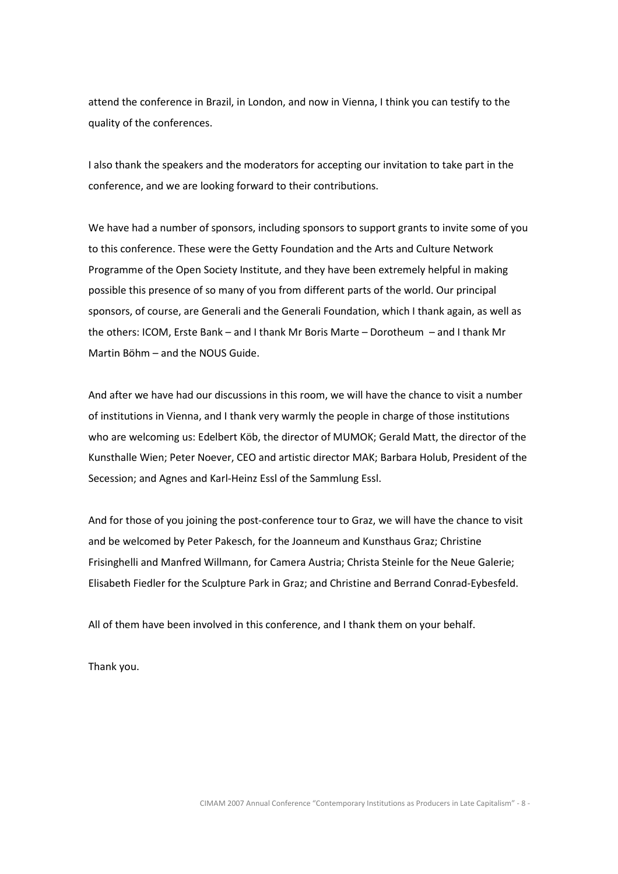attend the conference in Brazil, in London, and now in Vienna, I think you can testify to the quality of the conferences.

I also thank the speakers and the moderators for accepting our invitation to take part in the conference, and we are looking forward to their contributions.

We have had a number of sponsors, including sponsors to support grants to invite some of you to this conference. These were the Getty Foundation and the Arts and Culture Network Programme of the Open Society Institute, and they have been extremely helpful in making possible this presence of so many of you from different parts of the world. Our principal sponsors, of course, are Generali and the Generali Foundation, which I thank again, as well as the others: ICOM, Erste Bank – and I thank Mr Boris Marte – Dorotheum – and I thank Mr Martin Böhm – and the NOUS Guide.

And after we have had our discussions in this room, we will have the chance to visit a number of institutions in Vienna, and I thank very warmly the people in charge of those institutions who are welcoming us: Edelbert Köb, the director of MUMOK; Gerald Matt, the director of the Kunsthalle Wien; Peter Noever, CEO and artistic director MAK; Barbara Holub, President of the Secession; and Agnes and Karl-Heinz Essl of the Sammlung Essl.

And for those of you joining the post-conference tour to Graz, we will have the chance to visit and be welcomed by Peter Pakesch, for the Joanneum and Kunsthaus Graz; Christine Frisinghelli and Manfred Willmann, for Camera Austria; Christa Steinle for the Neue Galerie; Elisabeth Fiedler for the Sculpture Park in Graz; and Christine and Berrand Conrad-Eybesfeld.

All of them have been involved in this conference, and I thank them on your behalf.

Thank you.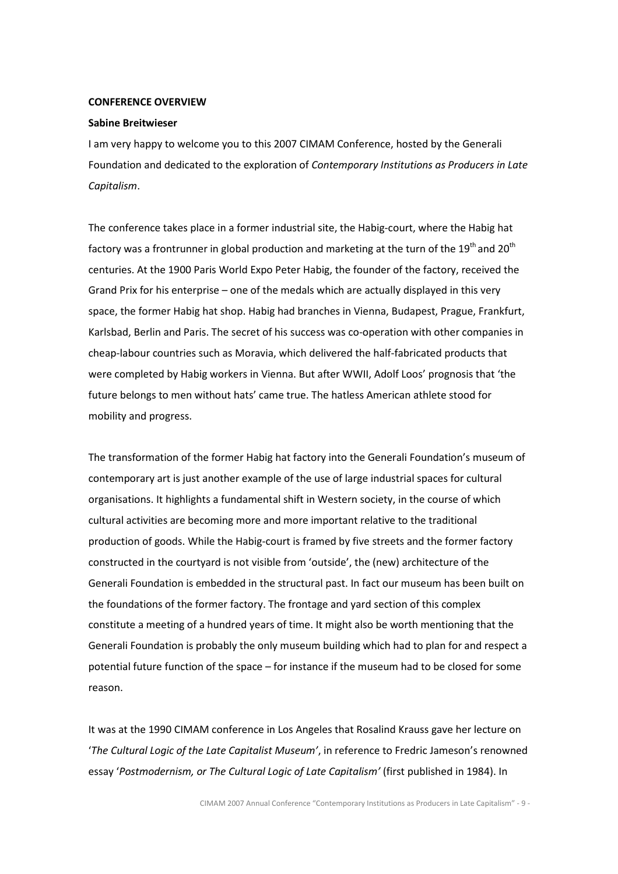#### CONFERENCE OVERVIEW

#### Sabine Breitwieser

I am very happy to welcome you to this 2007 CIMAM Conference, hosted by the Generali Foundation and dedicated to the exploration of Contemporary Institutions as Producers in Late Capitalism.

The conference takes place in a former industrial site, the Habig-court, where the Habig hat factory was a frontrunner in global production and marketing at the turn of the 19<sup>th</sup> and 20<sup>th</sup> centuries. At the 1900 Paris World Expo Peter Habig, the founder of the factory, received the Grand Prix for his enterprise – one of the medals which are actually displayed in this very space, the former Habig hat shop. Habig had branches in Vienna, Budapest, Prague, Frankfurt, Karlsbad, Berlin and Paris. The secret of his success was co-operation with other companies in cheap-labour countries such as Moravia, which delivered the half-fabricated products that were completed by Habig workers in Vienna. But after WWII, Adolf Loos' prognosis that 'the future belongs to men without hats' came true. The hatless American athlete stood for mobility and progress.

The transformation of the former Habig hat factory into the Generali Foundation's museum of contemporary art is just another example of the use of large industrial spaces for cultural organisations. It highlights a fundamental shift in Western society, in the course of which cultural activities are becoming more and more important relative to the traditional production of goods. While the Habig-court is framed by five streets and the former factory constructed in the courtyard is not visible from 'outside', the (new) architecture of the Generali Foundation is embedded in the structural past. In fact our museum has been built on the foundations of the former factory. The frontage and yard section of this complex constitute a meeting of a hundred years of time. It might also be worth mentioning that the Generali Foundation is probably the only museum building which had to plan for and respect a potential future function of the space – for instance if the museum had to be closed for some reason.

It was at the 1990 CIMAM conference in Los Angeles that Rosalind Krauss gave her lecture on 'The Cultural Logic of the Late Capitalist Museum', in reference to Fredric Jameson's renowned essay 'Postmodernism, or The Cultural Logic of Late Capitalism' (first published in 1984). In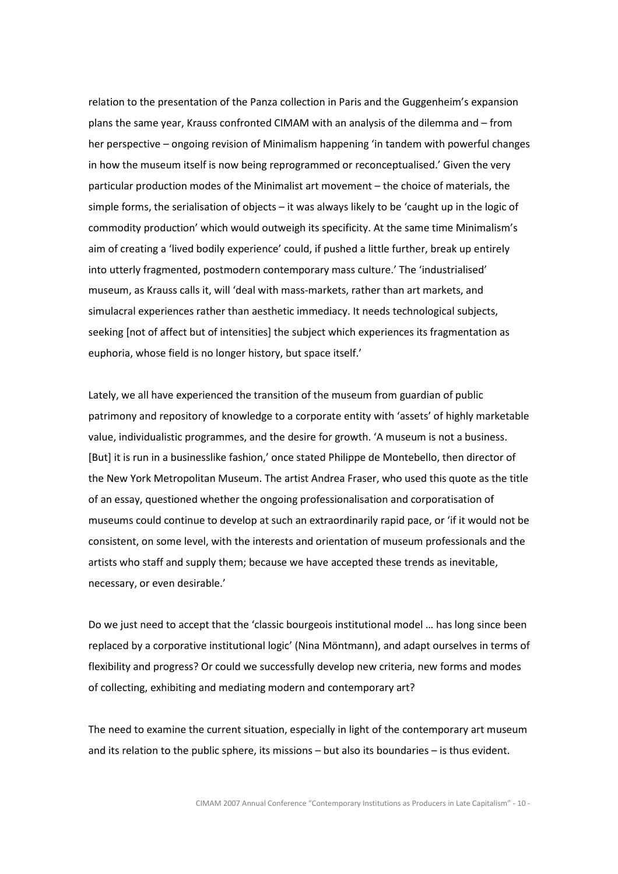relation to the presentation of the Panza collection in Paris and the Guggenheim's expansion plans the same year, Krauss confronted CIMAM with an analysis of the dilemma and – from her perspective – ongoing revision of Minimalism happening 'in tandem with powerful changes in how the museum itself is now being reprogrammed or reconceptualised.' Given the very particular production modes of the Minimalist art movement – the choice of materials, the simple forms, the serialisation of objects – it was always likely to be 'caught up in the logic of commodity production' which would outweigh its specificity. At the same time Minimalism's aim of creating a 'lived bodily experience' could, if pushed a little further, break up entirely into utterly fragmented, postmodern contemporary mass culture.' The 'industrialised' museum, as Krauss calls it, will 'deal with mass-markets, rather than art markets, and simulacral experiences rather than aesthetic immediacy. It needs technological subjects, seeking [not of affect but of intensities] the subject which experiences its fragmentation as euphoria, whose field is no longer history, but space itself.'

Lately, we all have experienced the transition of the museum from guardian of public patrimony and repository of knowledge to a corporate entity with 'assets' of highly marketable value, individualistic programmes, and the desire for growth. 'A museum is not a business. [But] it is run in a businesslike fashion,' once stated Philippe de Montebello, then director of the New York Metropolitan Museum. The artist Andrea Fraser, who used this quote as the title of an essay, questioned whether the ongoing professionalisation and corporatisation of museums could continue to develop at such an extraordinarily rapid pace, or 'if it would not be consistent, on some level, with the interests and orientation of museum professionals and the artists who staff and supply them; because we have accepted these trends as inevitable, necessary, or even desirable.'

Do we just need to accept that the 'classic bourgeois institutional model … has long since been replaced by a corporative institutional logic' (Nina Möntmann), and adapt ourselves in terms of flexibility and progress? Or could we successfully develop new criteria, new forms and modes of collecting, exhibiting and mediating modern and contemporary art?

The need to examine the current situation, especially in light of the contemporary art museum and its relation to the public sphere, its missions – but also its boundaries – is thus evident.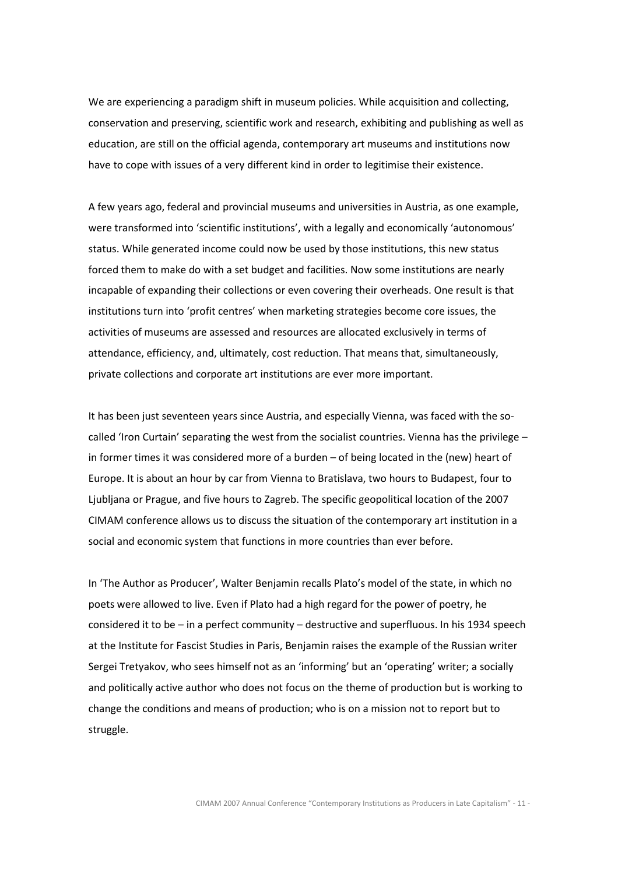We are experiencing a paradigm shift in museum policies. While acquisition and collecting, conservation and preserving, scientific work and research, exhibiting and publishing as well as education, are still on the official agenda, contemporary art museums and institutions now have to cope with issues of a very different kind in order to legitimise their existence.

A few years ago, federal and provincial museums and universities in Austria, as one example, were transformed into 'scientific institutions', with a legally and economically 'autonomous' status. While generated income could now be used by those institutions, this new status forced them to make do with a set budget and facilities. Now some institutions are nearly incapable of expanding their collections or even covering their overheads. One result is that institutions turn into 'profit centres' when marketing strategies become core issues, the activities of museums are assessed and resources are allocated exclusively in terms of attendance, efficiency, and, ultimately, cost reduction. That means that, simultaneously, private collections and corporate art institutions are ever more important.

It has been just seventeen years since Austria, and especially Vienna, was faced with the socalled 'Iron Curtain' separating the west from the socialist countries. Vienna has the privilege – in former times it was considered more of a burden – of being located in the (new) heart of Europe. It is about an hour by car from Vienna to Bratislava, two hours to Budapest, four to Ljubljana or Prague, and five hours to Zagreb. The specific geopolitical location of the 2007 CIMAM conference allows us to discuss the situation of the contemporary art institution in a social and economic system that functions in more countries than ever before.

In 'The Author as Producer', Walter Benjamin recalls Plato's model of the state, in which no poets were allowed to live. Even if Plato had a high regard for the power of poetry, he considered it to be – in a perfect community – destructive and superfluous. In his 1934 speech at the Institute for Fascist Studies in Paris, Benjamin raises the example of the Russian writer Sergei Tretyakov, who sees himself not as an 'informing' but an 'operating' writer; a socially and politically active author who does not focus on the theme of production but is working to change the conditions and means of production; who is on a mission not to report but to struggle.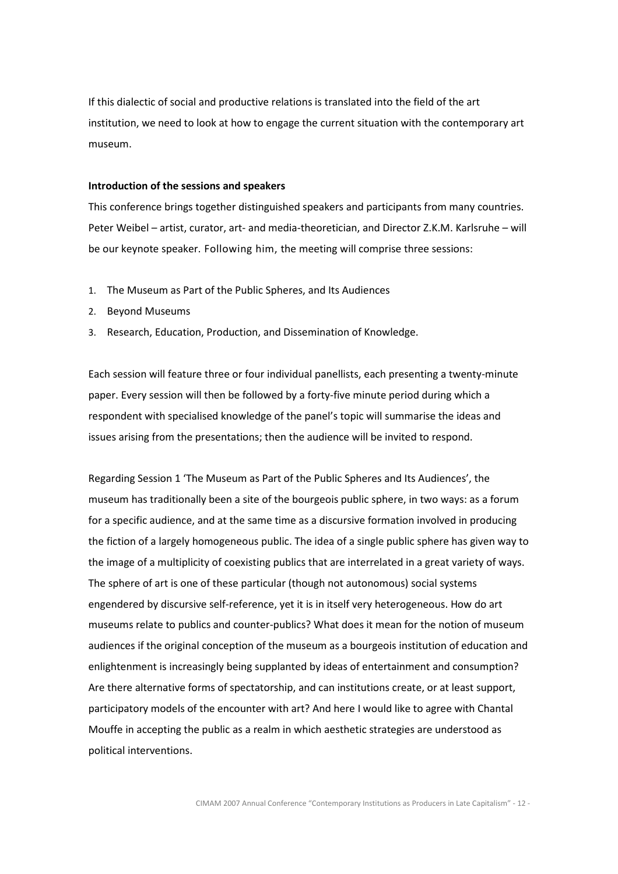If this dialectic of social and productive relations is translated into the field of the art institution, we need to look at how to engage the current situation with the contemporary art museum.

#### Introduction of the sessions and speakers

This conference brings together distinguished speakers and participants from many countries. Peter Weibel – artist, curator, art- and media-theoretician, and Director Z.K.M. Karlsruhe – will be our keynote speaker. Following him, the meeting will comprise three sessions:

- 1. The Museum as Part of the Public Spheres, and Its Audiences
- 2. Beyond Museums
- 3. Research, Education, Production, and Dissemination of Knowledge.

Each session will feature three or four individual panellists, each presenting a twenty-minute paper. Every session will then be followed by a forty-five minute period during which a respondent with specialised knowledge of the panel's topic will summarise the ideas and issues arising from the presentations; then the audience will be invited to respond.

Regarding Session 1 'The Museum as Part of the Public Spheres and Its Audiences', the museum has traditionally been a site of the bourgeois public sphere, in two ways: as a forum for a specific audience, and at the same time as a discursive formation involved in producing the fiction of a largely homogeneous public. The idea of a single public sphere has given way to the image of a multiplicity of coexisting publics that are interrelated in a great variety of ways. The sphere of art is one of these particular (though not autonomous) social systems engendered by discursive self-reference, yet it is in itself very heterogeneous. How do art museums relate to publics and counter-publics? What does it mean for the notion of museum audiences if the original conception of the museum as a bourgeois institution of education and enlightenment is increasingly being supplanted by ideas of entertainment and consumption? Are there alternative forms of spectatorship, and can institutions create, or at least support, participatory models of the encounter with art? And here I would like to agree with Chantal Mouffe in accepting the public as a realm in which aesthetic strategies are understood as political interventions.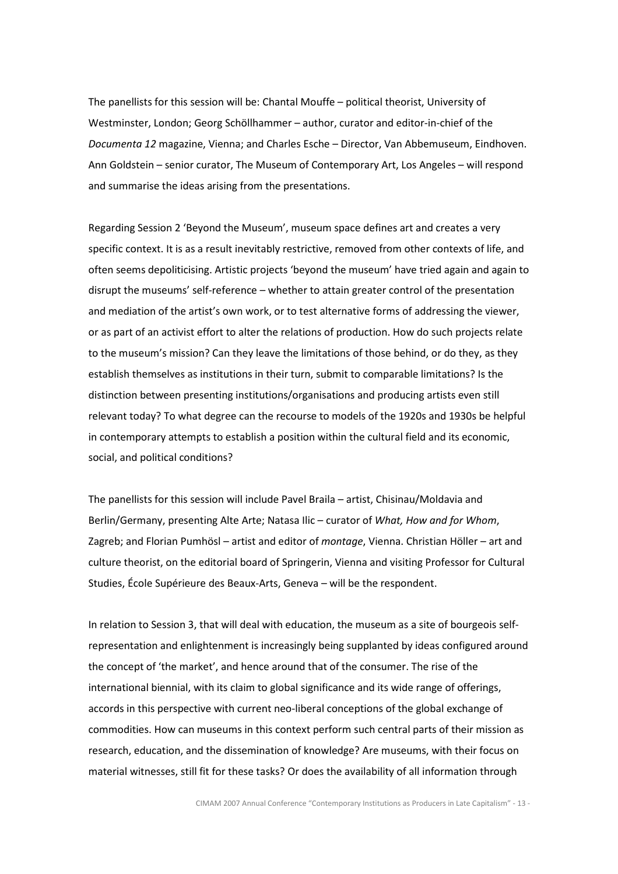The panellists for this session will be: Chantal Mouffe – political theorist, University of Westminster, London; Georg Schöllhammer – author, curator and editor-in-chief of the Documenta 12 magazine, Vienna; and Charles Esche – Director, Van Abbemuseum, Eindhoven. Ann Goldstein – senior curator, The Museum of Contemporary Art, Los Angeles – will respond and summarise the ideas arising from the presentations.

Regarding Session 2 'Beyond the Museum', museum space defines art and creates a very specific context. It is as a result inevitably restrictive, removed from other contexts of life, and often seems depoliticising. Artistic projects 'beyond the museum' have tried again and again to disrupt the museums' self-reference – whether to attain greater control of the presentation and mediation of the artist's own work, or to test alternative forms of addressing the viewer, or as part of an activist effort to alter the relations of production. How do such projects relate to the museum's mission? Can they leave the limitations of those behind, or do they, as they establish themselves as institutions in their turn, submit to comparable limitations? Is the distinction between presenting institutions/organisations and producing artists even still relevant today? To what degree can the recourse to models of the 1920s and 1930s be helpful in contemporary attempts to establish a position within the cultural field and its economic, social, and political conditions?

The panellists for this session will include Pavel Braila – artist, Chisinau/Moldavia and Berlin/Germany, presenting Alte Arte; Natasa Ilic – curator of What, How and for Whom, Zagreb; and Florian Pumhösl – artist and editor of *montage*, Vienna. Christian Höller – art and culture theorist, on the editorial board of Springerin, Vienna and visiting Professor for Cultural Studies, École Supérieure des Beaux-Arts, Geneva – will be the respondent.

In relation to Session 3, that will deal with education, the museum as a site of bourgeois selfrepresentation and enlightenment is increasingly being supplanted by ideas configured around the concept of 'the market', and hence around that of the consumer. The rise of the international biennial, with its claim to global significance and its wide range of offerings, accords in this perspective with current neo-liberal conceptions of the global exchange of commodities. How can museums in this context perform such central parts of their mission as research, education, and the dissemination of knowledge? Are museums, with their focus on material witnesses, still fit for these tasks? Or does the availability of all information through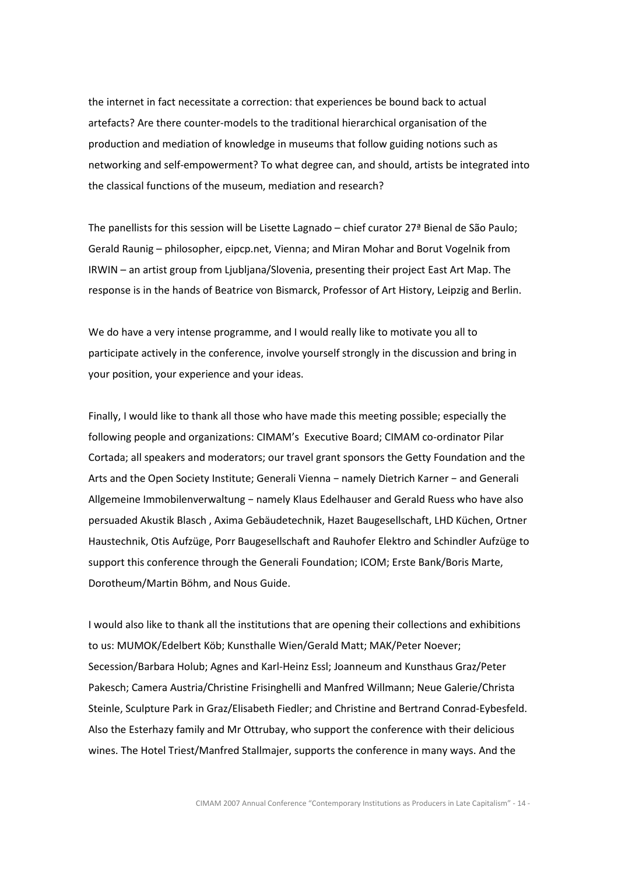the internet in fact necessitate a correction: that experiences be bound back to actual artefacts? Are there counter-models to the traditional hierarchical organisation of the production and mediation of knowledge in museums that follow guiding notions such as networking and self-empowerment? To what degree can, and should, artists be integrated into the classical functions of the museum, mediation and research?

The panellists for this session will be Lisette Lagnado – chief curator 27ª Bienal de São Paulo; Gerald Raunig – philosopher, eipcp.net, Vienna; and Miran Mohar and Borut Vogelnik from IRWIN – an artist group from Ljubljana/Slovenia, presenting their project East Art Map. The response is in the hands of Beatrice von Bismarck, Professor of Art History, Leipzig and Berlin.

We do have a very intense programme, and I would really like to motivate you all to participate actively in the conference, involve yourself strongly in the discussion and bring in your position, your experience and your ideas.

Finally, I would like to thank all those who have made this meeting possible; especially the following people and organizations: CIMAM's Executive Board; CIMAM co-ordinator Pilar Cortada; all speakers and moderators; our travel grant sponsors the Getty Foundation and the Arts and the Open Society Institute; Generali Vienna − namely Dietrich Karner − and Generali Allgemeine Immobilenverwaltung − namely Klaus Edelhauser and Gerald Ruess who have also persuaded Akustik Blasch , Axima Gebäudetechnik, Hazet Baugesellschaft, LHD Küchen, Ortner Haustechnik, Otis Aufzüge, Porr Baugesellschaft and Rauhofer Elektro and Schindler Aufzüge to support this conference through the Generali Foundation; ICOM; Erste Bank/Boris Marte, Dorotheum/Martin Böhm, and Nous Guide.

I would also like to thank all the institutions that are opening their collections and exhibitions to us: MUMOK/Edelbert Köb; Kunsthalle Wien/Gerald Matt; MAK/Peter Noever; Secession/Barbara Holub; Agnes and Karl-Heinz Essl; Joanneum and Kunsthaus Graz/Peter Pakesch; Camera Austria/Christine Frisinghelli and Manfred Willmann; Neue Galerie/Christa Steinle, Sculpture Park in Graz/Elisabeth Fiedler; and Christine and Bertrand Conrad-Eybesfeld. Also the Esterhazy family and Mr Ottrubay, who support the conference with their delicious wines. The Hotel Triest/Manfred Stallmajer, supports the conference in many ways. And the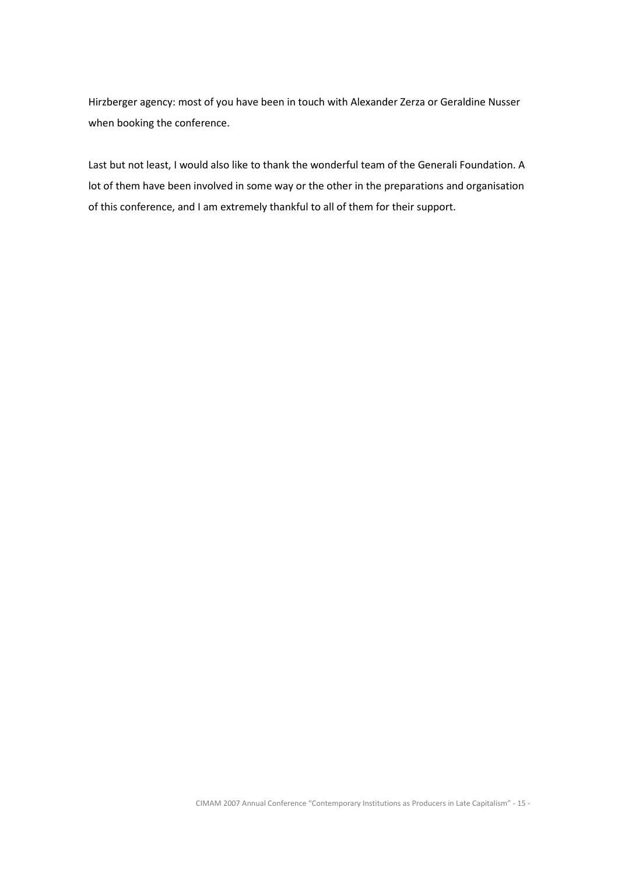Hirzberger agency: most of you have been in touch with Alexander Zerza or Geraldine Nusser when booking the conference.

Last but not least, I would also like to thank the wonderful team of the Generali Foundation. A lot of them have been involved in some way or the other in the preparations and organisation of this conference, and I am extremely thankful to all of them for their support.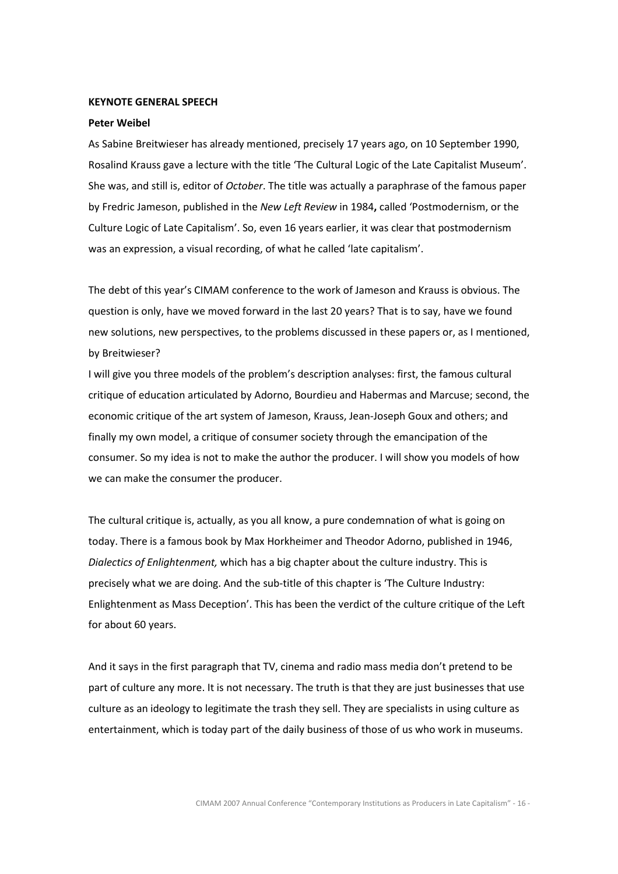#### KEYNOTE GENERAL SPEECH

#### Peter Weibel

As Sabine Breitwieser has already mentioned, precisely 17 years ago, on 10 September 1990, Rosalind Krauss gave a lecture with the title 'The Cultural Logic of the Late Capitalist Museum'. She was, and still is, editor of October. The title was actually a paraphrase of the famous paper by Fredric Jameson, published in the New Left Review in 1984, called 'Postmodernism, or the Culture Logic of Late Capitalism'. So, even 16 years earlier, it was clear that postmodernism was an expression, a visual recording, of what he called 'late capitalism'.

The debt of this year's CIMAM conference to the work of Jameson and Krauss is obvious. The question is only, have we moved forward in the last 20 years? That is to say, have we found new solutions, new perspectives, to the problems discussed in these papers or, as I mentioned, by Breitwieser?

I will give you three models of the problem's description analyses: first, the famous cultural critique of education articulated by Adorno, Bourdieu and Habermas and Marcuse; second, the economic critique of the art system of Jameson, Krauss, Jean-Joseph Goux and others; and finally my own model, a critique of consumer society through the emancipation of the consumer. So my idea is not to make the author the producer. I will show you models of how we can make the consumer the producer.

The cultural critique is, actually, as you all know, a pure condemnation of what is going on today. There is a famous book by Max Horkheimer and Theodor Adorno, published in 1946, Dialectics of Enlightenment, which has a big chapter about the culture industry. This is precisely what we are doing. And the sub-title of this chapter is 'The Culture Industry: Enlightenment as Mass Deception'. This has been the verdict of the culture critique of the Left for about 60 years.

And it says in the first paragraph that TV, cinema and radio mass media don't pretend to be part of culture any more. It is not necessary. The truth is that they are just businesses that use culture as an ideology to legitimate the trash they sell. They are specialists in using culture as entertainment, which is today part of the daily business of those of us who work in museums.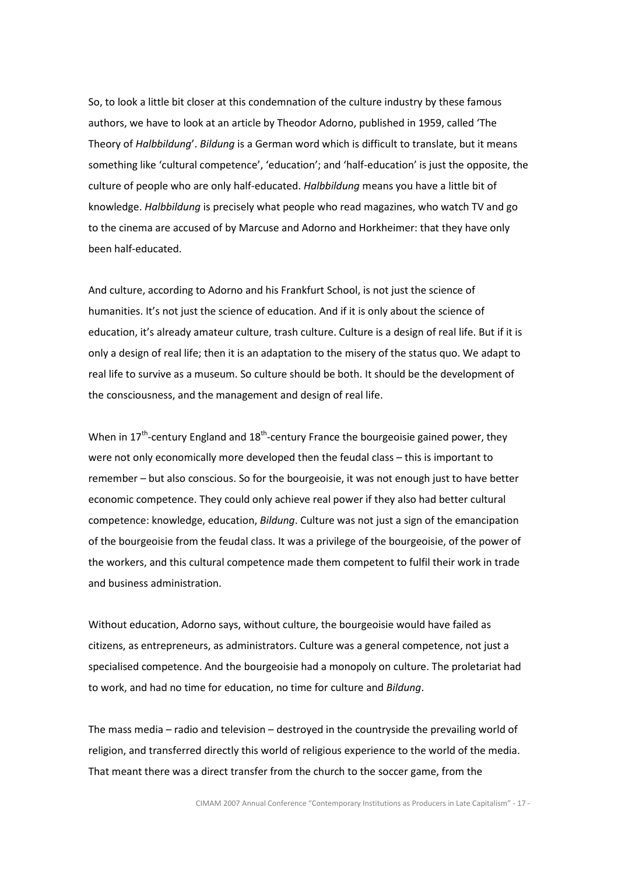So, to look a little bit closer at this condemnation of the culture industry by these famous authors, we have to look at an article by Theodor Adorno, published in 1959, called 'The Theory of Halbbildung'. Bildung is a German word which is difficult to translate, but it means something like 'cultural competence', 'education'; and 'half-education' is just the opposite, the culture of people who are only half-educated. Halbbildung means you have a little bit of knowledge. Halbbildung is precisely what people who read magazines, who watch TV and go to the cinema are accused of by Marcuse and Adorno and Horkheimer: that they have only been half-educated.

And culture, according to Adorno and his Frankfurt School, is not just the science of humanities. It's not just the science of education. And if it is only about the science of education, it's already amateur culture, trash culture. Culture is a design of real life. But if it is only a design of real life; then it is an adaptation to the misery of the status quo. We adapt to real life to survive as a museum. So culture should be both. It should be the development of the consciousness, and the management and design of real life.

When in  $17<sup>th</sup>$ -century England and  $18<sup>th</sup>$ -century France the bourgeoisie gained power, they were not only economically more developed then the feudal class – this is important to remember – but also conscious. So for the bourgeoisie, it was not enough just to have better economic competence. They could only achieve real power if they also had better cultural competence: knowledge, education, Bildung. Culture was not just a sign of the emancipation of the bourgeoisie from the feudal class. It was a privilege of the bourgeoisie, of the power of the workers, and this cultural competence made them competent to fulfil their work in trade and business administration.

Without education, Adorno says, without culture, the bourgeoisie would have failed as citizens, as entrepreneurs, as administrators. Culture was a general competence, not just a specialised competence. And the bourgeoisie had a monopoly on culture. The proletariat had to work, and had no time for education, no time for culture and Bildung.

The mass media – radio and television – destroyed in the countryside the prevailing world of religion, and transferred directly this world of religious experience to the world of the media. That meant there was a direct transfer from the church to the soccer game, from the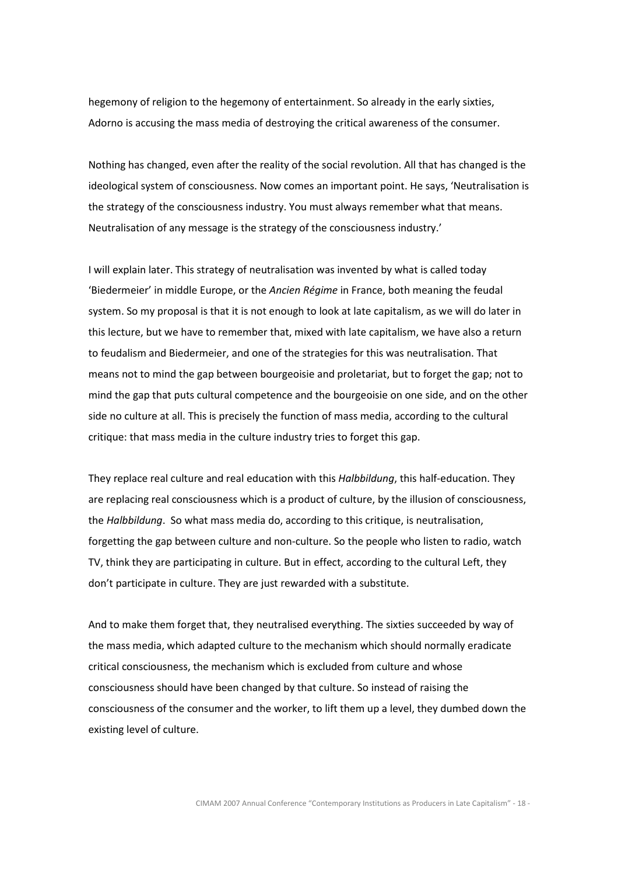hegemony of religion to the hegemony of entertainment. So already in the early sixties, Adorno is accusing the mass media of destroying the critical awareness of the consumer.

Nothing has changed, even after the reality of the social revolution. All that has changed is the ideological system of consciousness. Now comes an important point. He says, 'Neutralisation is the strategy of the consciousness industry. You must always remember what that means. Neutralisation of any message is the strategy of the consciousness industry.'

I will explain later. This strategy of neutralisation was invented by what is called today 'Biedermeier' in middle Europe, or the Ancien Régime in France, both meaning the feudal system. So my proposal is that it is not enough to look at late capitalism, as we will do later in this lecture, but we have to remember that, mixed with late capitalism, we have also a return to feudalism and Biedermeier, and one of the strategies for this was neutralisation. That means not to mind the gap between bourgeoisie and proletariat, but to forget the gap; not to mind the gap that puts cultural competence and the bourgeoisie on one side, and on the other side no culture at all. This is precisely the function of mass media, according to the cultural critique: that mass media in the culture industry tries to forget this gap.

They replace real culture and real education with this Halbbildung, this half-education. They are replacing real consciousness which is a product of culture, by the illusion of consciousness, the Halbbildung. So what mass media do, according to this critique, is neutralisation, forgetting the gap between culture and non-culture. So the people who listen to radio, watch TV, think they are participating in culture. But in effect, according to the cultural Left, they don't participate in culture. They are just rewarded with a substitute.

And to make them forget that, they neutralised everything. The sixties succeeded by way of the mass media, which adapted culture to the mechanism which should normally eradicate critical consciousness, the mechanism which is excluded from culture and whose consciousness should have been changed by that culture. So instead of raising the consciousness of the consumer and the worker, to lift them up a level, they dumbed down the existing level of culture.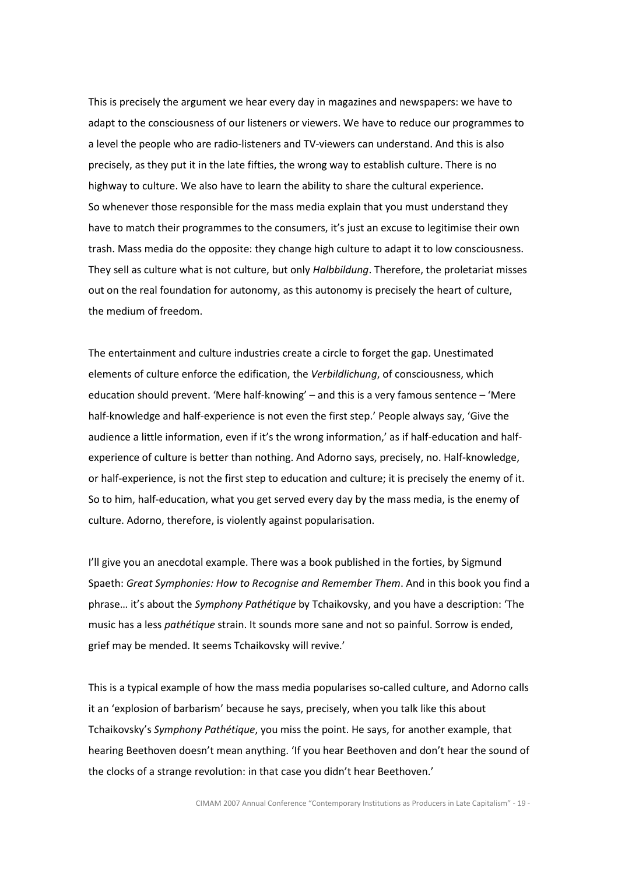This is precisely the argument we hear every day in magazines and newspapers: we have to adapt to the consciousness of our listeners or viewers. We have to reduce our programmes to a level the people who are radio-listeners and TV-viewers can understand. And this is also precisely, as they put it in the late fifties, the wrong way to establish culture. There is no highway to culture. We also have to learn the ability to share the cultural experience. So whenever those responsible for the mass media explain that you must understand they have to match their programmes to the consumers, it's just an excuse to legitimise their own trash. Mass media do the opposite: they change high culture to adapt it to low consciousness. They sell as culture what is not culture, but only Halbbildung. Therefore, the proletariat misses out on the real foundation for autonomy, as this autonomy is precisely the heart of culture, the medium of freedom.

The entertainment and culture industries create a circle to forget the gap. Unestimated elements of culture enforce the edification, the Verbildlichung, of consciousness, which education should prevent. 'Mere half-knowing' – and this is a very famous sentence – 'Mere half-knowledge and half-experience is not even the first step.' People always say, 'Give the audience a little information, even if it's the wrong information,' as if half-education and halfexperience of culture is better than nothing. And Adorno says, precisely, no. Half-knowledge, or half-experience, is not the first step to education and culture; it is precisely the enemy of it. So to him, half-education, what you get served every day by the mass media, is the enemy of culture. Adorno, therefore, is violently against popularisation.

I'll give you an anecdotal example. There was a book published in the forties, by Sigmund Spaeth: Great Symphonies: How to Recognise and Remember Them. And in this book you find a phrase... it's about the Symphony Pathétique by Tchaikovsky, and you have a description: 'The music has a less *pathétique* strain. It sounds more sane and not so painful. Sorrow is ended, grief may be mended. It seems Tchaikovsky will revive.'

This is a typical example of how the mass media popularises so-called culture, and Adorno calls it an 'explosion of barbarism' because he says, precisely, when you talk like this about Tchaikovsky's Symphony Pathétique, you miss the point. He says, for another example, that hearing Beethoven doesn't mean anything. 'If you hear Beethoven and don't hear the sound of the clocks of a strange revolution: in that case you didn't hear Beethoven.'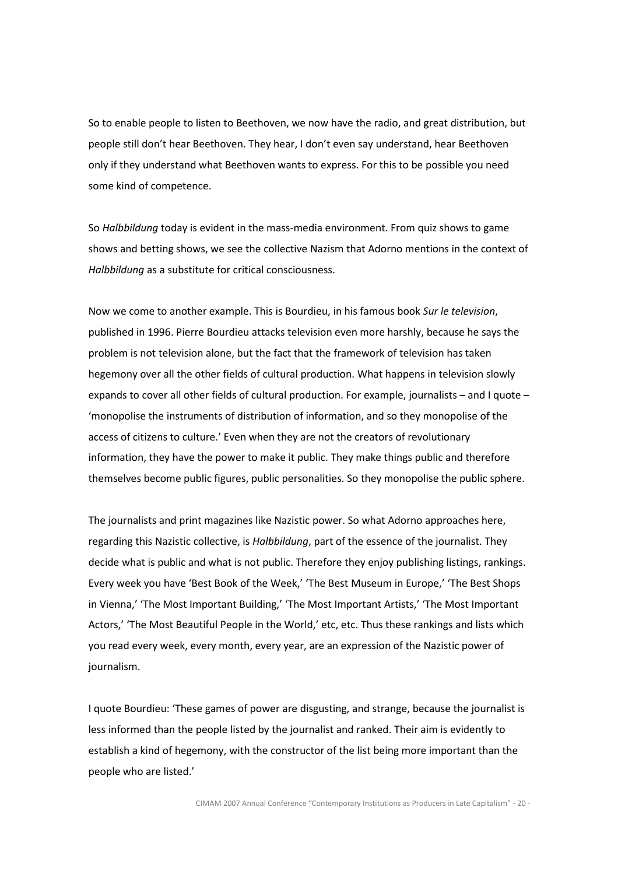So to enable people to listen to Beethoven, we now have the radio, and great distribution, but people still don't hear Beethoven. They hear, I don't even say understand, hear Beethoven only if they understand what Beethoven wants to express. For this to be possible you need some kind of competence.

So Halbbildung today is evident in the mass-media environment. From quiz shows to game shows and betting shows, we see the collective Nazism that Adorno mentions in the context of Halbbildung as a substitute for critical consciousness.

Now we come to another example. This is Bourdieu, in his famous book Sur le television, published in 1996. Pierre Bourdieu attacks television even more harshly, because he says the problem is not television alone, but the fact that the framework of television has taken hegemony over all the other fields of cultural production. What happens in television slowly expands to cover all other fields of cultural production. For example, journalists – and I quote – 'monopolise the instruments of distribution of information, and so they monopolise of the access of citizens to culture.' Even when they are not the creators of revolutionary information, they have the power to make it public. They make things public and therefore themselves become public figures, public personalities. So they monopolise the public sphere.

The journalists and print magazines like Nazistic power. So what Adorno approaches here, regarding this Nazistic collective, is Halbbildung, part of the essence of the journalist. They decide what is public and what is not public. Therefore they enjoy publishing listings, rankings. Every week you have 'Best Book of the Week,' 'The Best Museum in Europe,' 'The Best Shops in Vienna,' 'The Most Important Building,' 'The Most Important Artists,' 'The Most Important Actors,' 'The Most Beautiful People in the World,' etc, etc. Thus these rankings and lists which you read every week, every month, every year, are an expression of the Nazistic power of journalism.

I quote Bourdieu: 'These games of power are disgusting, and strange, because the journalist is less informed than the people listed by the journalist and ranked. Their aim is evidently to establish a kind of hegemony, with the constructor of the list being more important than the people who are listed.'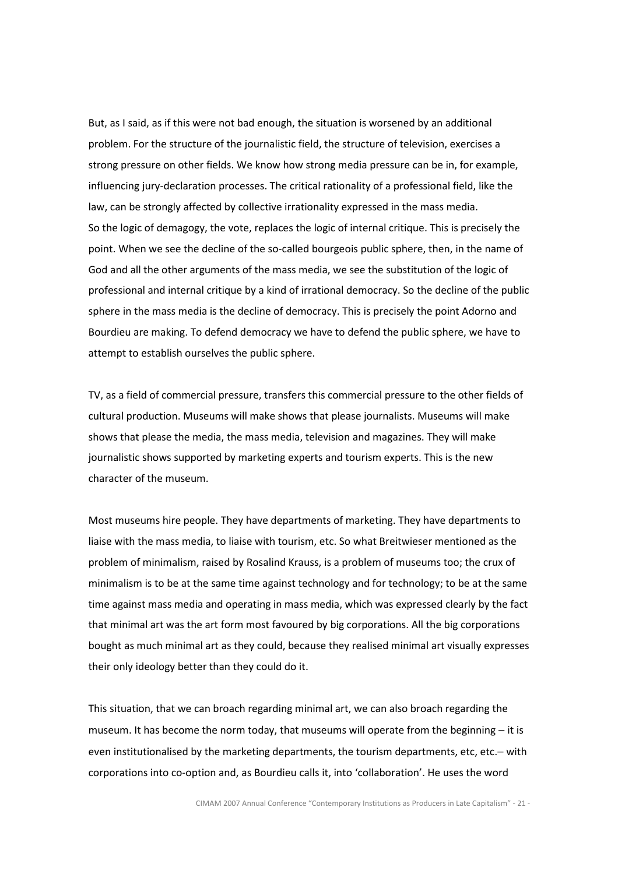But, as I said, as if this were not bad enough, the situation is worsened by an additional problem. For the structure of the journalistic field, the structure of television, exercises a strong pressure on other fields. We know how strong media pressure can be in, for example, influencing jury-declaration processes. The critical rationality of a professional field, like the law, can be strongly affected by collective irrationality expressed in the mass media. So the logic of demagogy, the vote, replaces the logic of internal critique. This is precisely the point. When we see the decline of the so-called bourgeois public sphere, then, in the name of God and all the other arguments of the mass media, we see the substitution of the logic of professional and internal critique by a kind of irrational democracy. So the decline of the public sphere in the mass media is the decline of democracy. This is precisely the point Adorno and Bourdieu are making. To defend democracy we have to defend the public sphere, we have to attempt to establish ourselves the public sphere.

TV, as a field of commercial pressure, transfers this commercial pressure to the other fields of cultural production. Museums will make shows that please journalists. Museums will make shows that please the media, the mass media, television and magazines. They will make journalistic shows supported by marketing experts and tourism experts. This is the new character of the museum.

Most museums hire people. They have departments of marketing. They have departments to liaise with the mass media, to liaise with tourism, etc. So what Breitwieser mentioned as the problem of minimalism, raised by Rosalind Krauss, is a problem of museums too; the crux of minimalism is to be at the same time against technology and for technology; to be at the same time against mass media and operating in mass media, which was expressed clearly by the fact that minimal art was the art form most favoured by big corporations. All the big corporations bought as much minimal art as they could, because they realised minimal art visually expresses their only ideology better than they could do it.

This situation, that we can broach regarding minimal art, we can also broach regarding the museum. It has become the norm today, that museums will operate from the beginning – it is even institutionalised by the marketing departments, the tourism departments, etc, etc.– with corporations into co-option and, as Bourdieu calls it, into 'collaboration'. He uses the word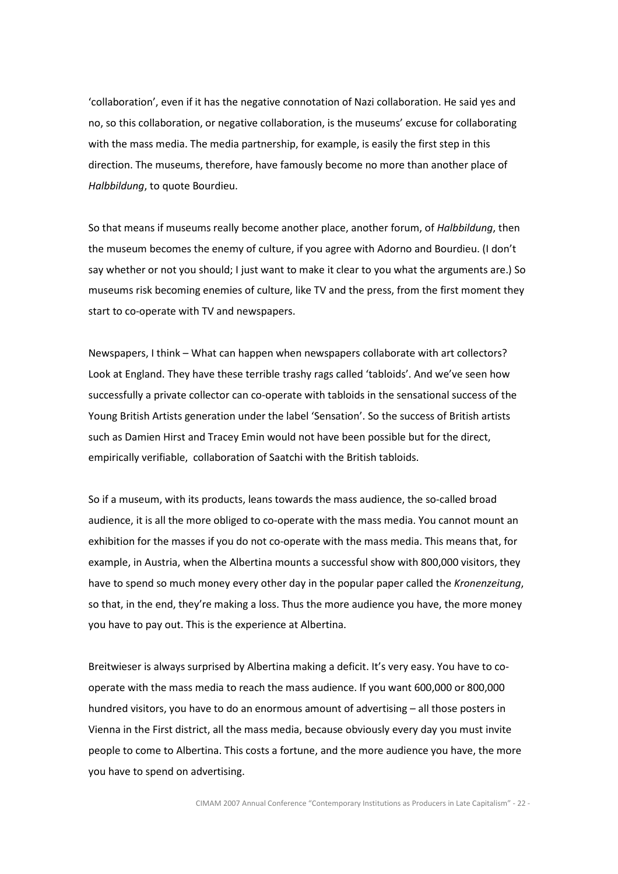'collaboration', even if it has the negative connotation of Nazi collaboration. He said yes and no, so this collaboration, or negative collaboration, is the museums' excuse for collaborating with the mass media. The media partnership, for example, is easily the first step in this direction. The museums, therefore, have famously become no more than another place of Halbbildung, to quote Bourdieu.

So that means if museums really become another place, another forum, of Halbbildung, then the museum becomes the enemy of culture, if you agree with Adorno and Bourdieu. (I don't say whether or not you should; I just want to make it clear to you what the arguments are.) So museums risk becoming enemies of culture, like TV and the press, from the first moment they start to co-operate with TV and newspapers.

Newspapers, I think – What can happen when newspapers collaborate with art collectors? Look at England. They have these terrible trashy rags called 'tabloids'. And we've seen how successfully a private collector can co-operate with tabloids in the sensational success of the Young British Artists generation under the label 'Sensation'. So the success of British artists such as Damien Hirst and Tracey Emin would not have been possible but for the direct, empirically verifiable, collaboration of Saatchi with the British tabloids.

So if a museum, with its products, leans towards the mass audience, the so-called broad audience, it is all the more obliged to co-operate with the mass media. You cannot mount an exhibition for the masses if you do not co-operate with the mass media. This means that, for example, in Austria, when the Albertina mounts a successful show with 800,000 visitors, they have to spend so much money every other day in the popular paper called the Kronenzeitung, so that, in the end, they're making a loss. Thus the more audience you have, the more money you have to pay out. This is the experience at Albertina.

Breitwieser is always surprised by Albertina making a deficit. It's very easy. You have to cooperate with the mass media to reach the mass audience. If you want 600,000 or 800,000 hundred visitors, you have to do an enormous amount of advertising – all those posters in Vienna in the First district, all the mass media, because obviously every day you must invite people to come to Albertina. This costs a fortune, and the more audience you have, the more you have to spend on advertising.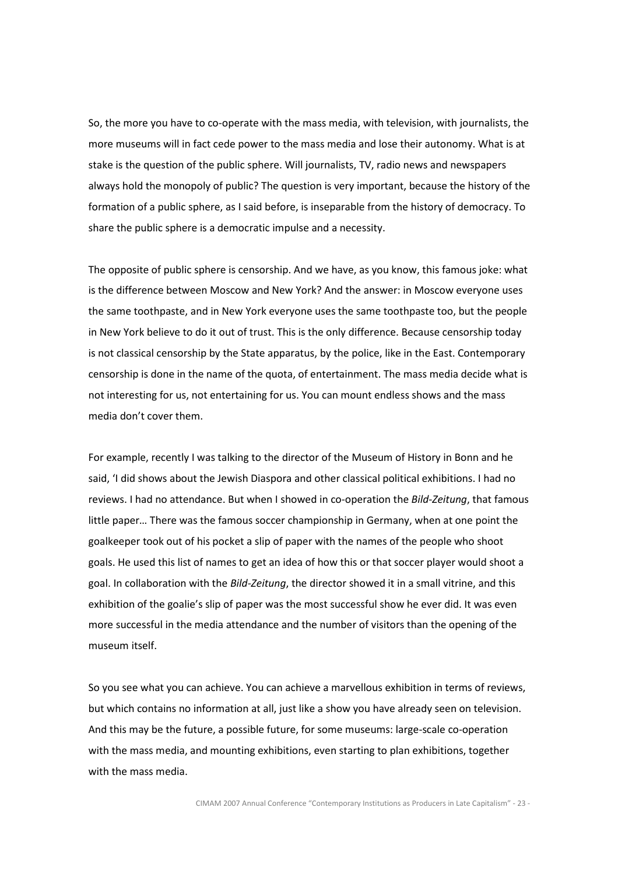So, the more you have to co-operate with the mass media, with television, with journalists, the more museums will in fact cede power to the mass media and lose their autonomy. What is at stake is the question of the public sphere. Will journalists, TV, radio news and newspapers always hold the monopoly of public? The question is very important, because the history of the formation of a public sphere, as I said before, is inseparable from the history of democracy. To share the public sphere is a democratic impulse and a necessity.

The opposite of public sphere is censorship. And we have, as you know, this famous joke: what is the difference between Moscow and New York? And the answer: in Moscow everyone uses the same toothpaste, and in New York everyone uses the same toothpaste too, but the people in New York believe to do it out of trust. This is the only difference. Because censorship today is not classical censorship by the State apparatus, by the police, like in the East. Contemporary censorship is done in the name of the quota, of entertainment. The mass media decide what is not interesting for us, not entertaining for us. You can mount endless shows and the mass media don't cover them.

For example, recently I was talking to the director of the Museum of History in Bonn and he said, 'I did shows about the Jewish Diaspora and other classical political exhibitions. I had no reviews. I had no attendance. But when I showed in co-operation the Bild-Zeitung, that famous little paper… There was the famous soccer championship in Germany, when at one point the goalkeeper took out of his pocket a slip of paper with the names of the people who shoot goals. He used this list of names to get an idea of how this or that soccer player would shoot a goal. In collaboration with the Bild-Zeitung, the director showed it in a small vitrine, and this exhibition of the goalie's slip of paper was the most successful show he ever did. It was even more successful in the media attendance and the number of visitors than the opening of the museum itself.

So you see what you can achieve. You can achieve a marvellous exhibition in terms of reviews, but which contains no information at all, just like a show you have already seen on television. And this may be the future, a possible future, for some museums: large-scale co-operation with the mass media, and mounting exhibitions, even starting to plan exhibitions, together with the mass media.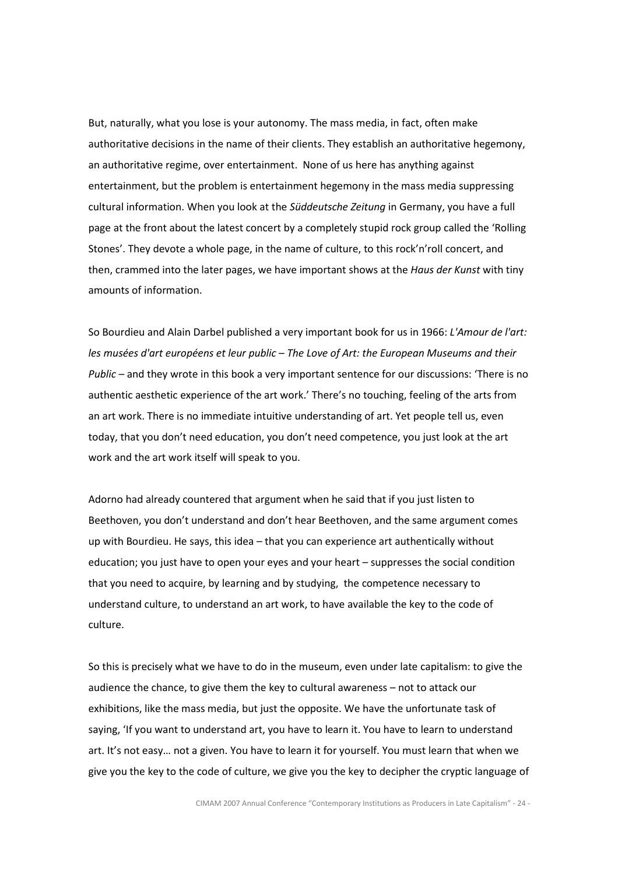But, naturally, what you lose is your autonomy. The mass media, in fact, often make authoritative decisions in the name of their clients. They establish an authoritative hegemony, an authoritative regime, over entertainment. None of us here has anything against entertainment, but the problem is entertainment hegemony in the mass media suppressing cultural information. When you look at the Süddeutsche Zeitung in Germany, you have a full page at the front about the latest concert by a completely stupid rock group called the 'Rolling Stones'. They devote a whole page, in the name of culture, to this rock'n'roll concert, and then, crammed into the later pages, we have important shows at the *Haus der Kunst* with tiny amounts of information.

So Bourdieu and Alain Darbel published a very important book for us in 1966: L'Amour de l'art: les musées d'art européens et leur public – The Love of Art: the European Museums and their Public – and they wrote in this book a very important sentence for our discussions: 'There is no authentic aesthetic experience of the art work.' There's no touching, feeling of the arts from an art work. There is no immediate intuitive understanding of art. Yet people tell us, even today, that you don't need education, you don't need competence, you just look at the art work and the art work itself will speak to you.

Adorno had already countered that argument when he said that if you just listen to Beethoven, you don't understand and don't hear Beethoven, and the same argument comes up with Bourdieu. He says, this idea – that you can experience art authentically without education; you just have to open your eyes and your heart – suppresses the social condition that you need to acquire, by learning and by studying, the competence necessary to understand culture, to understand an art work, to have available the key to the code of culture.

So this is precisely what we have to do in the museum, even under late capitalism: to give the audience the chance, to give them the key to cultural awareness – not to attack our exhibitions, like the mass media, but just the opposite. We have the unfortunate task of saying, 'If you want to understand art, you have to learn it. You have to learn to understand art. It's not easy… not a given. You have to learn it for yourself. You must learn that when we give you the key to the code of culture, we give you the key to decipher the cryptic language of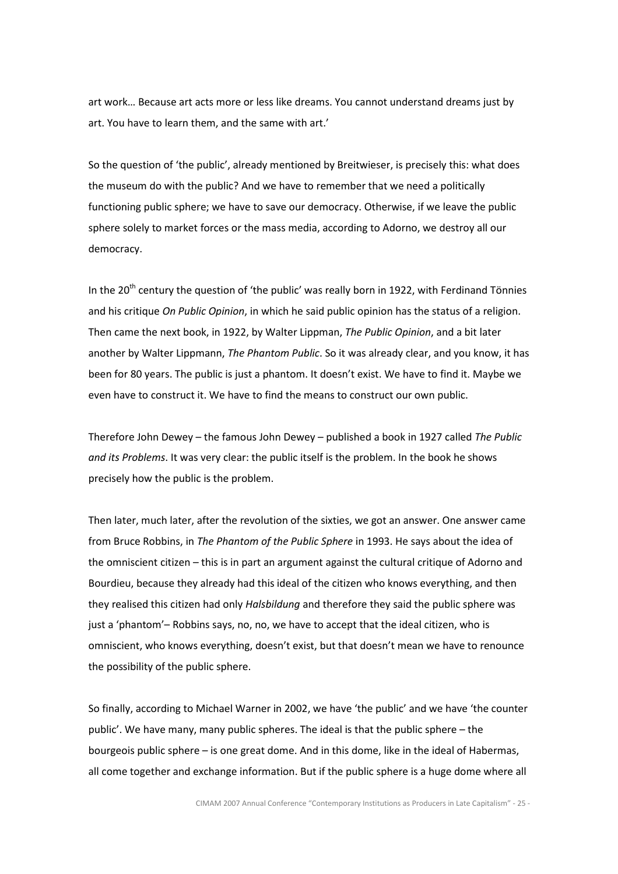art work… Because art acts more or less like dreams. You cannot understand dreams just by art. You have to learn them, and the same with art.'

So the question of 'the public', already mentioned by Breitwieser, is precisely this: what does the museum do with the public? And we have to remember that we need a politically functioning public sphere; we have to save our democracy. Otherwise, if we leave the public sphere solely to market forces or the mass media, according to Adorno, we destroy all our democracy.

In the  $20<sup>th</sup>$  century the question of 'the public' was really born in 1922, with Ferdinand Tönnies and his critique On Public Opinion, in which he said public opinion has the status of a religion. Then came the next book, in 1922, by Walter Lippman, The Public Opinion, and a bit later another by Walter Lippmann, The Phantom Public. So it was already clear, and you know, it has been for 80 years. The public is just a phantom. It doesn't exist. We have to find it. Maybe we even have to construct it. We have to find the means to construct our own public.

Therefore John Dewey – the famous John Dewey – published a book in 1927 called The Public and its Problems. It was very clear: the public itself is the problem. In the book he shows precisely how the public is the problem.

Then later, much later, after the revolution of the sixties, we got an answer. One answer came from Bruce Robbins, in The Phantom of the Public Sphere in 1993. He says about the idea of the omniscient citizen – this is in part an argument against the cultural critique of Adorno and Bourdieu, because they already had this ideal of the citizen who knows everything, and then they realised this citizen had only Halsbildung and therefore they said the public sphere was just a 'phantom'– Robbins says, no, no, we have to accept that the ideal citizen, who is omniscient, who knows everything, doesn't exist, but that doesn't mean we have to renounce the possibility of the public sphere.

So finally, according to Michael Warner in 2002, we have 'the public' and we have 'the counter public'. We have many, many public spheres. The ideal is that the public sphere – the bourgeois public sphere – is one great dome. And in this dome, like in the ideal of Habermas, all come together and exchange information. But if the public sphere is a huge dome where all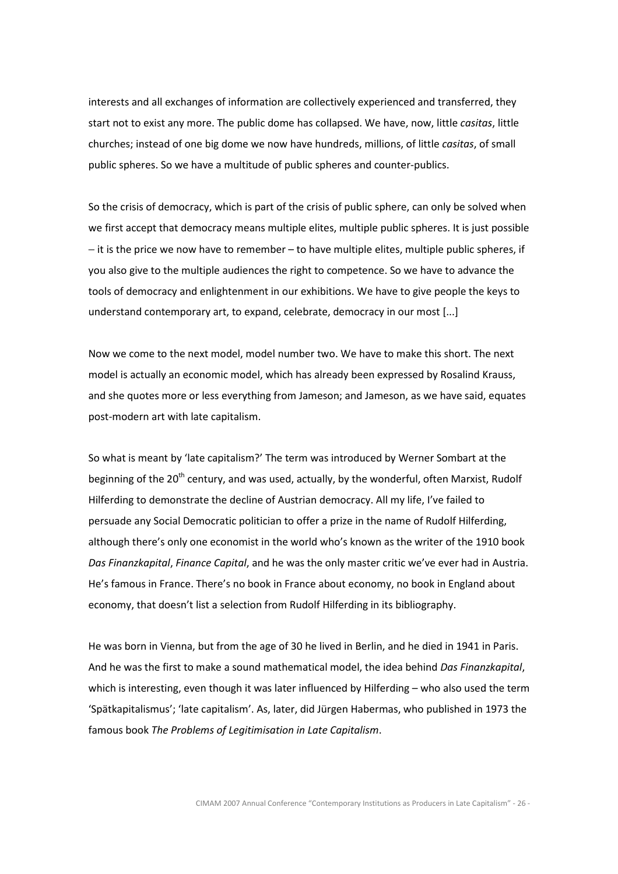interests and all exchanges of information are collectively experienced and transferred, they start not to exist any more. The public dome has collapsed. We have, now, little casitas, little churches; instead of one big dome we now have hundreds, millions, of little casitas, of small public spheres. So we have a multitude of public spheres and counter-publics.

So the crisis of democracy, which is part of the crisis of public sphere, can only be solved when we first accept that democracy means multiple elites, multiple public spheres. It is just possible − it is the price we now have to remember – to have multiple elites, multiple public spheres, if you also give to the multiple audiences the right to competence. So we have to advance the tools of democracy and enlightenment in our exhibitions. We have to give people the keys to understand contemporary art, to expand, celebrate, democracy in our most [...]

Now we come to the next model, model number two. We have to make this short. The next model is actually an economic model, which has already been expressed by Rosalind Krauss, and she quotes more or less everything from Jameson; and Jameson, as we have said, equates post-modern art with late capitalism.

So what is meant by 'late capitalism?' The term was introduced by Werner Sombart at the beginning of the 20<sup>th</sup> century, and was used, actually, by the wonderful, often Marxist, Rudolf Hilferding to demonstrate the decline of Austrian democracy. All my life, I've failed to persuade any Social Democratic politician to offer a prize in the name of Rudolf Hilferding, although there's only one economist in the world who's known as the writer of the 1910 book Das Finanzkapital, Finance Capital, and he was the only master critic we've ever had in Austria. He's famous in France. There's no book in France about economy, no book in England about economy, that doesn't list a selection from Rudolf Hilferding in its bibliography.

He was born in Vienna, but from the age of 30 he lived in Berlin, and he died in 1941 in Paris. And he was the first to make a sound mathematical model, the idea behind Das Finanzkapital, which is interesting, even though it was later influenced by Hilferding – who also used the term 'Spätkapitalismus'; 'late capitalism'. As, later, did Jürgen Habermas, who published in 1973 the famous book The Problems of Legitimisation in Late Capitalism.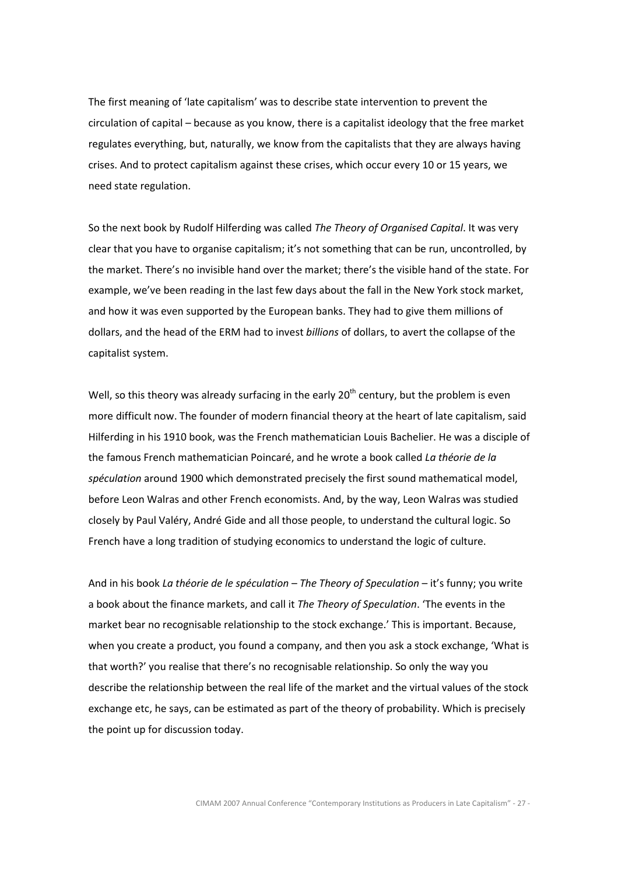The first meaning of 'late capitalism' was to describe state intervention to prevent the circulation of capital – because as you know, there is a capitalist ideology that the free market regulates everything, but, naturally, we know from the capitalists that they are always having crises. And to protect capitalism against these crises, which occur every 10 or 15 years, we need state regulation.

So the next book by Rudolf Hilferding was called The Theory of Organised Capital. It was very clear that you have to organise capitalism; it's not something that can be run, uncontrolled, by the market. There's no invisible hand over the market; there's the visible hand of the state. For example, we've been reading in the last few days about the fall in the New York stock market, and how it was even supported by the European banks. They had to give them millions of dollars, and the head of the ERM had to invest billions of dollars, to avert the collapse of the capitalist system.

Well, so this theory was already surfacing in the early  $20<sup>th</sup>$  century, but the problem is even more difficult now. The founder of modern financial theory at the heart of late capitalism, said Hilferding in his 1910 book, was the French mathematician Louis Bachelier. He was a disciple of the famous French mathematician Poincaré, and he wrote a book called La théorie de la spéculation around 1900 which demonstrated precisely the first sound mathematical model, before Leon Walras and other French economists. And, by the way, Leon Walras was studied closely by Paul Valéry, André Gide and all those people, to understand the cultural logic. So French have a long tradition of studying economics to understand the logic of culture.

And in his book La théorie de le spéculation – The Theory of Speculation – it's funny; you write a book about the finance markets, and call it The Theory of Speculation. 'The events in the market bear no recognisable relationship to the stock exchange.' This is important. Because, when you create a product, you found a company, and then you ask a stock exchange, 'What is that worth?' you realise that there's no recognisable relationship. So only the way you describe the relationship between the real life of the market and the virtual values of the stock exchange etc, he says, can be estimated as part of the theory of probability. Which is precisely the point up for discussion today.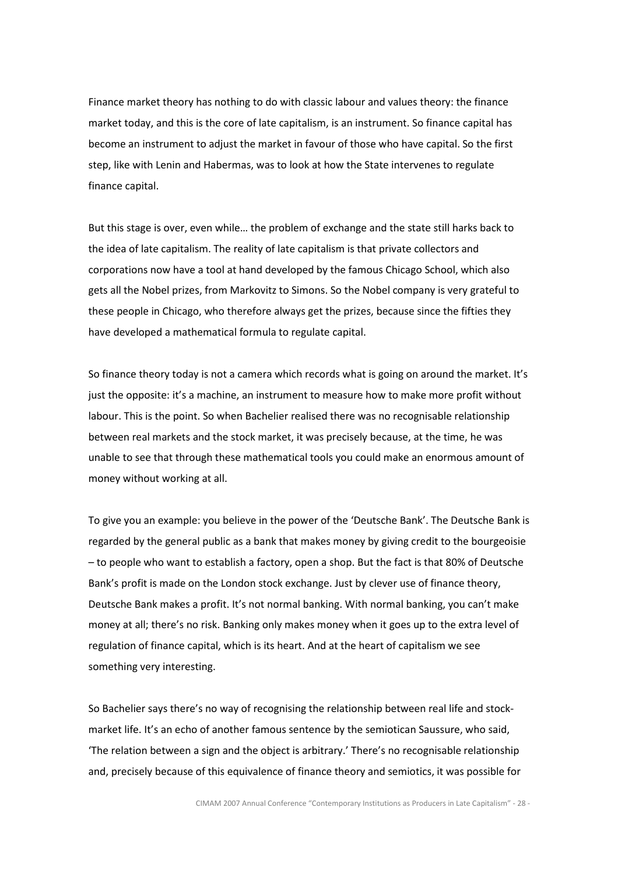Finance market theory has nothing to do with classic labour and values theory: the finance market today, and this is the core of late capitalism, is an instrument. So finance capital has become an instrument to adjust the market in favour of those who have capital. So the first step, like with Lenin and Habermas, was to look at how the State intervenes to regulate finance capital.

But this stage is over, even while… the problem of exchange and the state still harks back to the idea of late capitalism. The reality of late capitalism is that private collectors and corporations now have a tool at hand developed by the famous Chicago School, which also gets all the Nobel prizes, from Markovitz to Simons. So the Nobel company is very grateful to these people in Chicago, who therefore always get the prizes, because since the fifties they have developed a mathematical formula to regulate capital.

So finance theory today is not a camera which records what is going on around the market. It's just the opposite: it's a machine, an instrument to measure how to make more profit without labour. This is the point. So when Bachelier realised there was no recognisable relationship between real markets and the stock market, it was precisely because, at the time, he was unable to see that through these mathematical tools you could make an enormous amount of money without working at all.

To give you an example: you believe in the power of the 'Deutsche Bank'. The Deutsche Bank is regarded by the general public as a bank that makes money by giving credit to the bourgeoisie – to people who want to establish a factory, open a shop. But the fact is that 80% of Deutsche Bank's profit is made on the London stock exchange. Just by clever use of finance theory, Deutsche Bank makes a profit. It's not normal banking. With normal banking, you can't make money at all; there's no risk. Banking only makes money when it goes up to the extra level of regulation of finance capital, which is its heart. And at the heart of capitalism we see something very interesting.

So Bachelier says there's no way of recognising the relationship between real life and stockmarket life. It's an echo of another famous sentence by the semiotican Saussure, who said, 'The relation between a sign and the object is arbitrary.' There's no recognisable relationship and, precisely because of this equivalence of finance theory and semiotics, it was possible for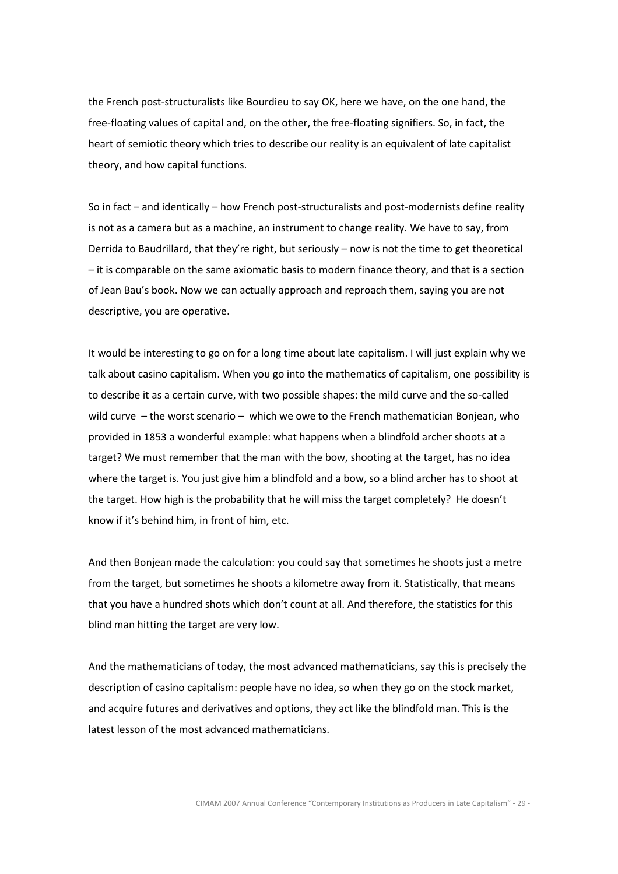the French post-structuralists like Bourdieu to say OK, here we have, on the one hand, the free-floating values of capital and, on the other, the free-floating signifiers. So, in fact, the heart of semiotic theory which tries to describe our reality is an equivalent of late capitalist theory, and how capital functions.

So in fact – and identically – how French post-structuralists and post-modernists define reality is not as a camera but as a machine, an instrument to change reality. We have to say, from Derrida to Baudrillard, that they're right, but seriously – now is not the time to get theoretical – it is comparable on the same axiomatic basis to modern finance theory, and that is a section of Jean Bau's book. Now we can actually approach and reproach them, saying you are not descriptive, you are operative.

It would be interesting to go on for a long time about late capitalism. I will just explain why we talk about casino capitalism. When you go into the mathematics of capitalism, one possibility is to describe it as a certain curve, with two possible shapes: the mild curve and the so-called wild curve – the worst scenario – which we owe to the French mathematician Bonjean, who provided in 1853 a wonderful example: what happens when a blindfold archer shoots at a target? We must remember that the man with the bow, shooting at the target, has no idea where the target is. You just give him a blindfold and a bow, so a blind archer has to shoot at the target. How high is the probability that he will miss the target completely? He doesn't know if it's behind him, in front of him, etc.

And then Bonjean made the calculation: you could say that sometimes he shoots just a metre from the target, but sometimes he shoots a kilometre away from it. Statistically, that means that you have a hundred shots which don't count at all. And therefore, the statistics for this blind man hitting the target are very low.

And the mathematicians of today, the most advanced mathematicians, say this is precisely the description of casino capitalism: people have no idea, so when they go on the stock market, and acquire futures and derivatives and options, they act like the blindfold man. This is the latest lesson of the most advanced mathematicians.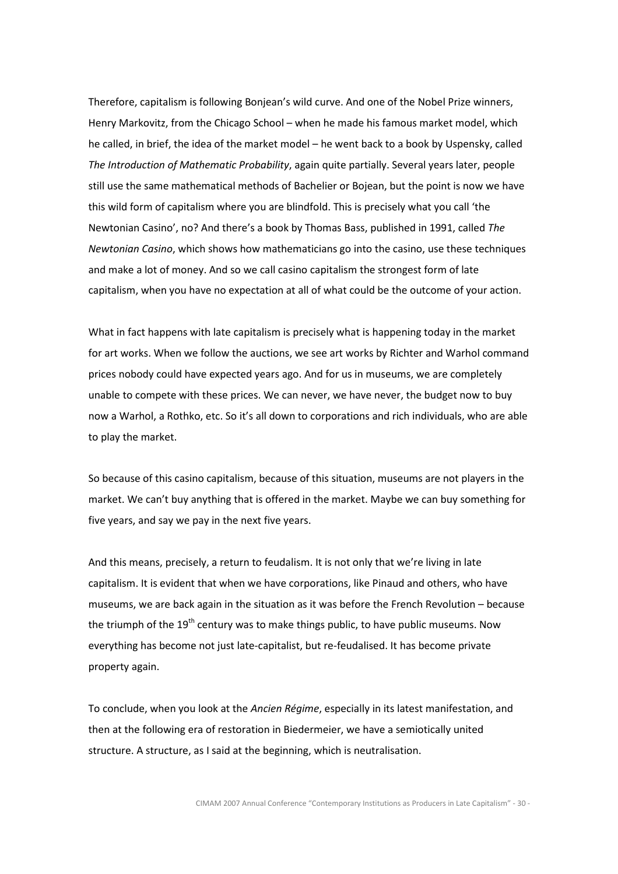Therefore, capitalism is following Bonjean's wild curve. And one of the Nobel Prize winners, Henry Markovitz, from the Chicago School – when he made his famous market model, which he called, in brief, the idea of the market model – he went back to a book by Uspensky, called The Introduction of Mathematic Probability, again quite partially. Several years later, people still use the same mathematical methods of Bachelier or Bojean, but the point is now we have this wild form of capitalism where you are blindfold. This is precisely what you call 'the Newtonian Casino', no? And there's a book by Thomas Bass, published in 1991, called The Newtonian Casino, which shows how mathematicians go into the casino, use these techniques and make a lot of money. And so we call casino capitalism the strongest form of late capitalism, when you have no expectation at all of what could be the outcome of your action.

What in fact happens with late capitalism is precisely what is happening today in the market for art works. When we follow the auctions, we see art works by Richter and Warhol command prices nobody could have expected years ago. And for us in museums, we are completely unable to compete with these prices. We can never, we have never, the budget now to buy now a Warhol, a Rothko, etc. So it's all down to corporations and rich individuals, who are able to play the market.

So because of this casino capitalism, because of this situation, museums are not players in the market. We can't buy anything that is offered in the market. Maybe we can buy something for five years, and say we pay in the next five years.

And this means, precisely, a return to feudalism. It is not only that we're living in late capitalism. It is evident that when we have corporations, like Pinaud and others, who have museums, we are back again in the situation as it was before the French Revolution – because the triumph of the  $19<sup>th</sup>$  century was to make things public, to have public museums. Now everything has become not just late-capitalist, but re-feudalised. It has become private property again.

To conclude, when you look at the Ancien Régime, especially in its latest manifestation, and then at the following era of restoration in Biedermeier, we have a semiotically united structure. A structure, as I said at the beginning, which is neutralisation.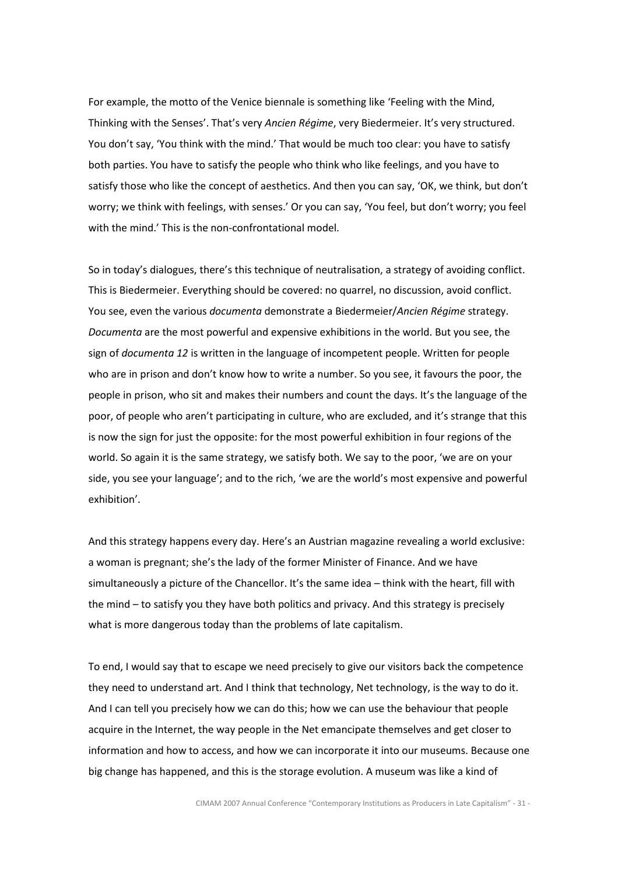For example, the motto of the Venice biennale is something like 'Feeling with the Mind, Thinking with the Senses'. That's very Ancien Régime, very Biedermeier. It's very structured. You don't say, 'You think with the mind.' That would be much too clear: you have to satisfy both parties. You have to satisfy the people who think who like feelings, and you have to satisfy those who like the concept of aesthetics. And then you can say, 'OK, we think, but don't worry; we think with feelings, with senses.' Or you can say, 'You feel, but don't worry; you feel with the mind.' This is the non-confrontational model.

So in today's dialogues, there's this technique of neutralisation, a strategy of avoiding conflict. This is Biedermeier. Everything should be covered: no quarrel, no discussion, avoid conflict. You see, even the various documenta demonstrate a Biedermeier/Ancien Régime strategy. Documenta are the most powerful and expensive exhibitions in the world. But you see, the sign of documenta 12 is written in the language of incompetent people. Written for people who are in prison and don't know how to write a number. So you see, it favours the poor, the people in prison, who sit and makes their numbers and count the days. It's the language of the poor, of people who aren't participating in culture, who are excluded, and it's strange that this is now the sign for just the opposite: for the most powerful exhibition in four regions of the world. So again it is the same strategy, we satisfy both. We say to the poor, 'we are on your side, you see your language'; and to the rich, 'we are the world's most expensive and powerful exhibition'.

And this strategy happens every day. Here's an Austrian magazine revealing a world exclusive: a woman is pregnant; she's the lady of the former Minister of Finance. And we have simultaneously a picture of the Chancellor. It's the same idea – think with the heart, fill with the mind – to satisfy you they have both politics and privacy. And this strategy is precisely what is more dangerous today than the problems of late capitalism.

To end, I would say that to escape we need precisely to give our visitors back the competence they need to understand art. And I think that technology, Net technology, is the way to do it. And I can tell you precisely how we can do this; how we can use the behaviour that people acquire in the Internet, the way people in the Net emancipate themselves and get closer to information and how to access, and how we can incorporate it into our museums. Because one big change has happened, and this is the storage evolution. A museum was like a kind of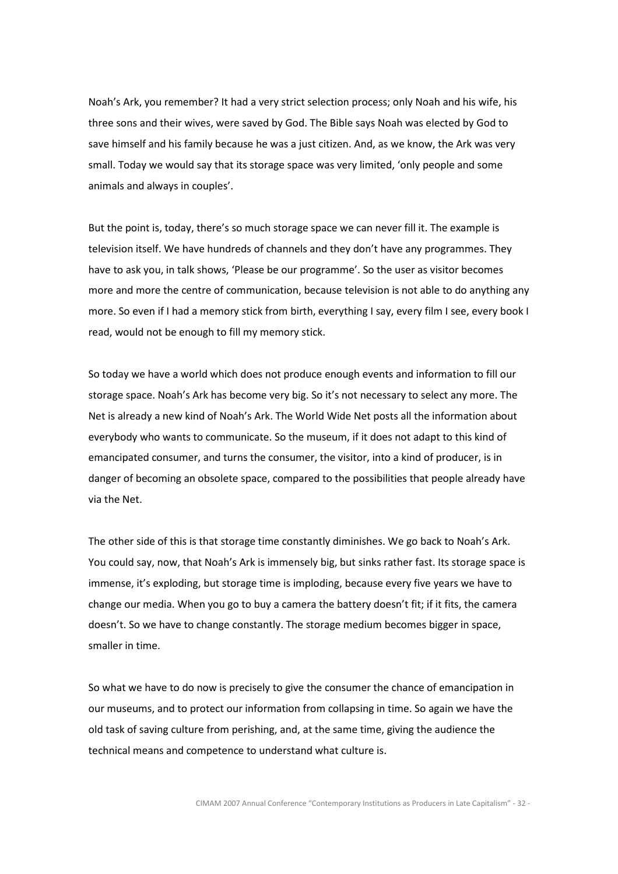Noah's Ark, you remember? It had a very strict selection process; only Noah and his wife, his three sons and their wives, were saved by God. The Bible says Noah was elected by God to save himself and his family because he was a just citizen. And, as we know, the Ark was very small. Today we would say that its storage space was very limited, 'only people and some animals and always in couples'.

But the point is, today, there's so much storage space we can never fill it. The example is television itself. We have hundreds of channels and they don't have any programmes. They have to ask you, in talk shows, 'Please be our programme'. So the user as visitor becomes more and more the centre of communication, because television is not able to do anything any more. So even if I had a memory stick from birth, everything I say, every film I see, every book I read, would not be enough to fill my memory stick.

So today we have a world which does not produce enough events and information to fill our storage space. Noah's Ark has become very big. So it's not necessary to select any more. The Net is already a new kind of Noah's Ark. The World Wide Net posts all the information about everybody who wants to communicate. So the museum, if it does not adapt to this kind of emancipated consumer, and turns the consumer, the visitor, into a kind of producer, is in danger of becoming an obsolete space, compared to the possibilities that people already have via the Net.

The other side of this is that storage time constantly diminishes. We go back to Noah's Ark. You could say, now, that Noah's Ark is immensely big, but sinks rather fast. Its storage space is immense, it's exploding, but storage time is imploding, because every five years we have to change our media. When you go to buy a camera the battery doesn't fit; if it fits, the camera doesn't. So we have to change constantly. The storage medium becomes bigger in space, smaller in time.

So what we have to do now is precisely to give the consumer the chance of emancipation in our museums, and to protect our information from collapsing in time. So again we have the old task of saving culture from perishing, and, at the same time, giving the audience the technical means and competence to understand what culture is.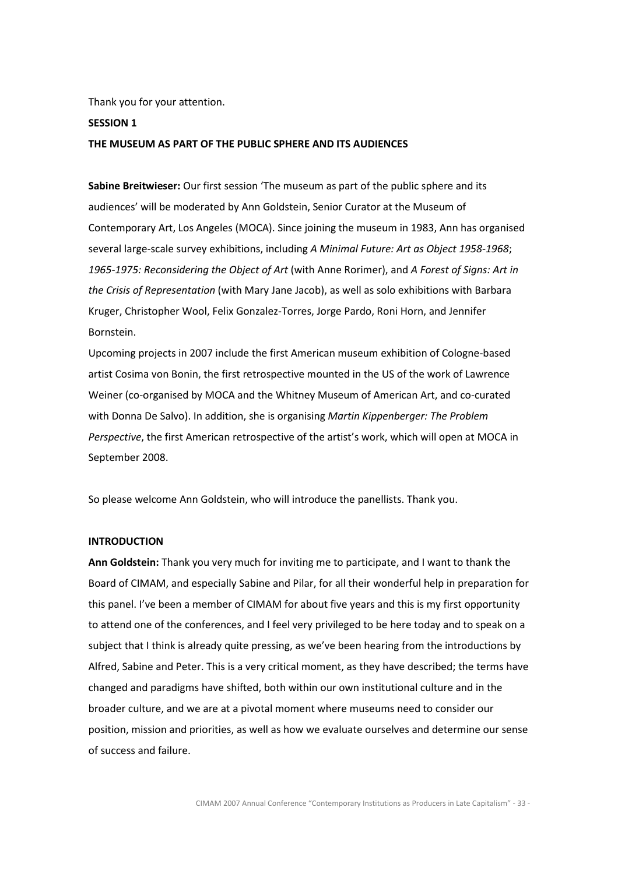Thank you for your attention.

#### SESSION 1

### THE MUSEUM AS PART OF THE PUBLIC SPHERE AND ITS AUDIENCES

Sabine Breitwieser: Our first session 'The museum as part of the public sphere and its audiences' will be moderated by Ann Goldstein, Senior Curator at the Museum of Contemporary Art, Los Angeles (MOCA). Since joining the museum in 1983, Ann has organised several large-scale survey exhibitions, including A Minimal Future: Art as Object 1958-1968; 1965-1975: Reconsidering the Object of Art (with Anne Rorimer), and A Forest of Signs: Art in the Crisis of Representation (with Mary Jane Jacob), as well as solo exhibitions with Barbara Kruger, Christopher Wool, Felix Gonzalez-Torres, Jorge Pardo, Roni Horn, and Jennifer Bornstein.

Upcoming projects in 2007 include the first American museum exhibition of Cologne-based artist Cosima von Bonin, the first retrospective mounted in the US of the work of Lawrence Weiner (co-organised by MOCA and the Whitney Museum of American Art, and co-curated with Donna De Salvo). In addition, she is organising Martin Kippenberger: The Problem Perspective, the first American retrospective of the artist's work, which will open at MOCA in September 2008.

So please welcome Ann Goldstein, who will introduce the panellists. Thank you.

#### INTRODUCTION

Ann Goldstein: Thank you very much for inviting me to participate, and I want to thank the Board of CIMAM, and especially Sabine and Pilar, for all their wonderful help in preparation for this panel. I've been a member of CIMAM for about five years and this is my first opportunity to attend one of the conferences, and I feel very privileged to be here today and to speak on a subject that I think is already quite pressing, as we've been hearing from the introductions by Alfred, Sabine and Peter. This is a very critical moment, as they have described; the terms have changed and paradigms have shifted, both within our own institutional culture and in the broader culture, and we are at a pivotal moment where museums need to consider our position, mission and priorities, as well as how we evaluate ourselves and determine our sense of success and failure.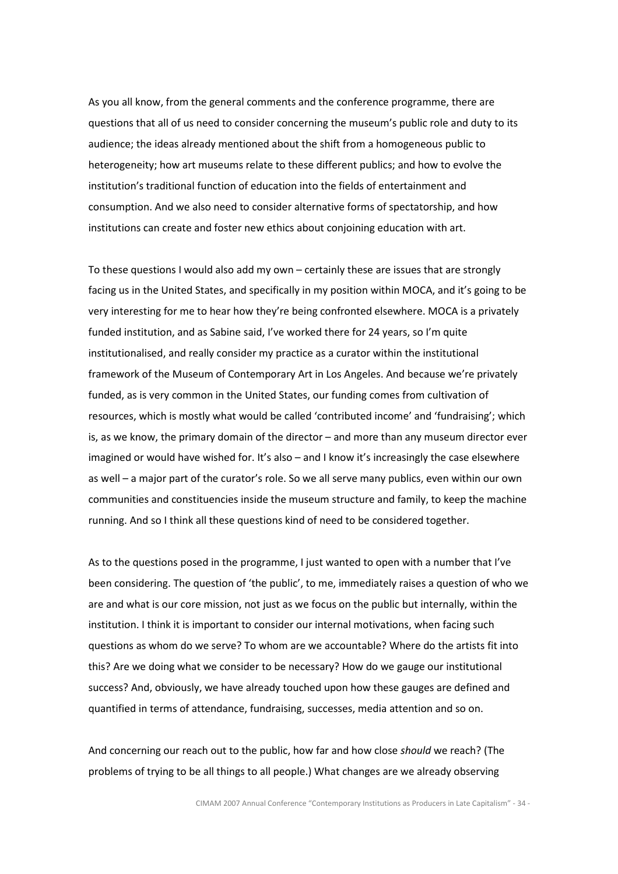As you all know, from the general comments and the conference programme, there are questions that all of us need to consider concerning the museum's public role and duty to its audience; the ideas already mentioned about the shift from a homogeneous public to heterogeneity; how art museums relate to these different publics; and how to evolve the institution's traditional function of education into the fields of entertainment and consumption. And we also need to consider alternative forms of spectatorship, and how institutions can create and foster new ethics about conjoining education with art.

To these questions I would also add my own – certainly these are issues that are strongly facing us in the United States, and specifically in my position within MOCA, and it's going to be very interesting for me to hear how they're being confronted elsewhere. MOCA is a privately funded institution, and as Sabine said, I've worked there for 24 years, so I'm quite institutionalised, and really consider my practice as a curator within the institutional framework of the Museum of Contemporary Art in Los Angeles. And because we're privately funded, as is very common in the United States, our funding comes from cultivation of resources, which is mostly what would be called 'contributed income' and 'fundraising'; which is, as we know, the primary domain of the director – and more than any museum director ever imagined or would have wished for. It's also – and I know it's increasingly the case elsewhere as well – a major part of the curator's role. So we all serve many publics, even within our own communities and constituencies inside the museum structure and family, to keep the machine running. And so I think all these questions kind of need to be considered together.

As to the questions posed in the programme, I just wanted to open with a number that I've been considering. The question of 'the public', to me, immediately raises a question of who we are and what is our core mission, not just as we focus on the public but internally, within the institution. I think it is important to consider our internal motivations, when facing such questions as whom do we serve? To whom are we accountable? Where do the artists fit into this? Are we doing what we consider to be necessary? How do we gauge our institutional success? And, obviously, we have already touched upon how these gauges are defined and quantified in terms of attendance, fundraising, successes, media attention and so on.

And concerning our reach out to the public, how far and how close should we reach? (The problems of trying to be all things to all people.) What changes are we already observing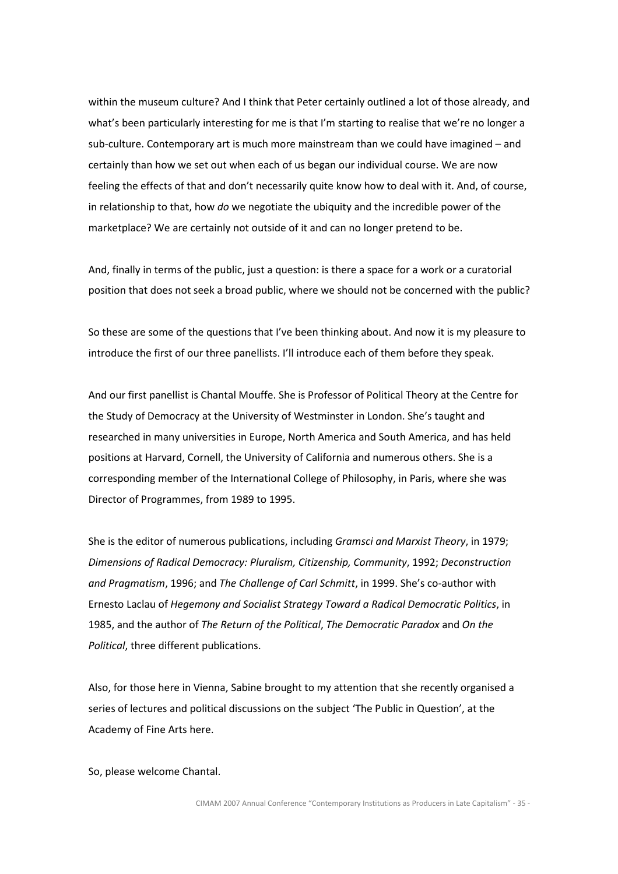within the museum culture? And I think that Peter certainly outlined a lot of those already, and what's been particularly interesting for me is that I'm starting to realise that we're no longer a sub-culture. Contemporary art is much more mainstream than we could have imagined – and certainly than how we set out when each of us began our individual course. We are now feeling the effects of that and don't necessarily quite know how to deal with it. And, of course, in relationship to that, how do we negotiate the ubiquity and the incredible power of the marketplace? We are certainly not outside of it and can no longer pretend to be.

And, finally in terms of the public, just a question: is there a space for a work or a curatorial position that does not seek a broad public, where we should not be concerned with the public?

So these are some of the questions that I've been thinking about. And now it is my pleasure to introduce the first of our three panellists. I'll introduce each of them before they speak.

And our first panellist is Chantal Mouffe. She is Professor of Political Theory at the Centre for the Study of Democracy at the University of Westminster in London. She's taught and researched in many universities in Europe, North America and South America, and has held positions at Harvard, Cornell, the University of California and numerous others. She is a corresponding member of the International College of Philosophy, in Paris, where she was Director of Programmes, from 1989 to 1995.

She is the editor of numerous publications, including Gramsci and Marxist Theory, in 1979; Dimensions of Radical Democracy: Pluralism, Citizenship, Community, 1992; Deconstruction and Pragmatism, 1996; and The Challenge of Carl Schmitt, in 1999. She's co-author with Ernesto Laclau of Hegemony and Socialist Strategy Toward a Radical Democratic Politics, in 1985, and the author of The Return of the Political, The Democratic Paradox and On the Political, three different publications.

Also, for those here in Vienna, Sabine brought to my attention that she recently organised a series of lectures and political discussions on the subject 'The Public in Question', at the Academy of Fine Arts here.

So, please welcome Chantal.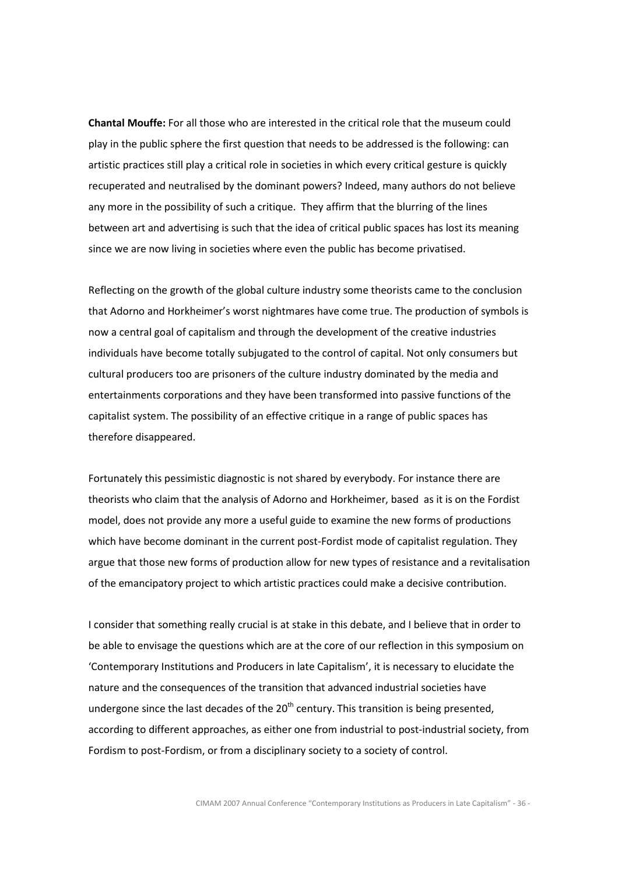Chantal Mouffe: For all those who are interested in the critical role that the museum could play in the public sphere the first question that needs to be addressed is the following: can artistic practices still play a critical role in societies in which every critical gesture is quickly recuperated and neutralised by the dominant powers? Indeed, many authors do not believe any more in the possibility of such a critique. They affirm that the blurring of the lines between art and advertising is such that the idea of critical public spaces has lost its meaning since we are now living in societies where even the public has become privatised.

Reflecting on the growth of the global culture industry some theorists came to the conclusion that Adorno and Horkheimer's worst nightmares have come true. The production of symbols is now a central goal of capitalism and through the development of the creative industries individuals have become totally subjugated to the control of capital. Not only consumers but cultural producers too are prisoners of the culture industry dominated by the media and entertainments corporations and they have been transformed into passive functions of the capitalist system. The possibility of an effective critique in a range of public spaces has therefore disappeared.

Fortunately this pessimistic diagnostic is not shared by everybody. For instance there are theorists who claim that the analysis of Adorno and Horkheimer, based as it is on the Fordist model, does not provide any more a useful guide to examine the new forms of productions which have become dominant in the current post-Fordist mode of capitalist regulation. They argue that those new forms of production allow for new types of resistance and a revitalisation of the emancipatory project to which artistic practices could make a decisive contribution.

I consider that something really crucial is at stake in this debate, and I believe that in order to be able to envisage the questions which are at the core of our reflection in this symposium on 'Contemporary Institutions and Producers in late Capitalism', it is necessary to elucidate the nature and the consequences of the transition that advanced industrial societies have undergone since the last decades of the  $20<sup>th</sup>$  century. This transition is being presented, according to different approaches, as either one from industrial to post-industrial society, from Fordism to post-Fordism, or from a disciplinary society to a society of control.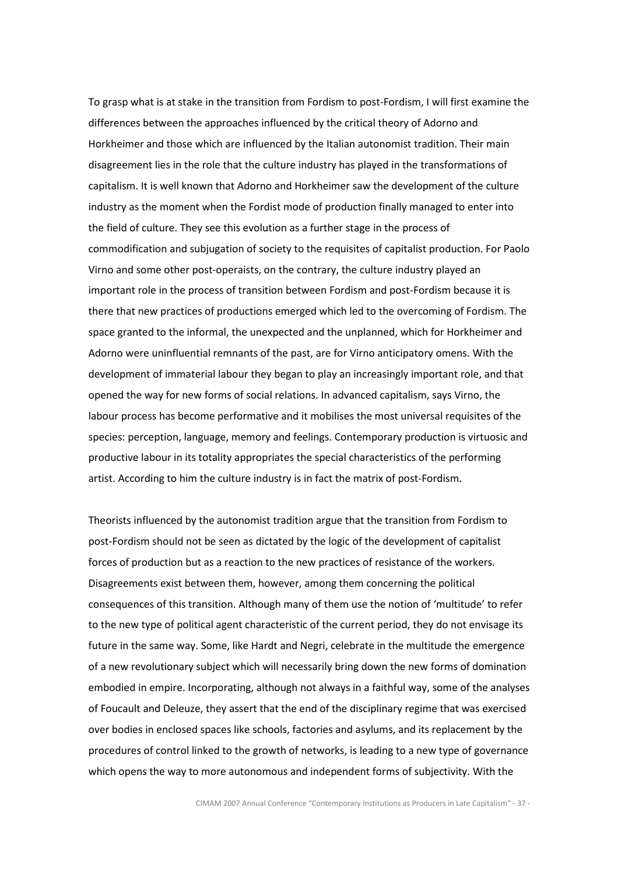To grasp what is at stake in the transition from Fordism to post-Fordism, I will first examine the differences between the approaches influenced by the critical theory of Adorno and Horkheimer and those which are influenced by the Italian autonomist tradition. Their main disagreement lies in the role that the culture industry has played in the transformations of capitalism. It is well known that Adorno and Horkheimer saw the development of the culture industry as the moment when the Fordist mode of production finally managed to enter into the field of culture. They see this evolution as a further stage in the process of commodification and subjugation of society to the requisites of capitalist production. For Paolo Virno and some other post-operaists, on the contrary, the culture industry played an important role in the process of transition between Fordism and post-Fordism because it is there that new practices of productions emerged which led to the overcoming of Fordism. The space granted to the informal, the unexpected and the unplanned, which for Horkheimer and Adorno were uninfluential remnants of the past, are for Virno anticipatory omens. With the development of immaterial labour they began to play an increasingly important role, and that opened the way for new forms of social relations. In advanced capitalism, says Virno, the labour process has become performative and it mobilises the most universal requisites of the species: perception, language, memory and feelings. Contemporary production is virtuosic and productive labour in its totality appropriates the special characteristics of the performing artist. According to him the culture industry is in fact the matrix of post-Fordism.

Theorists influenced by the autonomist tradition argue that the transition from Fordism to post-Fordism should not be seen as dictated by the logic of the development of capitalist forces of production but as a reaction to the new practices of resistance of the workers. Disagreements exist between them, however, among them concerning the political consequences of this transition. Although many of them use the notion of 'multitude' to refer to the new type of political agent characteristic of the current period, they do not envisage its future in the same way. Some, like Hardt and Negri, celebrate in the multitude the emergence of a new revolutionary subject which will necessarily bring down the new forms of domination embodied in empire. Incorporating, although not always in a faithful way, some of the analyses of Foucault and Deleuze, they assert that the end of the disciplinary regime that was exercised over bodies in enclosed spaces like schools, factories and asylums, and its replacement by the procedures of control linked to the growth of networks, is leading to a new type of governance which opens the way to more autonomous and independent forms of subjectivity. With the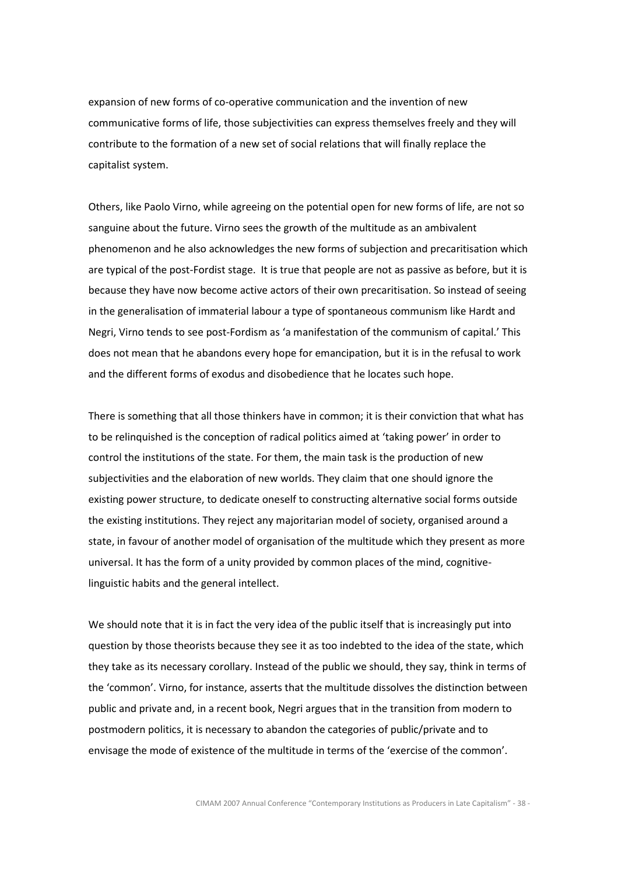expansion of new forms of co-operative communication and the invention of new communicative forms of life, those subjectivities can express themselves freely and they will contribute to the formation of a new set of social relations that will finally replace the capitalist system.

Others, like Paolo Virno, while agreeing on the potential open for new forms of life, are not so sanguine about the future. Virno sees the growth of the multitude as an ambivalent phenomenon and he also acknowledges the new forms of subjection and precaritisation which are typical of the post-Fordist stage. It is true that people are not as passive as before, but it is because they have now become active actors of their own precaritisation. So instead of seeing in the generalisation of immaterial labour a type of spontaneous communism like Hardt and Negri, Virno tends to see post-Fordism as 'a manifestation of the communism of capital.' This does not mean that he abandons every hope for emancipation, but it is in the refusal to work and the different forms of exodus and disobedience that he locates such hope.

There is something that all those thinkers have in common; it is their conviction that what has to be relinquished is the conception of radical politics aimed at 'taking power' in order to control the institutions of the state. For them, the main task is the production of new subjectivities and the elaboration of new worlds. They claim that one should ignore the existing power structure, to dedicate oneself to constructing alternative social forms outside the existing institutions. They reject any majoritarian model of society, organised around a state, in favour of another model of organisation of the multitude which they present as more universal. It has the form of a unity provided by common places of the mind, cognitivelinguistic habits and the general intellect.

We should note that it is in fact the very idea of the public itself that is increasingly put into question by those theorists because they see it as too indebted to the idea of the state, which they take as its necessary corollary. Instead of the public we should, they say, think in terms of the 'common'. Virno, for instance, asserts that the multitude dissolves the distinction between public and private and, in a recent book, Negri argues that in the transition from modern to postmodern politics, it is necessary to abandon the categories of public/private and to envisage the mode of existence of the multitude in terms of the 'exercise of the common'.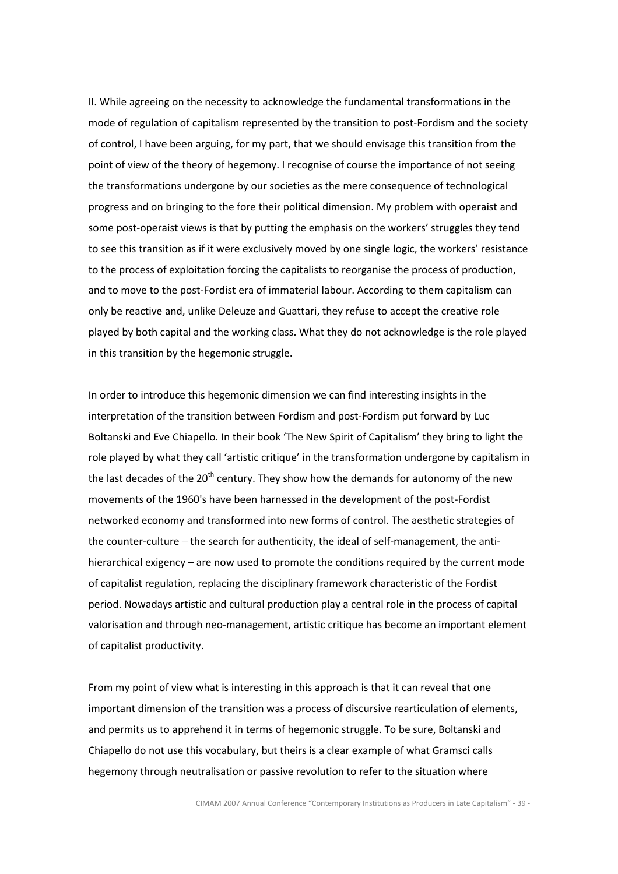II. While agreeing on the necessity to acknowledge the fundamental transformations in the mode of regulation of capitalism represented by the transition to post-Fordism and the society of control, I have been arguing, for my part, that we should envisage this transition from the point of view of the theory of hegemony. I recognise of course the importance of not seeing the transformations undergone by our societies as the mere consequence of technological progress and on bringing to the fore their political dimension. My problem with operaist and some post-operaist views is that by putting the emphasis on the workers' struggles they tend to see this transition as if it were exclusively moved by one single logic, the workers' resistance to the process of exploitation forcing the capitalists to reorganise the process of production, and to move to the post-Fordist era of immaterial labour. According to them capitalism can only be reactive and, unlike Deleuze and Guattari, they refuse to accept the creative role played by both capital and the working class. What they do not acknowledge is the role played in this transition by the hegemonic struggle.

In order to introduce this hegemonic dimension we can find interesting insights in the interpretation of the transition between Fordism and post-Fordism put forward by Luc Boltanski and Eve Chiapello. In their book 'The New Spirit of Capitalism' they bring to light the role played by what they call 'artistic critique' in the transformation undergone by capitalism in the last decades of the  $20<sup>th</sup>$  century. They show how the demands for autonomy of the new movements of the 1960's have been harnessed in the development of the post-Fordist networked economy and transformed into new forms of control. The aesthetic strategies of the counter-culture – the search for authenticity, the ideal of self-management, the antihierarchical exigency – are now used to promote the conditions required by the current mode of capitalist regulation, replacing the disciplinary framework characteristic of the Fordist period. Nowadays artistic and cultural production play a central role in the process of capital valorisation and through neo-management, artistic critique has become an important element of capitalist productivity.

From my point of view what is interesting in this approach is that it can reveal that one important dimension of the transition was a process of discursive rearticulation of elements, and permits us to apprehend it in terms of hegemonic struggle. To be sure, Boltanski and Chiapello do not use this vocabulary, but theirs is a clear example of what Gramsci calls hegemony through neutralisation or passive revolution to refer to the situation where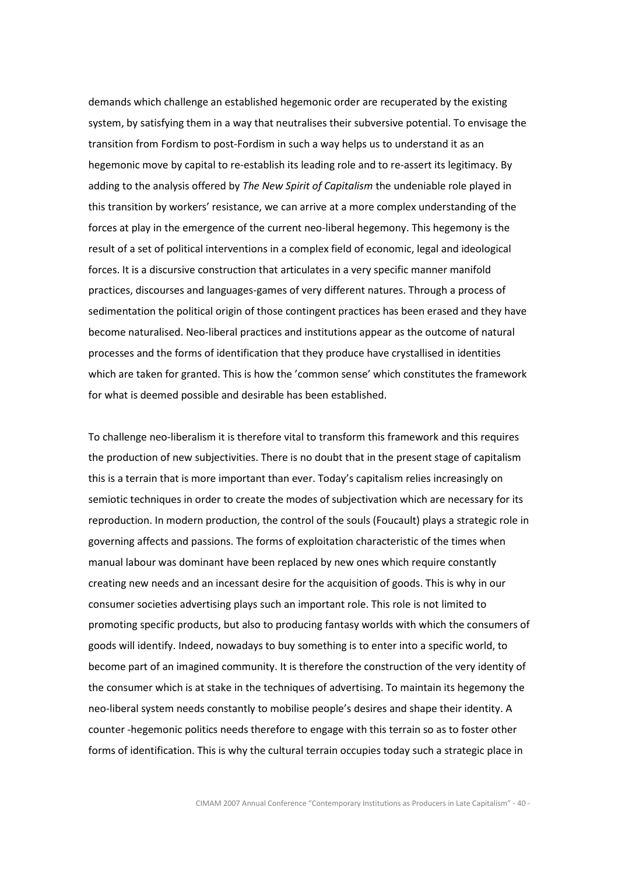demands which challenge an established hegemonic order are recuperated by the existing system, by satisfying them in a way that neutralises their subversive potential. To envisage the transition from Fordism to post-Fordism in such a way helps us to understand it as an hegemonic move by capital to re-establish its leading role and to re-assert its legitimacy. By adding to the analysis offered by The New Spirit of Capitalism the undeniable role played in this transition by workers' resistance, we can arrive at a more complex understanding of the forces at play in the emergence of the current neo-liberal hegemony. This hegemony is the result of a set of political interventions in a complex field of economic, legal and ideological forces. It is a discursive construction that articulates in a very specific manner manifold practices, discourses and languages-games of very different natures. Through a process of sedimentation the political origin of those contingent practices has been erased and they have become naturalised. Neo-liberal practices and institutions appear as the outcome of natural processes and the forms of identification that they produce have crystallised in identities which are taken for granted. This is how the 'common sense' which constitutes the framework for what is deemed possible and desirable has been established.

To challenge neo-liberalism it is therefore vital to transform this framework and this requires the production of new subjectivities. There is no doubt that in the present stage of capitalism this is a terrain that is more important than ever. Today's capitalism relies increasingly on semiotic techniques in order to create the modes of subjectivation which are necessary for its reproduction. In modern production, the control of the souls (Foucault) plays a strategic role in governing affects and passions. The forms of exploitation characteristic of the times when manual labour was dominant have been replaced by new ones which require constantly creating new needs and an incessant desire for the acquisition of goods. This is why in our consumer societies advertising plays such an important role. This role is not limited to promoting specific products, but also to producing fantasy worlds with which the consumers of goods will identify. Indeed, nowadays to buy something is to enter into a specific world, to become part of an imagined community. It is therefore the construction of the very identity of the consumer which is at stake in the techniques of advertising. To maintain its hegemony the neo-liberal system needs constantly to mobilise people's desires and shape their identity. A counter -hegemonic politics needs therefore to engage with this terrain so as to foster other forms of identification. This is why the cultural terrain occupies today such a strategic place in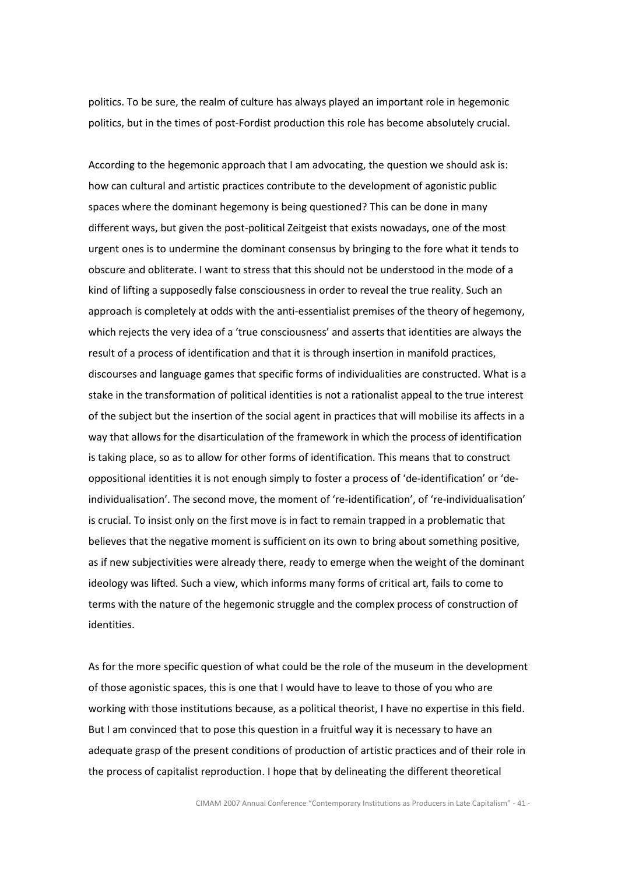politics. To be sure, the realm of culture has always played an important role in hegemonic politics, but in the times of post-Fordist production this role has become absolutely crucial.

According to the hegemonic approach that I am advocating, the question we should ask is: how can cultural and artistic practices contribute to the development of agonistic public spaces where the dominant hegemony is being questioned? This can be done in many different ways, but given the post-political Zeitgeist that exists nowadays, one of the most urgent ones is to undermine the dominant consensus by bringing to the fore what it tends to obscure and obliterate. I want to stress that this should not be understood in the mode of a kind of lifting a supposedly false consciousness in order to reveal the true reality. Such an approach is completely at odds with the anti-essentialist premises of the theory of hegemony, which rejects the very idea of a 'true consciousness' and asserts that identities are always the result of a process of identification and that it is through insertion in manifold practices, discourses and language games that specific forms of individualities are constructed. What is a stake in the transformation of political identities is not a rationalist appeal to the true interest of the subject but the insertion of the social agent in practices that will mobilise its affects in a way that allows for the disarticulation of the framework in which the process of identification is taking place, so as to allow for other forms of identification. This means that to construct oppositional identities it is not enough simply to foster a process of 'de-identification' or 'deindividualisation'. The second move, the moment of 're-identification', of 're-individualisation' is crucial. To insist only on the first move is in fact to remain trapped in a problematic that believes that the negative moment is sufficient on its own to bring about something positive, as if new subjectivities were already there, ready to emerge when the weight of the dominant ideology was lifted. Such a view, which informs many forms of critical art, fails to come to terms with the nature of the hegemonic struggle and the complex process of construction of identities.

As for the more specific question of what could be the role of the museum in the development of those agonistic spaces, this is one that I would have to leave to those of you who are working with those institutions because, as a political theorist, I have no expertise in this field. But I am convinced that to pose this question in a fruitful way it is necessary to have an adequate grasp of the present conditions of production of artistic practices and of their role in the process of capitalist reproduction. I hope that by delineating the different theoretical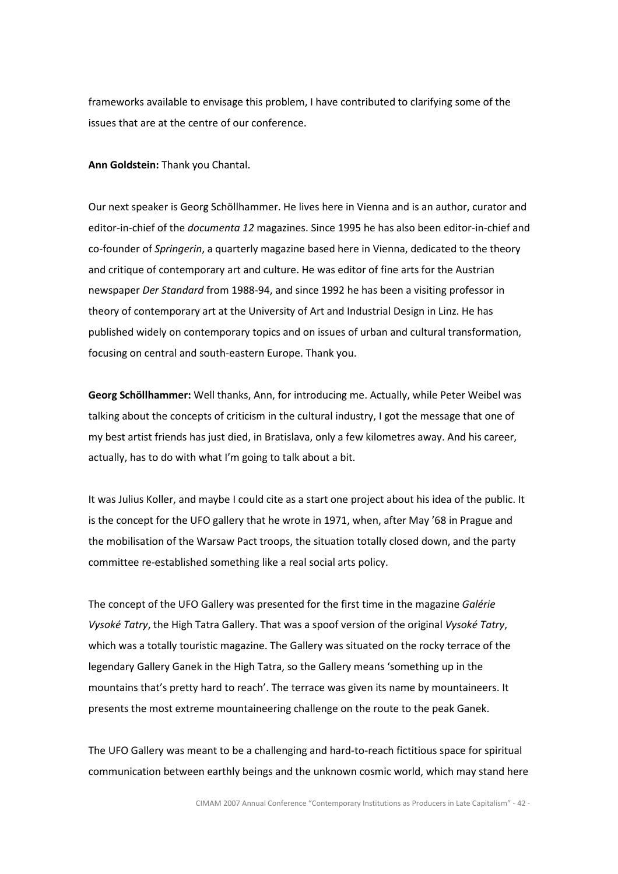frameworks available to envisage this problem, I have contributed to clarifying some of the issues that are at the centre of our conference.

Ann Goldstein: Thank you Chantal.

Our next speaker is Georg Schöllhammer. He lives here in Vienna and is an author, curator and editor-in-chief of the *documenta 12* magazines. Since 1995 he has also been editor-in-chief and co-founder of Springerin, a quarterly magazine based here in Vienna, dedicated to the theory and critique of contemporary art and culture. He was editor of fine arts for the Austrian newspaper Der Standard from 1988-94, and since 1992 he has been a visiting professor in theory of contemporary art at the University of Art and Industrial Design in Linz. He has published widely on contemporary topics and on issues of urban and cultural transformation, focusing on central and south-eastern Europe. Thank you.

Georg Schöllhammer: Well thanks, Ann, for introducing me. Actually, while Peter Weibel was talking about the concepts of criticism in the cultural industry, I got the message that one of my best artist friends has just died, in Bratislava, only a few kilometres away. And his career, actually, has to do with what I'm going to talk about a bit.

It was Julius Koller, and maybe I could cite as a start one project about his idea of the public. It is the concept for the UFO gallery that he wrote in 1971, when, after May '68 in Prague and the mobilisation of the Warsaw Pact troops, the situation totally closed down, and the party committee re-established something like a real social arts policy.

The concept of the UFO Gallery was presented for the first time in the magazine Galérie Vysoké Tatry, the High Tatra Gallery. That was a spoof version of the original Vysoké Tatry, which was a totally touristic magazine. The Gallery was situated on the rocky terrace of the legendary Gallery Ganek in the High Tatra, so the Gallery means 'something up in the mountains that's pretty hard to reach'. The terrace was given its name by mountaineers. It presents the most extreme mountaineering challenge on the route to the peak Ganek.

The UFO Gallery was meant to be a challenging and hard-to-reach fictitious space for spiritual communication between earthly beings and the unknown cosmic world, which may stand here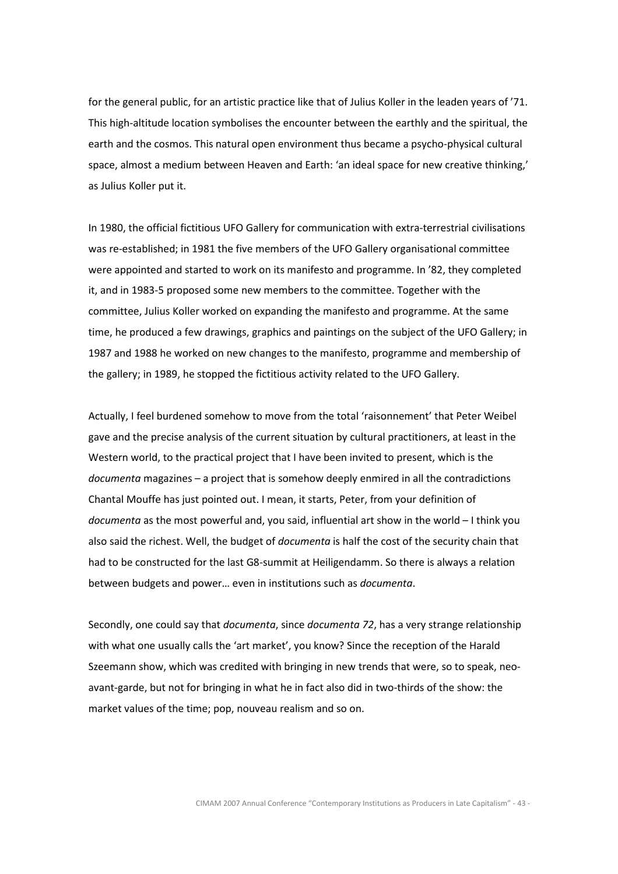for the general public, for an artistic practice like that of Julius Koller in the leaden years of '71. This high-altitude location symbolises the encounter between the earthly and the spiritual, the earth and the cosmos. This natural open environment thus became a psycho-physical cultural space, almost a medium between Heaven and Earth: 'an ideal space for new creative thinking,' as Julius Koller put it.

In 1980, the official fictitious UFO Gallery for communication with extra-terrestrial civilisations was re-established; in 1981 the five members of the UFO Gallery organisational committee were appointed and started to work on its manifesto and programme. In '82, they completed it, and in 1983-5 proposed some new members to the committee. Together with the committee, Julius Koller worked on expanding the manifesto and programme. At the same time, he produced a few drawings, graphics and paintings on the subject of the UFO Gallery; in 1987 and 1988 he worked on new changes to the manifesto, programme and membership of the gallery; in 1989, he stopped the fictitious activity related to the UFO Gallery.

Actually, I feel burdened somehow to move from the total 'raisonnement' that Peter Weibel gave and the precise analysis of the current situation by cultural practitioners, at least in the Western world, to the practical project that I have been invited to present, which is the documenta magazines – a project that is somehow deeply enmired in all the contradictions Chantal Mouffe has just pointed out. I mean, it starts, Peter, from your definition of documenta as the most powerful and, you said, influential art show in the world - I think you also said the richest. Well, the budget of *documenta* is half the cost of the security chain that had to be constructed for the last G8-summit at Heiligendamm. So there is always a relation between budgets and power… even in institutions such as documenta.

Secondly, one could say that *documenta*, since *documenta 72*, has a very strange relationship with what one usually calls the 'art market', you know? Since the reception of the Harald Szeemann show, which was credited with bringing in new trends that were, so to speak, neoavant-garde, but not for bringing in what he in fact also did in two-thirds of the show: the market values of the time; pop, nouveau realism and so on.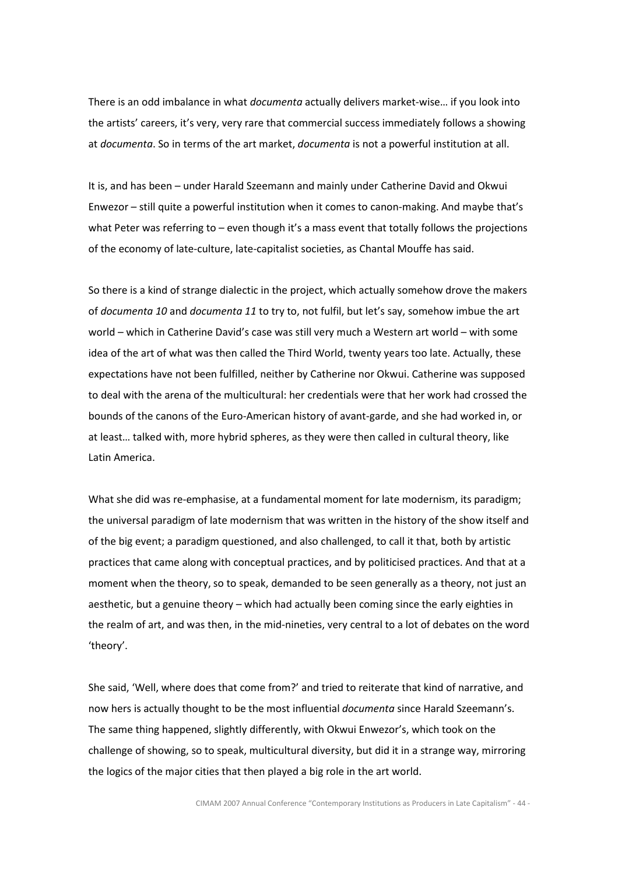There is an odd imbalance in what *documenta* actually delivers market-wise... if you look into the artists' careers, it's very, very rare that commercial success immediately follows a showing at documenta. So in terms of the art market, documenta is not a powerful institution at all.

It is, and has been – under Harald Szeemann and mainly under Catherine David and Okwui Enwezor – still quite a powerful institution when it comes to canon-making. And maybe that's what Peter was referring to – even though it's a mass event that totally follows the projections of the economy of late-culture, late-capitalist societies, as Chantal Mouffe has said.

So there is a kind of strange dialectic in the project, which actually somehow drove the makers of documenta 10 and documenta 11 to try to, not fulfil, but let's say, somehow imbue the art world – which in Catherine David's case was still very much a Western art world – with some idea of the art of what was then called the Third World, twenty years too late. Actually, these expectations have not been fulfilled, neither by Catherine nor Okwui. Catherine was supposed to deal with the arena of the multicultural: her credentials were that her work had crossed the bounds of the canons of the Euro-American history of avant-garde, and she had worked in, or at least… talked with, more hybrid spheres, as they were then called in cultural theory, like Latin America.

What she did was re-emphasise, at a fundamental moment for late modernism, its paradigm; the universal paradigm of late modernism that was written in the history of the show itself and of the big event; a paradigm questioned, and also challenged, to call it that, both by artistic practices that came along with conceptual practices, and by politicised practices. And that at a moment when the theory, so to speak, demanded to be seen generally as a theory, not just an aesthetic, but a genuine theory – which had actually been coming since the early eighties in the realm of art, and was then, in the mid-nineties, very central to a lot of debates on the word 'theory'.

She said, 'Well, where does that come from?' and tried to reiterate that kind of narrative, and now hers is actually thought to be the most influential documenta since Harald Szeemann's. The same thing happened, slightly differently, with Okwui Enwezor's, which took on the challenge of showing, so to speak, multicultural diversity, but did it in a strange way, mirroring the logics of the major cities that then played a big role in the art world.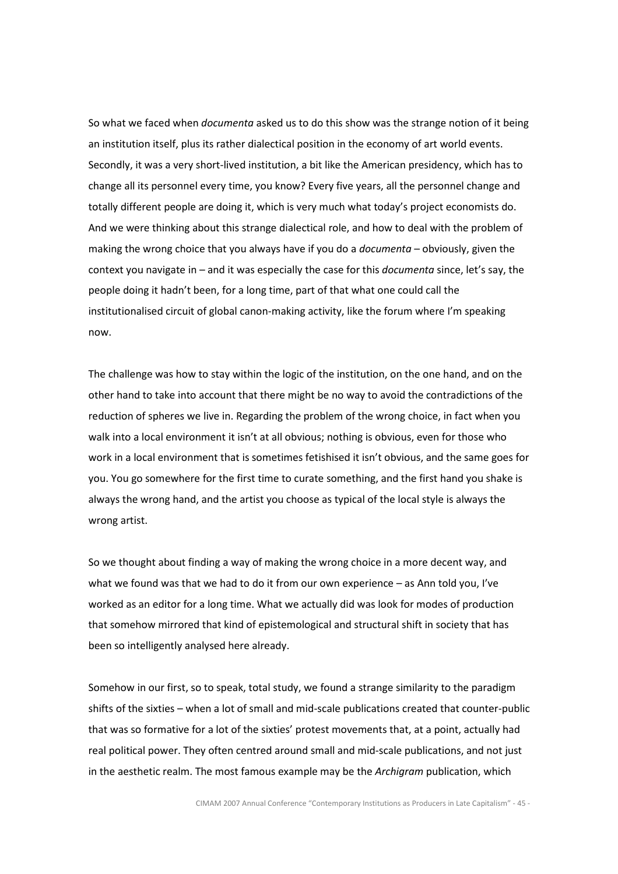So what we faced when *documenta* asked us to do this show was the strange notion of it being an institution itself, plus its rather dialectical position in the economy of art world events. Secondly, it was a very short-lived institution, a bit like the American presidency, which has to change all its personnel every time, you know? Every five years, all the personnel change and totally different people are doing it, which is very much what today's project economists do. And we were thinking about this strange dialectical role, and how to deal with the problem of making the wrong choice that you always have if you do a *documenta* – obviously, given the context you navigate in – and it was especially the case for this *documenta* since, let's say, the people doing it hadn't been, for a long time, part of that what one could call the institutionalised circuit of global canon-making activity, like the forum where I'm speaking now.

The challenge was how to stay within the logic of the institution, on the one hand, and on the other hand to take into account that there might be no way to avoid the contradictions of the reduction of spheres we live in. Regarding the problem of the wrong choice, in fact when you walk into a local environment it isn't at all obvious; nothing is obvious, even for those who work in a local environment that is sometimes fetishised it isn't obvious, and the same goes for you. You go somewhere for the first time to curate something, and the first hand you shake is always the wrong hand, and the artist you choose as typical of the local style is always the wrong artist.

So we thought about finding a way of making the wrong choice in a more decent way, and what we found was that we had to do it from our own experience – as Ann told you, I've worked as an editor for a long time. What we actually did was look for modes of production that somehow mirrored that kind of epistemological and structural shift in society that has been so intelligently analysed here already.

Somehow in our first, so to speak, total study, we found a strange similarity to the paradigm shifts of the sixties – when a lot of small and mid-scale publications created that counter-public that was so formative for a lot of the sixties' protest movements that, at a point, actually had real political power. They often centred around small and mid-scale publications, and not just in the aesthetic realm. The most famous example may be the Archigram publication, which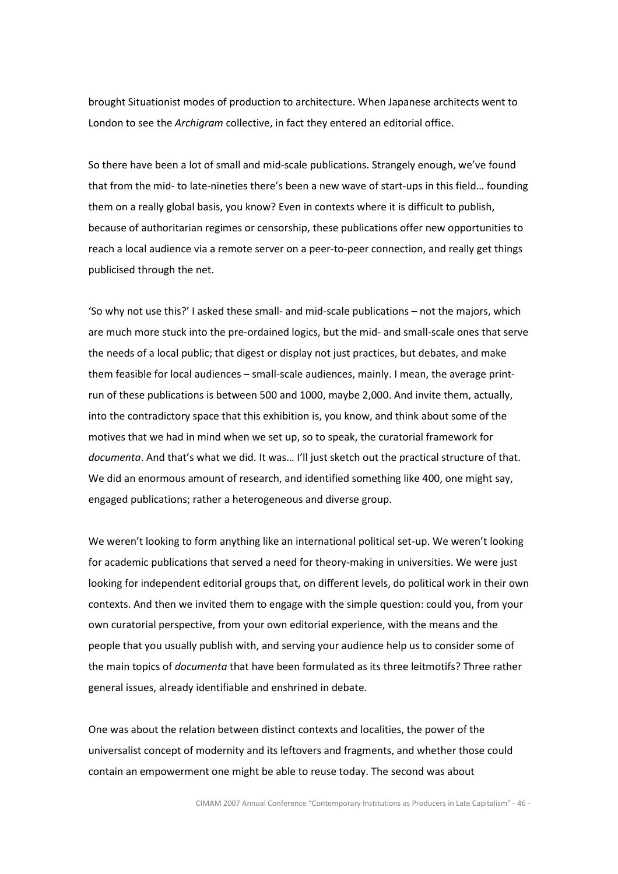brought Situationist modes of production to architecture. When Japanese architects went to London to see the Archigram collective, in fact they entered an editorial office.

So there have been a lot of small and mid-scale publications. Strangely enough, we've found that from the mid- to late-nineties there's been a new wave of start-ups in this field… founding them on a really global basis, you know? Even in contexts where it is difficult to publish, because of authoritarian regimes or censorship, these publications offer new opportunities to reach a local audience via a remote server on a peer-to-peer connection, and really get things publicised through the net.

'So why not use this?' I asked these small- and mid-scale publications – not the majors, which are much more stuck into the pre-ordained logics, but the mid- and small-scale ones that serve the needs of a local public; that digest or display not just practices, but debates, and make them feasible for local audiences – small-scale audiences, mainly. I mean, the average printrun of these publications is between 500 and 1000, maybe 2,000. And invite them, actually, into the contradictory space that this exhibition is, you know, and think about some of the motives that we had in mind when we set up, so to speak, the curatorial framework for documenta. And that's what we did. It was... I'll just sketch out the practical structure of that. We did an enormous amount of research, and identified something like 400, one might say, engaged publications; rather a heterogeneous and diverse group.

We weren't looking to form anything like an international political set-up. We weren't looking for academic publications that served a need for theory-making in universities. We were just looking for independent editorial groups that, on different levels, do political work in their own contexts. And then we invited them to engage with the simple question: could you, from your own curatorial perspective, from your own editorial experience, with the means and the people that you usually publish with, and serving your audience help us to consider some of the main topics of *documenta* that have been formulated as its three leitmotifs? Three rather general issues, already identifiable and enshrined in debate.

One was about the relation between distinct contexts and localities, the power of the universalist concept of modernity and its leftovers and fragments, and whether those could contain an empowerment one might be able to reuse today. The second was about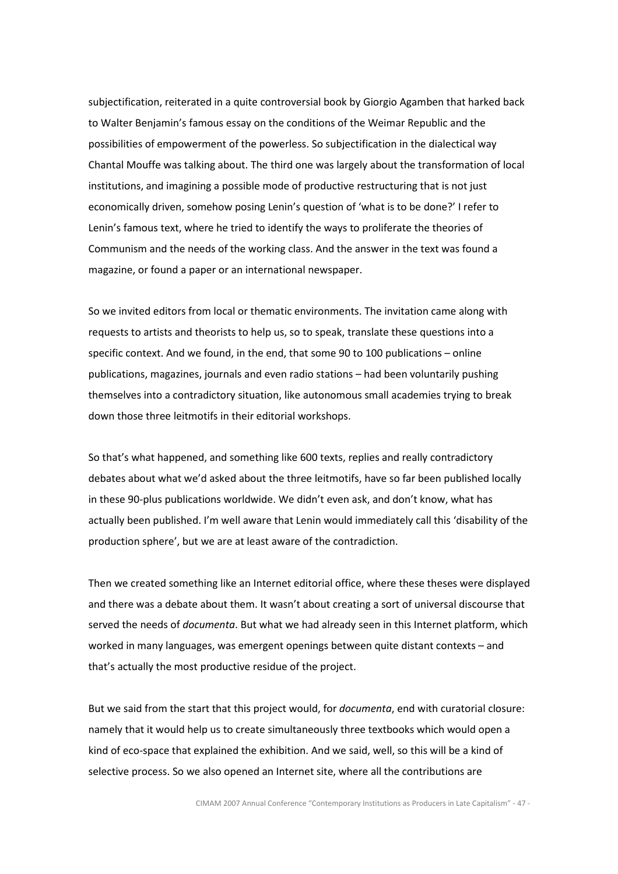subjectification, reiterated in a quite controversial book by Giorgio Agamben that harked back to Walter Benjamin's famous essay on the conditions of the Weimar Republic and the possibilities of empowerment of the powerless. So subjectification in the dialectical way Chantal Mouffe was talking about. The third one was largely about the transformation of local institutions, and imagining a possible mode of productive restructuring that is not just economically driven, somehow posing Lenin's question of 'what is to be done?' I refer to Lenin's famous text, where he tried to identify the ways to proliferate the theories of Communism and the needs of the working class. And the answer in the text was found a magazine, or found a paper or an international newspaper.

So we invited editors from local or thematic environments. The invitation came along with requests to artists and theorists to help us, so to speak, translate these questions into a specific context. And we found, in the end, that some 90 to 100 publications – online publications, magazines, journals and even radio stations – had been voluntarily pushing themselves into a contradictory situation, like autonomous small academies trying to break down those three leitmotifs in their editorial workshops.

So that's what happened, and something like 600 texts, replies and really contradictory debates about what we'd asked about the three leitmotifs, have so far been published locally in these 90-plus publications worldwide. We didn't even ask, and don't know, what has actually been published. I'm well aware that Lenin would immediately call this 'disability of the production sphere', but we are at least aware of the contradiction.

Then we created something like an Internet editorial office, where these theses were displayed and there was a debate about them. It wasn't about creating a sort of universal discourse that served the needs of *documenta*. But what we had already seen in this Internet platform, which worked in many languages, was emergent openings between quite distant contexts – and that's actually the most productive residue of the project.

But we said from the start that this project would, for *documenta*, end with curatorial closure: namely that it would help us to create simultaneously three textbooks which would open a kind of eco-space that explained the exhibition. And we said, well, so this will be a kind of selective process. So we also opened an Internet site, where all the contributions are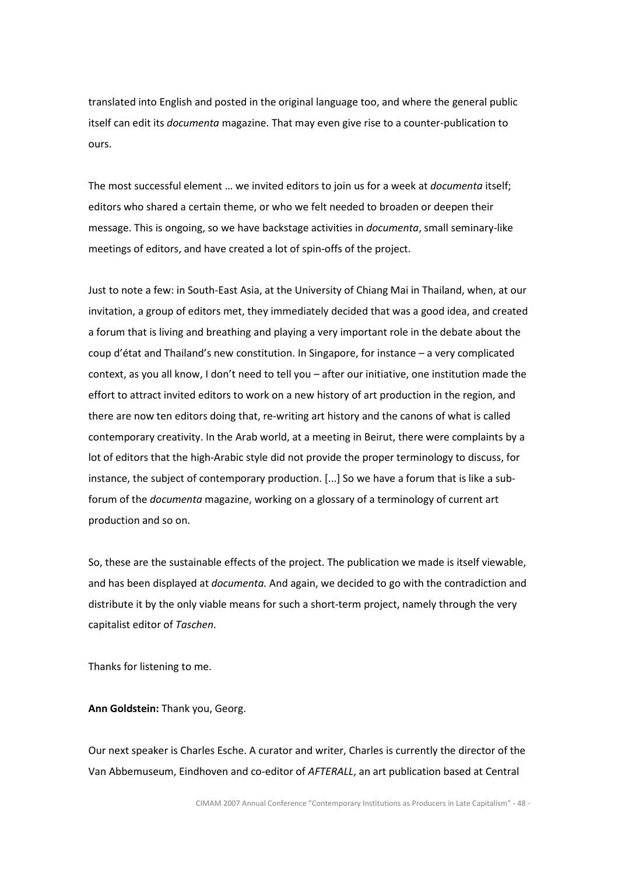translated into English and posted in the original language too, and where the general public itself can edit its documenta magazine. That may even give rise to a counter-publication to ours.

The most successful element ... we invited editors to join us for a week at *documenta* itself; editors who shared a certain theme, or who we felt needed to broaden or deepen their message. This is ongoing, so we have backstage activities in *documenta*, small seminary-like meetings of editors, and have created a lot of spin-offs of the project.

Just to note a few: in South-East Asia, at the University of Chiang Mai in Thailand, when, at our invitation, a group of editors met, they immediately decided that was a good idea, and created a forum that is living and breathing and playing a very important role in the debate about the coup d'état and Thailand's new constitution. In Singapore, for instance – a very complicated context, as you all know, I don't need to tell you – after our initiative, one institution made the effort to attract invited editors to work on a new history of art production in the region, and there are now ten editors doing that, re-writing art history and the canons of what is called contemporary creativity. In the Arab world, at a meeting in Beirut, there were complaints by a lot of editors that the high-Arabic style did not provide the proper terminology to discuss, for instance, the subject of contemporary production. [...] So we have a forum that is like a subforum of the documenta magazine, working on a glossary of a terminology of current art production and so on.

So, these are the sustainable effects of the project. The publication we made is itself viewable, and has been displayed at *documenta*. And again, we decided to go with the contradiction and distribute it by the only viable means for such a short-term project, namely through the very capitalist editor of Taschen.

Thanks for listening to me.

Ann Goldstein: Thank you, Georg.

Our next speaker is Charles Esche. A curator and writer, Charles is currently the director of the Van Abbemuseum, Eindhoven and co-editor of AFTERALL, an art publication based at Central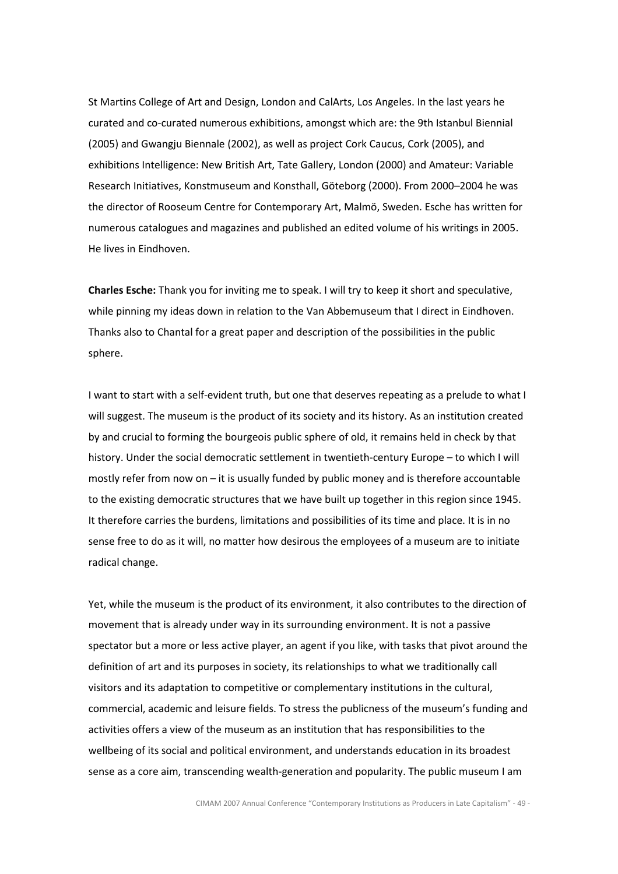St Martins College of Art and Design, London and CalArts, Los Angeles. In the last years he curated and co-curated numerous exhibitions, amongst which are: the 9th Istanbul Biennial (2005) and Gwangju Biennale (2002), as well as project Cork Caucus, Cork (2005), and exhibitions Intelligence: New British Art, Tate Gallery, London (2000) and Amateur: Variable Research Initiatives, Konstmuseum and Konsthall, Göteborg (2000). From 2000–2004 he was the director of Rooseum Centre for Contemporary Art, Malmö, Sweden. Esche has written for numerous catalogues and magazines and published an edited volume of his writings in 2005. He lives in Eindhoven.

Charles Esche: Thank you for inviting me to speak. I will try to keep it short and speculative, while pinning my ideas down in relation to the Van Abbemuseum that I direct in Eindhoven. Thanks also to Chantal for a great paper and description of the possibilities in the public sphere.

I want to start with a self-evident truth, but one that deserves repeating as a prelude to what I will suggest. The museum is the product of its society and its history. As an institution created by and crucial to forming the bourgeois public sphere of old, it remains held in check by that history. Under the social democratic settlement in twentieth-century Europe – to which I will mostly refer from now on – it is usually funded by public money and is therefore accountable to the existing democratic structures that we have built up together in this region since 1945. It therefore carries the burdens, limitations and possibilities of its time and place. It is in no sense free to do as it will, no matter how desirous the employees of a museum are to initiate radical change.

Yet, while the museum is the product of its environment, it also contributes to the direction of movement that is already under way in its surrounding environment. It is not a passive spectator but a more or less active player, an agent if you like, with tasks that pivot around the definition of art and its purposes in society, its relationships to what we traditionally call visitors and its adaptation to competitive or complementary institutions in the cultural, commercial, academic and leisure fields. To stress the publicness of the museum's funding and activities offers a view of the museum as an institution that has responsibilities to the wellbeing of its social and political environment, and understands education in its broadest sense as a core aim, transcending wealth-generation and popularity. The public museum I am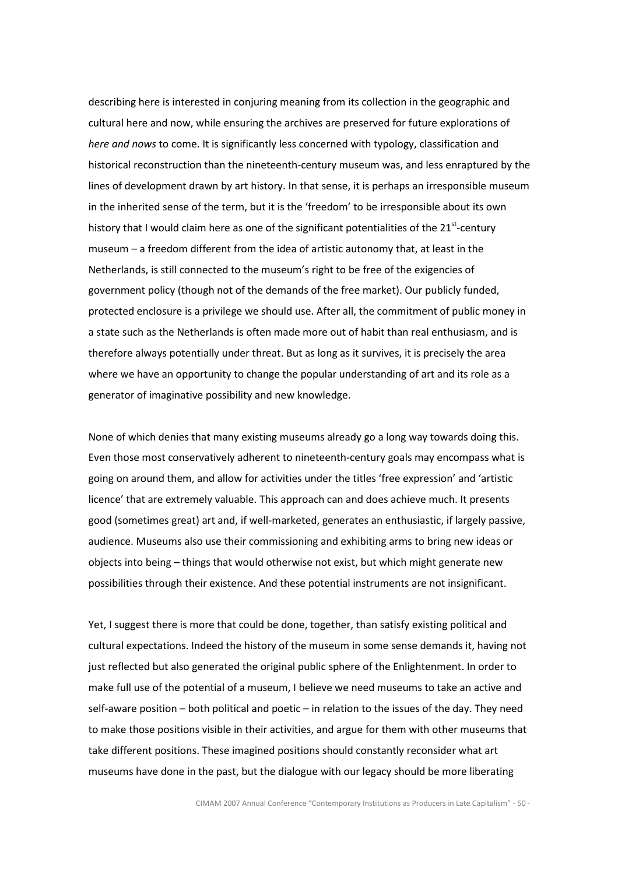describing here is interested in conjuring meaning from its collection in the geographic and cultural here and now, while ensuring the archives are preserved for future explorations of here and nows to come. It is significantly less concerned with typology, classification and historical reconstruction than the nineteenth-century museum was, and less enraptured by the lines of development drawn by art history. In that sense, it is perhaps an irresponsible museum in the inherited sense of the term, but it is the 'freedom' to be irresponsible about its own history that I would claim here as one of the significant potentialities of the  $21^{st}$ -century museum – a freedom different from the idea of artistic autonomy that, at least in the Netherlands, is still connected to the museum's right to be free of the exigencies of government policy (though not of the demands of the free market). Our publicly funded, protected enclosure is a privilege we should use. After all, the commitment of public money in a state such as the Netherlands is often made more out of habit than real enthusiasm, and is therefore always potentially under threat. But as long as it survives, it is precisely the area where we have an opportunity to change the popular understanding of art and its role as a generator of imaginative possibility and new knowledge.

None of which denies that many existing museums already go a long way towards doing this. Even those most conservatively adherent to nineteenth-century goals may encompass what is going on around them, and allow for activities under the titles 'free expression' and 'artistic licence' that are extremely valuable. This approach can and does achieve much. It presents good (sometimes great) art and, if well-marketed, generates an enthusiastic, if largely passive, audience. Museums also use their commissioning and exhibiting arms to bring new ideas or objects into being – things that would otherwise not exist, but which might generate new possibilities through their existence. And these potential instruments are not insignificant.

Yet, I suggest there is more that could be done, together, than satisfy existing political and cultural expectations. Indeed the history of the museum in some sense demands it, having not just reflected but also generated the original public sphere of the Enlightenment. In order to make full use of the potential of a museum, I believe we need museums to take an active and self-aware position – both political and poetic – in relation to the issues of the day. They need to make those positions visible in their activities, and argue for them with other museums that take different positions. These imagined positions should constantly reconsider what art museums have done in the past, but the dialogue with our legacy should be more liberating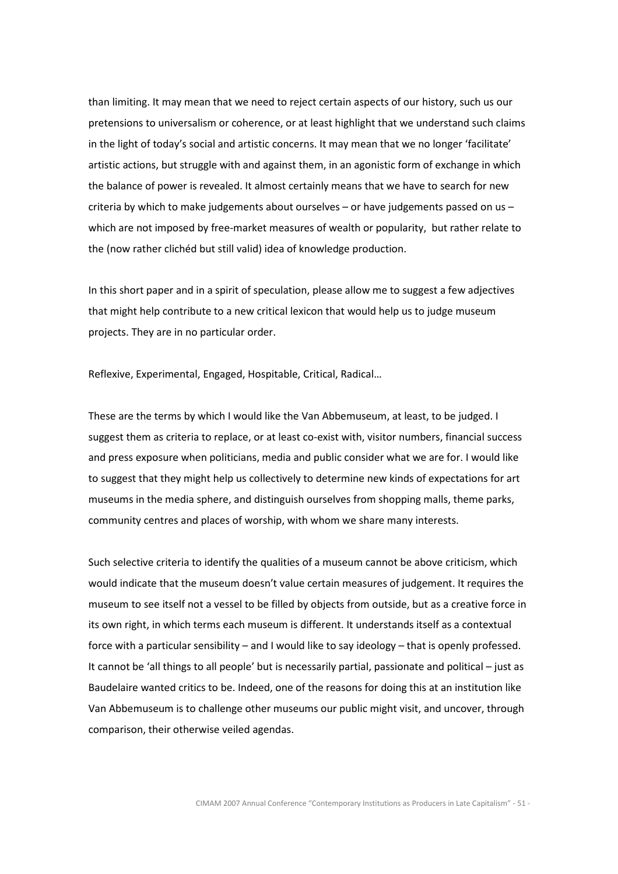than limiting. It may mean that we need to reject certain aspects of our history, such us our pretensions to universalism or coherence, or at least highlight that we understand such claims in the light of today's social and artistic concerns. It may mean that we no longer 'facilitate' artistic actions, but struggle with and against them, in an agonistic form of exchange in which the balance of power is revealed. It almost certainly means that we have to search for new criteria by which to make judgements about ourselves  $-$  or have judgements passed on us  $$ which are not imposed by free-market measures of wealth or popularity, but rather relate to the (now rather clichéd but still valid) idea of knowledge production.

In this short paper and in a spirit of speculation, please allow me to suggest a few adjectives that might help contribute to a new critical lexicon that would help us to judge museum projects. They are in no particular order.

Reflexive, Experimental, Engaged, Hospitable, Critical, Radical…

These are the terms by which I would like the Van Abbemuseum, at least, to be judged. I suggest them as criteria to replace, or at least co-exist with, visitor numbers, financial success and press exposure when politicians, media and public consider what we are for. I would like to suggest that they might help us collectively to determine new kinds of expectations for art museums in the media sphere, and distinguish ourselves from shopping malls, theme parks, community centres and places of worship, with whom we share many interests.

Such selective criteria to identify the qualities of a museum cannot be above criticism, which would indicate that the museum doesn't value certain measures of judgement. It requires the museum to see itself not a vessel to be filled by objects from outside, but as a creative force in its own right, in which terms each museum is different. It understands itself as a contextual force with a particular sensibility – and I would like to say ideology – that is openly professed. It cannot be 'all things to all people' but is necessarily partial, passionate and political – just as Baudelaire wanted critics to be. Indeed, one of the reasons for doing this at an institution like Van Abbemuseum is to challenge other museums our public might visit, and uncover, through comparison, their otherwise veiled agendas.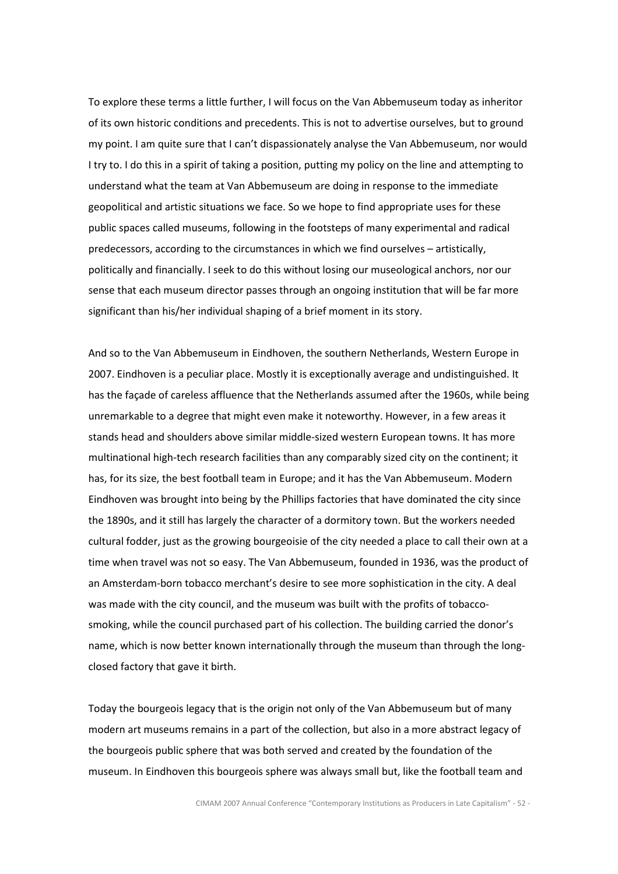To explore these terms a little further, I will focus on the Van Abbemuseum today as inheritor of its own historic conditions and precedents. This is not to advertise ourselves, but to ground my point. I am quite sure that I can't dispassionately analyse the Van Abbemuseum, nor would I try to. I do this in a spirit of taking a position, putting my policy on the line and attempting to understand what the team at Van Abbemuseum are doing in response to the immediate geopolitical and artistic situations we face. So we hope to find appropriate uses for these public spaces called museums, following in the footsteps of many experimental and radical predecessors, according to the circumstances in which we find ourselves – artistically, politically and financially. I seek to do this without losing our museological anchors, nor our sense that each museum director passes through an ongoing institution that will be far more significant than his/her individual shaping of a brief moment in its story.

And so to the Van Abbemuseum in Eindhoven, the southern Netherlands, Western Europe in 2007. Eindhoven is a peculiar place. Mostly it is exceptionally average and undistinguished. It has the façade of careless affluence that the Netherlands assumed after the 1960s, while being unremarkable to a degree that might even make it noteworthy. However, in a few areas it stands head and shoulders above similar middle-sized western European towns. It has more multinational high-tech research facilities than any comparably sized city on the continent; it has, for its size, the best football team in Europe; and it has the Van Abbemuseum. Modern Eindhoven was brought into being by the Phillips factories that have dominated the city since the 1890s, and it still has largely the character of a dormitory town. But the workers needed cultural fodder, just as the growing bourgeoisie of the city needed a place to call their own at a time when travel was not so easy. The Van Abbemuseum, founded in 1936, was the product of an Amsterdam-born tobacco merchant's desire to see more sophistication in the city. A deal was made with the city council, and the museum was built with the profits of tobaccosmoking, while the council purchased part of his collection. The building carried the donor's name, which is now better known internationally through the museum than through the longclosed factory that gave it birth.

Today the bourgeois legacy that is the origin not only of the Van Abbemuseum but of many modern art museums remains in a part of the collection, but also in a more abstract legacy of the bourgeois public sphere that was both served and created by the foundation of the museum. In Eindhoven this bourgeois sphere was always small but, like the football team and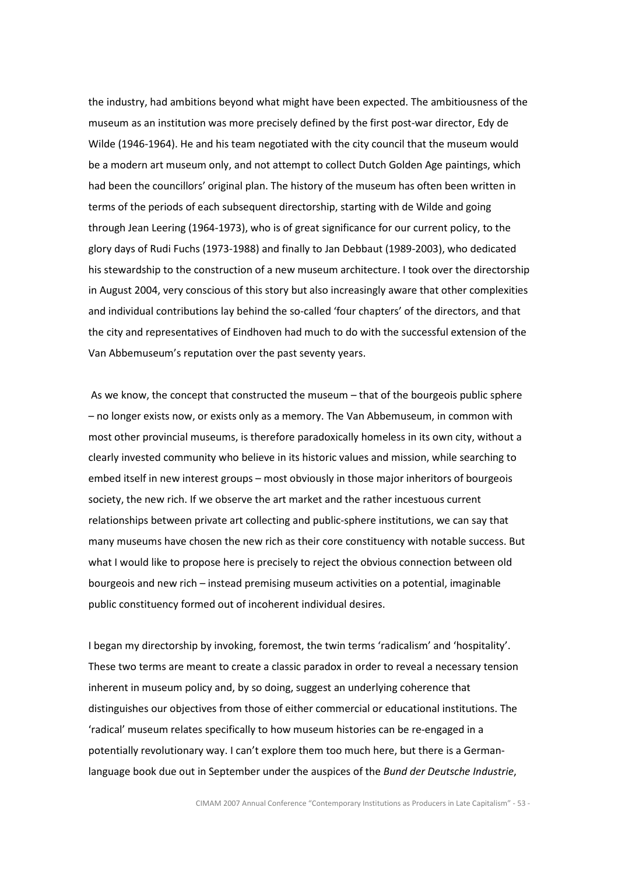the industry, had ambitions beyond what might have been expected. The ambitiousness of the museum as an institution was more precisely defined by the first post-war director, Edy de Wilde (1946-1964). He and his team negotiated with the city council that the museum would be a modern art museum only, and not attempt to collect Dutch Golden Age paintings, which had been the councillors' original plan. The history of the museum has often been written in terms of the periods of each subsequent directorship, starting with de Wilde and going through Jean Leering (1964-1973), who is of great significance for our current policy, to the glory days of Rudi Fuchs (1973-1988) and finally to Jan Debbaut (1989-2003), who dedicated his stewardship to the construction of a new museum architecture. I took over the directorship in August 2004, very conscious of this story but also increasingly aware that other complexities and individual contributions lay behind the so-called 'four chapters' of the directors, and that the city and representatives of Eindhoven had much to do with the successful extension of the Van Abbemuseum's reputation over the past seventy years.

 As we know, the concept that constructed the museum – that of the bourgeois public sphere – no longer exists now, or exists only as a memory. The Van Abbemuseum, in common with most other provincial museums, is therefore paradoxically homeless in its own city, without a clearly invested community who believe in its historic values and mission, while searching to embed itself in new interest groups – most obviously in those major inheritors of bourgeois society, the new rich. If we observe the art market and the rather incestuous current relationships between private art collecting and public-sphere institutions, we can say that many museums have chosen the new rich as their core constituency with notable success. But what I would like to propose here is precisely to reject the obvious connection between old bourgeois and new rich – instead premising museum activities on a potential, imaginable public constituency formed out of incoherent individual desires.

I began my directorship by invoking, foremost, the twin terms 'radicalism' and 'hospitality'. These two terms are meant to create a classic paradox in order to reveal a necessary tension inherent in museum policy and, by so doing, suggest an underlying coherence that distinguishes our objectives from those of either commercial or educational institutions. The 'radical' museum relates specifically to how museum histories can be re-engaged in a potentially revolutionary way. I can't explore them too much here, but there is a Germanlanguage book due out in September under the auspices of the Bund der Deutsche Industrie,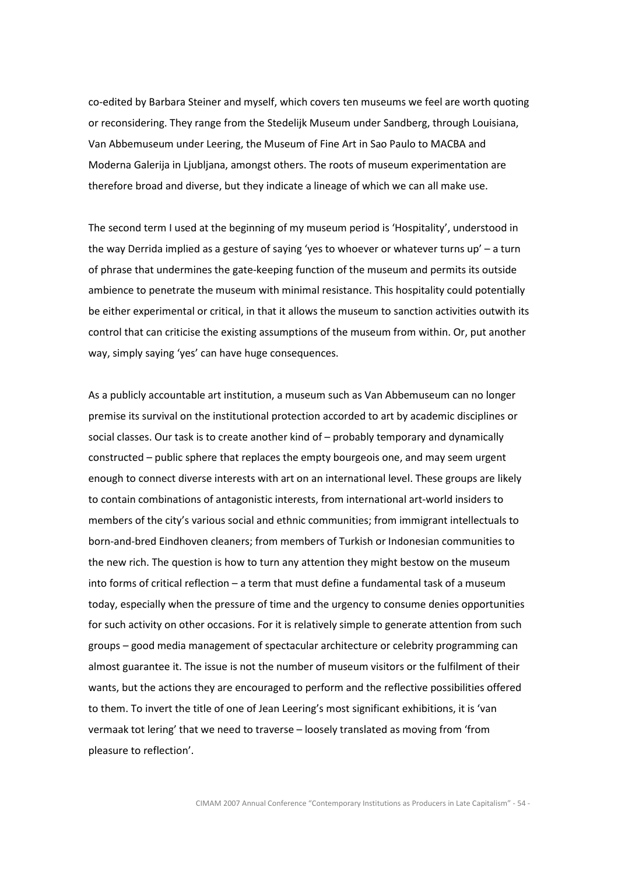co-edited by Barbara Steiner and myself, which covers ten museums we feel are worth quoting or reconsidering. They range from the Stedelijk Museum under Sandberg, through Louisiana, Van Abbemuseum under Leering, the Museum of Fine Art in Sao Paulo to MACBA and Moderna Galerija in Ljubljana, amongst others. The roots of museum experimentation are therefore broad and diverse, but they indicate a lineage of which we can all make use.

The second term I used at the beginning of my museum period is 'Hospitality', understood in the way Derrida implied as a gesture of saying 'yes to whoever or whatever turns up' – a turn of phrase that undermines the gate-keeping function of the museum and permits its outside ambience to penetrate the museum with minimal resistance. This hospitality could potentially be either experimental or critical, in that it allows the museum to sanction activities outwith its control that can criticise the existing assumptions of the museum from within. Or, put another way, simply saying 'yes' can have huge consequences.

As a publicly accountable art institution, a museum such as Van Abbemuseum can no longer premise its survival on the institutional protection accorded to art by academic disciplines or social classes. Our task is to create another kind of – probably temporary and dynamically constructed – public sphere that replaces the empty bourgeois one, and may seem urgent enough to connect diverse interests with art on an international level. These groups are likely to contain combinations of antagonistic interests, from international art-world insiders to members of the city's various social and ethnic communities; from immigrant intellectuals to born-and-bred Eindhoven cleaners; from members of Turkish or Indonesian communities to the new rich. The question is how to turn any attention they might bestow on the museum into forms of critical reflection – a term that must define a fundamental task of a museum today, especially when the pressure of time and the urgency to consume denies opportunities for such activity on other occasions. For it is relatively simple to generate attention from such groups – good media management of spectacular architecture or celebrity programming can almost guarantee it. The issue is not the number of museum visitors or the fulfilment of their wants, but the actions they are encouraged to perform and the reflective possibilities offered to them. To invert the title of one of Jean Leering's most significant exhibitions, it is 'van vermaak tot lering' that we need to traverse – loosely translated as moving from 'from pleasure to reflection'.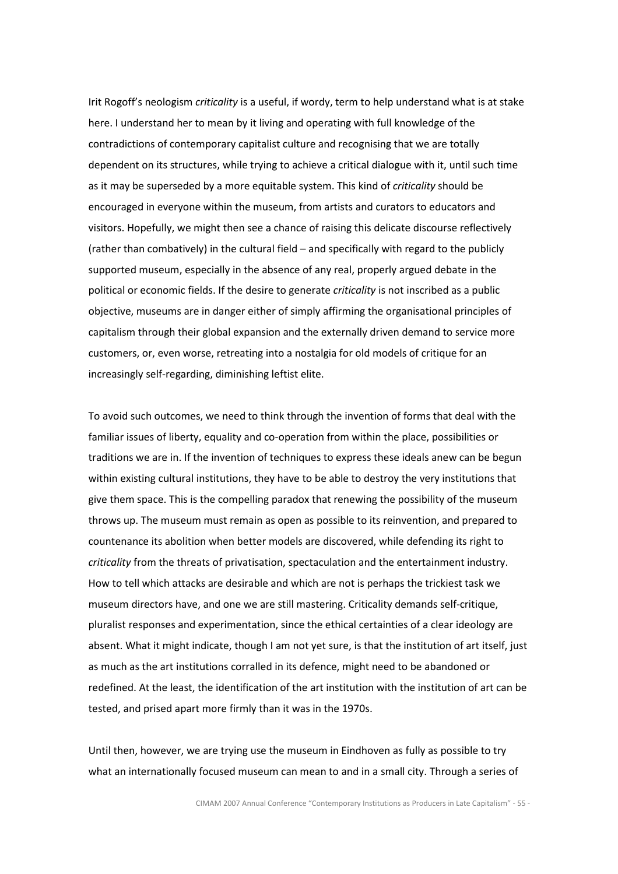Irit Rogoff's neologism *criticality* is a useful, if wordy, term to help understand what is at stake here. I understand her to mean by it living and operating with full knowledge of the contradictions of contemporary capitalist culture and recognising that we are totally dependent on its structures, while trying to achieve a critical dialogue with it, until such time as it may be superseded by a more equitable system. This kind of criticality should be encouraged in everyone within the museum, from artists and curators to educators and visitors. Hopefully, we might then see a chance of raising this delicate discourse reflectively (rather than combatively) in the cultural field – and specifically with regard to the publicly supported museum, especially in the absence of any real, properly argued debate in the political or economic fields. If the desire to generate *criticality* is not inscribed as a public objective, museums are in danger either of simply affirming the organisational principles of capitalism through their global expansion and the externally driven demand to service more customers, or, even worse, retreating into a nostalgia for old models of critique for an increasingly self-regarding, diminishing leftist elite.

To avoid such outcomes, we need to think through the invention of forms that deal with the familiar issues of liberty, equality and co-operation from within the place, possibilities or traditions we are in. If the invention of techniques to express these ideals anew can be begun within existing cultural institutions, they have to be able to destroy the very institutions that give them space. This is the compelling paradox that renewing the possibility of the museum throws up. The museum must remain as open as possible to its reinvention, and prepared to countenance its abolition when better models are discovered, while defending its right to criticality from the threats of privatisation, spectaculation and the entertainment industry. How to tell which attacks are desirable and which are not is perhaps the trickiest task we museum directors have, and one we are still mastering. Criticality demands self-critique, pluralist responses and experimentation, since the ethical certainties of a clear ideology are absent. What it might indicate, though I am not yet sure, is that the institution of art itself, just as much as the art institutions corralled in its defence, might need to be abandoned or redefined. At the least, the identification of the art institution with the institution of art can be tested, and prised apart more firmly than it was in the 1970s.

Until then, however, we are trying use the museum in Eindhoven as fully as possible to try what an internationally focused museum can mean to and in a small city. Through a series of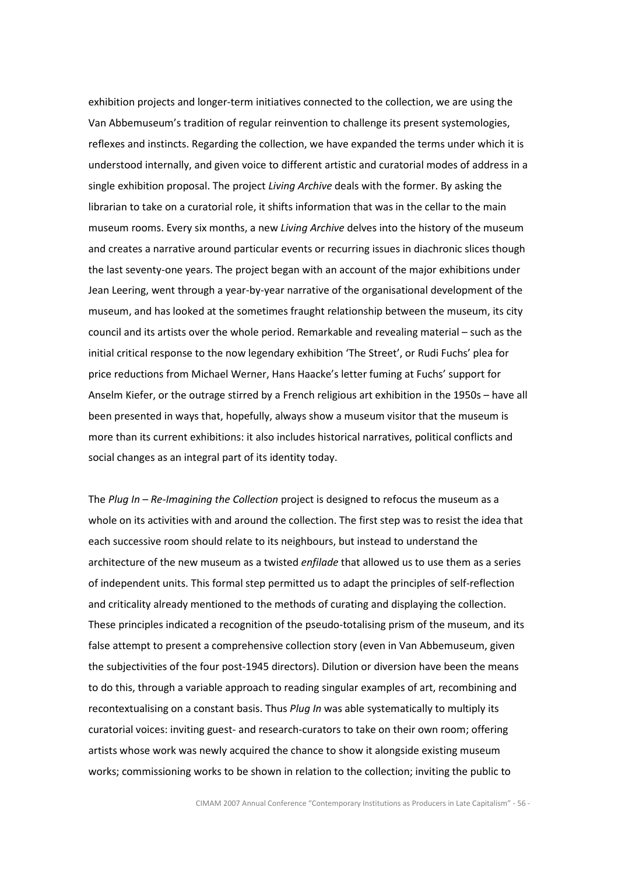exhibition projects and longer-term initiatives connected to the collection, we are using the Van Abbemuseum's tradition of regular reinvention to challenge its present systemologies, reflexes and instincts. Regarding the collection, we have expanded the terms under which it is understood internally, and given voice to different artistic and curatorial modes of address in a single exhibition proposal. The project Living Archive deals with the former. By asking the librarian to take on a curatorial role, it shifts information that was in the cellar to the main museum rooms. Every six months, a new Living Archive delves into the history of the museum and creates a narrative around particular events or recurring issues in diachronic slices though the last seventy-one years. The project began with an account of the major exhibitions under Jean Leering, went through a year-by-year narrative of the organisational development of the museum, and has looked at the sometimes fraught relationship between the museum, its city council and its artists over the whole period. Remarkable and revealing material – such as the initial critical response to the now legendary exhibition 'The Street', or Rudi Fuchs' plea for price reductions from Michael Werner, Hans Haacke's letter fuming at Fuchs' support for Anselm Kiefer, or the outrage stirred by a French religious art exhibition in the 1950s – have all been presented in ways that, hopefully, always show a museum visitor that the museum is more than its current exhibitions: it also includes historical narratives, political conflicts and social changes as an integral part of its identity today.

The Plug In  $-$  Re-Imagining the Collection project is designed to refocus the museum as a whole on its activities with and around the collection. The first step was to resist the idea that each successive room should relate to its neighbours, but instead to understand the architecture of the new museum as a twisted *enfilade* that allowed us to use them as a series of independent units. This formal step permitted us to adapt the principles of self-reflection and criticality already mentioned to the methods of curating and displaying the collection. These principles indicated a recognition of the pseudo-totalising prism of the museum, and its false attempt to present a comprehensive collection story (even in Van Abbemuseum, given the subjectivities of the four post-1945 directors). Dilution or diversion have been the means to do this, through a variable approach to reading singular examples of art, recombining and recontextualising on a constant basis. Thus Plug In was able systematically to multiply its curatorial voices: inviting guest- and research-curators to take on their own room; offering artists whose work was newly acquired the chance to show it alongside existing museum works; commissioning works to be shown in relation to the collection; inviting the public to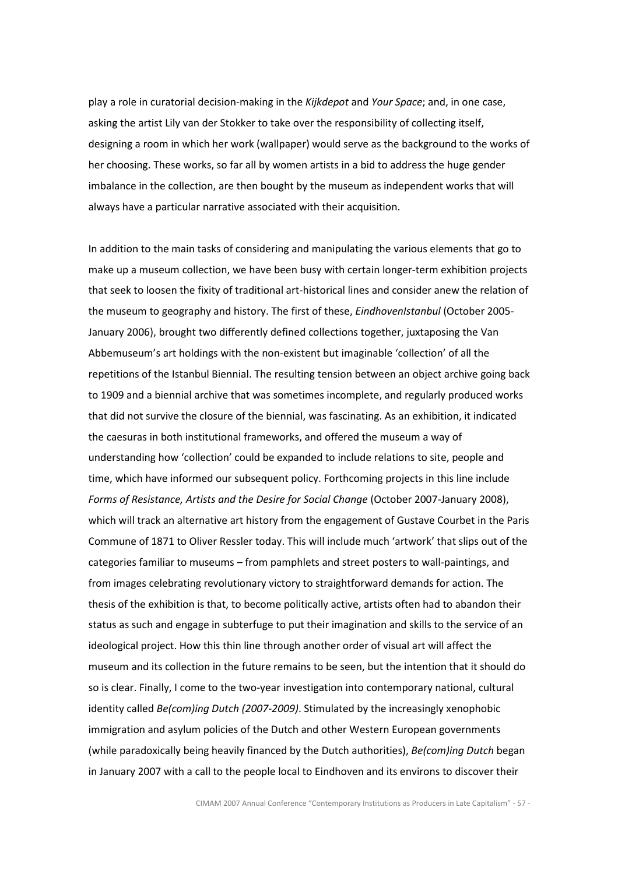play a role in curatorial decision-making in the Kijkdepot and Your Space; and, in one case, asking the artist Lily van der Stokker to take over the responsibility of collecting itself, designing a room in which her work (wallpaper) would serve as the background to the works of her choosing. These works, so far all by women artists in a bid to address the huge gender imbalance in the collection, are then bought by the museum as independent works that will always have a particular narrative associated with their acquisition.

In addition to the main tasks of considering and manipulating the various elements that go to make up a museum collection, we have been busy with certain longer-term exhibition projects that seek to loosen the fixity of traditional art-historical lines and consider anew the relation of the museum to geography and history. The first of these, *EindhovenIstanbul* (October 2005-January 2006), brought two differently defined collections together, juxtaposing the Van Abbemuseum's art holdings with the non-existent but imaginable 'collection' of all the repetitions of the Istanbul Biennial. The resulting tension between an object archive going back to 1909 and a biennial archive that was sometimes incomplete, and regularly produced works that did not survive the closure of the biennial, was fascinating. As an exhibition, it indicated the caesuras in both institutional frameworks, and offered the museum a way of understanding how 'collection' could be expanded to include relations to site, people and time, which have informed our subsequent policy. Forthcoming projects in this line include Forms of Resistance, Artists and the Desire for Social Change (October 2007-January 2008), which will track an alternative art history from the engagement of Gustave Courbet in the Paris Commune of 1871 to Oliver Ressler today. This will include much 'artwork' that slips out of the categories familiar to museums – from pamphlets and street posters to wall-paintings, and from images celebrating revolutionary victory to straightforward demands for action. The thesis of the exhibition is that, to become politically active, artists often had to abandon their status as such and engage in subterfuge to put their imagination and skills to the service of an ideological project. How this thin line through another order of visual art will affect the museum and its collection in the future remains to be seen, but the intention that it should do so is clear. Finally, I come to the two-year investigation into contemporary national, cultural identity called Be(com)ing Dutch (2007-2009). Stimulated by the increasingly xenophobic immigration and asylum policies of the Dutch and other Western European governments (while paradoxically being heavily financed by the Dutch authorities), Be(com)ing Dutch began in January 2007 with a call to the people local to Eindhoven and its environs to discover their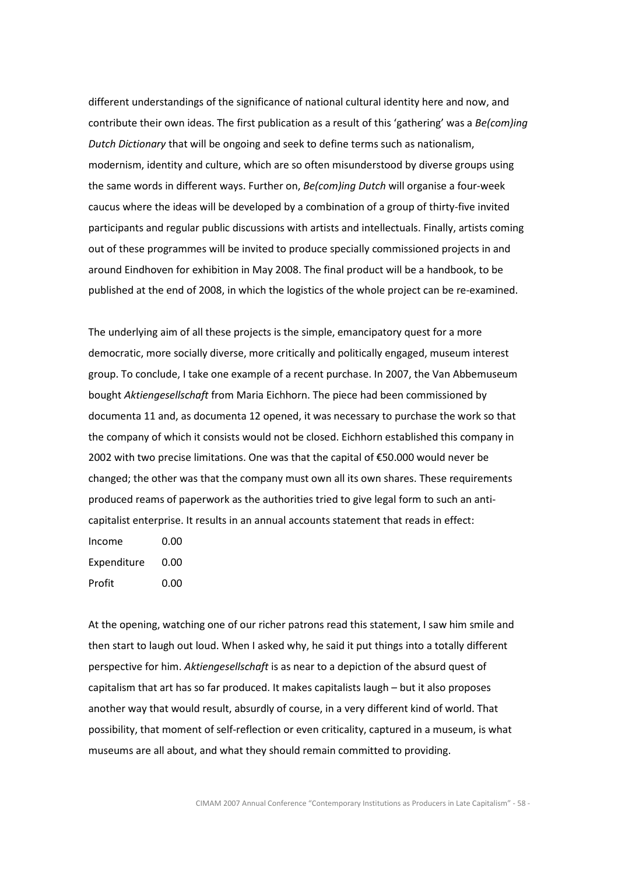different understandings of the significance of national cultural identity here and now, and contribute their own ideas. The first publication as a result of this 'gathering' was a Be(com)ing Dutch Dictionary that will be ongoing and seek to define terms such as nationalism, modernism, identity and culture, which are so often misunderstood by diverse groups using the same words in different ways. Further on, Be(com)ing Dutch will organise a four-week caucus where the ideas will be developed by a combination of a group of thirty-five invited participants and regular public discussions with artists and intellectuals. Finally, artists coming out of these programmes will be invited to produce specially commissioned projects in and around Eindhoven for exhibition in May 2008. The final product will be a handbook, to be published at the end of 2008, in which the logistics of the whole project can be re-examined.

The underlying aim of all these projects is the simple, emancipatory quest for a more democratic, more socially diverse, more critically and politically engaged, museum interest group. To conclude, I take one example of a recent purchase. In 2007, the Van Abbemuseum bought Aktiengesellschaft from Maria Eichhorn. The piece had been commissioned by documenta 11 and, as documenta 12 opened, it was necessary to purchase the work so that the company of which it consists would not be closed. Eichhorn established this company in 2002 with two precise limitations. One was that the capital of €50.000 would never be changed; the other was that the company must own all its own shares. These requirements produced reams of paperwork as the authorities tried to give legal form to such an anticapitalist enterprise. It results in an annual accounts statement that reads in effect:

Income 0.00 Expenditure 0.00 Profit 0.00

At the opening, watching one of our richer patrons read this statement, I saw him smile and then start to laugh out loud. When I asked why, he said it put things into a totally different perspective for him. Aktiengesellschaft is as near to a depiction of the absurd quest of capitalism that art has so far produced. It makes capitalists laugh – but it also proposes another way that would result, absurdly of course, in a very different kind of world. That possibility, that moment of self-reflection or even criticality, captured in a museum, is what museums are all about, and what they should remain committed to providing.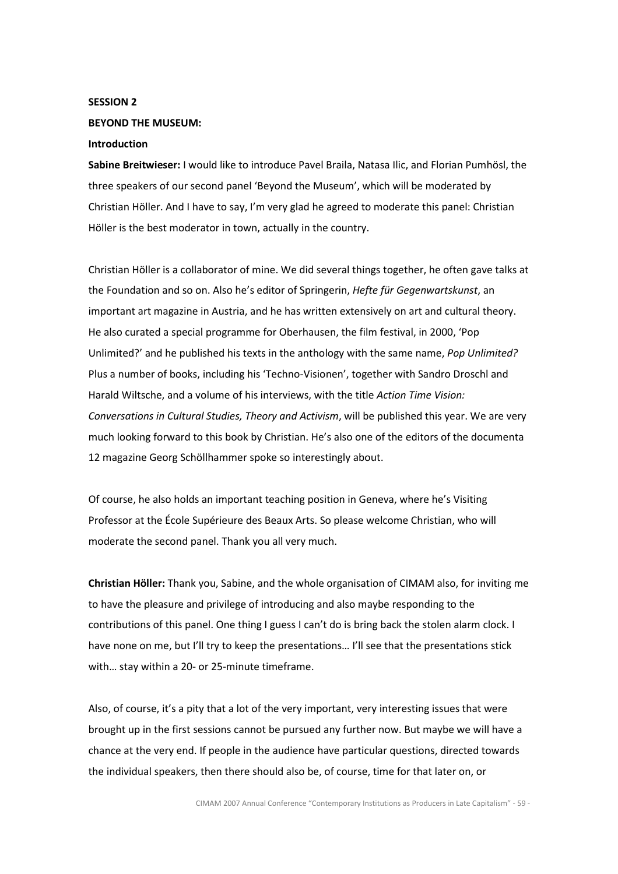# SESSION 2

# BEYOND THE MUSEUM:

# Introduction

Sabine Breitwieser: I would like to introduce Pavel Braila, Natasa Ilic, and Florian Pumhösl, the three speakers of our second panel 'Beyond the Museum', which will be moderated by Christian Höller. And I have to say, I'm very glad he agreed to moderate this panel: Christian Höller is the best moderator in town, actually in the country.

Christian Höller is a collaborator of mine. We did several things together, he often gave talks at the Foundation and so on. Also he's editor of Springerin, Hefte für Gegenwartskunst, an important art magazine in Austria, and he has written extensively on art and cultural theory. He also curated a special programme for Oberhausen, the film festival, in 2000, 'Pop Unlimited?' and he published his texts in the anthology with the same name, Pop Unlimited? Plus a number of books, including his 'Techno-Visionen', together with Sandro Droschl and Harald Wiltsche, and a volume of his interviews, with the title Action Time Vision: Conversations in Cultural Studies, Theory and Activism, will be published this year. We are very much looking forward to this book by Christian. He's also one of the editors of the documenta 12 magazine Georg Schöllhammer spoke so interestingly about.

Of course, he also holds an important teaching position in Geneva, where he's Visiting Professor at the École Supérieure des Beaux Arts. So please welcome Christian, who will moderate the second panel. Thank you all very much.

Christian Höller: Thank you, Sabine, and the whole organisation of CIMAM also, for inviting me to have the pleasure and privilege of introducing and also maybe responding to the contributions of this panel. One thing I guess I can't do is bring back the stolen alarm clock. I have none on me, but I'll try to keep the presentations... I'll see that the presentations stick with… stay within a 20- or 25-minute timeframe.

Also, of course, it's a pity that a lot of the very important, very interesting issues that were brought up in the first sessions cannot be pursued any further now. But maybe we will have a chance at the very end. If people in the audience have particular questions, directed towards the individual speakers, then there should also be, of course, time for that later on, or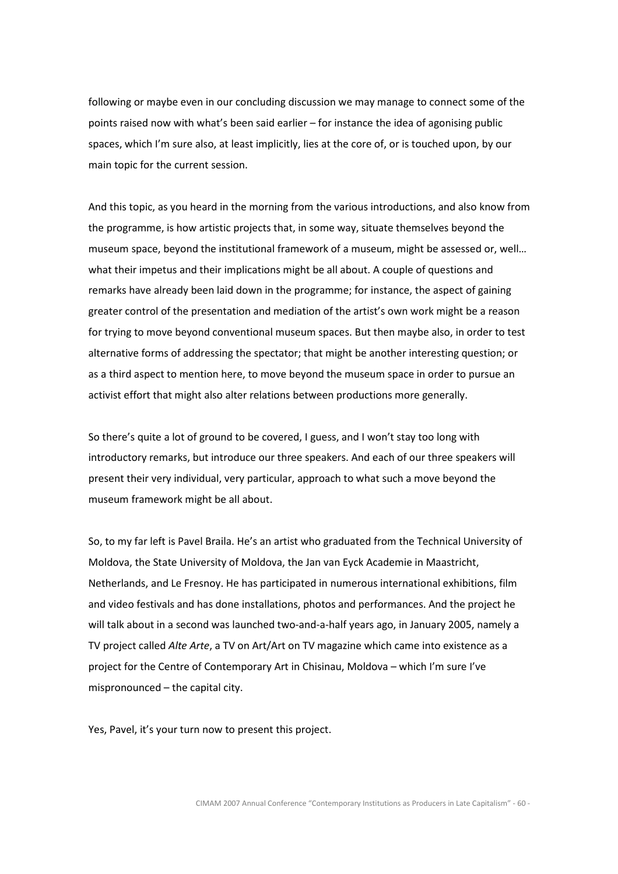following or maybe even in our concluding discussion we may manage to connect some of the points raised now with what's been said earlier – for instance the idea of agonising public spaces, which I'm sure also, at least implicitly, lies at the core of, or is touched upon, by our main topic for the current session.

And this topic, as you heard in the morning from the various introductions, and also know from the programme, is how artistic projects that, in some way, situate themselves beyond the museum space, beyond the institutional framework of a museum, might be assessed or, well… what their impetus and their implications might be all about. A couple of questions and remarks have already been laid down in the programme; for instance, the aspect of gaining greater control of the presentation and mediation of the artist's own work might be a reason for trying to move beyond conventional museum spaces. But then maybe also, in order to test alternative forms of addressing the spectator; that might be another interesting question; or as a third aspect to mention here, to move beyond the museum space in order to pursue an activist effort that might also alter relations between productions more generally.

So there's quite a lot of ground to be covered, I guess, and I won't stay too long with introductory remarks, but introduce our three speakers. And each of our three speakers will present their very individual, very particular, approach to what such a move beyond the museum framework might be all about.

So, to my far left is Pavel Braila. He's an artist who graduated from the Technical University of Moldova, the State University of Moldova, the Jan van Eyck Academie in Maastricht, Netherlands, and Le Fresnoy. He has participated in numerous international exhibitions, film and video festivals and has done installations, photos and performances. And the project he will talk about in a second was launched two-and-a-half years ago, in January 2005, namely a TV project called Alte Arte, a TV on Art/Art on TV magazine which came into existence as a project for the Centre of Contemporary Art in Chisinau, Moldova – which I'm sure I've mispronounced – the capital city.

Yes, Pavel, it's your turn now to present this project.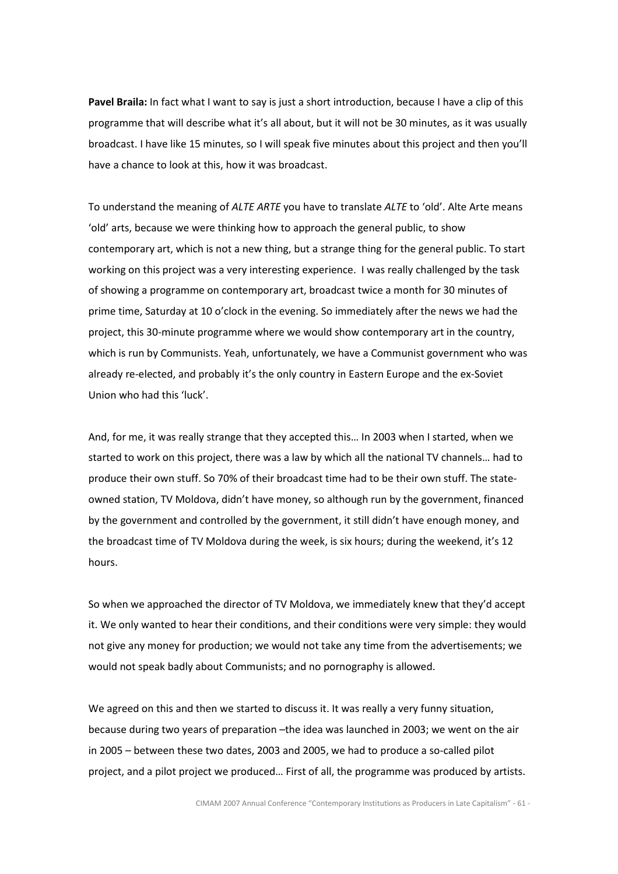Pavel Braila: In fact what I want to say is just a short introduction, because I have a clip of this programme that will describe what it's all about, but it will not be 30 minutes, as it was usually broadcast. I have like 15 minutes, so I will speak five minutes about this project and then you'll have a chance to look at this, how it was broadcast.

To understand the meaning of ALTE ARTE you have to translate ALTE to 'old'. Alte Arte means 'old' arts, because we were thinking how to approach the general public, to show contemporary art, which is not a new thing, but a strange thing for the general public. To start working on this project was a very interesting experience. I was really challenged by the task of showing a programme on contemporary art, broadcast twice a month for 30 minutes of prime time, Saturday at 10 o'clock in the evening. So immediately after the news we had the project, this 30-minute programme where we would show contemporary art in the country, which is run by Communists. Yeah, unfortunately, we have a Communist government who was already re-elected, and probably it's the only country in Eastern Europe and the ex-Soviet Union who had this 'luck'.

And, for me, it was really strange that they accepted this… In 2003 when I started, when we started to work on this project, there was a law by which all the national TV channels… had to produce their own stuff. So 70% of their broadcast time had to be their own stuff. The stateowned station, TV Moldova, didn't have money, so although run by the government, financed by the government and controlled by the government, it still didn't have enough money, and the broadcast time of TV Moldova during the week, is six hours; during the weekend, it's 12 hours.

So when we approached the director of TV Moldova, we immediately knew that they'd accept it. We only wanted to hear their conditions, and their conditions were very simple: they would not give any money for production; we would not take any time from the advertisements; we would not speak badly about Communists; and no pornography is allowed.

We agreed on this and then we started to discuss it. It was really a very funny situation, because during two years of preparation –the idea was launched in 2003; we went on the air in 2005 – between these two dates, 2003 and 2005, we had to produce a so-called pilot project, and a pilot project we produced… First of all, the programme was produced by artists.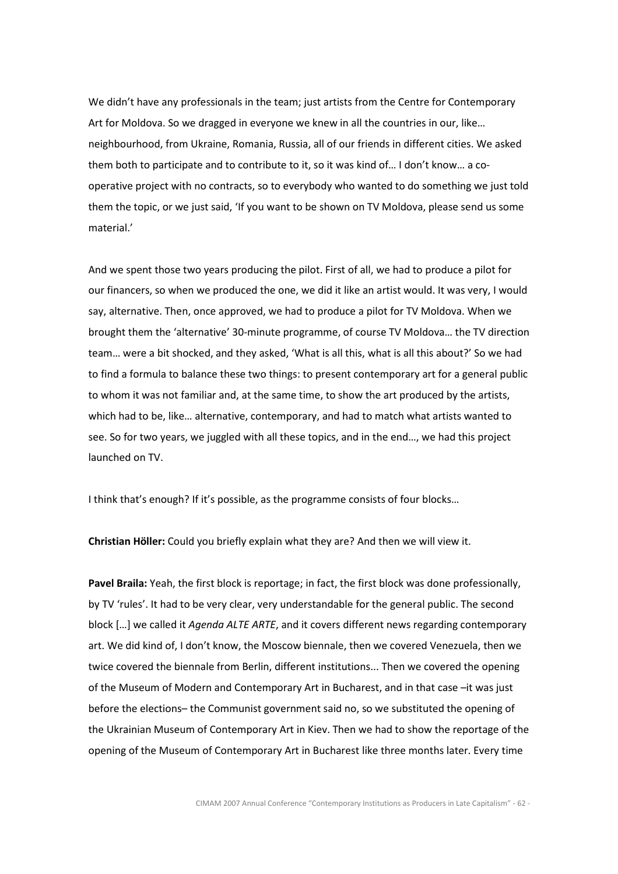We didn't have any professionals in the team; just artists from the Centre for Contemporary Art for Moldova. So we dragged in everyone we knew in all the countries in our, like… neighbourhood, from Ukraine, Romania, Russia, all of our friends in different cities. We asked them both to participate and to contribute to it, so it was kind of… I don't know… a cooperative project with no contracts, so to everybody who wanted to do something we just told them the topic, or we just said, 'If you want to be shown on TV Moldova, please send us some material.'

And we spent those two years producing the pilot. First of all, we had to produce a pilot for our financers, so when we produced the one, we did it like an artist would. It was very, I would say, alternative. Then, once approved, we had to produce a pilot for TV Moldova. When we brought them the 'alternative' 30-minute programme, of course TV Moldova… the TV direction team… were a bit shocked, and they asked, 'What is all this, what is all this about?' So we had to find a formula to balance these two things: to present contemporary art for a general public to whom it was not familiar and, at the same time, to show the art produced by the artists, which had to be, like… alternative, contemporary, and had to match what artists wanted to see. So for two years, we juggled with all these topics, and in the end…, we had this project launched on TV.

I think that's enough? If it's possible, as the programme consists of four blocks…

Christian Höller: Could you briefly explain what they are? And then we will view it.

Pavel Braila: Yeah, the first block is reportage; in fact, the first block was done professionally, by TV 'rules'. It had to be very clear, very understandable for the general public. The second block [...] we called it *Agenda ALTE ARTE*, and it covers different news regarding contemporary art. We did kind of, I don't know, the Moscow biennale, then we covered Venezuela, then we twice covered the biennale from Berlin, different institutions... Then we covered the opening of the Museum of Modern and Contemporary Art in Bucharest, and in that case –it was just before the elections– the Communist government said no, so we substituted the opening of the Ukrainian Museum of Contemporary Art in Kiev. Then we had to show the reportage of the opening of the Museum of Contemporary Art in Bucharest like three months later. Every time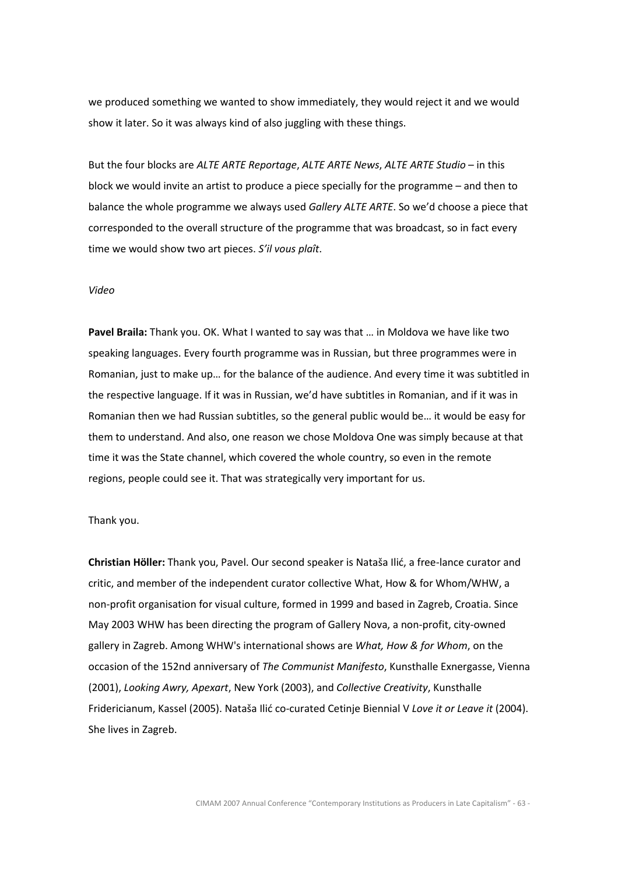we produced something we wanted to show immediately, they would reject it and we would show it later. So it was always kind of also juggling with these things.

But the four blocks are ALTE ARTE Reportage, ALTE ARTE News, ALTE ARTE Studio – in this block we would invite an artist to produce a piece specially for the programme – and then to balance the whole programme we always used Gallery ALTE ARTE. So we'd choose a piece that corresponded to the overall structure of the programme that was broadcast, so in fact every time we would show two art pieces. S'il vous plaît.

### Video

Pavel Braila: Thank you. OK. What I wanted to say was that ... in Moldova we have like two speaking languages. Every fourth programme was in Russian, but three programmes were in Romanian, just to make up… for the balance of the audience. And every time it was subtitled in the respective language. If it was in Russian, we'd have subtitles in Romanian, and if it was in Romanian then we had Russian subtitles, so the general public would be… it would be easy for them to understand. And also, one reason we chose Moldova One was simply because at that time it was the State channel, which covered the whole country, so even in the remote regions, people could see it. That was strategically very important for us.

#### Thank you.

Christian Höller: Thank you, Pavel. Our second speaker is Nataša Ilić, a free-lance curator and critic, and member of the independent curator collective What, How & for Whom/WHW, a non-profit organisation for visual culture, formed in 1999 and based in Zagreb, Croatia. Since May 2003 WHW has been directing the program of Gallery Nova, a non-profit, city-owned gallery in Zagreb. Among WHW's international shows are What, How & for Whom, on the occasion of the 152nd anniversary of The Communist Manifesto, Kunsthalle Exnergasse, Vienna (2001), Looking Awry, Apexart, New York (2003), and Collective Creativity, Kunsthalle Fridericianum, Kassel (2005). Nataša Ilić co-curated Cetinje Biennial V Love it or Leave it (2004). She lives in Zagreb.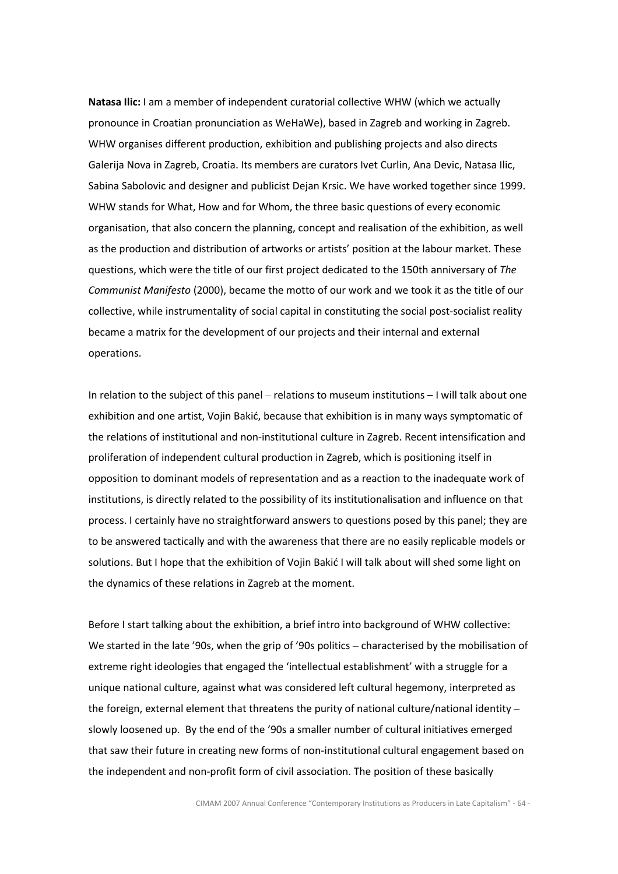Natasa Ilic: I am a member of independent curatorial collective WHW (which we actually pronounce in Croatian pronunciation as WeHaWe), based in Zagreb and working in Zagreb. WHW organises different production, exhibition and publishing projects and also directs Galerija Nova in Zagreb, Croatia. Its members are curators Ivet Curlin, Ana Devic, Natasa Ilic, Sabina Sabolovic and designer and publicist Dejan Krsic. We have worked together since 1999. WHW stands for What, How and for Whom, the three basic questions of every economic organisation, that also concern the planning, concept and realisation of the exhibition, as well as the production and distribution of artworks or artists' position at the labour market. These questions, which were the title of our first project dedicated to the 150th anniversary of The Communist Manifesto (2000), became the motto of our work and we took it as the title of our collective, while instrumentality of social capital in constituting the social post-socialist reality became a matrix for the development of our projects and their internal and external operations.

In relation to the subject of this panel – relations to museum institutions – I will talk about one exhibition and one artist, Vojin Bakić, because that exhibition is in many ways symptomatic of the relations of institutional and non-institutional culture in Zagreb. Recent intensification and proliferation of independent cultural production in Zagreb, which is positioning itself in opposition to dominant models of representation and as a reaction to the inadequate work of institutions, is directly related to the possibility of its institutionalisation and influence on that process. I certainly have no straightforward answers to questions posed by this panel; they are to be answered tactically and with the awareness that there are no easily replicable models or solutions. But I hope that the exhibition of Vojin Bakić I will talk about will shed some light on the dynamics of these relations in Zagreb at the moment.

Before I start talking about the exhibition, a brief intro into background of WHW collective: We started in the late '90s, when the grip of '90s politics – characterised by the mobilisation of extreme right ideologies that engaged the 'intellectual establishment' with a struggle for a unique national culture, against what was considered left cultural hegemony, interpreted as the foreign, external element that threatens the purity of national culture/national identity – slowly loosened up. By the end of the '90s a smaller number of cultural initiatives emerged that saw their future in creating new forms of non-institutional cultural engagement based on the independent and non-profit form of civil association. The position of these basically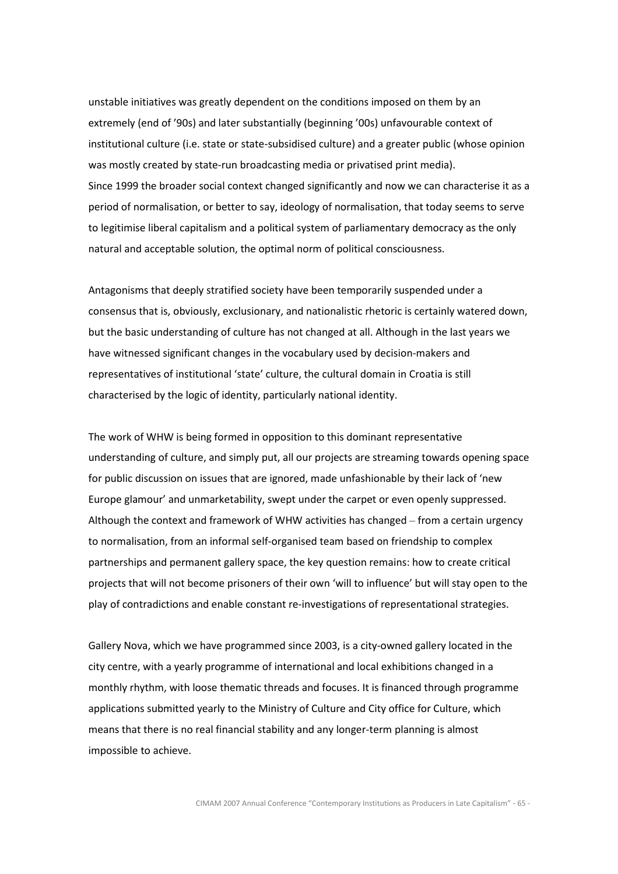unstable initiatives was greatly dependent on the conditions imposed on them by an extremely (end of '90s) and later substantially (beginning '00s) unfavourable context of institutional culture (i.e. state or state-subsidised culture) and a greater public (whose opinion was mostly created by state-run broadcasting media or privatised print media). Since 1999 the broader social context changed significantly and now we can characterise it as a period of normalisation, or better to say, ideology of normalisation, that today seems to serve to legitimise liberal capitalism and a political system of parliamentary democracy as the only natural and acceptable solution, the optimal norm of political consciousness.

Antagonisms that deeply stratified society have been temporarily suspended under a consensus that is, obviously, exclusionary, and nationalistic rhetoric is certainly watered down, but the basic understanding of culture has not changed at all. Although in the last years we have witnessed significant changes in the vocabulary used by decision-makers and representatives of institutional 'state' culture, the cultural domain in Croatia is still characterised by the logic of identity, particularly national identity.

The work of WHW is being formed in opposition to this dominant representative understanding of culture, and simply put, all our projects are streaming towards opening space for public discussion on issues that are ignored, made unfashionable by their lack of 'new Europe glamour' and unmarketability, swept under the carpet or even openly suppressed. Although the context and framework of WHW activities has changed – from a certain urgency to normalisation, from an informal self-organised team based on friendship to complex partnerships and permanent gallery space, the key question remains: how to create critical projects that will not become prisoners of their own 'will to influence' but will stay open to the play of contradictions and enable constant re-investigations of representational strategies.

Gallery Nova, which we have programmed since 2003, is a city-owned gallery located in the city centre, with a yearly programme of international and local exhibitions changed in a monthly rhythm, with loose thematic threads and focuses. It is financed through programme applications submitted yearly to the Ministry of Culture and City office for Culture, which means that there is no real financial stability and any longer-term planning is almost impossible to achieve.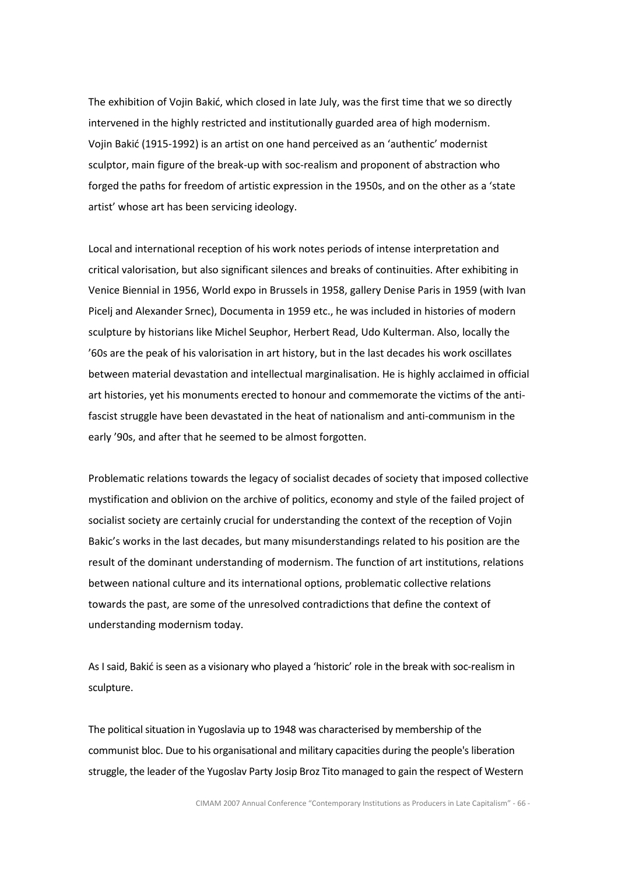The exhibition of Vojin Bakić, which closed in late July, was the first time that we so directly intervened in the highly restricted and institutionally guarded area of high modernism. Vojin Bakić (1915-1992) is an artist on one hand perceived as an 'authentic' modernist sculptor, main figure of the break-up with soc-realism and proponent of abstraction who forged the paths for freedom of artistic expression in the 1950s, and on the other as a 'state artist' whose art has been servicing ideology.

Local and international reception of his work notes periods of intense interpretation and critical valorisation, but also significant silences and breaks of continuities. After exhibiting in Venice Biennial in 1956, World expo in Brussels in 1958, gallery Denise Paris in 1959 (with Ivan Picelj and Alexander Srnec), Documenta in 1959 etc., he was included in histories of modern sculpture by historians like Michel Seuphor, Herbert Read, Udo Kulterman. Also, locally the '60s are the peak of his valorisation in art history, but in the last decades his work oscillates between material devastation and intellectual marginalisation. He is highly acclaimed in official art histories, yet his monuments erected to honour and commemorate the victims of the antifascist struggle have been devastated in the heat of nationalism and anti-communism in the early '90s, and after that he seemed to be almost forgotten.

Problematic relations towards the legacy of socialist decades of society that imposed collective mystification and oblivion on the archive of politics, economy and style of the failed project of socialist society are certainly crucial for understanding the context of the reception of Vojin Bakic's works in the last decades, but many misunderstandings related to his position are the result of the dominant understanding of modernism. The function of art institutions, relations between national culture and its international options, problematic collective relations towards the past, are some of the unresolved contradictions that define the context of understanding modernism today.

As I said, Bakić is seen as a visionary who played a 'historic' role in the break with soc-realism in sculpture.

The political situation in Yugoslavia up to 1948 was characterised by membership of the communist bloc. Due to his organisational and military capacities during the people's liberation struggle, the leader of the Yugoslav Party Josip Broz Tito managed to gain the respect of Western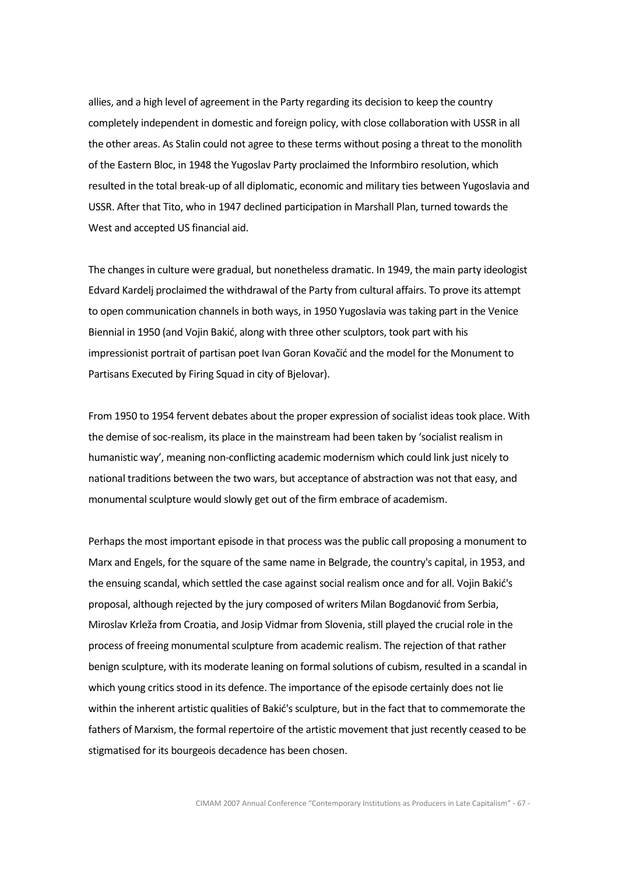allies, and a high level of agreement in the Party regarding its decision to keep the country completely independent in domestic and foreign policy, with close collaboration with USSR in all the other areas. As Stalin could not agree to these terms without posing a threat to the monolith of the Eastern Bloc, in 1948 the Yugoslav Party proclaimed the Informbiro resolution, which resulted in the total break-up of all diplomatic, economic and military ties between Yugoslavia and USSR. After that Tito, who in 1947 declined participation in Marshall Plan, turned towards the West and accepted US financial aid.

The changes in culture were gradual, but nonetheless dramatic. In 1949, the main party ideologist Edvard Kardelj proclaimed the withdrawal of the Party from cultural affairs. To prove its attempt to open communication channels in both ways, in 1950 Yugoslavia was taking part in the Venice Biennial in 1950 (and Vojin Bakić, along with three other sculptors, took part with his impressionist portrait of partisan poet Ivan Goran Kovačić and the model for the Monument to Partisans Executed by Firing Squad in city of Bjelovar).

From 1950 to 1954 fervent debates about the proper expression of socialist ideas took place. With the demise of soc-realism, its place in the mainstream had been taken by 'socialist realism in humanistic way', meaning non-conflicting academic modernism which could link just nicely to national traditions between the two wars, but acceptance of abstraction was not that easy, and monumental sculpture would slowly get out of the firm embrace of academism.

Perhaps the most important episode in that process was the public call proposing a monument to Marx and Engels, for the square of the same name in Belgrade, the country's capital, in 1953, and the ensuing scandal, which settled the case against social realism once and for all. Vojin Bakić's proposal, although rejected by the jury composed of writers Milan Bogdanović from Serbia, Miroslav Krleža from Croatia, and Josip Vidmar from Slovenia, still played the crucial role in the process of freeing monumental sculpture from academic realism. The rejection of that rather benign sculpture, with its moderate leaning on formal solutions of cubism, resulted in a scandal in which young critics stood in its defence. The importance of the episode certainly does not lie within the inherent artistic qualities of Bakić's sculpture, but in the fact that to commemorate the fathers of Marxism, the formal repertoire of the artistic movement that just recently ceased to be stigmatised for its bourgeois decadence has been chosen.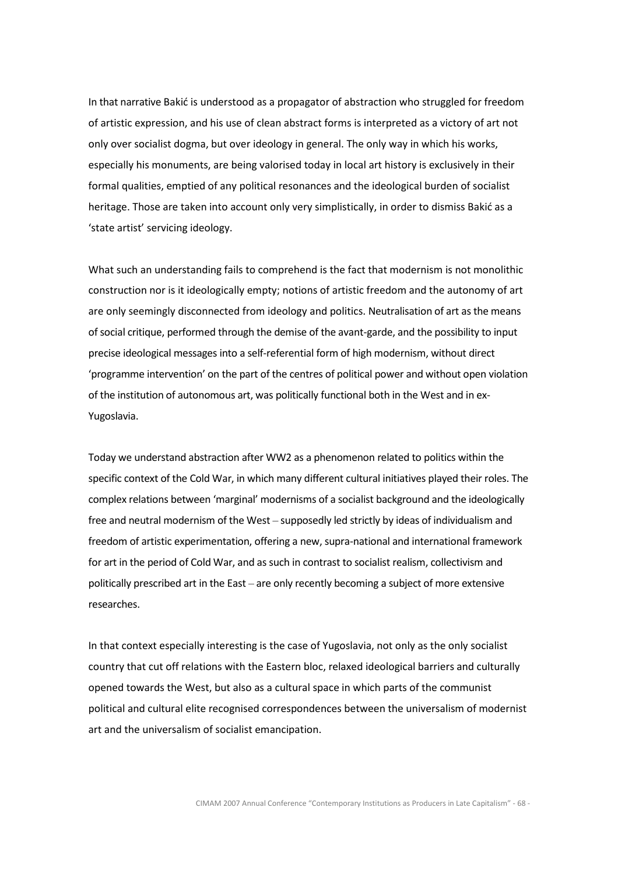In that narrative Bakić is understood as a propagator of abstraction who struggled for freedom of artistic expression, and his use of clean abstract forms is interpreted as a victory of art not only over socialist dogma, but over ideology in general. The only way in which his works, especially his monuments, are being valorised today in local art history is exclusively in their formal qualities, emptied of any political resonances and the ideological burden of socialist heritage. Those are taken into account only very simplistically, in order to dismiss Bakić as a 'state artist' servicing ideology.

What such an understanding fails to comprehend is the fact that modernism is not monolithic construction nor is it ideologically empty; notions of artistic freedom and the autonomy of art are only seemingly disconnected from ideology and politics. Neutralisation of art as the means of social critique, performed through the demise of the avant-garde, and the possibility to input precise ideological messages into a self-referential form of high modernism, without direct 'programme intervention' on the part of the centres of political power and without open violation of the institution of autonomous art, was politically functional both in the West and in ex-Yugoslavia.

Today we understand abstraction after WW2 as a phenomenon related to politics within the specific context of the Cold War, in which many different cultural initiatives played their roles. The complex relations between 'marginal' modernisms of a socialist background and the ideologically free and neutral modernism of the West – supposedly led strictly by ideas of individualism and freedom of artistic experimentation, offering a new, supra-national and international framework for art in the period of Cold War, and as such in contrast to socialist realism, collectivism and politically prescribed art in the East – are only recently becoming a subject of more extensive researches.

In that context especially interesting is the case of Yugoslavia, not only as the only socialist country that cut off relations with the Eastern bloc, relaxed ideological barriers and culturally opened towards the West, but also as a cultural space in which parts of the communist political and cultural elite recognised correspondences between the universalism of modernist art and the universalism of socialist emancipation.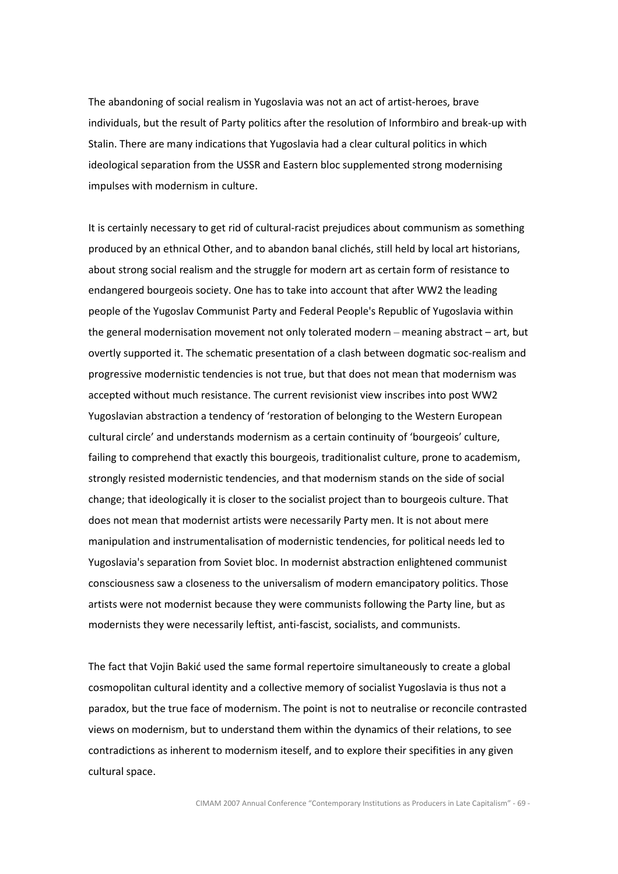The abandoning of social realism in Yugoslavia was not an act of artist-heroes, brave individuals, but the result of Party politics after the resolution of Informbiro and break-up with Stalin. There are many indications that Yugoslavia had a clear cultural politics in which ideological separation from the USSR and Eastern bloc supplemented strong modernising impulses with modernism in culture.

It is certainly necessary to get rid of cultural-racist prejudices about communism as something produced by an ethnical Other, and to abandon banal clichés, still held by local art historians, about strong social realism and the struggle for modern art as certain form of resistance to endangered bourgeois society. One has to take into account that after WW2 the leading people of the Yugoslav Communist Party and Federal People's Republic of Yugoslavia within the general modernisation movement not only tolerated modern – meaning abstract – art, but overtly supported it. The schematic presentation of a clash between dogmatic soc-realism and progressive modernistic tendencies is not true, but that does not mean that modernism was accepted without much resistance. The current revisionist view inscribes into post WW2 Yugoslavian abstraction a tendency of 'restoration of belonging to the Western European cultural circle' and understands modernism as a certain continuity of 'bourgeois' culture, failing to comprehend that exactly this bourgeois, traditionalist culture, prone to academism, strongly resisted modernistic tendencies, and that modernism stands on the side of social change; that ideologically it is closer to the socialist project than to bourgeois culture. That does not mean that modernist artists were necessarily Party men. It is not about mere manipulation and instrumentalisation of modernistic tendencies, for political needs led to Yugoslavia's separation from Soviet bloc. In modernist abstraction enlightened communist consciousness saw a closeness to the universalism of modern emancipatory politics. Those artists were not modernist because they were communists following the Party line, but as modernists they were necessarily leftist, anti-fascist, socialists, and communists.

The fact that Vojin Bakić used the same formal repertoire simultaneously to create a global cosmopolitan cultural identity and a collective memory of socialist Yugoslavia is thus not a paradox, but the true face of modernism. The point is not to neutralise or reconcile contrasted views on modernism, but to understand them within the dynamics of their relations, to see contradictions as inherent to modernism iteself, and to explore their specifities in any given cultural space.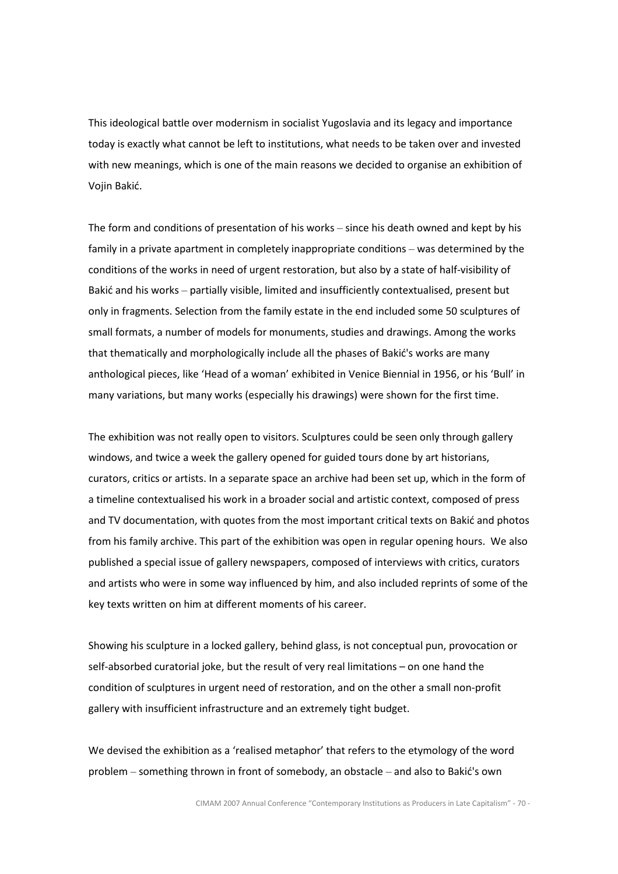This ideological battle over modernism in socialist Yugoslavia and its legacy and importance today is exactly what cannot be left to institutions, what needs to be taken over and invested with new meanings, which is one of the main reasons we decided to organise an exhibition of Vojin Bakić.

The form and conditions of presentation of his works – since his death owned and kept by his family in a private apartment in completely inappropriate conditions – was determined by the conditions of the works in need of urgent restoration, but also by a state of half-visibility of Bakić and his works – partially visible, limited and insufficiently contextualised, present but only in fragments. Selection from the family estate in the end included some 50 sculptures of small formats, a number of models for monuments, studies and drawings. Among the works that thematically and morphologically include all the phases of Bakić's works are many anthological pieces, like 'Head of a woman' exhibited in Venice Biennial in 1956, or his 'Bull' in many variations, but many works (especially his drawings) were shown for the first time.

The exhibition was not really open to visitors. Sculptures could be seen only through gallery windows, and twice a week the gallery opened for guided tours done by art historians, curators, critics or artists. In a separate space an archive had been set up, which in the form of a timeline contextualised his work in a broader social and artistic context, composed of press and TV documentation, with quotes from the most important critical texts on Bakić and photos from his family archive. This part of the exhibition was open in regular opening hours. We also published a special issue of gallery newspapers, composed of interviews with critics, curators and artists who were in some way influenced by him, and also included reprints of some of the key texts written on him at different moments of his career.

Showing his sculpture in a locked gallery, behind glass, is not conceptual pun, provocation or self-absorbed curatorial joke, but the result of very real limitations – on one hand the condition of sculptures in urgent need of restoration, and on the other a small non-profit gallery with insufficient infrastructure and an extremely tight budget.

We devised the exhibition as a 'realised metaphor' that refers to the etymology of the word problem – something thrown in front of somebody, an obstacle – and also to Bakić's own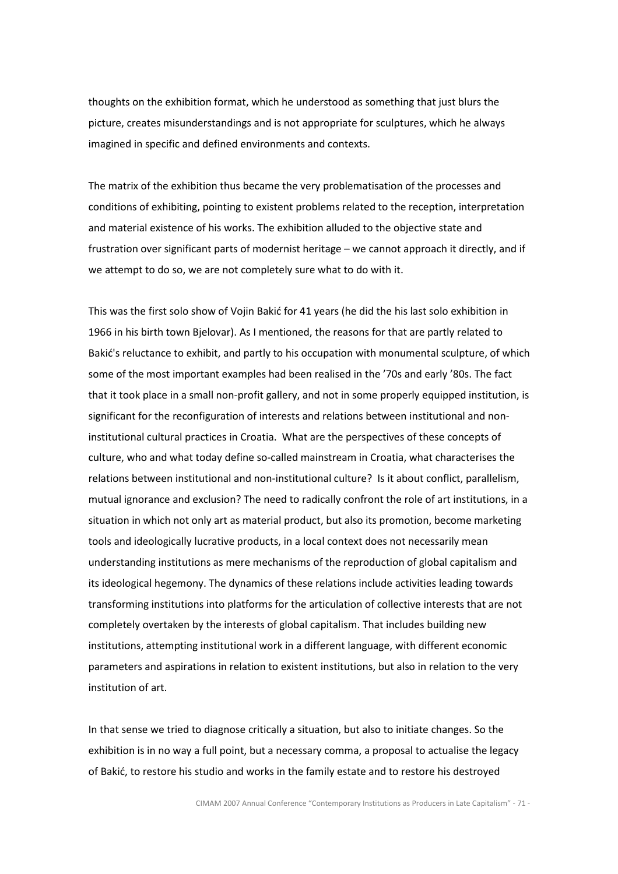thoughts on the exhibition format, which he understood as something that just blurs the picture, creates misunderstandings and is not appropriate for sculptures, which he always imagined in specific and defined environments and contexts.

The matrix of the exhibition thus became the very problematisation of the processes and conditions of exhibiting, pointing to existent problems related to the reception, interpretation and material existence of his works. The exhibition alluded to the objective state and frustration over significant parts of modernist heritage – we cannot approach it directly, and if we attempt to do so, we are not completely sure what to do with it.

This was the first solo show of Vojin Bakić for 41 years (he did the his last solo exhibition in 1966 in his birth town Bjelovar). As I mentioned, the reasons for that are partly related to Bakić's reluctance to exhibit, and partly to his occupation with monumental sculpture, of which some of the most important examples had been realised in the '70s and early '80s. The fact that it took place in a small non-profit gallery, and not in some properly equipped institution, is significant for the reconfiguration of interests and relations between institutional and noninstitutional cultural practices in Croatia. What are the perspectives of these concepts of culture, who and what today define so-called mainstream in Croatia, what characterises the relations between institutional and non-institutional culture? Is it about conflict, parallelism, mutual ignorance and exclusion? The need to radically confront the role of art institutions, in a situation in which not only art as material product, but also its promotion, become marketing tools and ideologically lucrative products, in a local context does not necessarily mean understanding institutions as mere mechanisms of the reproduction of global capitalism and its ideological hegemony. The dynamics of these relations include activities leading towards transforming institutions into platforms for the articulation of collective interests that are not completely overtaken by the interests of global capitalism. That includes building new institutions, attempting institutional work in a different language, with different economic parameters and aspirations in relation to existent institutions, but also in relation to the very institution of art.

In that sense we tried to diagnose critically a situation, but also to initiate changes. So the exhibition is in no way a full point, but a necessary comma, a proposal to actualise the legacy of Bakić, to restore his studio and works in the family estate and to restore his destroyed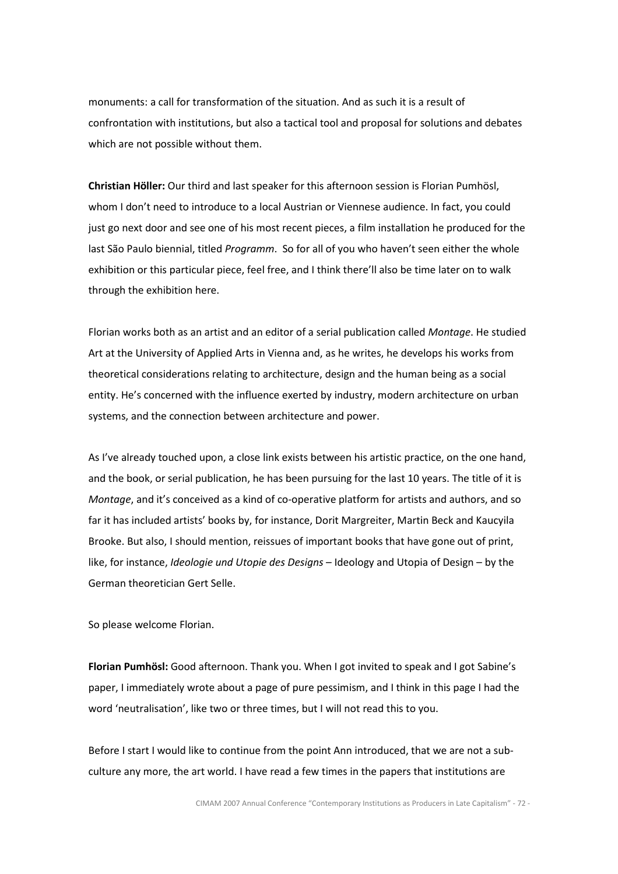monuments: a call for transformation of the situation. And as such it is a result of confrontation with institutions, but also a tactical tool and proposal for solutions and debates which are not possible without them.

Christian Höller: Our third and last speaker for this afternoon session is Florian Pumhösl, whom I don't need to introduce to a local Austrian or Viennese audience. In fact, you could just go next door and see one of his most recent pieces, a film installation he produced for the last São Paulo biennial, titled Programm. So for all of you who haven't seen either the whole exhibition or this particular piece, feel free, and I think there'll also be time later on to walk through the exhibition here.

Florian works both as an artist and an editor of a serial publication called Montage. He studied Art at the University of Applied Arts in Vienna and, as he writes, he develops his works from theoretical considerations relating to architecture, design and the human being as a social entity. He's concerned with the influence exerted by industry, modern architecture on urban systems, and the connection between architecture and power.

As I've already touched upon, a close link exists between his artistic practice, on the one hand, and the book, or serial publication, he has been pursuing for the last 10 years. The title of it is Montage, and it's conceived as a kind of co-operative platform for artists and authors, and so far it has included artists' books by, for instance, Dorit Margreiter, Martin Beck and Kaucyila Brooke. But also, I should mention, reissues of important books that have gone out of print, like, for instance, *Ideologie und Utopie des Designs* – Ideology and Utopia of Design – by the German theoretician Gert Selle.

So please welcome Florian.

Florian Pumhösl: Good afternoon. Thank you. When I got invited to speak and I got Sabine's paper, I immediately wrote about a page of pure pessimism, and I think in this page I had the word 'neutralisation', like two or three times, but I will not read this to you.

Before I start I would like to continue from the point Ann introduced, that we are not a subculture any more, the art world. I have read a few times in the papers that institutions are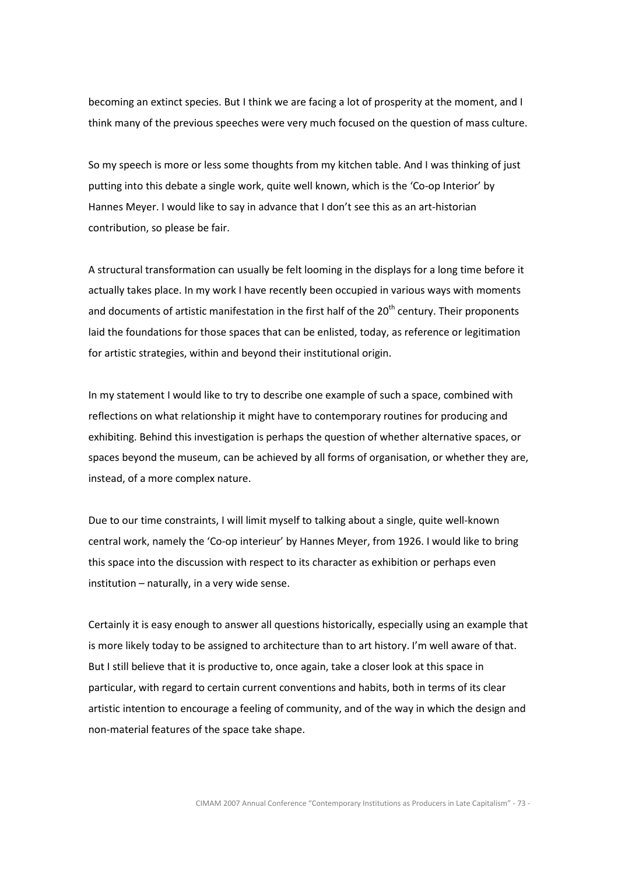becoming an extinct species. But I think we are facing a lot of prosperity at the moment, and I think many of the previous speeches were very much focused on the question of mass culture.

So my speech is more or less some thoughts from my kitchen table. And I was thinking of just putting into this debate a single work, quite well known, which is the 'Co-op Interior' by Hannes Meyer. I would like to say in advance that I don't see this as an art-historian contribution, so please be fair.

A structural transformation can usually be felt looming in the displays for a long time before it actually takes place. In my work I have recently been occupied in various ways with moments and documents of artistic manifestation in the first half of the  $20<sup>th</sup>$  century. Their proponents laid the foundations for those spaces that can be enlisted, today, as reference or legitimation for artistic strategies, within and beyond their institutional origin.

In my statement I would like to try to describe one example of such a space, combined with reflections on what relationship it might have to contemporary routines for producing and exhibiting. Behind this investigation is perhaps the question of whether alternative spaces, or spaces beyond the museum, can be achieved by all forms of organisation, or whether they are, instead, of a more complex nature.

Due to our time constraints, I will limit myself to talking about a single, quite well-known central work, namely the 'Co-op interieur' by Hannes Meyer, from 1926. I would like to bring this space into the discussion with respect to its character as exhibition or perhaps even institution – naturally, in a very wide sense.

Certainly it is easy enough to answer all questions historically, especially using an example that is more likely today to be assigned to architecture than to art history. I'm well aware of that. But I still believe that it is productive to, once again, take a closer look at this space in particular, with regard to certain current conventions and habits, both in terms of its clear artistic intention to encourage a feeling of community, and of the way in which the design and non-material features of the space take shape.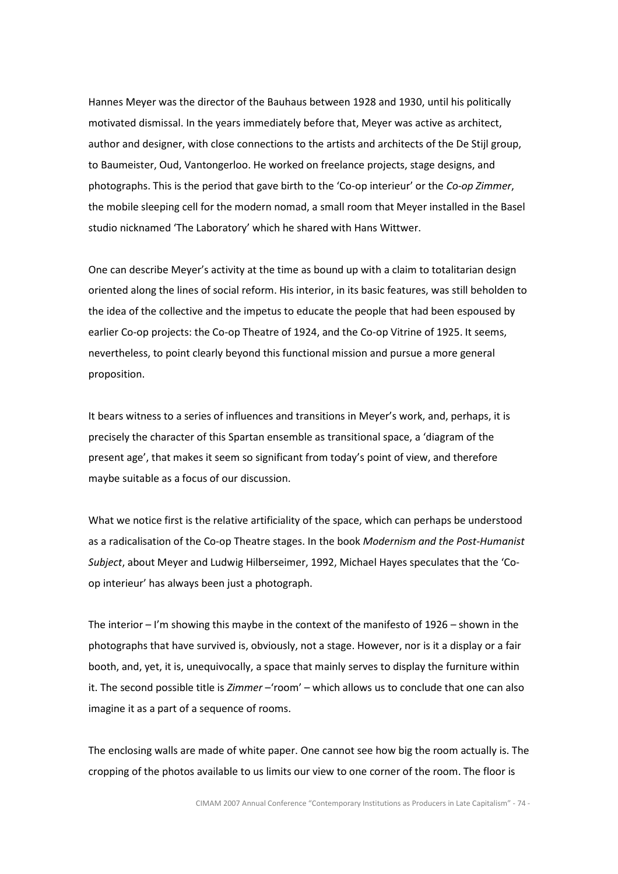Hannes Meyer was the director of the Bauhaus between 1928 and 1930, until his politically motivated dismissal. In the years immediately before that, Meyer was active as architect, author and designer, with close connections to the artists and architects of the De Stijl group, to Baumeister, Oud, Vantongerloo. He worked on freelance projects, stage designs, and photographs. This is the period that gave birth to the 'Co-op interieur' or the Co-op Zimmer, the mobile sleeping cell for the modern nomad, a small room that Meyer installed in the Basel studio nicknamed 'The Laboratory' which he shared with Hans Wittwer.

One can describe Meyer's activity at the time as bound up with a claim to totalitarian design oriented along the lines of social reform. His interior, in its basic features, was still beholden to the idea of the collective and the impetus to educate the people that had been espoused by earlier Co-op projects: the Co-op Theatre of 1924, and the Co-op Vitrine of 1925. It seems, nevertheless, to point clearly beyond this functional mission and pursue a more general proposition.

It bears witness to a series of influences and transitions in Meyer's work, and, perhaps, it is precisely the character of this Spartan ensemble as transitional space, a 'diagram of the present age', that makes it seem so significant from today's point of view, and therefore maybe suitable as a focus of our discussion.

What we notice first is the relative artificiality of the space, which can perhaps be understood as a radicalisation of the Co-op Theatre stages. In the book Modernism and the Post-Humanist Subject, about Meyer and Ludwig Hilberseimer, 1992, Michael Hayes speculates that the 'Coop interieur' has always been just a photograph.

The interior – I'm showing this maybe in the context of the manifesto of 1926 – shown in the photographs that have survived is, obviously, not a stage. However, nor is it a display or a fair booth, and, yet, it is, unequivocally, a space that mainly serves to display the furniture within it. The second possible title is *Zimmer* – 'room' – which allows us to conclude that one can also imagine it as a part of a sequence of rooms.

The enclosing walls are made of white paper. One cannot see how big the room actually is. The cropping of the photos available to us limits our view to one corner of the room. The floor is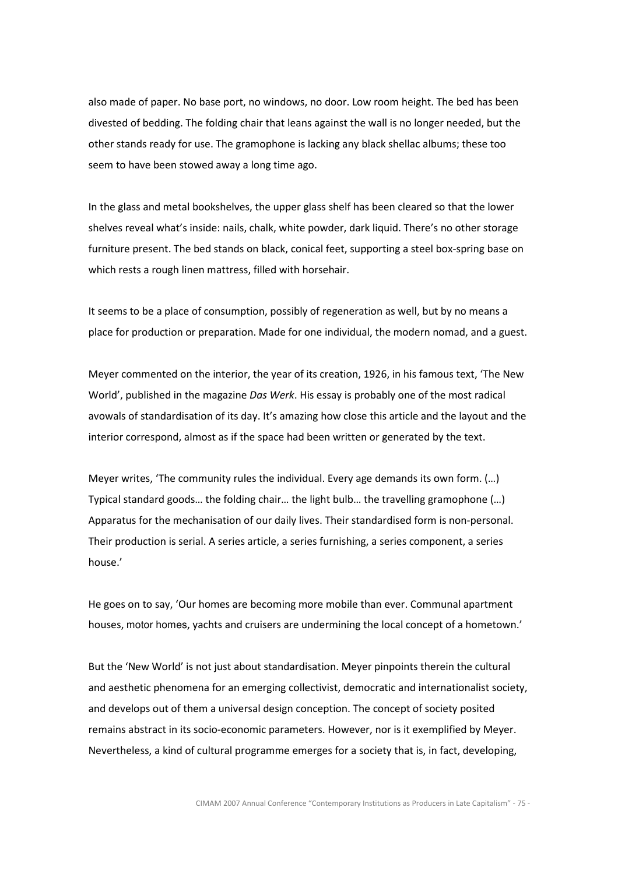also made of paper. No base port, no windows, no door. Low room height. The bed has been divested of bedding. The folding chair that leans against the wall is no longer needed, but the other stands ready for use. The gramophone is lacking any black shellac albums; these too seem to have been stowed away a long time ago.

In the glass and metal bookshelves, the upper glass shelf has been cleared so that the lower shelves reveal what's inside: nails, chalk, white powder, dark liquid. There's no other storage furniture present. The bed stands on black, conical feet, supporting a steel box-spring base on which rests a rough linen mattress, filled with horsehair.

It seems to be a place of consumption, possibly of regeneration as well, but by no means a place for production or preparation. Made for one individual, the modern nomad, and a guest.

Meyer commented on the interior, the year of its creation, 1926, in his famous text, 'The New World', published in the magazine *Das Werk*. His essay is probably one of the most radical avowals of standardisation of its day. It's amazing how close this article and the layout and the interior correspond, almost as if the space had been written or generated by the text.

Meyer writes, 'The community rules the individual. Every age demands its own form. (…) Typical standard goods… the folding chair… the light bulb… the travelling gramophone (…) Apparatus for the mechanisation of our daily lives. Their standardised form is non-personal. Their production is serial. A series article, a series furnishing, a series component, a series house.'

He goes on to say, 'Our homes are becoming more mobile than ever. Communal apartment houses, motor homes, yachts and cruisers are undermining the local concept of a hometown.'

But the 'New World' is not just about standardisation. Meyer pinpoints therein the cultural and aesthetic phenomena for an emerging collectivist, democratic and internationalist society, and develops out of them a universal design conception. The concept of society posited remains abstract in its socio-economic parameters. However, nor is it exemplified by Meyer. Nevertheless, a kind of cultural programme emerges for a society that is, in fact, developing,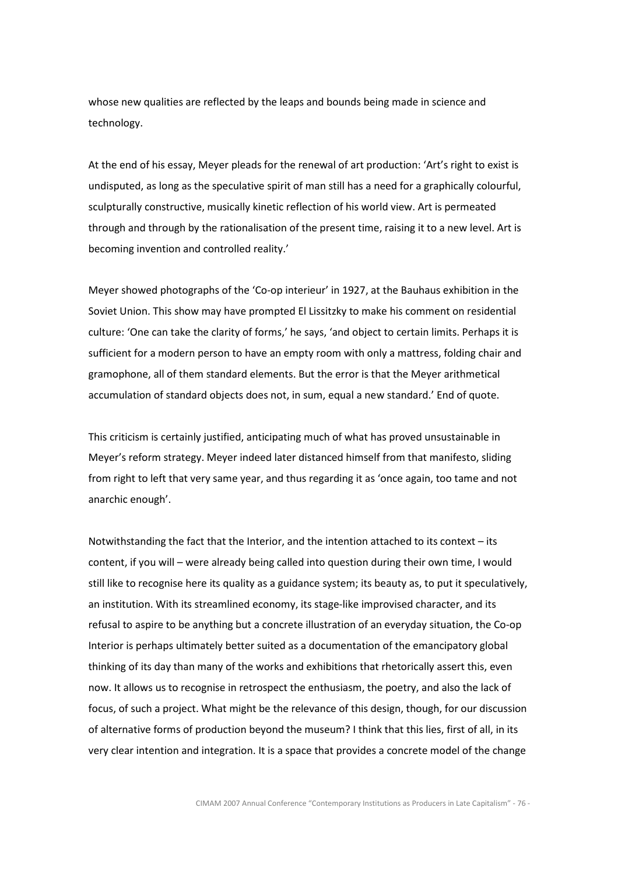whose new qualities are reflected by the leaps and bounds being made in science and technology.

At the end of his essay, Meyer pleads for the renewal of art production: 'Art's right to exist is undisputed, as long as the speculative spirit of man still has a need for a graphically colourful, sculpturally constructive, musically kinetic reflection of his world view. Art is permeated through and through by the rationalisation of the present time, raising it to a new level. Art is becoming invention and controlled reality.'

Meyer showed photographs of the 'Co-op interieur' in 1927, at the Bauhaus exhibition in the Soviet Union. This show may have prompted El Lissitzky to make his comment on residential culture: 'One can take the clarity of forms,' he says, 'and object to certain limits. Perhaps it is sufficient for a modern person to have an empty room with only a mattress, folding chair and gramophone, all of them standard elements. But the error is that the Meyer arithmetical accumulation of standard objects does not, in sum, equal a new standard.' End of quote.

This criticism is certainly justified, anticipating much of what has proved unsustainable in Meyer's reform strategy. Meyer indeed later distanced himself from that manifesto, sliding from right to left that very same year, and thus regarding it as 'once again, too tame and not anarchic enough'.

Notwithstanding the fact that the Interior, and the intention attached to its context – its content, if you will – were already being called into question during their own time, I would still like to recognise here its quality as a guidance system; its beauty as, to put it speculatively, an institution. With its streamlined economy, its stage-like improvised character, and its refusal to aspire to be anything but a concrete illustration of an everyday situation, the Co-op Interior is perhaps ultimately better suited as a documentation of the emancipatory global thinking of its day than many of the works and exhibitions that rhetorically assert this, even now. It allows us to recognise in retrospect the enthusiasm, the poetry, and also the lack of focus, of such a project. What might be the relevance of this design, though, for our discussion of alternative forms of production beyond the museum? I think that this lies, first of all, in its very clear intention and integration. It is a space that provides a concrete model of the change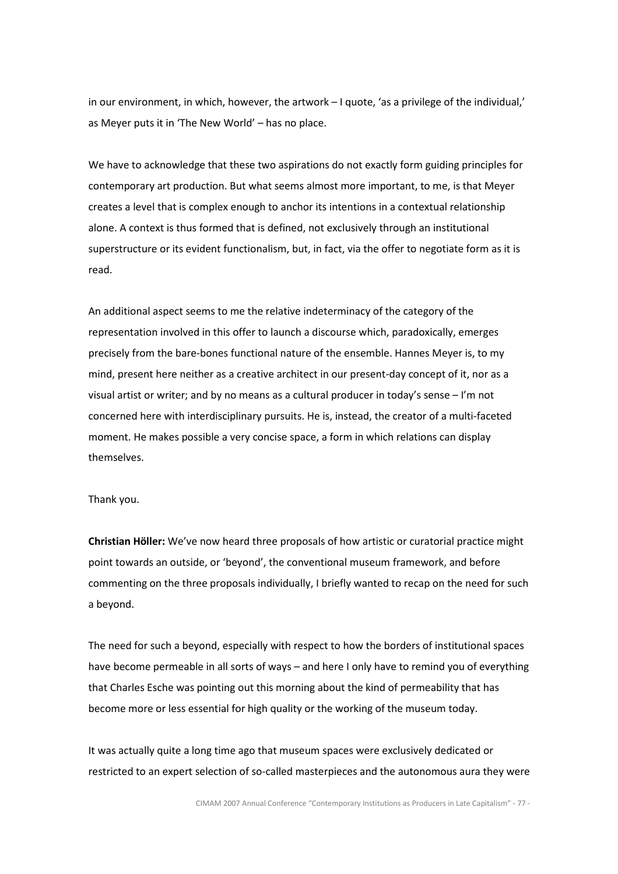in our environment, in which, however, the artwork – I quote, 'as a privilege of the individual,' as Meyer puts it in 'The New World' – has no place.

We have to acknowledge that these two aspirations do not exactly form guiding principles for contemporary art production. But what seems almost more important, to me, is that Meyer creates a level that is complex enough to anchor its intentions in a contextual relationship alone. A context is thus formed that is defined, not exclusively through an institutional superstructure or its evident functionalism, but, in fact, via the offer to negotiate form as it is read.

An additional aspect seems to me the relative indeterminacy of the category of the representation involved in this offer to launch a discourse which, paradoxically, emerges precisely from the bare-bones functional nature of the ensemble. Hannes Meyer is, to my mind, present here neither as a creative architect in our present-day concept of it, nor as a visual artist or writer; and by no means as a cultural producer in today's sense – I'm not concerned here with interdisciplinary pursuits. He is, instead, the creator of a multi-faceted moment. He makes possible a very concise space, a form in which relations can display themselves.

Thank you.

Christian Höller: We've now heard three proposals of how artistic or curatorial practice might point towards an outside, or 'beyond', the conventional museum framework, and before commenting on the three proposals individually, I briefly wanted to recap on the need for such a beyond.

The need for such a beyond, especially with respect to how the borders of institutional spaces have become permeable in all sorts of ways – and here I only have to remind you of everything that Charles Esche was pointing out this morning about the kind of permeability that has become more or less essential for high quality or the working of the museum today.

It was actually quite a long time ago that museum spaces were exclusively dedicated or restricted to an expert selection of so-called masterpieces and the autonomous aura they were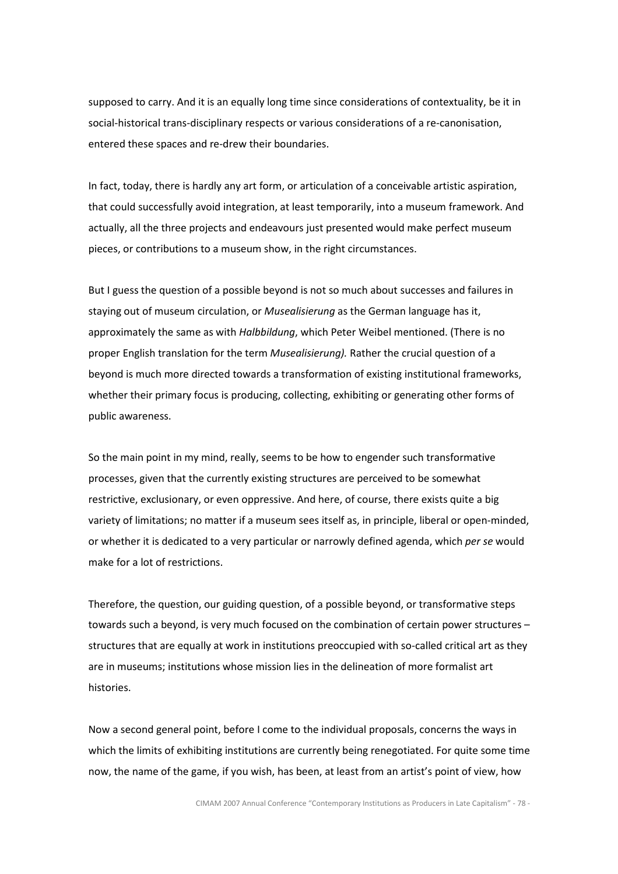supposed to carry. And it is an equally long time since considerations of contextuality, be it in social-historical trans-disciplinary respects or various considerations of a re-canonisation, entered these spaces and re-drew their boundaries.

In fact, today, there is hardly any art form, or articulation of a conceivable artistic aspiration, that could successfully avoid integration, at least temporarily, into a museum framework. And actually, all the three projects and endeavours just presented would make perfect museum pieces, or contributions to a museum show, in the right circumstances.

But I guess the question of a possible beyond is not so much about successes and failures in staying out of museum circulation, or Musealisierung as the German language has it, approximately the same as with Halbbildung, which Peter Weibel mentioned. (There is no proper English translation for the term Musealisierung). Rather the crucial question of a beyond is much more directed towards a transformation of existing institutional frameworks, whether their primary focus is producing, collecting, exhibiting or generating other forms of public awareness.

So the main point in my mind, really, seems to be how to engender such transformative processes, given that the currently existing structures are perceived to be somewhat restrictive, exclusionary, or even oppressive. And here, of course, there exists quite a big variety of limitations; no matter if a museum sees itself as, in principle, liberal or open-minded, or whether it is dedicated to a very particular or narrowly defined agenda, which per se would make for a lot of restrictions.

Therefore, the question, our guiding question, of a possible beyond, or transformative steps towards such a beyond, is very much focused on the combination of certain power structures – structures that are equally at work in institutions preoccupied with so-called critical art as they are in museums; institutions whose mission lies in the delineation of more formalist art histories.

Now a second general point, before I come to the individual proposals, concerns the ways in which the limits of exhibiting institutions are currently being renegotiated. For quite some time now, the name of the game, if you wish, has been, at least from an artist's point of view, how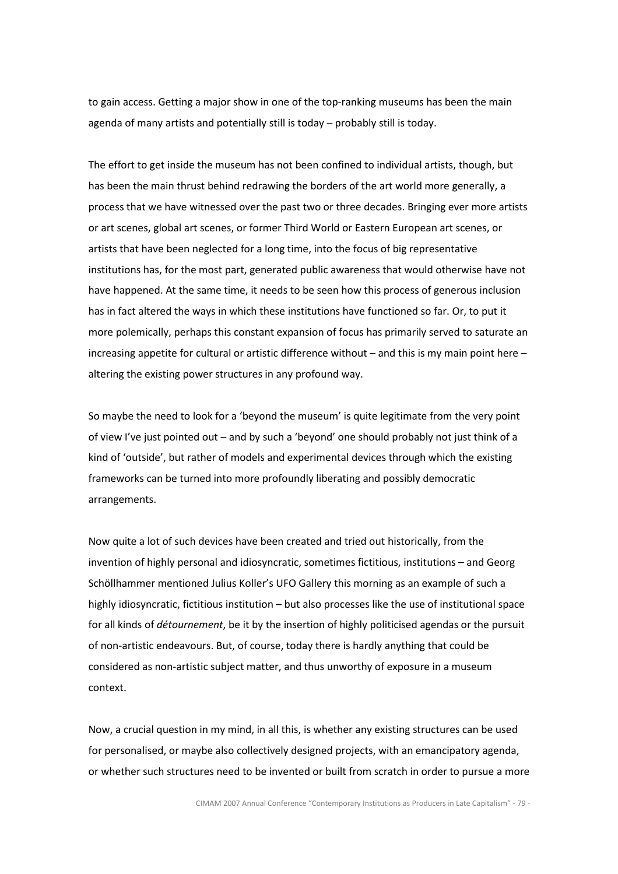to gain access. Getting a major show in one of the top-ranking museums has been the main agenda of many artists and potentially still is today – probably still is today.

The effort to get inside the museum has not been confined to individual artists, though, but has been the main thrust behind redrawing the borders of the art world more generally, a process that we have witnessed over the past two or three decades. Bringing ever more artists or art scenes, global art scenes, or former Third World or Eastern European art scenes, or artists that have been neglected for a long time, into the focus of big representative institutions has, for the most part, generated public awareness that would otherwise have not have happened. At the same time, it needs to be seen how this process of generous inclusion has in fact altered the ways in which these institutions have functioned so far. Or, to put it more polemically, perhaps this constant expansion of focus has primarily served to saturate an increasing appetite for cultural or artistic difference without – and this is my main point here – altering the existing power structures in any profound way.

So maybe the need to look for a 'beyond the museum' is quite legitimate from the very point of view I've just pointed out – and by such a 'beyond' one should probably not just think of a kind of 'outside', but rather of models and experimental devices through which the existing frameworks can be turned into more profoundly liberating and possibly democratic arrangements.

Now quite a lot of such devices have been created and tried out historically, from the invention of highly personal and idiosyncratic, sometimes fictitious, institutions – and Georg Schöllhammer mentioned Julius Koller's UFO Gallery this morning as an example of such a highly idiosyncratic, fictitious institution – but also processes like the use of institutional space for all kinds of *détournement*, be it by the insertion of highly politicised agendas or the pursuit of non-artistic endeavours. But, of course, today there is hardly anything that could be considered as non-artistic subject matter, and thus unworthy of exposure in a museum context.

Now, a crucial question in my mind, in all this, is whether any existing structures can be used for personalised, or maybe also collectively designed projects, with an emancipatory agenda, or whether such structures need to be invented or built from scratch in order to pursue a more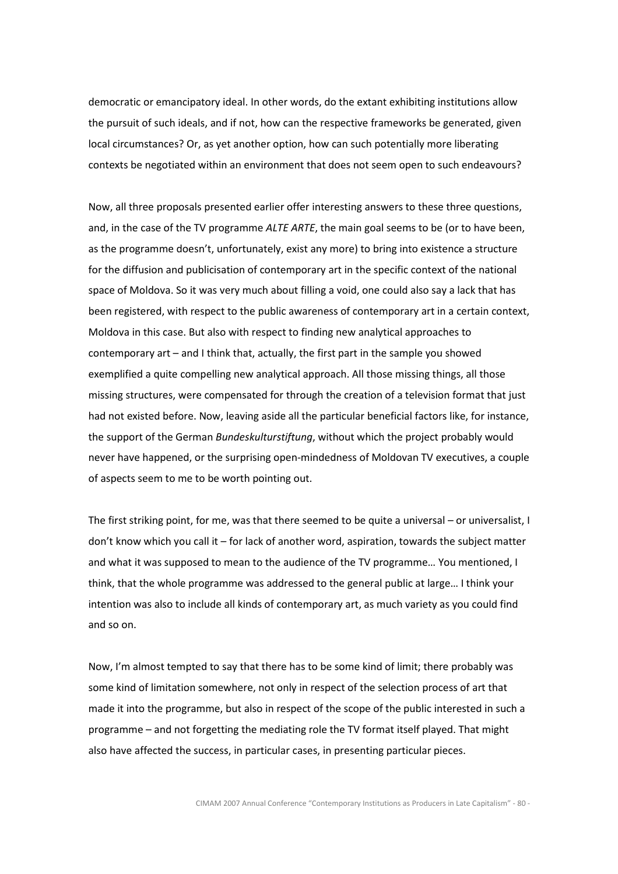democratic or emancipatory ideal. In other words, do the extant exhibiting institutions allow the pursuit of such ideals, and if not, how can the respective frameworks be generated, given local circumstances? Or, as yet another option, how can such potentially more liberating contexts be negotiated within an environment that does not seem open to such endeavours?

Now, all three proposals presented earlier offer interesting answers to these three questions, and, in the case of the TV programme ALTE ARTE, the main goal seems to be (or to have been, as the programme doesn't, unfortunately, exist any more) to bring into existence a structure for the diffusion and publicisation of contemporary art in the specific context of the national space of Moldova. So it was very much about filling a void, one could also say a lack that has been registered, with respect to the public awareness of contemporary art in a certain context, Moldova in this case. But also with respect to finding new analytical approaches to contemporary art – and I think that, actually, the first part in the sample you showed exemplified a quite compelling new analytical approach. All those missing things, all those missing structures, were compensated for through the creation of a television format that just had not existed before. Now, leaving aside all the particular beneficial factors like, for instance, the support of the German Bundeskulturstiftung, without which the project probably would never have happened, or the surprising open-mindedness of Moldovan TV executives, a couple of aspects seem to me to be worth pointing out.

The first striking point, for me, was that there seemed to be quite a universal – or universalist, I don't know which you call it – for lack of another word, aspiration, towards the subject matter and what it was supposed to mean to the audience of the TV programme… You mentioned, I think, that the whole programme was addressed to the general public at large… I think your intention was also to include all kinds of contemporary art, as much variety as you could find and so on.

Now, I'm almost tempted to say that there has to be some kind of limit; there probably was some kind of limitation somewhere, not only in respect of the selection process of art that made it into the programme, but also in respect of the scope of the public interested in such a programme – and not forgetting the mediating role the TV format itself played. That might also have affected the success, in particular cases, in presenting particular pieces.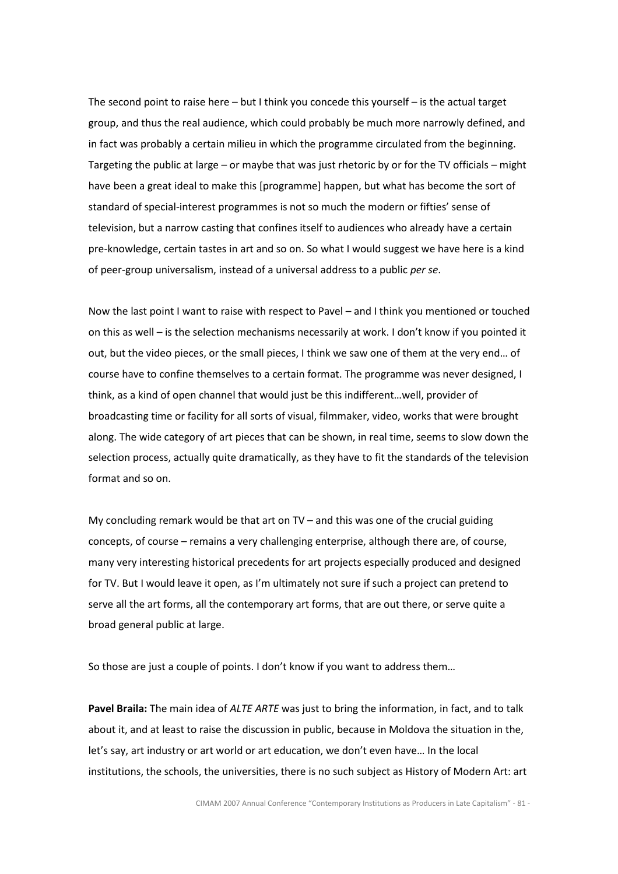The second point to raise here – but I think you concede this yourself – is the actual target group, and thus the real audience, which could probably be much more narrowly defined, and in fact was probably a certain milieu in which the programme circulated from the beginning. Targeting the public at large – or maybe that was just rhetoric by or for the TV officials – might have been a great ideal to make this [programme] happen, but what has become the sort of standard of special-interest programmes is not so much the modern or fifties' sense of television, but a narrow casting that confines itself to audiences who already have a certain pre-knowledge, certain tastes in art and so on. So what I would suggest we have here is a kind of peer-group universalism, instead of a universal address to a public per se.

Now the last point I want to raise with respect to Pavel – and I think you mentioned or touched on this as well – is the selection mechanisms necessarily at work. I don't know if you pointed it out, but the video pieces, or the small pieces, I think we saw one of them at the very end… of course have to confine themselves to a certain format. The programme was never designed, I think, as a kind of open channel that would just be this indifferent…well, provider of broadcasting time or facility for all sorts of visual, filmmaker, video, works that were brought along. The wide category of art pieces that can be shown, in real time, seems to slow down the selection process, actually quite dramatically, as they have to fit the standards of the television format and so on.

My concluding remark would be that art on  $TV$  – and this was one of the crucial guiding concepts, of course – remains a very challenging enterprise, although there are, of course, many very interesting historical precedents for art projects especially produced and designed for TV. But I would leave it open, as I'm ultimately not sure if such a project can pretend to serve all the art forms, all the contemporary art forms, that are out there, or serve quite a broad general public at large.

So those are just a couple of points. I don't know if you want to address them…

Pavel Braila: The main idea of ALTE ARTE was just to bring the information, in fact, and to talk about it, and at least to raise the discussion in public, because in Moldova the situation in the, let's say, art industry or art world or art education, we don't even have… In the local institutions, the schools, the universities, there is no such subject as History of Modern Art: art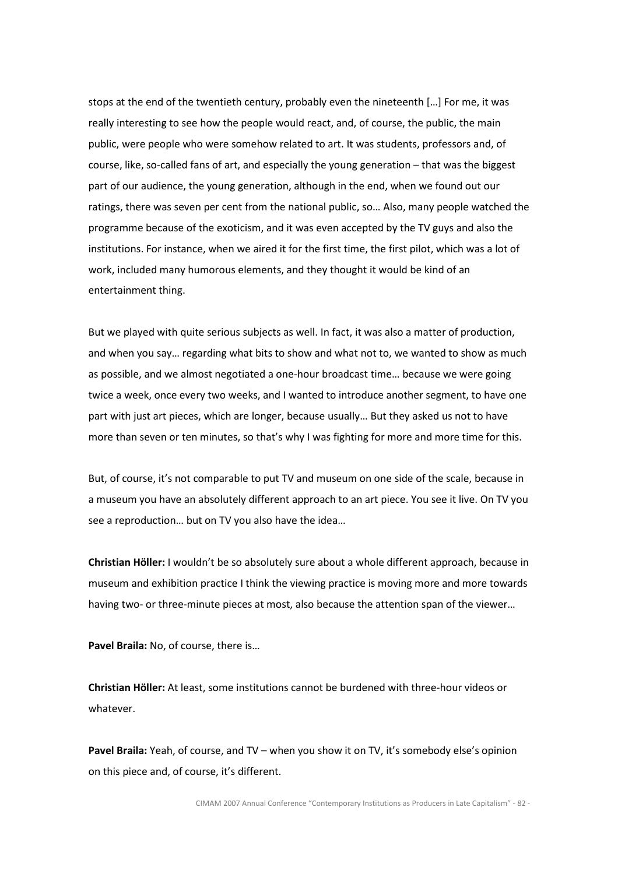stops at the end of the twentieth century, probably even the nineteenth […] For me, it was really interesting to see how the people would react, and, of course, the public, the main public, were people who were somehow related to art. It was students, professors and, of course, like, so-called fans of art, and especially the young generation – that was the biggest part of our audience, the young generation, although in the end, when we found out our ratings, there was seven per cent from the national public, so… Also, many people watched the programme because of the exoticism, and it was even accepted by the TV guys and also the institutions. For instance, when we aired it for the first time, the first pilot, which was a lot of work, included many humorous elements, and they thought it would be kind of an entertainment thing.

But we played with quite serious subjects as well. In fact, it was also a matter of production, and when you say… regarding what bits to show and what not to, we wanted to show as much as possible, and we almost negotiated a one-hour broadcast time… because we were going twice a week, once every two weeks, and I wanted to introduce another segment, to have one part with just art pieces, which are longer, because usually… But they asked us not to have more than seven or ten minutes, so that's why I was fighting for more and more time for this.

But, of course, it's not comparable to put TV and museum on one side of the scale, because in a museum you have an absolutely different approach to an art piece. You see it live. On TV you see a reproduction… but on TV you also have the idea…

Christian Höller: I wouldn't be so absolutely sure about a whole different approach, because in museum and exhibition practice I think the viewing practice is moving more and more towards having two- or three-minute pieces at most, also because the attention span of the viewer…

Pavel Braila: No, of course, there is...

Christian Höller: At least, some institutions cannot be burdened with three-hour videos or whatever.

Pavel Braila: Yeah, of course, and TV – when you show it on TV, it's somebody else's opinion on this piece and, of course, it's different.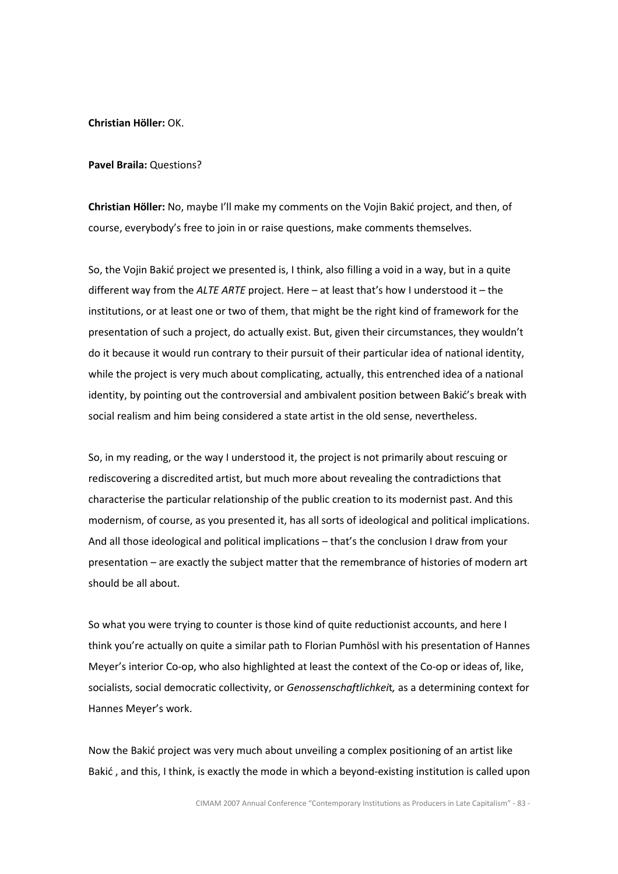Christian Höller: OK.

Pavel Braila: Questions?

Christian Höller: No, maybe I'll make my comments on the Vojin Bakić project, and then, of course, everybody's free to join in or raise questions, make comments themselves.

So, the Vojin Bakić project we presented is, I think, also filling a void in a way, but in a quite different way from the ALTE ARTE project. Here  $-$  at least that's how I understood it  $-$  the institutions, or at least one or two of them, that might be the right kind of framework for the presentation of such a project, do actually exist. But, given their circumstances, they wouldn't do it because it would run contrary to their pursuit of their particular idea of national identity, while the project is very much about complicating, actually, this entrenched idea of a national identity, by pointing out the controversial and ambivalent position between Bakić's break with social realism and him being considered a state artist in the old sense, nevertheless.

So, in my reading, or the way I understood it, the project is not primarily about rescuing or rediscovering a discredited artist, but much more about revealing the contradictions that characterise the particular relationship of the public creation to its modernist past. And this modernism, of course, as you presented it, has all sorts of ideological and political implications. And all those ideological and political implications – that's the conclusion I draw from your presentation – are exactly the subject matter that the remembrance of histories of modern art should be all about.

So what you were trying to counter is those kind of quite reductionist accounts, and here I think you're actually on quite a similar path to Florian Pumhösl with his presentation of Hannes Meyer's interior Co-op, who also highlighted at least the context of the Co-op or ideas of, like, socialists, social democratic collectivity, or *Genossenschaftlichkeit*, as a determining context for Hannes Meyer's work.

Now the Bakić project was very much about unveiling a complex positioning of an artist like Bakić , and this, I think, is exactly the mode in which a beyond-existing institution is called upon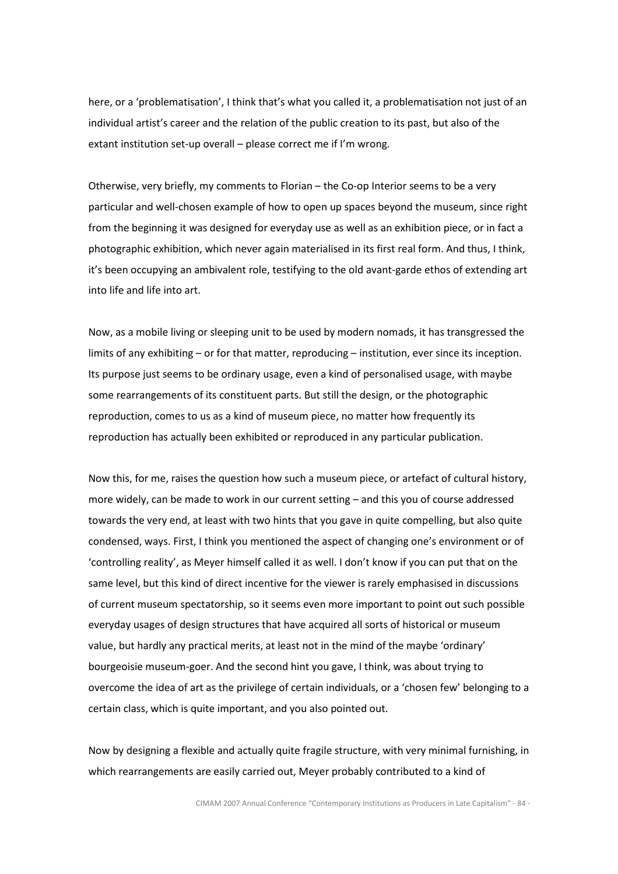here, or a 'problematisation', I think that's what you called it, a problematisation not just of an individual artist's career and the relation of the public creation to its past, but also of the extant institution set-up overall – please correct me if I'm wrong.

Otherwise, very briefly, my comments to Florian – the Co-op Interior seems to be a very particular and well-chosen example of how to open up spaces beyond the museum, since right from the beginning it was designed for everyday use as well as an exhibition piece, or in fact a photographic exhibition, which never again materialised in its first real form. And thus, I think, it's been occupying an ambivalent role, testifying to the old avant-garde ethos of extending art into life and life into art.

Now, as a mobile living or sleeping unit to be used by modern nomads, it has transgressed the limits of any exhibiting – or for that matter, reproducing – institution, ever since its inception. Its purpose just seems to be ordinary usage, even a kind of personalised usage, with maybe some rearrangements of its constituent parts. But still the design, or the photographic reproduction, comes to us as a kind of museum piece, no matter how frequently its reproduction has actually been exhibited or reproduced in any particular publication.

Now this, for me, raises the question how such a museum piece, or artefact of cultural history, more widely, can be made to work in our current setting – and this you of course addressed towards the very end, at least with two hints that you gave in quite compelling, but also quite condensed, ways. First, I think you mentioned the aspect of changing one's environment or of 'controlling reality', as Meyer himself called it as well. I don't know if you can put that on the same level, but this kind of direct incentive for the viewer is rarely emphasised in discussions of current museum spectatorship, so it seems even more important to point out such possible everyday usages of design structures that have acquired all sorts of historical or museum value, but hardly any practical merits, at least not in the mind of the maybe 'ordinary' bourgeoisie museum-goer. And the second hint you gave, I think, was about trying to overcome the idea of art as the privilege of certain individuals, or a 'chosen few' belonging to a certain class, which is quite important, and you also pointed out.

Now by designing a flexible and actually quite fragile structure, with very minimal furnishing, in which rearrangements are easily carried out, Meyer probably contributed to a kind of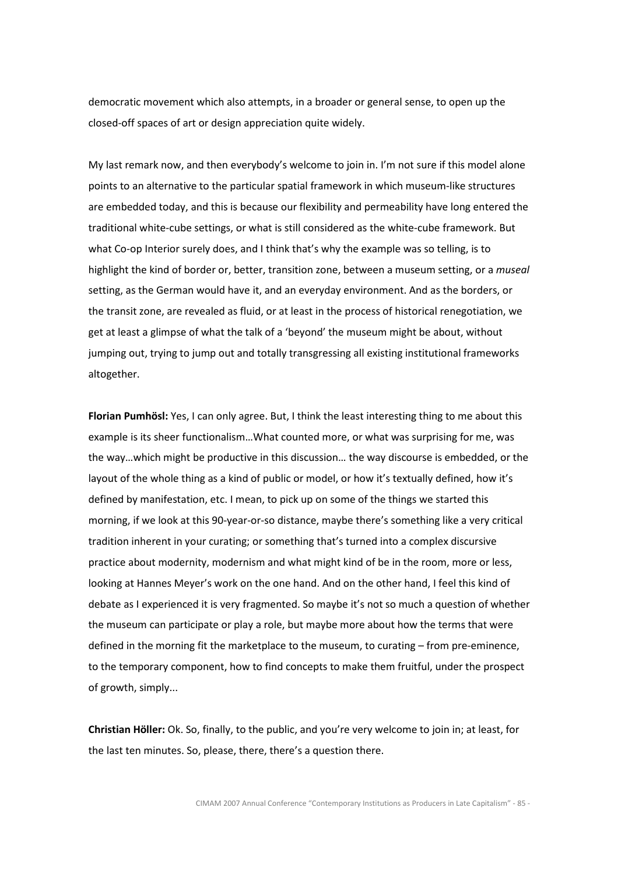democratic movement which also attempts, in a broader or general sense, to open up the closed-off spaces of art or design appreciation quite widely.

My last remark now, and then everybody's welcome to join in. I'm not sure if this model alone points to an alternative to the particular spatial framework in which museum-like structures are embedded today, and this is because our flexibility and permeability have long entered the traditional white-cube settings, or what is still considered as the white-cube framework. But what Co-op Interior surely does, and I think that's why the example was so telling, is to highlight the kind of border or, better, transition zone, between a museum setting, or a museal setting, as the German would have it, and an everyday environment. And as the borders, or the transit zone, are revealed as fluid, or at least in the process of historical renegotiation, we get at least a glimpse of what the talk of a 'beyond' the museum might be about, without jumping out, trying to jump out and totally transgressing all existing institutional frameworks altogether.

Florian Pumhösl: Yes, I can only agree. But, I think the least interesting thing to me about this example is its sheer functionalism…What counted more, or what was surprising for me, was the way…which might be productive in this discussion… the way discourse is embedded, or the layout of the whole thing as a kind of public or model, or how it's textually defined, how it's defined by manifestation, etc. I mean, to pick up on some of the things we started this morning, if we look at this 90-year-or-so distance, maybe there's something like a very critical tradition inherent in your curating; or something that's turned into a complex discursive practice about modernity, modernism and what might kind of be in the room, more or less, looking at Hannes Meyer's work on the one hand. And on the other hand, I feel this kind of debate as I experienced it is very fragmented. So maybe it's not so much a question of whether the museum can participate or play a role, but maybe more about how the terms that were defined in the morning fit the marketplace to the museum, to curating – from pre-eminence, to the temporary component, how to find concepts to make them fruitful, under the prospect of growth, simply...

Christian Höller: Ok. So, finally, to the public, and you're very welcome to join in; at least, for the last ten minutes. So, please, there, there's a question there.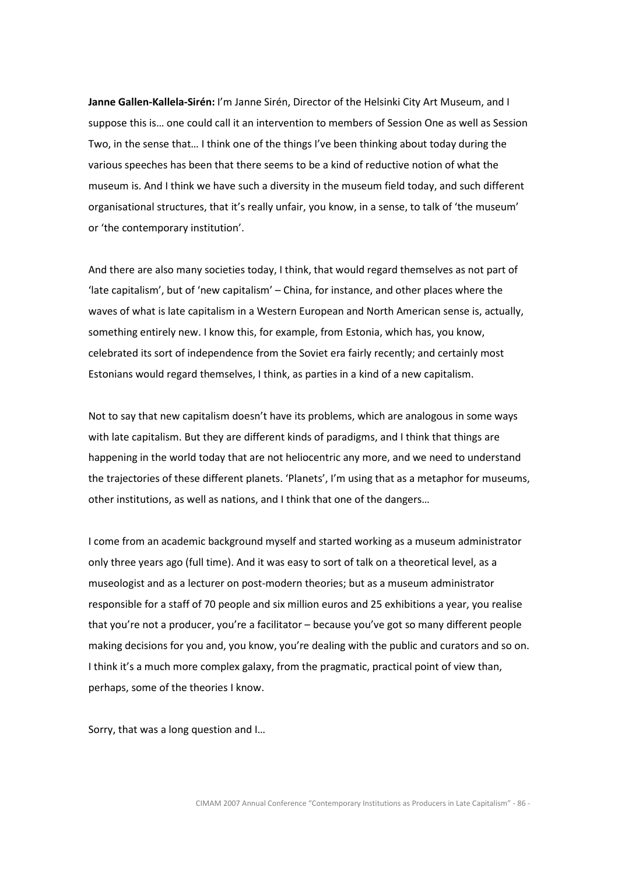Janne Gallen-Kallela-Sirén: I'm Janne Sirén, Director of the Helsinki City Art Museum, and I suppose this is… one could call it an intervention to members of Session One as well as Session Two, in the sense that… I think one of the things I've been thinking about today during the various speeches has been that there seems to be a kind of reductive notion of what the museum is. And I think we have such a diversity in the museum field today, and such different organisational structures, that it's really unfair, you know, in a sense, to talk of 'the museum' or 'the contemporary institution'.

And there are also many societies today, I think, that would regard themselves as not part of 'late capitalism', but of 'new capitalism' – China, for instance, and other places where the waves of what is late capitalism in a Western European and North American sense is, actually, something entirely new. I know this, for example, from Estonia, which has, you know, celebrated its sort of independence from the Soviet era fairly recently; and certainly most Estonians would regard themselves, I think, as parties in a kind of a new capitalism.

Not to say that new capitalism doesn't have its problems, which are analogous in some ways with late capitalism. But they are different kinds of paradigms, and I think that things are happening in the world today that are not heliocentric any more, and we need to understand the trajectories of these different planets. 'Planets', I'm using that as a metaphor for museums, other institutions, as well as nations, and I think that one of the dangers…

I come from an academic background myself and started working as a museum administrator only three years ago (full time). And it was easy to sort of talk on a theoretical level, as a museologist and as a lecturer on post-modern theories; but as a museum administrator responsible for a staff of 70 people and six million euros and 25 exhibitions a year, you realise that you're not a producer, you're a facilitator – because you've got so many different people making decisions for you and, you know, you're dealing with the public and curators and so on. I think it's a much more complex galaxy, from the pragmatic, practical point of view than, perhaps, some of the theories I know.

Sorry, that was a long question and I…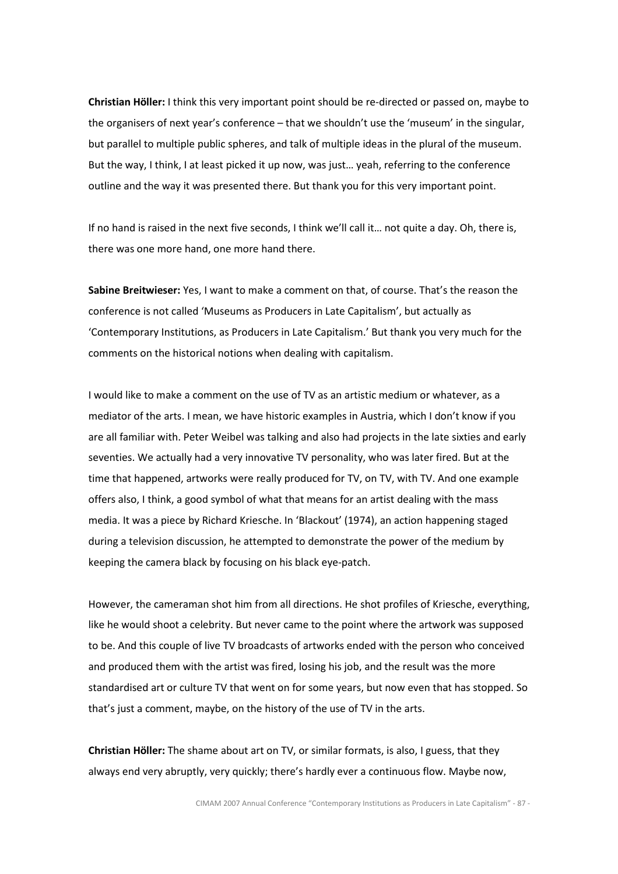Christian Höller: I think this very important point should be re-directed or passed on, maybe to the organisers of next year's conference – that we shouldn't use the 'museum' in the singular, but parallel to multiple public spheres, and talk of multiple ideas in the plural of the museum. But the way, I think, I at least picked it up now, was just… yeah, referring to the conference outline and the way it was presented there. But thank you for this very important point.

If no hand is raised in the next five seconds, I think we'll call it… not quite a day. Oh, there is, there was one more hand, one more hand there.

Sabine Breitwieser: Yes, I want to make a comment on that, of course. That's the reason the conference is not called 'Museums as Producers in Late Capitalism', but actually as 'Contemporary Institutions, as Producers in Late Capitalism.' But thank you very much for the comments on the historical notions when dealing with capitalism.

I would like to make a comment on the use of TV as an artistic medium or whatever, as a mediator of the arts. I mean, we have historic examples in Austria, which I don't know if you are all familiar with. Peter Weibel was talking and also had projects in the late sixties and early seventies. We actually had a very innovative TV personality, who was later fired. But at the time that happened, artworks were really produced for TV, on TV, with TV. And one example offers also, I think, a good symbol of what that means for an artist dealing with the mass media. It was a piece by Richard Kriesche. In 'Blackout' (1974), an action happening staged during a television discussion, he attempted to demonstrate the power of the medium by keeping the camera black by focusing on his black eye-patch.

However, the cameraman shot him from all directions. He shot profiles of Kriesche, everything, like he would shoot a celebrity. But never came to the point where the artwork was supposed to be. And this couple of live TV broadcasts of artworks ended with the person who conceived and produced them with the artist was fired, losing his job, and the result was the more standardised art or culture TV that went on for some years, but now even that has stopped. So that's just a comment, maybe, on the history of the use of TV in the arts.

Christian Höller: The shame about art on TV, or similar formats, is also, I guess, that they always end very abruptly, very quickly; there's hardly ever a continuous flow. Maybe now,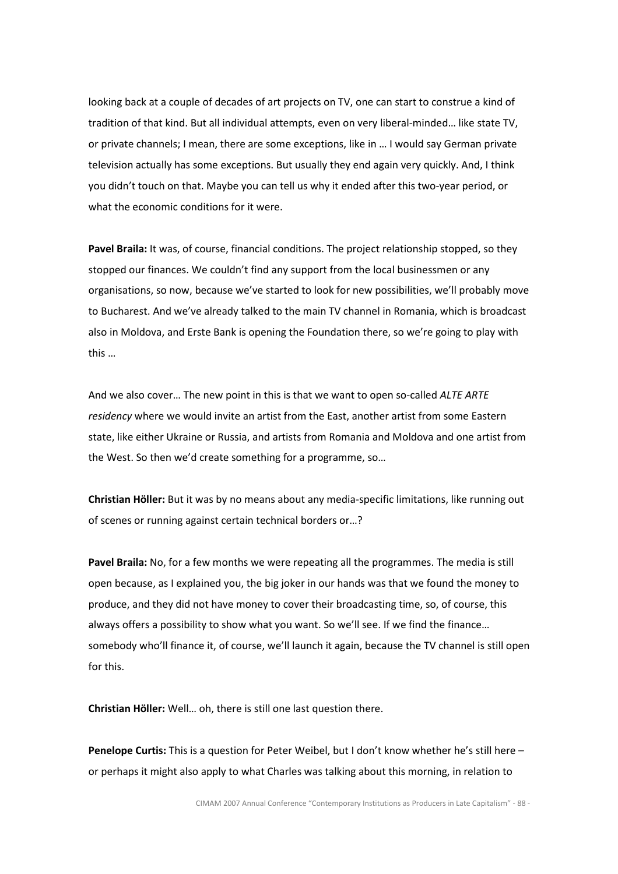looking back at a couple of decades of art projects on TV, one can start to construe a kind of tradition of that kind. But all individual attempts, even on very liberal-minded… like state TV, or private channels; I mean, there are some exceptions, like in … I would say German private television actually has some exceptions. But usually they end again very quickly. And, I think you didn't touch on that. Maybe you can tell us why it ended after this two-year period, or what the economic conditions for it were.

Pavel Braila: It was, of course, financial conditions. The project relationship stopped, so they stopped our finances. We couldn't find any support from the local businessmen or any organisations, so now, because we've started to look for new possibilities, we'll probably move to Bucharest. And we've already talked to the main TV channel in Romania, which is broadcast also in Moldova, and Erste Bank is opening the Foundation there, so we're going to play with this …

And we also cover... The new point in this is that we want to open so-called ALTE ARTE residency where we would invite an artist from the East, another artist from some Eastern state, like either Ukraine or Russia, and artists from Romania and Moldova and one artist from the West. So then we'd create something for a programme, so…

Christian Höller: But it was by no means about any media-specific limitations, like running out of scenes or running against certain technical borders or…?

Pavel Braila: No, for a few months we were repeating all the programmes. The media is still open because, as I explained you, the big joker in our hands was that we found the money to produce, and they did not have money to cover their broadcasting time, so, of course, this always offers a possibility to show what you want. So we'll see. If we find the finance… somebody who'll finance it, of course, we'll launch it again, because the TV channel is still open for this.

Christian Höller: Well… oh, there is still one last question there.

Penelope Curtis: This is a question for Peter Weibel, but I don't know whether he's still here or perhaps it might also apply to what Charles was talking about this morning, in relation to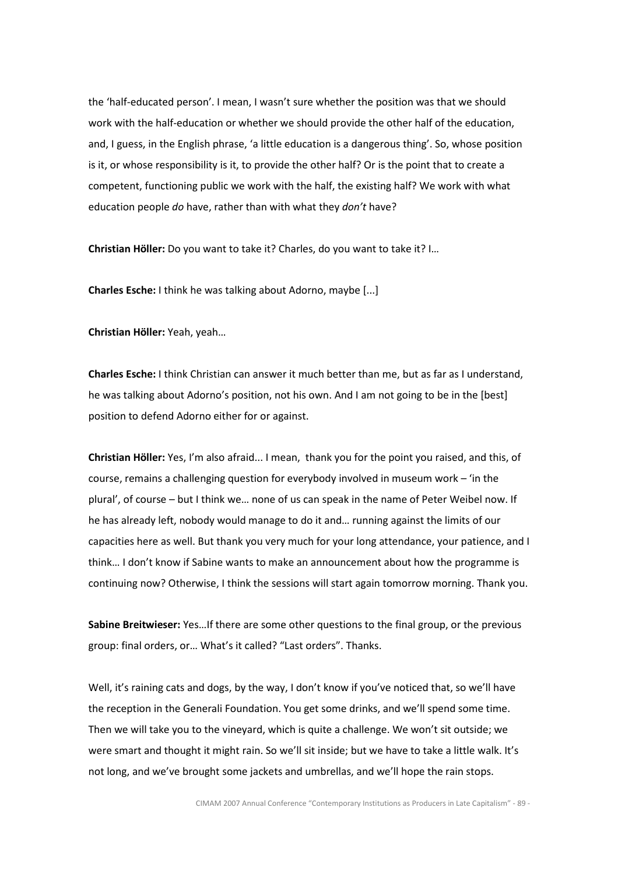the 'half-educated person'. I mean, I wasn't sure whether the position was that we should work with the half-education or whether we should provide the other half of the education, and, I guess, in the English phrase, 'a little education is a dangerous thing'. So, whose position is it, or whose responsibility is it, to provide the other half? Or is the point that to create a competent, functioning public we work with the half, the existing half? We work with what education people do have, rather than with what they don't have?

Christian Höller: Do you want to take it? Charles, do you want to take it? I…

Charles Esche: I think he was talking about Adorno, maybe [...]

Christian Höller: Yeah, yeah…

Charles Esche: I think Christian can answer it much better than me, but as far as I understand, he was talking about Adorno's position, not his own. And I am not going to be in the [best] position to defend Adorno either for or against.

Christian Höller: Yes, I'm also afraid... I mean, thank you for the point you raised, and this, of course, remains a challenging question for everybody involved in museum work – 'in the plural', of course – but I think we… none of us can speak in the name of Peter Weibel now. If he has already left, nobody would manage to do it and… running against the limits of our capacities here as well. But thank you very much for your long attendance, your patience, and I think… I don't know if Sabine wants to make an announcement about how the programme is continuing now? Otherwise, I think the sessions will start again tomorrow morning. Thank you.

Sabine Breitwieser: Yes... If there are some other questions to the final group, or the previous group: final orders, or… What's it called? "Last orders". Thanks.

Well, it's raining cats and dogs, by the way, I don't know if you've noticed that, so we'll have the reception in the Generali Foundation. You get some drinks, and we'll spend some time. Then we will take you to the vineyard, which is quite a challenge. We won't sit outside; we were smart and thought it might rain. So we'll sit inside; but we have to take a little walk. It's not long, and we've brought some jackets and umbrellas, and we'll hope the rain stops.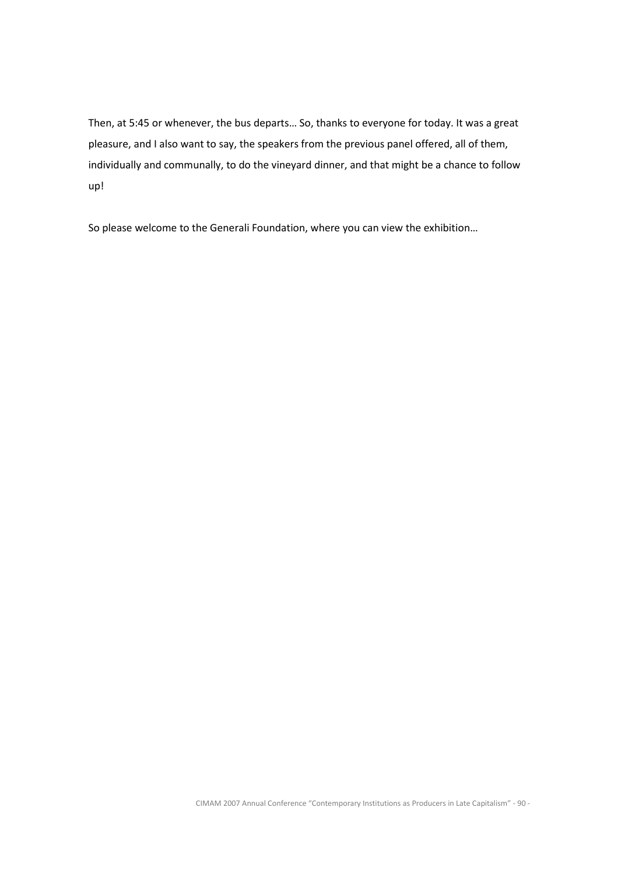Then, at 5:45 or whenever, the bus departs… So, thanks to everyone for today. It was a great pleasure, and I also want to say, the speakers from the previous panel offered, all of them, individually and communally, to do the vineyard dinner, and that might be a chance to follow up!

So please welcome to the Generali Foundation, where you can view the exhibition…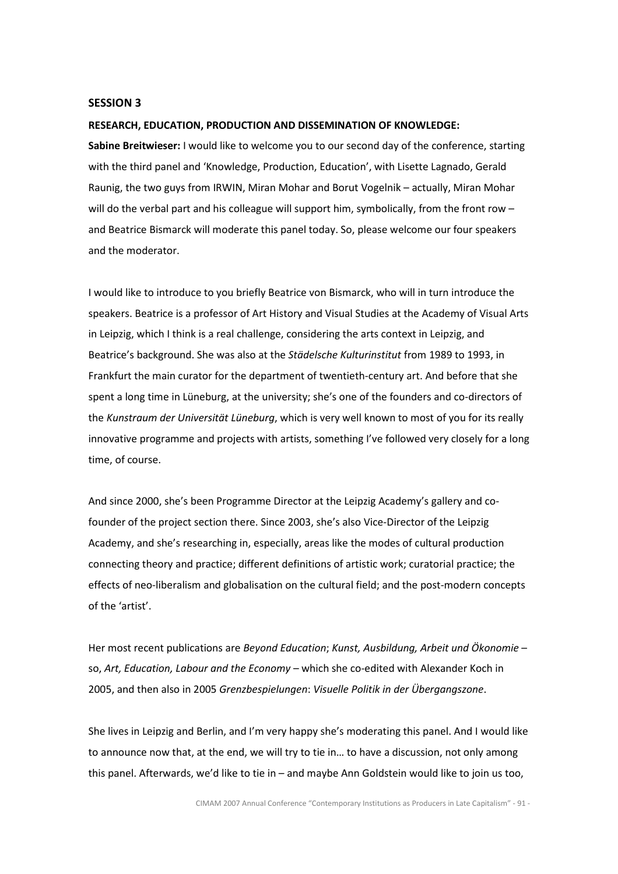## SESSION 3

## RESEARCH, EDUCATION, PRODUCTION AND DISSEMINATION OF KNOWLEDGE:

Sabine Breitwieser: I would like to welcome you to our second day of the conference, starting with the third panel and 'Knowledge, Production, Education', with Lisette Lagnado, Gerald Raunig, the two guys from IRWIN, Miran Mohar and Borut Vogelnik – actually, Miran Mohar will do the verbal part and his colleague will support him, symbolically, from the front row and Beatrice Bismarck will moderate this panel today. So, please welcome our four speakers and the moderator.

I would like to introduce to you briefly Beatrice von Bismarck, who will in turn introduce the speakers. Beatrice is a professor of Art History and Visual Studies at the Academy of Visual Arts in Leipzig, which I think is a real challenge, considering the arts context in Leipzig, and Beatrice's background. She was also at the Städelsche Kulturinstitut from 1989 to 1993, in Frankfurt the main curator for the department of twentieth-century art. And before that she spent a long time in Lüneburg, at the university; she's one of the founders and co-directors of the Kunstraum der Universität Lüneburg, which is very well known to most of you for its really innovative programme and projects with artists, something I've followed very closely for a long time, of course.

And since 2000, she's been Programme Director at the Leipzig Academy's gallery and cofounder of the project section there. Since 2003, she's also Vice-Director of the Leipzig Academy, and she's researching in, especially, areas like the modes of cultural production connecting theory and practice; different definitions of artistic work; curatorial practice; the effects of neo-liberalism and globalisation on the cultural field; and the post-modern concepts of the 'artist'.

Her most recent publications are Beyond Education; Kunst, Ausbildung, Arbeit und Ökonomie – so, Art, Education, Labour and the Economy - which she co-edited with Alexander Koch in 2005, and then also in 2005 Grenzbespielungen: Visuelle Politik in der Übergangszone.

She lives in Leipzig and Berlin, and I'm very happy she's moderating this panel. And I would like to announce now that, at the end, we will try to tie in… to have a discussion, not only among this panel. Afterwards, we'd like to tie in – and maybe Ann Goldstein would like to join us too,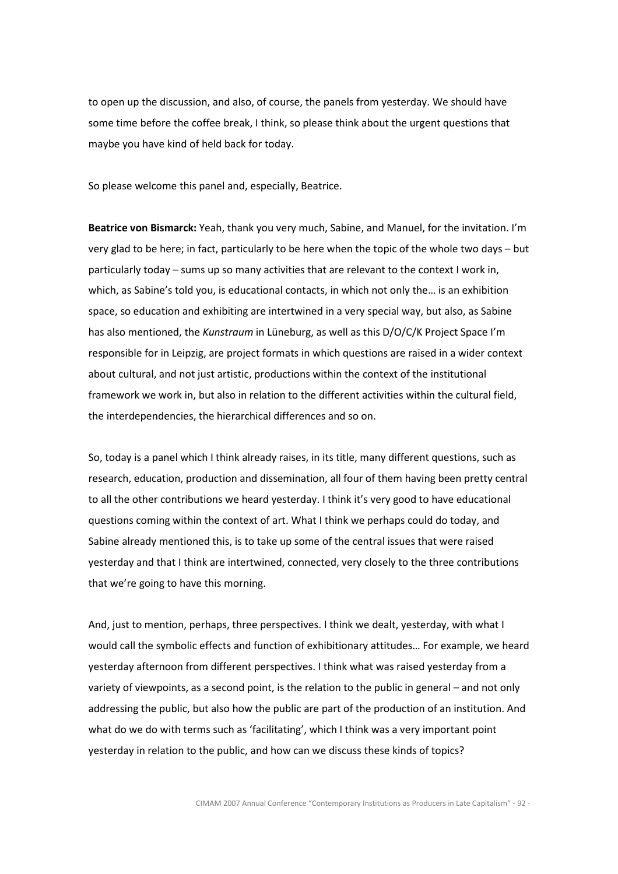to open up the discussion, and also, of course, the panels from yesterday. We should have some time before the coffee break, I think, so please think about the urgent questions that maybe you have kind of held back for today.

So please welcome this panel and, especially, Beatrice.

Beatrice von Bismarck: Yeah, thank you very much, Sabine, and Manuel, for the invitation. I'm very glad to be here; in fact, particularly to be here when the topic of the whole two days – but particularly today – sums up so many activities that are relevant to the context I work in, which, as Sabine's told you, is educational contacts, in which not only the… is an exhibition space, so education and exhibiting are intertwined in a very special way, but also, as Sabine has also mentioned, the Kunstraum in Lüneburg, as well as this D/O/C/K Project Space I'm responsible for in Leipzig, are project formats in which questions are raised in a wider context about cultural, and not just artistic, productions within the context of the institutional framework we work in, but also in relation to the different activities within the cultural field, the interdependencies, the hierarchical differences and so on.

So, today is a panel which I think already raises, in its title, many different questions, such as research, education, production and dissemination, all four of them having been pretty central to all the other contributions we heard yesterday. I think it's very good to have educational questions coming within the context of art. What I think we perhaps could do today, and Sabine already mentioned this, is to take up some of the central issues that were raised yesterday and that I think are intertwined, connected, very closely to the three contributions that we're going to have this morning.

And, just to mention, perhaps, three perspectives. I think we dealt, yesterday, with what I would call the symbolic effects and function of exhibitionary attitudes… For example, we heard yesterday afternoon from different perspectives. I think what was raised yesterday from a variety of viewpoints, as a second point, is the relation to the public in general – and not only addressing the public, but also how the public are part of the production of an institution. And what do we do with terms such as 'facilitating', which I think was a very important point yesterday in relation to the public, and how can we discuss these kinds of topics?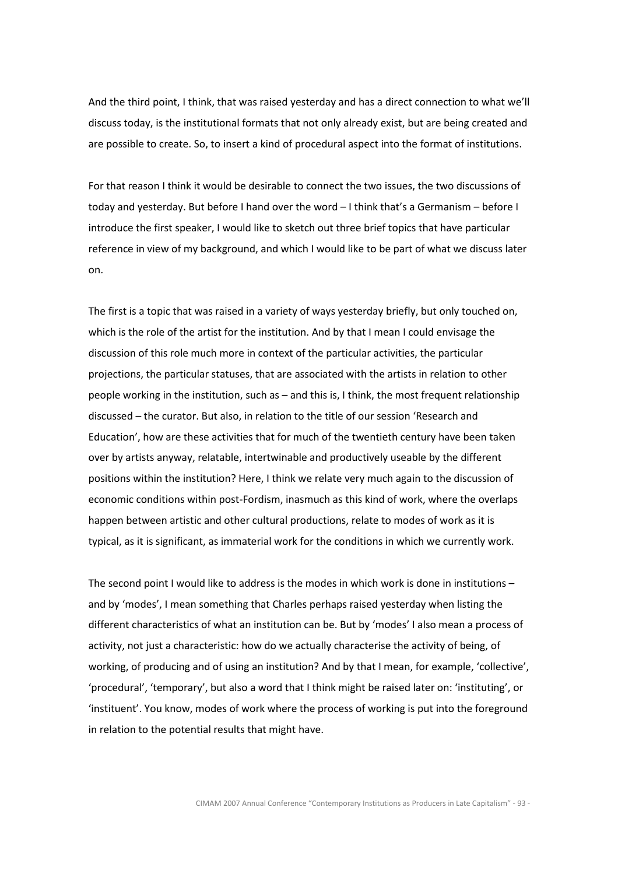And the third point, I think, that was raised yesterday and has a direct connection to what we'll discuss today, is the institutional formats that not only already exist, but are being created and are possible to create. So, to insert a kind of procedural aspect into the format of institutions.

For that reason I think it would be desirable to connect the two issues, the two discussions of today and yesterday. But before I hand over the word – I think that's a Germanism – before I introduce the first speaker, I would like to sketch out three brief topics that have particular reference in view of my background, and which I would like to be part of what we discuss later on.

The first is a topic that was raised in a variety of ways yesterday briefly, but only touched on, which is the role of the artist for the institution. And by that I mean I could envisage the discussion of this role much more in context of the particular activities, the particular projections, the particular statuses, that are associated with the artists in relation to other people working in the institution, such as – and this is, I think, the most frequent relationship discussed – the curator. But also, in relation to the title of our session 'Research and Education', how are these activities that for much of the twentieth century have been taken over by artists anyway, relatable, intertwinable and productively useable by the different positions within the institution? Here, I think we relate very much again to the discussion of economic conditions within post-Fordism, inasmuch as this kind of work, where the overlaps happen between artistic and other cultural productions, relate to modes of work as it is typical, as it is significant, as immaterial work for the conditions in which we currently work.

The second point I would like to address is the modes in which work is done in institutions – and by 'modes', I mean something that Charles perhaps raised yesterday when listing the different characteristics of what an institution can be. But by 'modes' I also mean a process of activity, not just a characteristic: how do we actually characterise the activity of being, of working, of producing and of using an institution? And by that I mean, for example, 'collective', 'procedural', 'temporary', but also a word that I think might be raised later on: 'instituting', or 'instituent'. You know, modes of work where the process of working is put into the foreground in relation to the potential results that might have.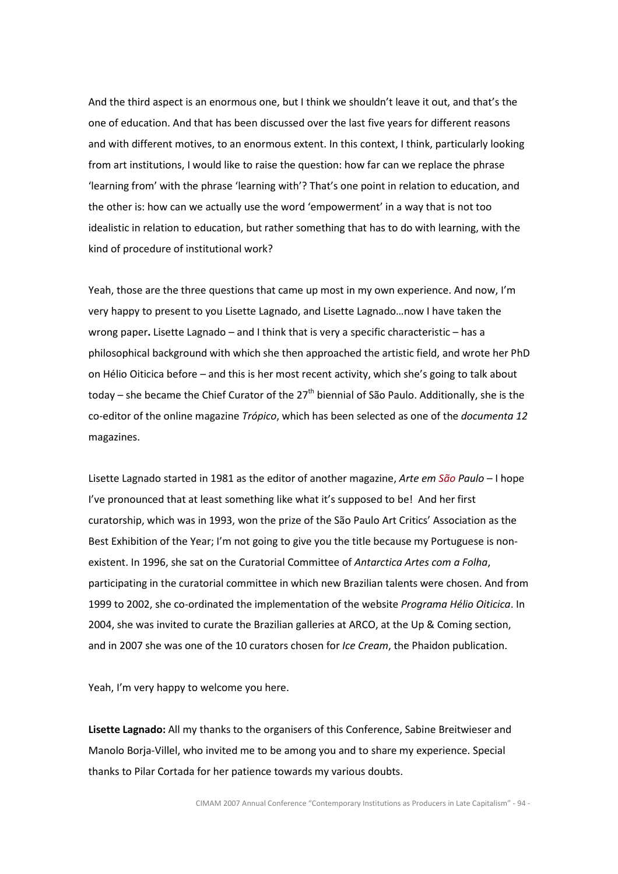And the third aspect is an enormous one, but I think we shouldn't leave it out, and that's the one of education. And that has been discussed over the last five years for different reasons and with different motives, to an enormous extent. In this context, I think, particularly looking from art institutions, I would like to raise the question: how far can we replace the phrase 'learning from' with the phrase 'learning with'? That's one point in relation to education, and the other is: how can we actually use the word 'empowerment' in a way that is not too idealistic in relation to education, but rather something that has to do with learning, with the kind of procedure of institutional work?

Yeah, those are the three questions that came up most in my own experience. And now, I'm very happy to present to you Lisette Lagnado, and Lisette Lagnado…now I have taken the wrong paper. Lisette Lagnado – and I think that is very a specific characteristic – has a philosophical background with which she then approached the artistic field, and wrote her PhD on Hélio Oiticica before – and this is her most recent activity, which she's going to talk about today – she became the Chief Curator of the 27<sup>th</sup> biennial of São Paulo. Additionally, she is the co-editor of the online magazine Trópico, which has been selected as one of the documenta 12 magazines.

Lisette Lagnado started in 1981 as the editor of another magazine, Arte em  $S\tilde{a}o$  Paulo – I hope I've pronounced that at least something like what it's supposed to be! And her first curatorship, which was in 1993, won the prize of the São Paulo Art Critics' Association as the Best Exhibition of the Year; I'm not going to give you the title because my Portuguese is nonexistent. In 1996, she sat on the Curatorial Committee of Antarctica Artes com a Folha, participating in the curatorial committee in which new Brazilian talents were chosen. And from 1999 to 2002, she co-ordinated the implementation of the website Programa Hélio Oiticica. In 2004, she was invited to curate the Brazilian galleries at ARCO, at the Up & Coming section, and in 2007 she was one of the 10 curators chosen for Ice Cream, the Phaidon publication.

Yeah, I'm very happy to welcome you here.

Lisette Lagnado: All my thanks to the organisers of this Conference, Sabine Breitwieser and Manolo Borja-Villel, who invited me to be among you and to share my experience. Special thanks to Pilar Cortada for her patience towards my various doubts.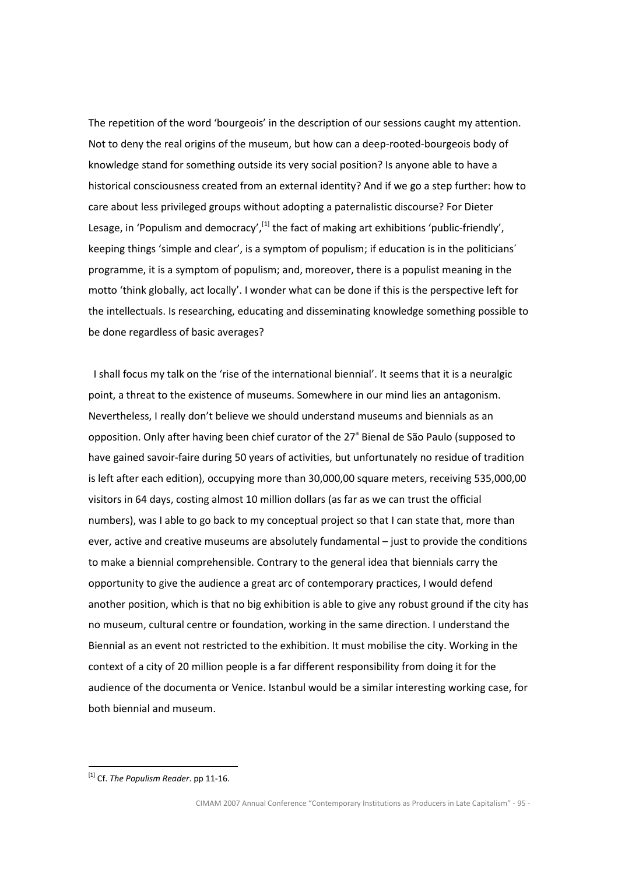The repetition of the word 'bourgeois' in the description of our sessions caught my attention. Not to deny the real origins of the museum, but how can a deep-rooted-bourgeois body of knowledge stand for something outside its very social position? Is anyone able to have a historical consciousness created from an external identity? And if we go a step further: how to care about less privileged groups without adopting a paternalistic discourse? For Dieter Lesage, in 'Populism and democracy',  $^{[1]}$  the fact of making art exhibitions 'public-friendly', keeping things 'simple and clear', is a symptom of populism; if education is in the politicians´ programme, it is a symptom of populism; and, moreover, there is a populist meaning in the motto 'think globally, act locally'. I wonder what can be done if this is the perspective left for the intellectuals. Is researching, educating and disseminating knowledge something possible to be done regardless of basic averages?

 I shall focus my talk on the 'rise of the international biennial'. It seems that it is a neuralgic point, a threat to the existence of museums. Somewhere in our mind lies an antagonism. Nevertheless, I really don't believe we should understand museums and biennials as an opposition. Only after having been chief curator of the 27<sup>ª</sup> Bienal de São Paulo (supposed to have gained savoir-faire during 50 years of activities, but unfortunately no residue of tradition is left after each edition), occupying more than 30,000,00 square meters, receiving 535,000,00 visitors in 64 days, costing almost 10 million dollars (as far as we can trust the official numbers), was I able to go back to my conceptual project so that I can state that, more than ever, active and creative museums are absolutely fundamental – just to provide the conditions to make a biennial comprehensible. Contrary to the general idea that biennials carry the opportunity to give the audience a great arc of contemporary practices, I would defend another position, which is that no big exhibition is able to give any robust ground if the city has no museum, cultural centre or foundation, working in the same direction. I understand the Biennial as an event not restricted to the exhibition. It must mobilise the city. Working in the context of a city of 20 million people is a far different responsibility from doing it for the audience of the documenta or Venice. Istanbul would be a similar interesting working case, for both biennial and museum.

 $\overline{a}$ 

 $^{[1]}$  Cf. The Populism Reader. pp 11-16.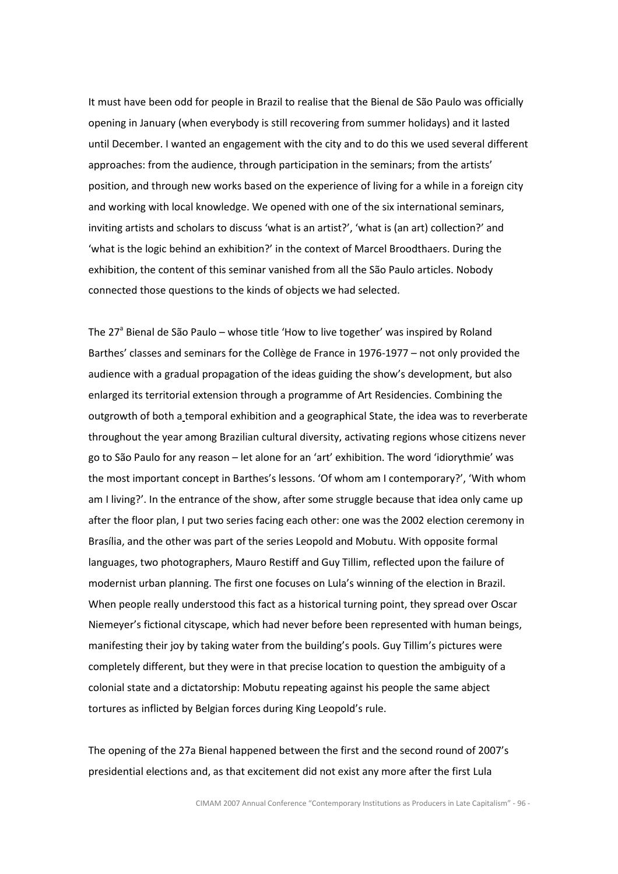It must have been odd for people in Brazil to realise that the Bienal de São Paulo was officially opening in January (when everybody is still recovering from summer holidays) and it lasted until December. I wanted an engagement with the city and to do this we used several different approaches: from the audience, through participation in the seminars; from the artists' position, and through new works based on the experience of living for a while in a foreign city and working with local knowledge. We opened with one of the six international seminars, inviting artists and scholars to discuss 'what is an artist?', 'what is (an art) collection?' and 'what is the logic behind an exhibition?' in the context of Marcel Broodthaers. During the exhibition, the content of this seminar vanished from all the São Paulo articles. Nobody connected those questions to the kinds of objects we had selected.

The 27<sup>ª</sup> Bienal de São Paulo – whose title 'How to live together' was inspired by Roland Barthes' classes and seminars for the Collège de France in 1976-1977 – not only provided the audience with a gradual propagation of the ideas guiding the show's development, but also enlarged its territorial extension through a programme of Art Residencies. Combining the outgrowth of both a temporal exhibition and a geographical State, the idea was to reverberate throughout the year among Brazilian cultural diversity, activating regions whose citizens never go to São Paulo for any reason – let alone for an 'art' exhibition. The word 'idiorythmie' was the most important concept in Barthes's lessons. 'Of whom am I contemporary?', 'With whom am I living?'. In the entrance of the show, after some struggle because that idea only came up after the floor plan, I put two series facing each other: one was the 2002 election ceremony in Brasília, and the other was part of the series Leopold and Mobutu. With opposite formal languages, two photographers, Mauro Restiff and Guy Tillim, reflected upon the failure of modernist urban planning. The first one focuses on Lula's winning of the election in Brazil. When people really understood this fact as a historical turning point, they spread over Oscar Niemeyer's fictional cityscape, which had never before been represented with human beings, manifesting their joy by taking water from the building's pools. Guy Tillim's pictures were completely different, but they were in that precise location to question the ambiguity of a colonial state and a dictatorship: Mobutu repeating against his people the same abject tortures as inflicted by Belgian forces during King Leopold's rule.

The opening of the 27a Bienal happened between the first and the second round of 2007's presidential elections and, as that excitement did not exist any more after the first Lula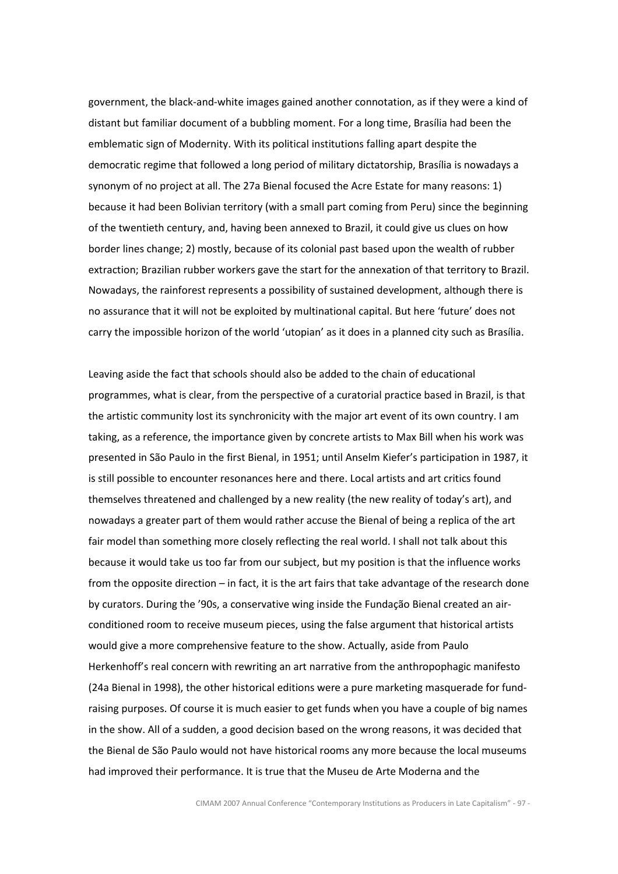government, the black-and-white images gained another connotation, as if they were a kind of distant but familiar document of a bubbling moment. For a long time, Brasília had been the emblematic sign of Modernity. With its political institutions falling apart despite the democratic regime that followed a long period of military dictatorship, Brasília is nowadays a synonym of no project at all. The 27a Bienal focused the Acre Estate for many reasons: 1) because it had been Bolivian territory (with a small part coming from Peru) since the beginning of the twentieth century, and, having been annexed to Brazil, it could give us clues on how border lines change; 2) mostly, because of its colonial past based upon the wealth of rubber extraction; Brazilian rubber workers gave the start for the annexation of that territory to Brazil. Nowadays, the rainforest represents a possibility of sustained development, although there is no assurance that it will not be exploited by multinational capital. But here 'future' does not carry the impossible horizon of the world 'utopian' as it does in a planned city such as Brasília.

Leaving aside the fact that schools should also be added to the chain of educational programmes, what is clear, from the perspective of a curatorial practice based in Brazil, is that the artistic community lost its synchronicity with the major art event of its own country. I am taking, as a reference, the importance given by concrete artists to Max Bill when his work was presented in São Paulo in the first Bienal, in 1951; until Anselm Kiefer's participation in 1987, it is still possible to encounter resonances here and there. Local artists and art critics found themselves threatened and challenged by a new reality (the new reality of today's art), and nowadays a greater part of them would rather accuse the Bienal of being a replica of the art fair model than something more closely reflecting the real world. I shall not talk about this because it would take us too far from our subject, but my position is that the influence works from the opposite direction – in fact, it is the art fairs that take advantage of the research done by curators. During the '90s, a conservative wing inside the Fundação Bienal created an airconditioned room to receive museum pieces, using the false argument that historical artists would give a more comprehensive feature to the show. Actually, aside from Paulo Herkenhoff's real concern with rewriting an art narrative from the anthropophagic manifesto (24a Bienal in 1998), the other historical editions were a pure marketing masquerade for fundraising purposes. Of course it is much easier to get funds when you have a couple of big names in the show. All of a sudden, a good decision based on the wrong reasons, it was decided that the Bienal de São Paulo would not have historical rooms any more because the local museums had improved their performance. It is true that the Museu de Arte Moderna and the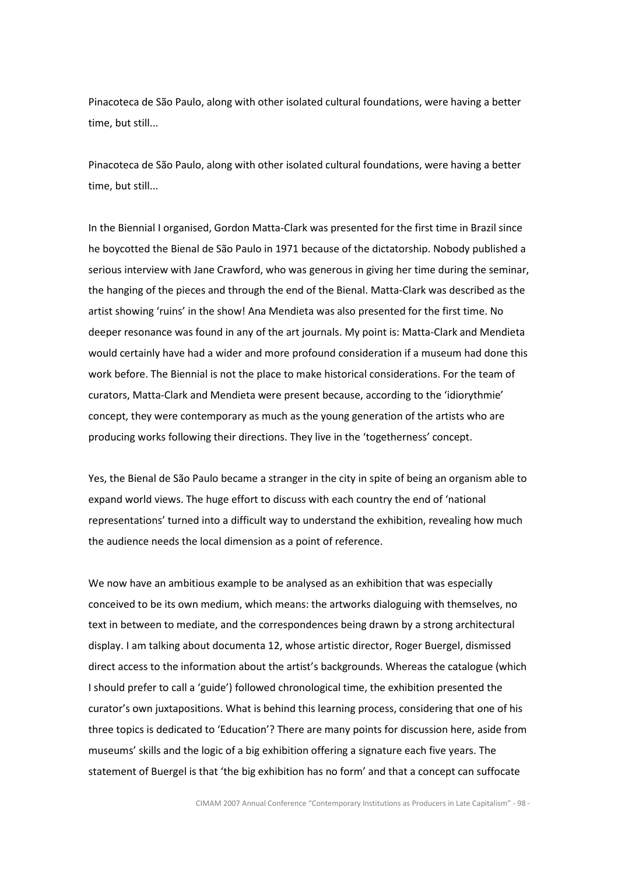Pinacoteca de São Paulo, along with other isolated cultural foundations, were having a better time, but still...

Pinacoteca de São Paulo, along with other isolated cultural foundations, were having a better time, but still...

In the Biennial I organised, Gordon Matta-Clark was presented for the first time in Brazil since he boycotted the Bienal de São Paulo in 1971 because of the dictatorship. Nobody published a serious interview with Jane Crawford, who was generous in giving her time during the seminar, the hanging of the pieces and through the end of the Bienal. Matta-Clark was described as the artist showing 'ruins' in the show! Ana Mendieta was also presented for the first time. No deeper resonance was found in any of the art journals. My point is: Matta-Clark and Mendieta would certainly have had a wider and more profound consideration if a museum had done this work before. The Biennial is not the place to make historical considerations. For the team of curators, Matta-Clark and Mendieta were present because, according to the 'idiorythmie' concept, they were contemporary as much as the young generation of the artists who are producing works following their directions. They live in the 'togetherness' concept.

Yes, the Bienal de São Paulo became a stranger in the city in spite of being an organism able to expand world views. The huge effort to discuss with each country the end of 'national representations' turned into a difficult way to understand the exhibition, revealing how much the audience needs the local dimension as a point of reference.

We now have an ambitious example to be analysed as an exhibition that was especially conceived to be its own medium, which means: the artworks dialoguing with themselves, no text in between to mediate, and the correspondences being drawn by a strong architectural display. I am talking about documenta 12, whose artistic director, Roger Buergel, dismissed direct access to the information about the artist's backgrounds. Whereas the catalogue (which I should prefer to call a 'guide') followed chronological time, the exhibition presented the curator's own juxtapositions. What is behind this learning process, considering that one of his three topics is dedicated to 'Education'? There are many points for discussion here, aside from museums' skills and the logic of a big exhibition offering a signature each five years. The statement of Buergel is that 'the big exhibition has no form' and that a concept can suffocate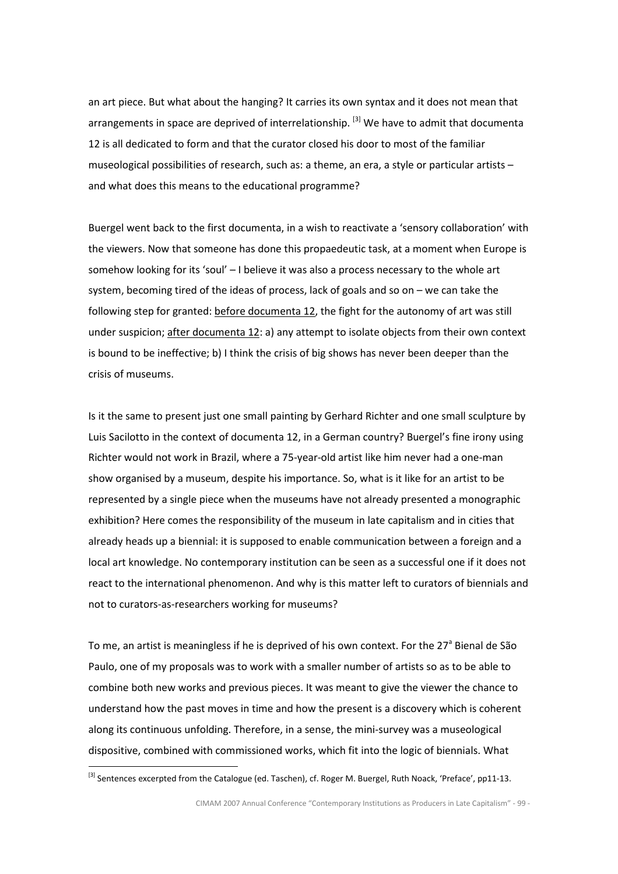an art piece. But what about the hanging? It carries its own syntax and it does not mean that arrangements in space are deprived of interrelationship.  $^{[3]}$  We have to admit that documenta 12 is all dedicated to form and that the curator closed his door to most of the familiar museological possibilities of research, such as: a theme, an era, a style or particular artists – and what does this means to the educational programme?

Buergel went back to the first documenta, in a wish to reactivate a 'sensory collaboration' with the viewers. Now that someone has done this propaedeutic task, at a moment when Europe is somehow looking for its 'soul' – I believe it was also a process necessary to the whole art system, becoming tired of the ideas of process, lack of goals and so on – we can take the following step for granted: before documenta 12, the fight for the autonomy of art was still under suspicion; after documenta 12: a) any attempt to isolate objects from their own context is bound to be ineffective; b) I think the crisis of big shows has never been deeper than the crisis of museums.

Is it the same to present just one small painting by Gerhard Richter and one small sculpture by Luis Sacilotto in the context of documenta 12, in a German country? Buergel's fine irony using Richter would not work in Brazil, where a 75-year-old artist like him never had a one-man show organised by a museum, despite his importance. So, what is it like for an artist to be represented by a single piece when the museums have not already presented a monographic exhibition? Here comes the responsibility of the museum in late capitalism and in cities that already heads up a biennial: it is supposed to enable communication between a foreign and a local art knowledge. No contemporary institution can be seen as a successful one if it does not react to the international phenomenon. And why is this matter left to curators of biennials and not to curators-as-researchers working for museums?

To me, an artist is meaningless if he is deprived of his own context. For the 27<sup>a</sup> Bienal de São Paulo, one of my proposals was to work with a smaller number of artists so as to be able to combine both new works and previous pieces. It was meant to give the viewer the chance to understand how the past moves in time and how the present is a discovery which is coherent along its continuous unfolding. Therefore, in a sense, the mini-survey was a museological dispositive, combined with commissioned works, which fit into the logic of biennials. What  $\overline{a}$ 

<sup>[3]</sup> Sentences excerpted from the Catalogue (ed. Taschen), cf. Roger M. Buergel, Ruth Noack, 'Preface', pp11-13.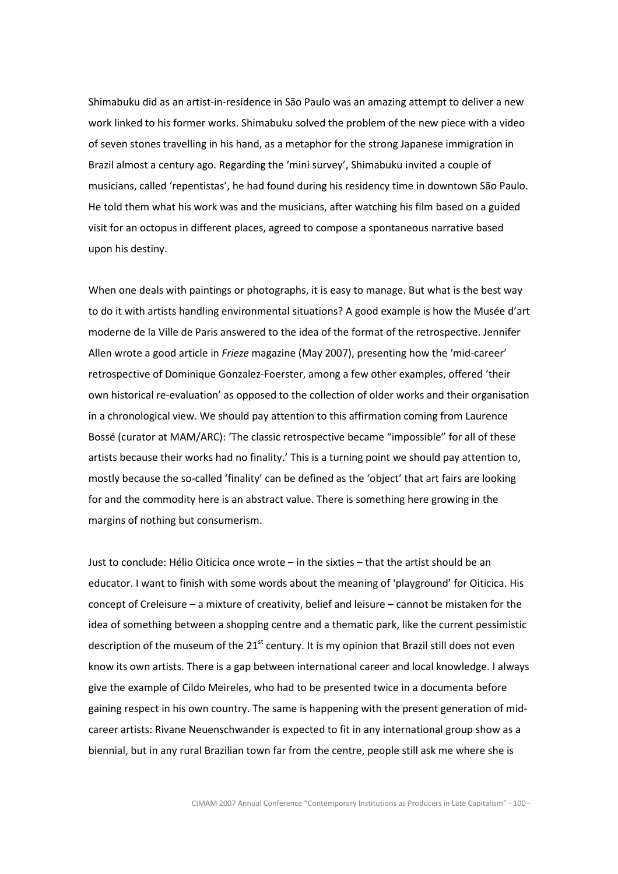Shimabuku did as an artist-in-residence in São Paulo was an amazing attempt to deliver a new work linked to his former works. Shimabuku solved the problem of the new piece with a video of seven stones travelling in his hand, as a metaphor for the strong Japanese immigration in Brazil almost a century ago. Regarding the 'mini survey', Shimabuku invited a couple of musicians, called 'repentistas', he had found during his residency time in downtown São Paulo. He told them what his work was and the musicians, after watching his film based on a guided visit for an octopus in different places, agreed to compose a spontaneous narrative based upon his destiny.

When one deals with paintings or photographs, it is easy to manage. But what is the best way to do it with artists handling environmental situations? A good example is how the Musée d'art moderne de la Ville de Paris answered to the idea of the format of the retrospective. Jennifer Allen wrote a good article in Frieze magazine (May 2007), presenting how the 'mid-career' retrospective of Dominique Gonzalez-Foerster, among a few other examples, offered 'their own historical re-evaluation' as opposed to the collection of older works and their organisation in a chronological view. We should pay attention to this affirmation coming from Laurence Bossé (curator at MAM/ARC): 'The classic retrospective became "impossible" for all of these artists because their works had no finality.' This is a turning point we should pay attention to, mostly because the so-called 'finality' can be defined as the 'object' that art fairs are looking for and the commodity here is an abstract value. There is something here growing in the margins of nothing but consumerism.

Just to conclude: Hélio Oiticica once wrote – in the sixties – that the artist should be an educator. I want to finish with some words about the meaning of 'playground' for Oiticica. His concept of Creleisure – a mixture of creativity, belief and leisure – cannot be mistaken for the idea of something between a shopping centre and a thematic park, like the current pessimistic description of the museum of the  $21^{st}$  century. It is my opinion that Brazil still does not even know its own artists. There is a gap between international career and local knowledge. I always give the example of Cildo Meireles, who had to be presented twice in a documenta before gaining respect in his own country. The same is happening with the present generation of midcareer artists: Rivane Neuenschwander is expected to fit in any international group show as a biennial, but in any rural Brazilian town far from the centre, people still ask me where she is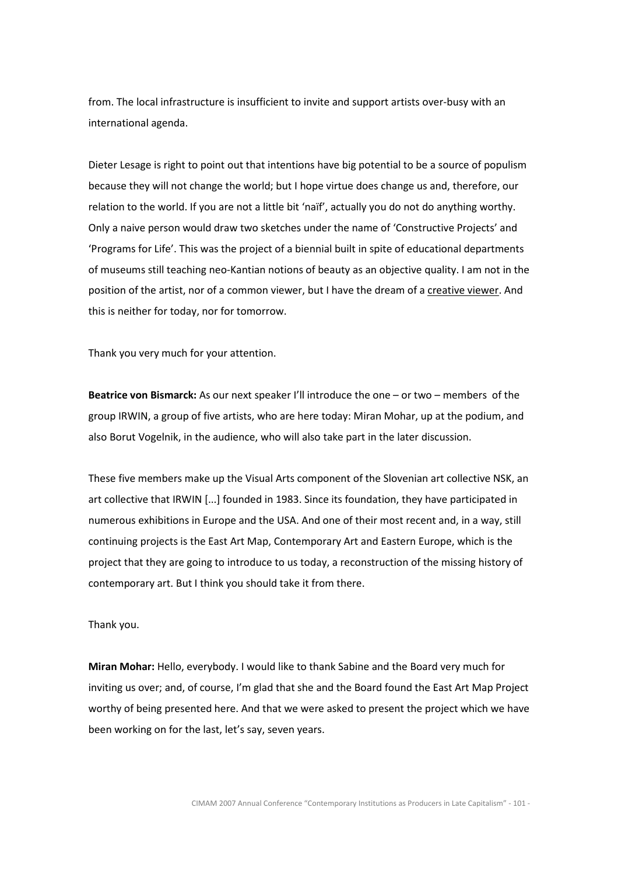from. The local infrastructure is insufficient to invite and support artists over-busy with an international agenda.

Dieter Lesage is right to point out that intentions have big potential to be a source of populism because they will not change the world; but I hope virtue does change us and, therefore, our relation to the world. If you are not a little bit 'naïf', actually you do not do anything worthy. Only a naive person would draw two sketches under the name of 'Constructive Projects' and 'Programs for Life'. This was the project of a biennial built in spite of educational departments of museums still teaching neo-Kantian notions of beauty as an objective quality. I am not in the position of the artist, nor of a common viewer, but I have the dream of a creative viewer. And this is neither for today, nor for tomorrow.

Thank you very much for your attention.

Beatrice von Bismarck: As our next speaker I'll introduce the one – or two – members of the group IRWIN, a group of five artists, who are here today: Miran Mohar, up at the podium, and also Borut Vogelnik, in the audience, who will also take part in the later discussion.

These five members make up the Visual Arts component of the Slovenian art collective NSK, an art collective that IRWIN [...] founded in 1983. Since its foundation, they have participated in numerous exhibitions in Europe and the USA. And one of their most recent and, in a way, still continuing projects is the East Art Map, Contemporary Art and Eastern Europe, which is the project that they are going to introduce to us today, a reconstruction of the missing history of contemporary art. But I think you should take it from there.

Thank you.

Miran Mohar: Hello, everybody. I would like to thank Sabine and the Board very much for inviting us over; and, of course, I'm glad that she and the Board found the East Art Map Project worthy of being presented here. And that we were asked to present the project which we have been working on for the last, let's say, seven years.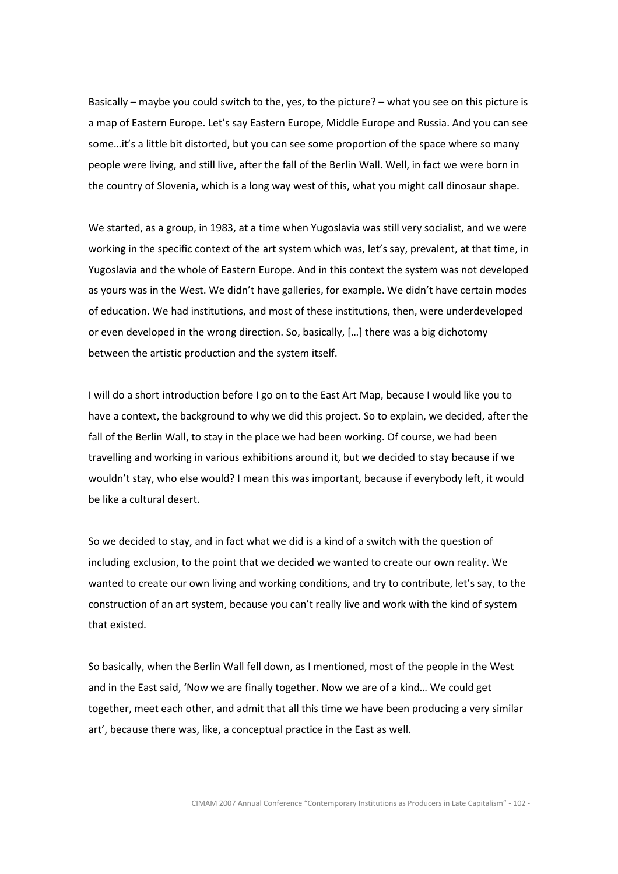Basically – maybe you could switch to the, yes, to the picture? – what you see on this picture is a map of Eastern Europe. Let's say Eastern Europe, Middle Europe and Russia. And you can see some…it's a little bit distorted, but you can see some proportion of the space where so many people were living, and still live, after the fall of the Berlin Wall. Well, in fact we were born in the country of Slovenia, which is a long way west of this, what you might call dinosaur shape.

We started, as a group, in 1983, at a time when Yugoslavia was still very socialist, and we were working in the specific context of the art system which was, let's say, prevalent, at that time, in Yugoslavia and the whole of Eastern Europe. And in this context the system was not developed as yours was in the West. We didn't have galleries, for example. We didn't have certain modes of education. We had institutions, and most of these institutions, then, were underdeveloped or even developed in the wrong direction. So, basically, […] there was a big dichotomy between the artistic production and the system itself.

I will do a short introduction before I go on to the East Art Map, because I would like you to have a context, the background to why we did this project. So to explain, we decided, after the fall of the Berlin Wall, to stay in the place we had been working. Of course, we had been travelling and working in various exhibitions around it, but we decided to stay because if we wouldn't stay, who else would? I mean this was important, because if everybody left, it would be like a cultural desert.

So we decided to stay, and in fact what we did is a kind of a switch with the question of including exclusion, to the point that we decided we wanted to create our own reality. We wanted to create our own living and working conditions, and try to contribute, let's say, to the construction of an art system, because you can't really live and work with the kind of system that existed.

So basically, when the Berlin Wall fell down, as I mentioned, most of the people in the West and in the East said, 'Now we are finally together. Now we are of a kind… We could get together, meet each other, and admit that all this time we have been producing a very similar art', because there was, like, a conceptual practice in the East as well.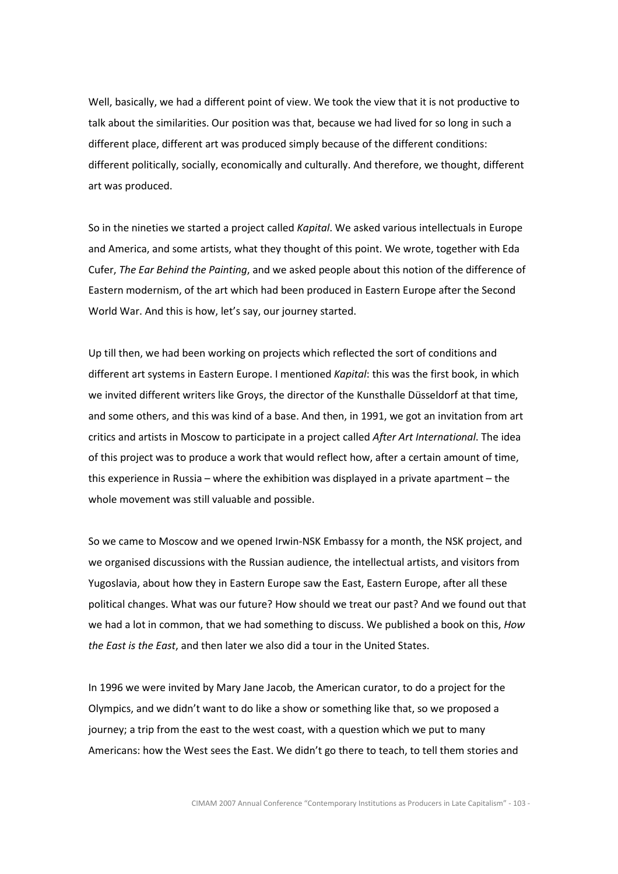Well, basically, we had a different point of view. We took the view that it is not productive to talk about the similarities. Our position was that, because we had lived for so long in such a different place, different art was produced simply because of the different conditions: different politically, socially, economically and culturally. And therefore, we thought, different art was produced.

So in the nineties we started a project called Kapital. We asked various intellectuals in Europe and America, and some artists, what they thought of this point. We wrote, together with Eda Cufer, The Ear Behind the Painting, and we asked people about this notion of the difference of Eastern modernism, of the art which had been produced in Eastern Europe after the Second World War. And this is how, let's say, our journey started.

Up till then, we had been working on projects which reflected the sort of conditions and different art systems in Eastern Europe. I mentioned Kapital: this was the first book, in which we invited different writers like Groys, the director of the Kunsthalle Düsseldorf at that time, and some others, and this was kind of a base. And then, in 1991, we got an invitation from art critics and artists in Moscow to participate in a project called After Art International. The idea of this project was to produce a work that would reflect how, after a certain amount of time, this experience in Russia – where the exhibition was displayed in a private apartment – the whole movement was still valuable and possible.

So we came to Moscow and we opened Irwin-NSK Embassy for a month, the NSK project, and we organised discussions with the Russian audience, the intellectual artists, and visitors from Yugoslavia, about how they in Eastern Europe saw the East, Eastern Europe, after all these political changes. What was our future? How should we treat our past? And we found out that we had a lot in common, that we had something to discuss. We published a book on this, How the East is the East, and then later we also did a tour in the United States.

In 1996 we were invited by Mary Jane Jacob, the American curator, to do a project for the Olympics, and we didn't want to do like a show or something like that, so we proposed a journey; a trip from the east to the west coast, with a question which we put to many Americans: how the West sees the East. We didn't go there to teach, to tell them stories and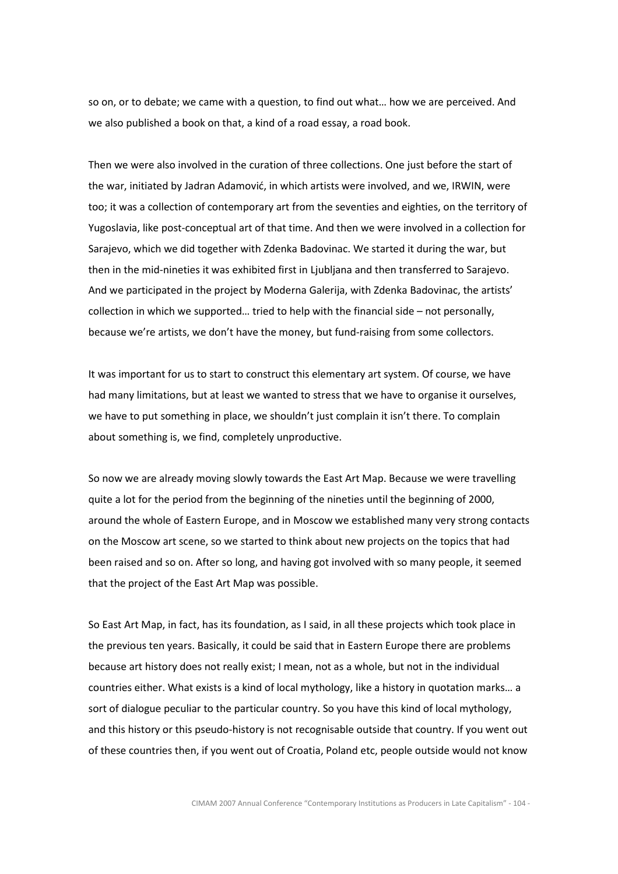so on, or to debate; we came with a question, to find out what… how we are perceived. And we also published a book on that, a kind of a road essay, a road book.

Then we were also involved in the curation of three collections. One just before the start of the war, initiated by Jadran Adamović, in which artists were involved, and we, IRWIN, were too; it was a collection of contemporary art from the seventies and eighties, on the territory of Yugoslavia, like post-conceptual art of that time. And then we were involved in a collection for Sarajevo, which we did together with Zdenka Badovinac. We started it during the war, but then in the mid-nineties it was exhibited first in Ljubljana and then transferred to Sarajevo. And we participated in the project by Moderna Galerija, with Zdenka Badovinac, the artists' collection in which we supported… tried to help with the financial side – not personally, because we're artists, we don't have the money, but fund-raising from some collectors.

It was important for us to start to construct this elementary art system. Of course, we have had many limitations, but at least we wanted to stress that we have to organise it ourselves, we have to put something in place, we shouldn't just complain it isn't there. To complain about something is, we find, completely unproductive.

So now we are already moving slowly towards the East Art Map. Because we were travelling quite a lot for the period from the beginning of the nineties until the beginning of 2000, around the whole of Eastern Europe, and in Moscow we established many very strong contacts on the Moscow art scene, so we started to think about new projects on the topics that had been raised and so on. After so long, and having got involved with so many people, it seemed that the project of the East Art Map was possible.

So East Art Map, in fact, has its foundation, as I said, in all these projects which took place in the previous ten years. Basically, it could be said that in Eastern Europe there are problems because art history does not really exist; I mean, not as a whole, but not in the individual countries either. What exists is a kind of local mythology, like a history in quotation marks… a sort of dialogue peculiar to the particular country. So you have this kind of local mythology, and this history or this pseudo-history is not recognisable outside that country. If you went out of these countries then, if you went out of Croatia, Poland etc, people outside would not know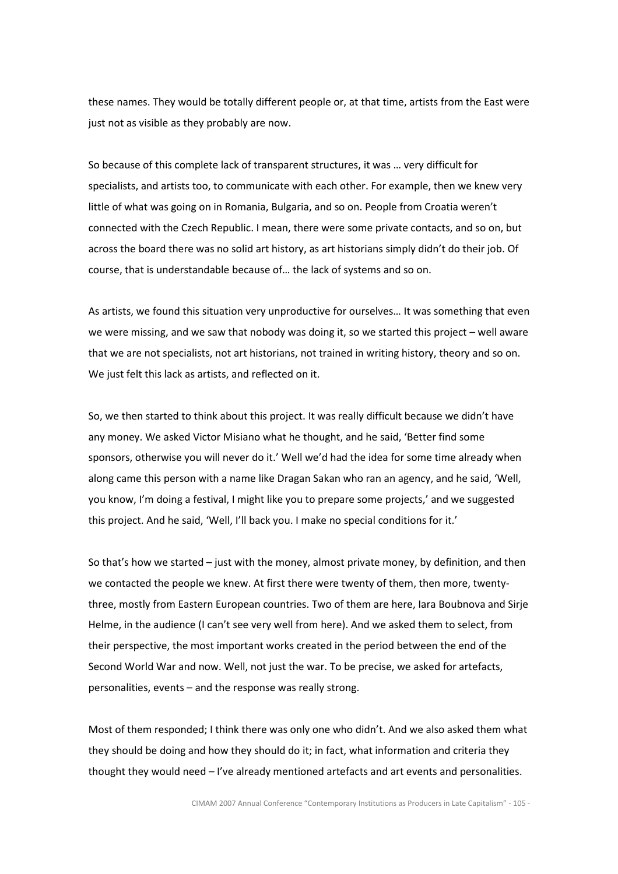these names. They would be totally different people or, at that time, artists from the East were just not as visible as they probably are now.

So because of this complete lack of transparent structures, it was … very difficult for specialists, and artists too, to communicate with each other. For example, then we knew very little of what was going on in Romania, Bulgaria, and so on. People from Croatia weren't connected with the Czech Republic. I mean, there were some private contacts, and so on, but across the board there was no solid art history, as art historians simply didn't do their job. Of course, that is understandable because of… the lack of systems and so on.

As artists, we found this situation very unproductive for ourselves… It was something that even we were missing, and we saw that nobody was doing it, so we started this project – well aware that we are not specialists, not art historians, not trained in writing history, theory and so on. We just felt this lack as artists, and reflected on it.

So, we then started to think about this project. It was really difficult because we didn't have any money. We asked Victor Misiano what he thought, and he said, 'Better find some sponsors, otherwise you will never do it.' Well we'd had the idea for some time already when along came this person with a name like Dragan Sakan who ran an agency, and he said, 'Well, you know, I'm doing a festival, I might like you to prepare some projects,' and we suggested this project. And he said, 'Well, I'll back you. I make no special conditions for it.'

So that's how we started  $-$  just with the money, almost private money, by definition, and then we contacted the people we knew. At first there were twenty of them, then more, twentythree, mostly from Eastern European countries. Two of them are here, Iara Boubnova and Sirje Helme, in the audience (I can't see very well from here). And we asked them to select, from their perspective, the most important works created in the period between the end of the Second World War and now. Well, not just the war. To be precise, we asked for artefacts, personalities, events – and the response was really strong.

Most of them responded; I think there was only one who didn't. And we also asked them what they should be doing and how they should do it; in fact, what information and criteria they thought they would need – I've already mentioned artefacts and art events and personalities.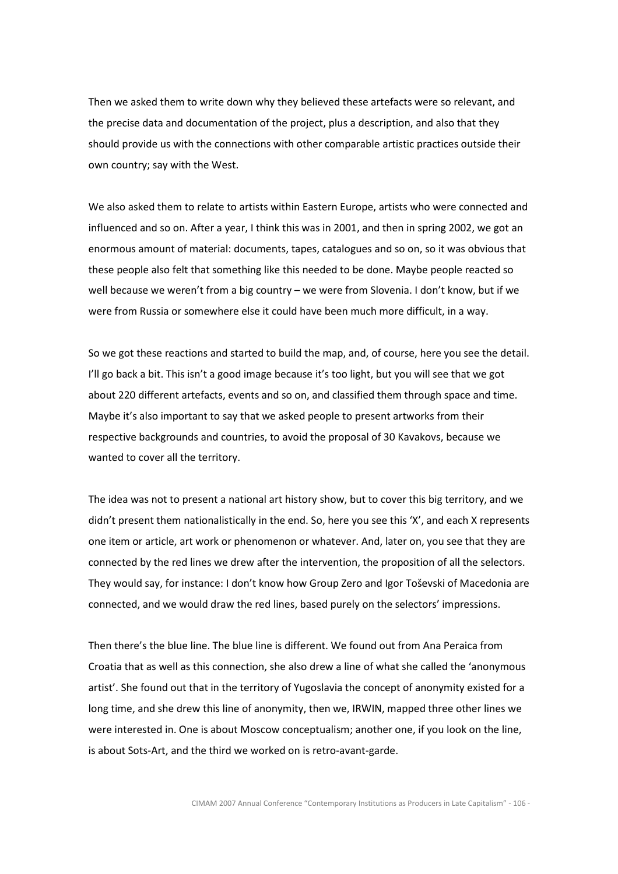Then we asked them to write down why they believed these artefacts were so relevant, and the precise data and documentation of the project, plus a description, and also that they should provide us with the connections with other comparable artistic practices outside their own country; say with the West.

We also asked them to relate to artists within Eastern Europe, artists who were connected and influenced and so on. After a year, I think this was in 2001, and then in spring 2002, we got an enormous amount of material: documents, tapes, catalogues and so on, so it was obvious that these people also felt that something like this needed to be done. Maybe people reacted so well because we weren't from a big country – we were from Slovenia. I don't know, but if we were from Russia or somewhere else it could have been much more difficult, in a way.

So we got these reactions and started to build the map, and, of course, here you see the detail. I'll go back a bit. This isn't a good image because it's too light, but you will see that we got about 220 different artefacts, events and so on, and classified them through space and time. Maybe it's also important to say that we asked people to present artworks from their respective backgrounds and countries, to avoid the proposal of 30 Kavakovs, because we wanted to cover all the territory.

The idea was not to present a national art history show, but to cover this big territory, and we didn't present them nationalistically in the end. So, here you see this 'X', and each X represents one item or article, art work or phenomenon or whatever. And, later on, you see that they are connected by the red lines we drew after the intervention, the proposition of all the selectors. They would say, for instance: I don't know how Group Zero and Igor Toševski of Macedonia are connected, and we would draw the red lines, based purely on the selectors' impressions.

Then there's the blue line. The blue line is different. We found out from Ana Peraica from Croatia that as well as this connection, she also drew a line of what she called the 'anonymous artist'. She found out that in the territory of Yugoslavia the concept of anonymity existed for a long time, and she drew this line of anonymity, then we, IRWIN, mapped three other lines we were interested in. One is about Moscow conceptualism; another one, if you look on the line, is about Sots-Art, and the third we worked on is retro-avant-garde.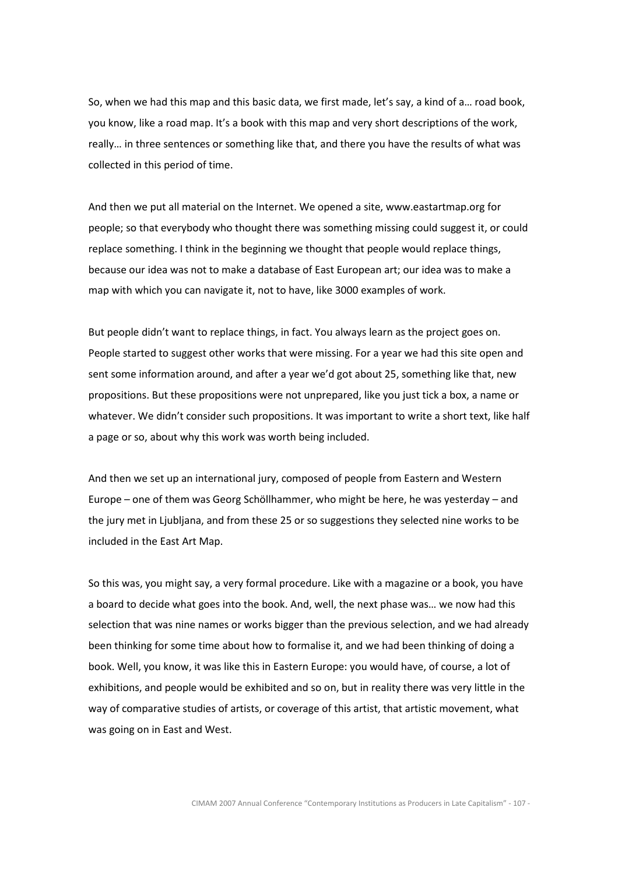So, when we had this map and this basic data, we first made, let's say, a kind of a… road book, you know, like a road map. It's a book with this map and very short descriptions of the work, really… in three sentences or something like that, and there you have the results of what was collected in this period of time.

And then we put all material on the Internet. We opened a site, www.eastartmap.org for people; so that everybody who thought there was something missing could suggest it, or could replace something. I think in the beginning we thought that people would replace things, because our idea was not to make a database of East European art; our idea was to make a map with which you can navigate it, not to have, like 3000 examples of work.

But people didn't want to replace things, in fact. You always learn as the project goes on. People started to suggest other works that were missing. For a year we had this site open and sent some information around, and after a year we'd got about 25, something like that, new propositions. But these propositions were not unprepared, like you just tick a box, a name or whatever. We didn't consider such propositions. It was important to write a short text, like half a page or so, about why this work was worth being included.

And then we set up an international jury, composed of people from Eastern and Western Europe – one of them was Georg Schöllhammer, who might be here, he was yesterday – and the jury met in Ljubljana, and from these 25 or so suggestions they selected nine works to be included in the East Art Map.

So this was, you might say, a very formal procedure. Like with a magazine or a book, you have a board to decide what goes into the book. And, well, the next phase was… we now had this selection that was nine names or works bigger than the previous selection, and we had already been thinking for some time about how to formalise it, and we had been thinking of doing a book. Well, you know, it was like this in Eastern Europe: you would have, of course, a lot of exhibitions, and people would be exhibited and so on, but in reality there was very little in the way of comparative studies of artists, or coverage of this artist, that artistic movement, what was going on in East and West.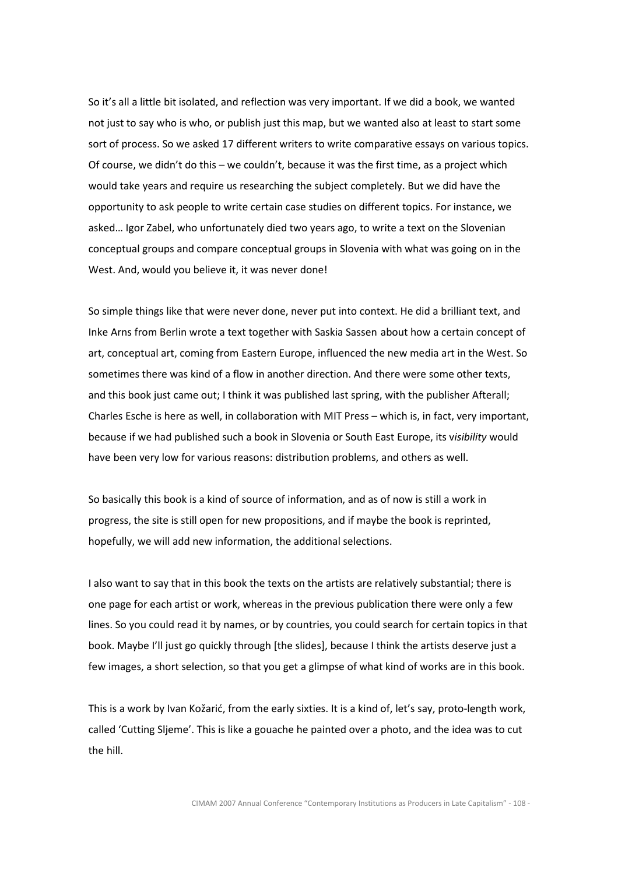So it's all a little bit isolated, and reflection was very important. If we did a book, we wanted not just to say who is who, or publish just this map, but we wanted also at least to start some sort of process. So we asked 17 different writers to write comparative essays on various topics. Of course, we didn't do this – we couldn't, because it was the first time, as a project which would take years and require us researching the subject completely. But we did have the opportunity to ask people to write certain case studies on different topics. For instance, we asked… Igor Zabel, who unfortunately died two years ago, to write a text on the Slovenian conceptual groups and compare conceptual groups in Slovenia with what was going on in the West. And, would you believe it, it was never done!

So simple things like that were never done, never put into context. He did a brilliant text, and Inke Arns from Berlin wrote a text together with Saskia Sassen about how a certain concept of art, conceptual art, coming from Eastern Europe, influenced the new media art in the West. So sometimes there was kind of a flow in another direction. And there were some other texts, and this book just came out; I think it was published last spring, with the publisher Afterall; Charles Esche is here as well, in collaboration with MIT Press – which is, in fact, very important, because if we had published such a book in Slovenia or South East Europe, its visibility would have been very low for various reasons: distribution problems, and others as well.

So basically this book is a kind of source of information, and as of now is still a work in progress, the site is still open for new propositions, and if maybe the book is reprinted, hopefully, we will add new information, the additional selections.

I also want to say that in this book the texts on the artists are relatively substantial; there is one page for each artist or work, whereas in the previous publication there were only a few lines. So you could read it by names, or by countries, you could search for certain topics in that book. Maybe I'll just go quickly through [the slides], because I think the artists deserve just a few images, a short selection, so that you get a glimpse of what kind of works are in this book.

This is a work by Ivan Kožarić, from the early sixties. It is a kind of, let's say, proto-length work, called 'Cutting Sljeme'. This is like a gouache he painted over a photo, and the idea was to cut the hill.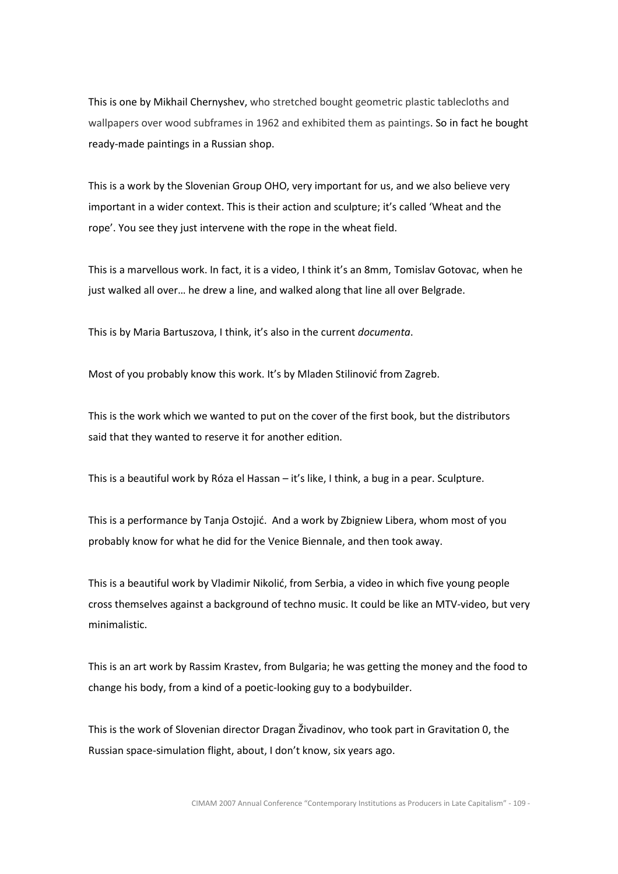This is one by Mikhail Chernyshev, who stretched bought geometric plastic tablecloths and wallpapers over wood subframes in 1962 and exhibited them as paintings. So in fact he bought ready-made paintings in a Russian shop.

This is a work by the Slovenian Group OHO, very important for us, and we also believe very important in a wider context. This is their action and sculpture; it's called 'Wheat and the rope'. You see they just intervene with the rope in the wheat field.

This is a marvellous work. In fact, it is a video, I think it's an 8mm, Tomislav Gotovac, when he just walked all over… he drew a line, and walked along that line all over Belgrade.

This is by Maria Bartuszova, I think, it's also in the current documenta.

Most of you probably know this work. It's by Mladen Stilinović from Zagreb.

This is the work which we wanted to put on the cover of the first book, but the distributors said that they wanted to reserve it for another edition.

This is a beautiful work by Róza el Hassan – it's like, I think, a bug in a pear. Sculpture.

This is a performance by Tanja Ostojić. And a work by Zbigniew Libera, whom most of you probably know for what he did for the Venice Biennale, and then took away.

This is a beautiful work by Vladimir Nikolić, from Serbia, a video in which five young people cross themselves against a background of techno music. It could be like an MTV-video, but very minimalistic.

This is an art work by Rassim Krastev, from Bulgaria; he was getting the money and the food to change his body, from a kind of a poetic-looking guy to a bodybuilder.

This is the work of Slovenian director Dragan Živadinov, who took part in Gravitation 0, the Russian space-simulation flight, about, I don't know, six years ago.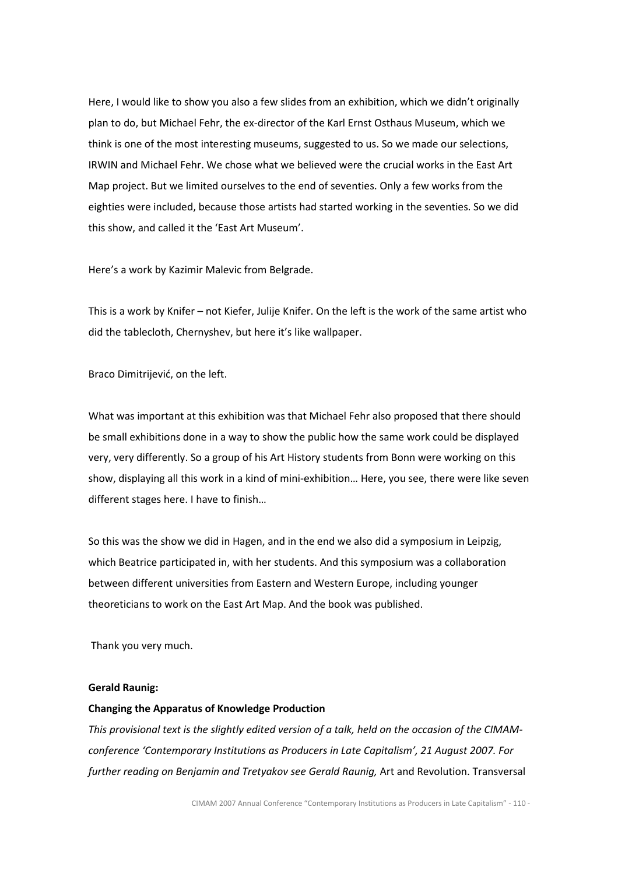Here, I would like to show you also a few slides from an exhibition, which we didn't originally plan to do, but Michael Fehr, the ex-director of the Karl Ernst Osthaus Museum, which we think is one of the most interesting museums, suggested to us. So we made our selections, IRWIN and Michael Fehr. We chose what we believed were the crucial works in the East Art Map project. But we limited ourselves to the end of seventies. Only a few works from the eighties were included, because those artists had started working in the seventies. So we did this show, and called it the 'East Art Museum'.

Here's a work by Kazimir Malevic from Belgrade.

This is a work by Knifer – not Kiefer, Julije Knifer. On the left is the work of the same artist who did the tablecloth, Chernyshev, but here it's like wallpaper.

Braco Dimitrijević, on the left.

What was important at this exhibition was that Michael Fehr also proposed that there should be small exhibitions done in a way to show the public how the same work could be displayed very, very differently. So a group of his Art History students from Bonn were working on this show, displaying all this work in a kind of mini-exhibition… Here, you see, there were like seven different stages here. I have to finish…

So this was the show we did in Hagen, and in the end we also did a symposium in Leipzig, which Beatrice participated in, with her students. And this symposium was a collaboration between different universities from Eastern and Western Europe, including younger theoreticians to work on the East Art Map. And the book was published.

Thank you very much.

### Gerald Raunig:

# Changing the Apparatus of Knowledge Production

This provisional text is the slightly edited version of a talk, held on the occasion of the CIMAMconference 'Contemporary Institutions as Producers in Late Capitalism', 21 August 2007. For further reading on Benjamin and Tretyakov see Gerald Raunig, Art and Revolution. Transversal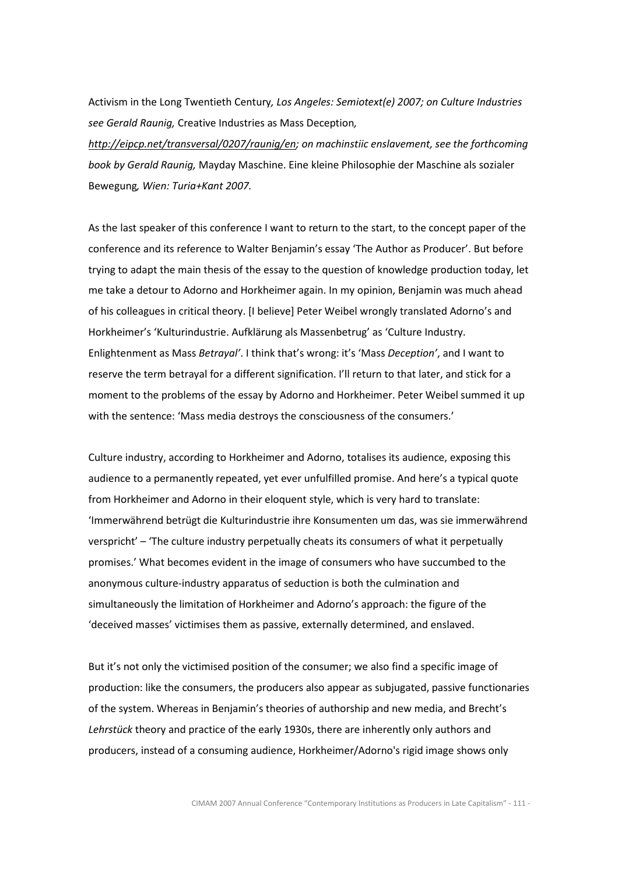Activism in the Long Twentieth Century, Los Angeles: Semiotext(e) 2007; on Culture Industries see Gerald Raunig, Creative Industries as Mass Deception,

http://eipcp.net/transversal/0207/raunig/en; on machinstiic enslavement, see the forthcoming book by Gerald Raunig, Mayday Maschine. Eine kleine Philosophie der Maschine als sozialer Bewegung, Wien: Turia+Kant 2007.

As the last speaker of this conference I want to return to the start, to the concept paper of the conference and its reference to Walter Benjamin's essay 'The Author as Producer'. But before trying to adapt the main thesis of the essay to the question of knowledge production today, let me take a detour to Adorno and Horkheimer again. In my opinion, Benjamin was much ahead of his colleagues in critical theory. [I believe] Peter Weibel wrongly translated Adorno's and Horkheimer's 'Kulturindustrie. Aufklärung als Massenbetrug' as 'Culture Industry. Enlightenment as Mass Betrayal'. I think that's wrong: it's 'Mass Deception', and I want to reserve the term betrayal for a different signification. I'll return to that later, and stick for a moment to the problems of the essay by Adorno and Horkheimer. Peter Weibel summed it up with the sentence: 'Mass media destroys the consciousness of the consumers.'

Culture industry, according to Horkheimer and Adorno, totalises its audience, exposing this audience to a permanently repeated, yet ever unfulfilled promise. And here's a typical quote from Horkheimer and Adorno in their eloquent style, which is very hard to translate: 'Immerwährend betrügt die Kulturindustrie ihre Konsumenten um das, was sie immerwährend verspricht' – 'The culture industry perpetually cheats its consumers of what it perpetually promises.' What becomes evident in the image of consumers who have succumbed to the anonymous culture-industry apparatus of seduction is both the culmination and simultaneously the limitation of Horkheimer and Adorno's approach: the figure of the 'deceived masses' victimises them as passive, externally determined, and enslaved.

But it's not only the victimised position of the consumer; we also find a specific image of production: like the consumers, the producers also appear as subjugated, passive functionaries of the system. Whereas in Benjamin's theories of authorship and new media, and Brecht's Lehrstück theory and practice of the early 1930s, there are inherently only authors and producers, instead of a consuming audience, Horkheimer/Adorno's rigid image shows only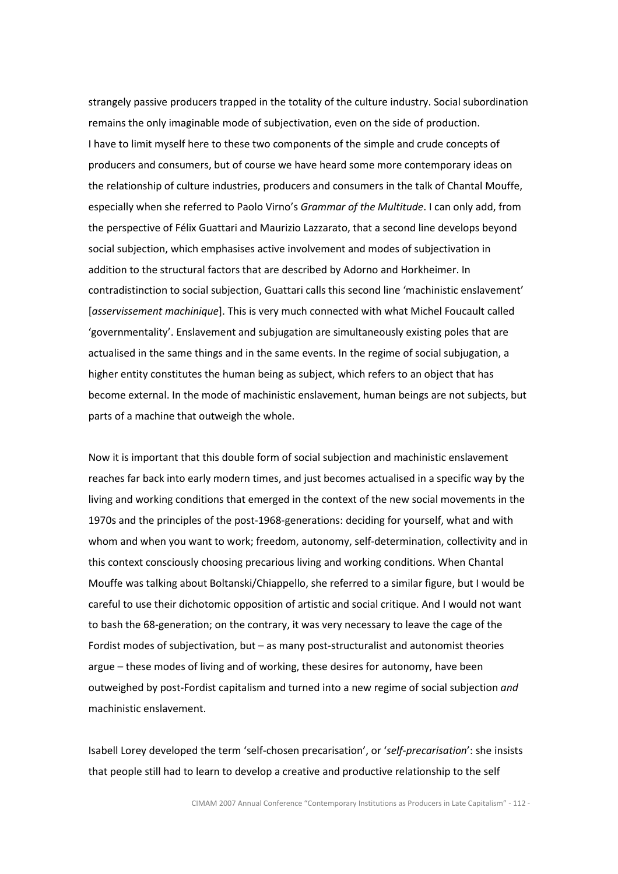strangely passive producers trapped in the totality of the culture industry. Social subordination remains the only imaginable mode of subjectivation, even on the side of production. I have to limit myself here to these two components of the simple and crude concepts of producers and consumers, but of course we have heard some more contemporary ideas on the relationship of culture industries, producers and consumers in the talk of Chantal Mouffe, especially when she referred to Paolo Virno's Grammar of the Multitude. I can only add, from the perspective of Félix Guattari and Maurizio Lazzarato, that a second line develops beyond social subjection, which emphasises active involvement and modes of subjectivation in addition to the structural factors that are described by Adorno and Horkheimer. In contradistinction to social subjection, Guattari calls this second line 'machinistic enslavement' [asservissement machinique]. This is very much connected with what Michel Foucault called 'governmentality'. Enslavement and subjugation are simultaneously existing poles that are actualised in the same things and in the same events. In the regime of social subjugation, a higher entity constitutes the human being as subject, which refers to an object that has become external. In the mode of machinistic enslavement, human beings are not subjects, but parts of a machine that outweigh the whole.

Now it is important that this double form of social subjection and machinistic enslavement reaches far back into early modern times, and just becomes actualised in a specific way by the living and working conditions that emerged in the context of the new social movements in the 1970s and the principles of the post-1968-generations: deciding for yourself, what and with whom and when you want to work; freedom, autonomy, self-determination, collectivity and in this context consciously choosing precarious living and working conditions. When Chantal Mouffe was talking about Boltanski/Chiappello, she referred to a similar figure, but I would be careful to use their dichotomic opposition of artistic and social critique. And I would not want to bash the 68-generation; on the contrary, it was very necessary to leave the cage of the Fordist modes of subjectivation, but – as many post-structuralist and autonomist theories argue – these modes of living and of working, these desires for autonomy, have been outweighed by post-Fordist capitalism and turned into a new regime of social subjection and machinistic enslavement.

Isabell Lorey developed the term 'self-chosen precarisation', or 'self-precarisation': she insists that people still had to learn to develop a creative and productive relationship to the self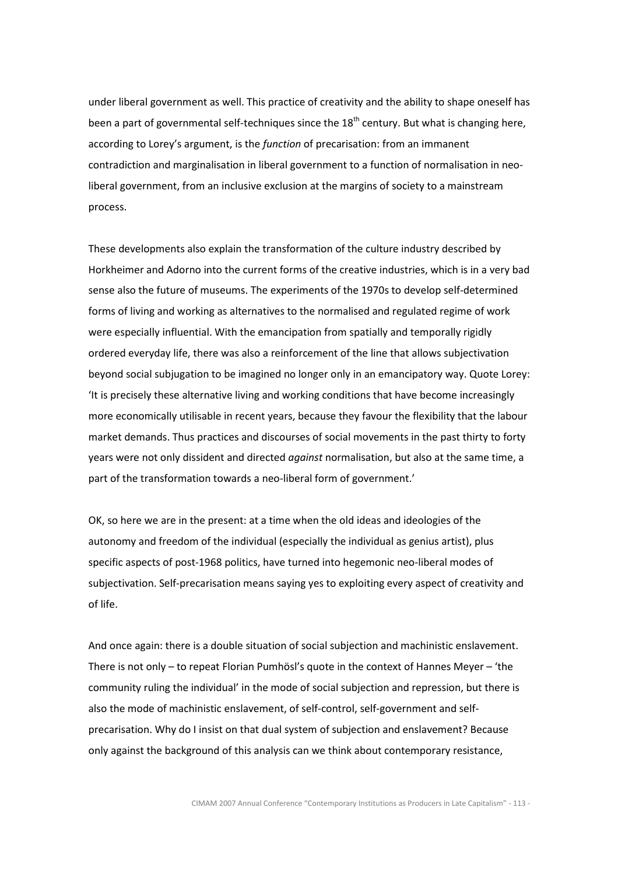under liberal government as well. This practice of creativity and the ability to shape oneself has been a part of governmental self-techniques since the  $18<sup>th</sup>$  century. But what is changing here, according to Lorey's argument, is the function of precarisation: from an immanent contradiction and marginalisation in liberal government to a function of normalisation in neoliberal government, from an inclusive exclusion at the margins of society to a mainstream process.

These developments also explain the transformation of the culture industry described by Horkheimer and Adorno into the current forms of the creative industries, which is in a very bad sense also the future of museums. The experiments of the 1970s to develop self-determined forms of living and working as alternatives to the normalised and regulated regime of work were especially influential. With the emancipation from spatially and temporally rigidly ordered everyday life, there was also a reinforcement of the line that allows subjectivation beyond social subjugation to be imagined no longer only in an emancipatory way. Quote Lorey: 'It is precisely these alternative living and working conditions that have become increasingly more economically utilisable in recent years, because they favour the flexibility that the labour market demands. Thus practices and discourses of social movements in the past thirty to forty years were not only dissident and directed *against* normalisation, but also at the same time, a part of the transformation towards a neo-liberal form of government.'

OK, so here we are in the present: at a time when the old ideas and ideologies of the autonomy and freedom of the individual (especially the individual as genius artist), plus specific aspects of post-1968 politics, have turned into hegemonic neo-liberal modes of subjectivation. Self-precarisation means saying yes to exploiting every aspect of creativity and of life.

And once again: there is a double situation of social subjection and machinistic enslavement. There is not only – to repeat Florian Pumhösl's quote in the context of Hannes Meyer – 'the community ruling the individual' in the mode of social subjection and repression, but there is also the mode of machinistic enslavement, of self-control, self-government and selfprecarisation. Why do I insist on that dual system of subjection and enslavement? Because only against the background of this analysis can we think about contemporary resistance,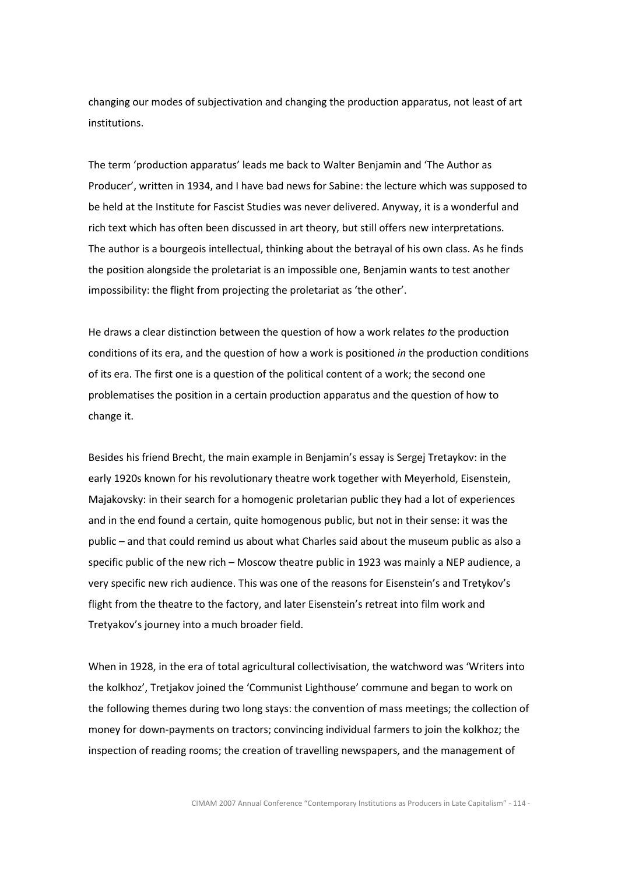changing our modes of subjectivation and changing the production apparatus, not least of art institutions.

The term 'production apparatus' leads me back to Walter Benjamin and 'The Author as Producer', written in 1934, and I have bad news for Sabine: the lecture which was supposed to be held at the Institute for Fascist Studies was never delivered. Anyway, it is a wonderful and rich text which has often been discussed in art theory, but still offers new interpretations. The author is a bourgeois intellectual, thinking about the betrayal of his own class. As he finds the position alongside the proletariat is an impossible one, Benjamin wants to test another impossibility: the flight from projecting the proletariat as 'the other'.

He draws a clear distinction between the question of how a work relates to the production conditions of its era, and the question of how a work is positioned in the production conditions of its era. The first one is a question of the political content of a work; the second one problematises the position in a certain production apparatus and the question of how to change it.

Besides his friend Brecht, the main example in Benjamin's essay is Sergej Tretaykov: in the early 1920s known for his revolutionary theatre work together with Meyerhold, Eisenstein, Majakovsky: in their search for a homogenic proletarian public they had a lot of experiences and in the end found a certain, quite homogenous public, but not in their sense: it was the public – and that could remind us about what Charles said about the museum public as also a specific public of the new rich – Moscow theatre public in 1923 was mainly a NEP audience, a very specific new rich audience. This was one of the reasons for Eisenstein's and Tretykov's flight from the theatre to the factory, and later Eisenstein's retreat into film work and Tretyakov's journey into a much broader field.

When in 1928, in the era of total agricultural collectivisation, the watchword was 'Writers into the kolkhoz', Tretjakov joined the 'Communist Lighthouse' commune and began to work on the following themes during two long stays: the convention of mass meetings; the collection of money for down-payments on tractors; convincing individual farmers to join the kolkhoz; the inspection of reading rooms; the creation of travelling newspapers, and the management of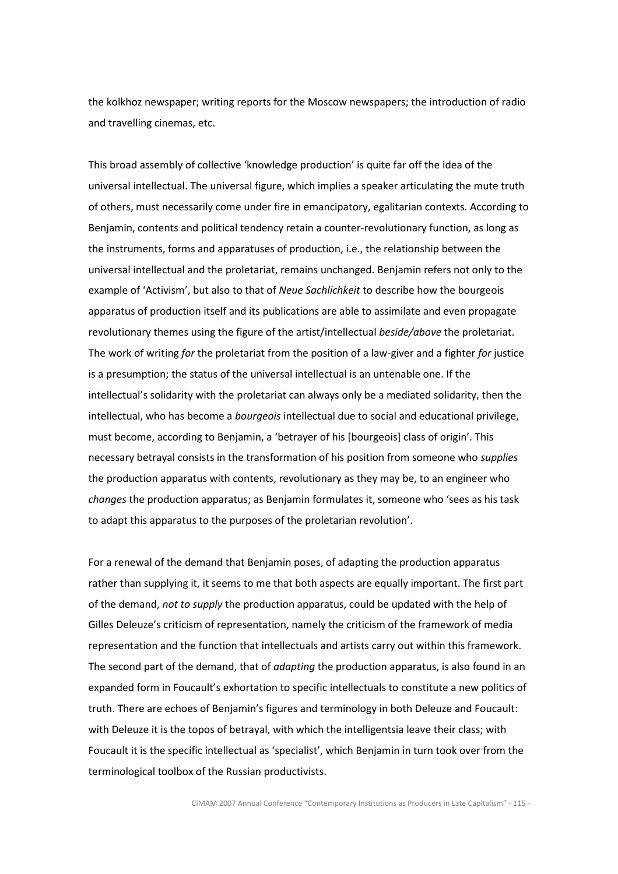the kolkhoz newspaper; writing reports for the Moscow newspapers; the introduction of radio and travelling cinemas, etc.

This broad assembly of collective 'knowledge production' is quite far off the idea of the universal intellectual. The universal figure, which implies a speaker articulating the mute truth of others, must necessarily come under fire in emancipatory, egalitarian contexts. According to Benjamin, contents and political tendency retain a counter-revolutionary function, as long as the instruments, forms and apparatuses of production, i.e., the relationship between the universal intellectual and the proletariat, remains unchanged. Benjamin refers not only to the example of 'Activism', but also to that of Neue Sachlichkeit to describe how the bourgeois apparatus of production itself and its publications are able to assimilate and even propagate revolutionary themes using the figure of the artist/intellectual beside/above the proletariat. The work of writing for the proletariat from the position of a law-giver and a fighter for justice is a presumption; the status of the universal intellectual is an untenable one. If the intellectual's solidarity with the proletariat can always only be a mediated solidarity, then the intellectual, who has become a *bourgeois* intellectual due to social and educational privilege, must become, according to Benjamin, a 'betrayer of his [bourgeois] class of origin'. This necessary betrayal consists in the transformation of his position from someone who supplies the production apparatus with contents, revolutionary as they may be, to an engineer who changes the production apparatus; as Benjamin formulates it, someone who 'sees as his task to adapt this apparatus to the purposes of the proletarian revolution'.

For a renewal of the demand that Benjamin poses, of adapting the production apparatus rather than supplying it, it seems to me that both aspects are equally important. The first part of the demand, not to supply the production apparatus, could be updated with the help of Gilles Deleuze's criticism of representation, namely the criticism of the framework of media representation and the function that intellectuals and artists carry out within this framework. The second part of the demand, that of *adapting* the production apparatus, is also found in an expanded form in Foucault's exhortation to specific intellectuals to constitute a new politics of truth. There are echoes of Benjamin's figures and terminology in both Deleuze and Foucault: with Deleuze it is the topos of betrayal, with which the intelligentsia leave their class; with Foucault it is the specific intellectual as 'specialist', which Benjamin in turn took over from the terminological toolbox of the Russian productivists.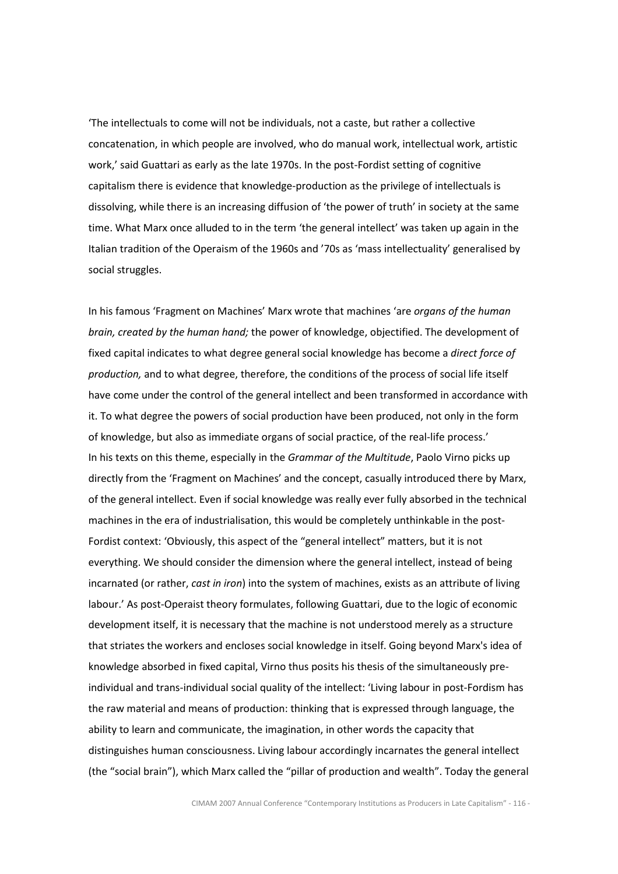'The intellectuals to come will not be individuals, not a caste, but rather a collective concatenation, in which people are involved, who do manual work, intellectual work, artistic work,' said Guattari as early as the late 1970s. In the post-Fordist setting of cognitive capitalism there is evidence that knowledge-production as the privilege of intellectuals is dissolving, while there is an increasing diffusion of 'the power of truth' in society at the same time. What Marx once alluded to in the term 'the general intellect' was taken up again in the Italian tradition of the Operaism of the 1960s and '70s as 'mass intellectuality' generalised by social struggles.

In his famous 'Fragment on Machines' Marx wrote that machines 'are organs of the human brain, created by the human hand; the power of knowledge, objectified. The development of fixed capital indicates to what degree general social knowledge has become a direct force of production, and to what degree, therefore, the conditions of the process of social life itself have come under the control of the general intellect and been transformed in accordance with it. To what degree the powers of social production have been produced, not only in the form of knowledge, but also as immediate organs of social practice, of the real-life process.' In his texts on this theme, especially in the *Grammar of the Multitude*, Paolo Virno picks up directly from the 'Fragment on Machines' and the concept, casually introduced there by Marx, of the general intellect. Even if social knowledge was really ever fully absorbed in the technical machines in the era of industrialisation, this would be completely unthinkable in the post-Fordist context: 'Obviously, this aspect of the "general intellect" matters, but it is not everything. We should consider the dimension where the general intellect, instead of being incarnated (or rather, cast in iron) into the system of machines, exists as an attribute of living labour.' As post-Operaist theory formulates, following Guattari, due to the logic of economic development itself, it is necessary that the machine is not understood merely as a structure that striates the workers and encloses social knowledge in itself. Going beyond Marx's idea of knowledge absorbed in fixed capital, Virno thus posits his thesis of the simultaneously preindividual and trans-individual social quality of the intellect: 'Living labour in post-Fordism has the raw material and means of production: thinking that is expressed through language, the ability to learn and communicate, the imagination, in other words the capacity that distinguishes human consciousness. Living labour accordingly incarnates the general intellect (the "social brain"), which Marx called the "pillar of production and wealth". Today the general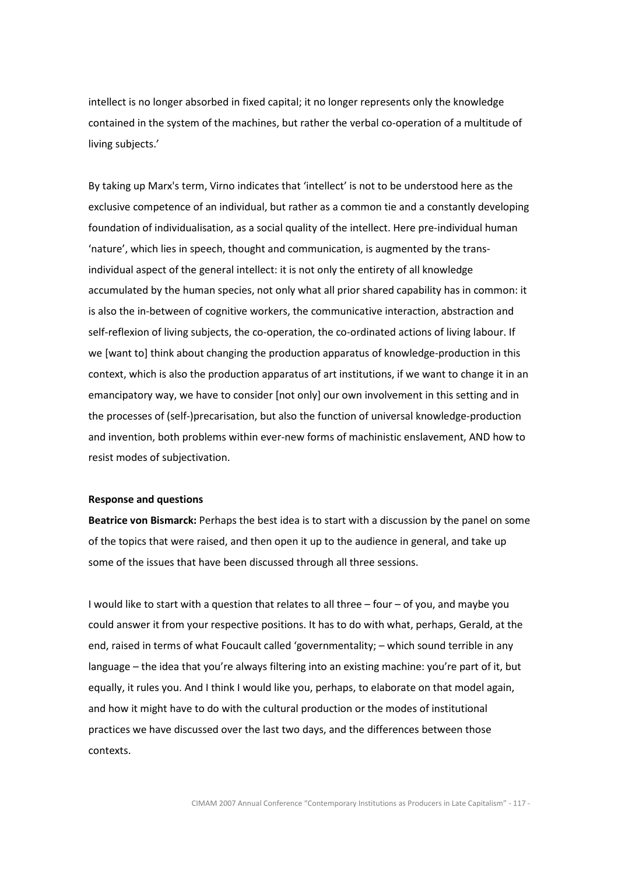intellect is no longer absorbed in fixed capital; it no longer represents only the knowledge contained in the system of the machines, but rather the verbal co-operation of a multitude of living subjects.'

By taking up Marx's term, Virno indicates that 'intellect' is not to be understood here as the exclusive competence of an individual, but rather as a common tie and a constantly developing foundation of individualisation, as a social quality of the intellect. Here pre-individual human 'nature', which lies in speech, thought and communication, is augmented by the transindividual aspect of the general intellect: it is not only the entirety of all knowledge accumulated by the human species, not only what all prior shared capability has in common: it is also the in-between of cognitive workers, the communicative interaction, abstraction and self-reflexion of living subjects, the co-operation, the co-ordinated actions of living labour. If we [want to] think about changing the production apparatus of knowledge-production in this context, which is also the production apparatus of art institutions, if we want to change it in an emancipatory way, we have to consider [not only] our own involvement in this setting and in the processes of (self-)precarisation, but also the function of universal knowledge-production and invention, both problems within ever-new forms of machinistic enslavement, AND how to resist modes of subjectivation.

#### Response and questions

Beatrice von Bismarck: Perhaps the best idea is to start with a discussion by the panel on some of the topics that were raised, and then open it up to the audience in general, and take up some of the issues that have been discussed through all three sessions.

I would like to start with a question that relates to all three – four – of you, and maybe you could answer it from your respective positions. It has to do with what, perhaps, Gerald, at the end, raised in terms of what Foucault called 'governmentality; – which sound terrible in any language – the idea that you're always filtering into an existing machine: you're part of it, but equally, it rules you. And I think I would like you, perhaps, to elaborate on that model again, and how it might have to do with the cultural production or the modes of institutional practices we have discussed over the last two days, and the differences between those contexts.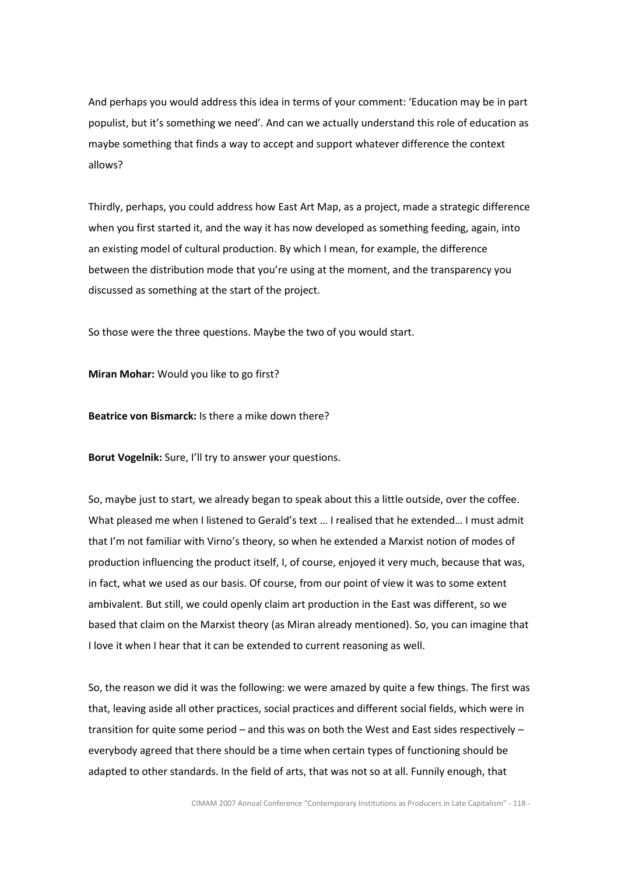And perhaps you would address this idea in terms of your comment: 'Education may be in part populist, but it's something we need'. And can we actually understand this role of education as maybe something that finds a way to accept and support whatever difference the context allows?

Thirdly, perhaps, you could address how East Art Map, as a project, made a strategic difference when you first started it, and the way it has now developed as something feeding, again, into an existing model of cultural production. By which I mean, for example, the difference between the distribution mode that you're using at the moment, and the transparency you discussed as something at the start of the project.

So those were the three questions. Maybe the two of you would start.

Miran Mohar: Would you like to go first?

Beatrice von Bismarck: Is there a mike down there?

Borut Vogelnik: Sure, I'll try to answer your questions.

So, maybe just to start, we already began to speak about this a little outside, over the coffee. What pleased me when I listened to Gerald's text … I realised that he extended… I must admit that I'm not familiar with Virno's theory, so when he extended a Marxist notion of modes of production influencing the product itself, I, of course, enjoyed it very much, because that was, in fact, what we used as our basis. Of course, from our point of view it was to some extent ambivalent. But still, we could openly claim art production in the East was different, so we based that claim on the Marxist theory (as Miran already mentioned). So, you can imagine that I love it when I hear that it can be extended to current reasoning as well.

So, the reason we did it was the following: we were amazed by quite a few things. The first was that, leaving aside all other practices, social practices and different social fields, which were in transition for quite some period – and this was on both the West and East sides respectively – everybody agreed that there should be a time when certain types of functioning should be adapted to other standards. In the field of arts, that was not so at all. Funnily enough, that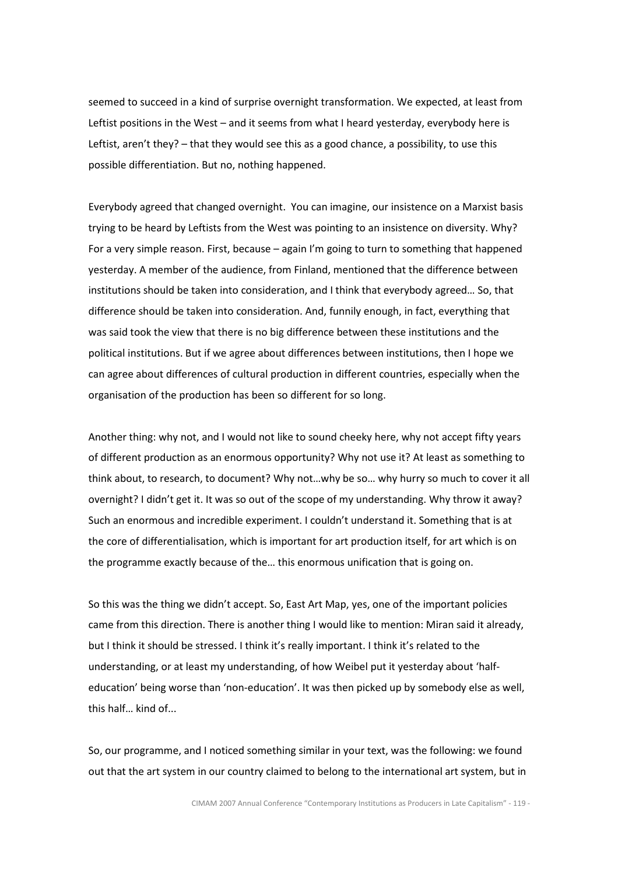seemed to succeed in a kind of surprise overnight transformation. We expected, at least from Leftist positions in the West – and it seems from what I heard yesterday, everybody here is Leftist, aren't they? – that they would see this as a good chance, a possibility, to use this possible differentiation. But no, nothing happened.

Everybody agreed that changed overnight. You can imagine, our insistence on a Marxist basis trying to be heard by Leftists from the West was pointing to an insistence on diversity. Why? For a very simple reason. First, because – again I'm going to turn to something that happened yesterday. A member of the audience, from Finland, mentioned that the difference between institutions should be taken into consideration, and I think that everybody agreed… So, that difference should be taken into consideration. And, funnily enough, in fact, everything that was said took the view that there is no big difference between these institutions and the political institutions. But if we agree about differences between institutions, then I hope we can agree about differences of cultural production in different countries, especially when the organisation of the production has been so different for so long.

Another thing: why not, and I would not like to sound cheeky here, why not accept fifty years of different production as an enormous opportunity? Why not use it? At least as something to think about, to research, to document? Why not…why be so… why hurry so much to cover it all overnight? I didn't get it. It was so out of the scope of my understanding. Why throw it away? Such an enormous and incredible experiment. I couldn't understand it. Something that is at the core of differentialisation, which is important for art production itself, for art which is on the programme exactly because of the… this enormous unification that is going on.

So this was the thing we didn't accept. So, East Art Map, yes, one of the important policies came from this direction. There is another thing I would like to mention: Miran said it already, but I think it should be stressed. I think it's really important. I think it's related to the understanding, or at least my understanding, of how Weibel put it yesterday about 'halfeducation' being worse than 'non-education'. It was then picked up by somebody else as well, this half… kind of...

So, our programme, and I noticed something similar in your text, was the following: we found out that the art system in our country claimed to belong to the international art system, but in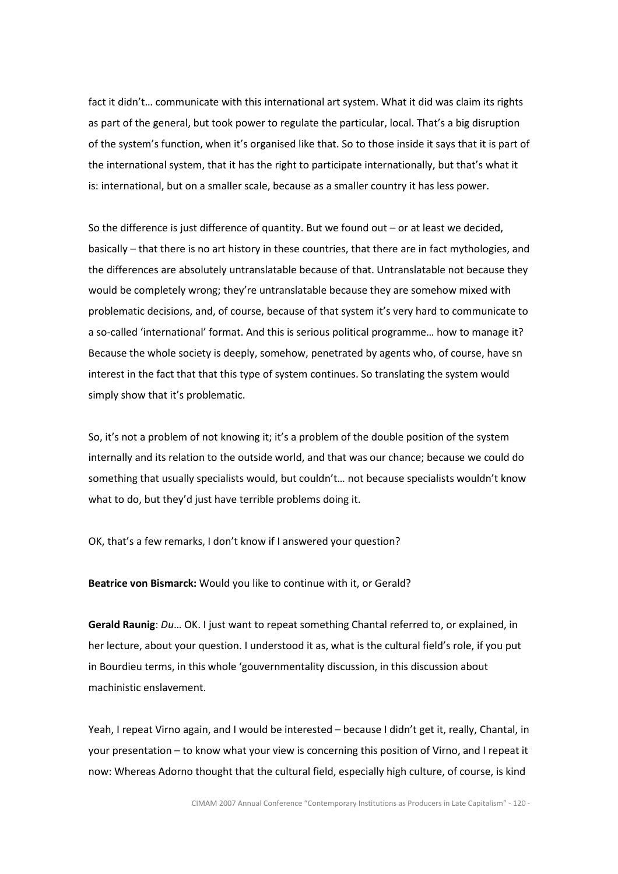fact it didn't… communicate with this international art system. What it did was claim its rights as part of the general, but took power to regulate the particular, local. That's a big disruption of the system's function, when it's organised like that. So to those inside it says that it is part of the international system, that it has the right to participate internationally, but that's what it is: international, but on a smaller scale, because as a smaller country it has less power.

So the difference is just difference of quantity. But we found out – or at least we decided, basically – that there is no art history in these countries, that there are in fact mythologies, and the differences are absolutely untranslatable because of that. Untranslatable not because they would be completely wrong; they're untranslatable because they are somehow mixed with problematic decisions, and, of course, because of that system it's very hard to communicate to a so-called 'international' format. And this is serious political programme… how to manage it? Because the whole society is deeply, somehow, penetrated by agents who, of course, have sn interest in the fact that that this type of system continues. So translating the system would simply show that it's problematic.

So, it's not a problem of not knowing it; it's a problem of the double position of the system internally and its relation to the outside world, and that was our chance; because we could do something that usually specialists would, but couldn't… not because specialists wouldn't know what to do, but they'd just have terrible problems doing it.

OK, that's a few remarks, I don't know if I answered your question?

Beatrice von Bismarck: Would you like to continue with it, or Gerald?

Gerald Raunig: Du... OK. I just want to repeat something Chantal referred to, or explained, in her lecture, about your question. I understood it as, what is the cultural field's role, if you put in Bourdieu terms, in this whole 'gouvernmentality discussion, in this discussion about machinistic enslavement.

Yeah, I repeat Virno again, and I would be interested – because I didn't get it, really, Chantal, in your presentation – to know what your view is concerning this position of Virno, and I repeat it now: Whereas Adorno thought that the cultural field, especially high culture, of course, is kind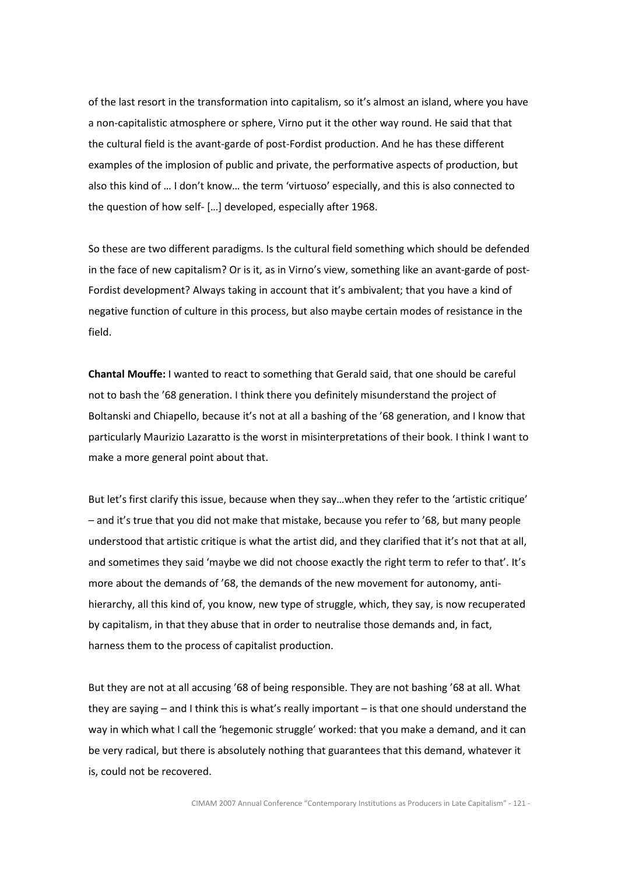of the last resort in the transformation into capitalism, so it's almost an island, where you have a non-capitalistic atmosphere or sphere, Virno put it the other way round. He said that that the cultural field is the avant-garde of post-Fordist production. And he has these different examples of the implosion of public and private, the performative aspects of production, but also this kind of … I don't know… the term 'virtuoso' especially, and this is also connected to the question of how self- […] developed, especially after 1968.

So these are two different paradigms. Is the cultural field something which should be defended in the face of new capitalism? Or is it, as in Virno's view, something like an avant-garde of post-Fordist development? Always taking in account that it's ambivalent; that you have a kind of negative function of culture in this process, but also maybe certain modes of resistance in the field.

Chantal Mouffe: I wanted to react to something that Gerald said, that one should be careful not to bash the '68 generation. I think there you definitely misunderstand the project of Boltanski and Chiapello, because it's not at all a bashing of the '68 generation, and I know that particularly Maurizio Lazaratto is the worst in misinterpretations of their book. I think I want to make a more general point about that.

But let's first clarify this issue, because when they say…when they refer to the 'artistic critique' – and it's true that you did not make that mistake, because you refer to '68, but many people understood that artistic critique is what the artist did, and they clarified that it's not that at all, and sometimes they said 'maybe we did not choose exactly the right term to refer to that'. It's more about the demands of '68, the demands of the new movement for autonomy, antihierarchy, all this kind of, you know, new type of struggle, which, they say, is now recuperated by capitalism, in that they abuse that in order to neutralise those demands and, in fact, harness them to the process of capitalist production.

But they are not at all accusing '68 of being responsible. They are not bashing '68 at all. What they are saying – and I think this is what's really important – is that one should understand the way in which what I call the 'hegemonic struggle' worked: that you make a demand, and it can be very radical, but there is absolutely nothing that guarantees that this demand, whatever it is, could not be recovered.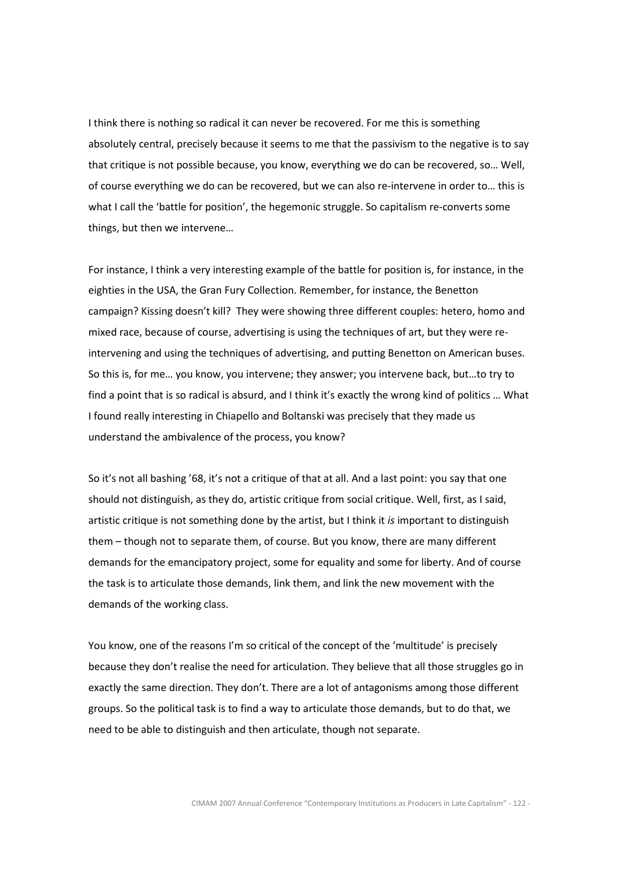I think there is nothing so radical it can never be recovered. For me this is something absolutely central, precisely because it seems to me that the passivism to the negative is to say that critique is not possible because, you know, everything we do can be recovered, so… Well, of course everything we do can be recovered, but we can also re-intervene in order to… this is what I call the 'battle for position', the hegemonic struggle. So capitalism re-converts some things, but then we intervene…

For instance, I think a very interesting example of the battle for position is, for instance, in the eighties in the USA, the Gran Fury Collection. Remember, for instance, the Benetton campaign? Kissing doesn't kill? They were showing three different couples: hetero, homo and mixed race, because of course, advertising is using the techniques of art, but they were reintervening and using the techniques of advertising, and putting Benetton on American buses. So this is, for me… you know, you intervene; they answer; you intervene back, but…to try to find a point that is so radical is absurd, and I think it's exactly the wrong kind of politics … What I found really interesting in Chiapello and Boltanski was precisely that they made us understand the ambivalence of the process, you know?

So it's not all bashing '68, it's not a critique of that at all. And a last point: you say that one should not distinguish, as they do, artistic critique from social critique. Well, first, as I said, artistic critique is not something done by the artist, but I think it is important to distinguish them – though not to separate them, of course. But you know, there are many different demands for the emancipatory project, some for equality and some for liberty. And of course the task is to articulate those demands, link them, and link the new movement with the demands of the working class.

You know, one of the reasons I'm so critical of the concept of the 'multitude' is precisely because they don't realise the need for articulation. They believe that all those struggles go in exactly the same direction. They don't. There are a lot of antagonisms among those different groups. So the political task is to find a way to articulate those demands, but to do that, we need to be able to distinguish and then articulate, though not separate.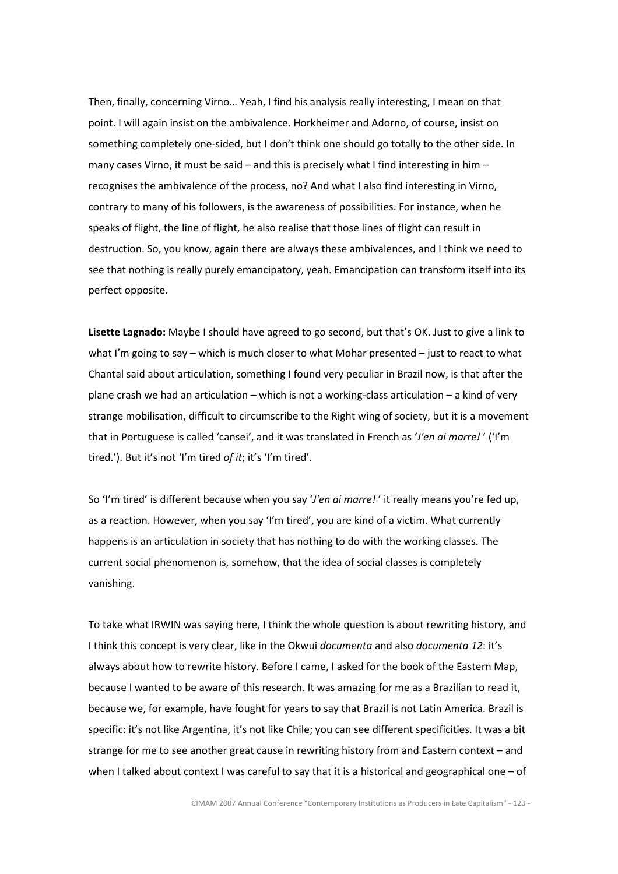Then, finally, concerning Virno… Yeah, I find his analysis really interesting, I mean on that point. I will again insist on the ambivalence. Horkheimer and Adorno, of course, insist on something completely one-sided, but I don't think one should go totally to the other side. In many cases Virno, it must be said – and this is precisely what I find interesting in him – recognises the ambivalence of the process, no? And what I also find interesting in Virno, contrary to many of his followers, is the awareness of possibilities. For instance, when he speaks of flight, the line of flight, he also realise that those lines of flight can result in destruction. So, you know, again there are always these ambivalences, and I think we need to see that nothing is really purely emancipatory, yeah. Emancipation can transform itself into its perfect opposite.

Lisette Lagnado: Maybe I should have agreed to go second, but that's OK. Just to give a link to what I'm going to say – which is much closer to what Mohar presented – just to react to what Chantal said about articulation, something I found very peculiar in Brazil now, is that after the plane crash we had an articulation – which is not a working-class articulation – a kind of very strange mobilisation, difficult to circumscribe to the Right wing of society, but it is a movement that in Portuguese is called 'cansei', and it was translated in French as 'J'en ai marre!' ('I'm tired.'). But it's not 'I'm tired of it; it's 'I'm tired'.

So 'I'm tired' is different because when you say 'J'en ai marre!' it really means you're fed up, as a reaction. However, when you say 'I'm tired', you are kind of a victim. What currently happens is an articulation in society that has nothing to do with the working classes. The current social phenomenon is, somehow, that the idea of social classes is completely vanishing.

To take what IRWIN was saying here, I think the whole question is about rewriting history, and I think this concept is very clear, like in the Okwui documenta and also documenta 12: it's always about how to rewrite history. Before I came, I asked for the book of the Eastern Map, because I wanted to be aware of this research. It was amazing for me as a Brazilian to read it, because we, for example, have fought for years to say that Brazil is not Latin America. Brazil is specific: it's not like Argentina, it's not like Chile; you can see different specificities. It was a bit strange for me to see another great cause in rewriting history from and Eastern context – and when I talked about context I was careful to say that it is a historical and geographical one  $-$  of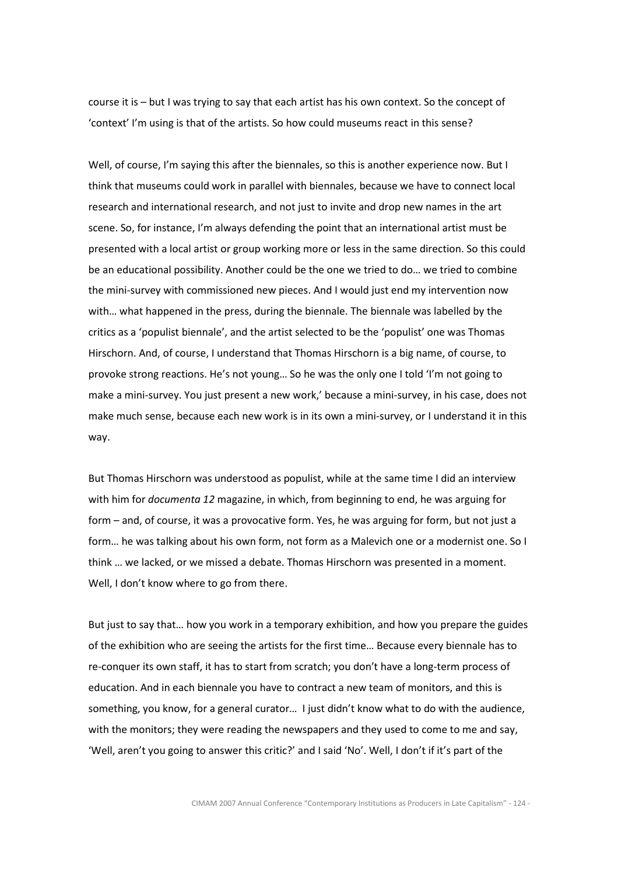course it is – but I was trying to say that each artist has his own context. So the concept of 'context' I'm using is that of the artists. So how could museums react in this sense?

Well, of course, I'm saying this after the biennales, so this is another experience now. But I think that museums could work in parallel with biennales, because we have to connect local research and international research, and not just to invite and drop new names in the art scene. So, for instance, I'm always defending the point that an international artist must be presented with a local artist or group working more or less in the same direction. So this could be an educational possibility. Another could be the one we tried to do… we tried to combine the mini-survey with commissioned new pieces. And I would just end my intervention now with… what happened in the press, during the biennale. The biennale was labelled by the critics as a 'populist biennale', and the artist selected to be the 'populist' one was Thomas Hirschorn. And, of course, I understand that Thomas Hirschorn is a big name, of course, to provoke strong reactions. He's not young… So he was the only one I told 'I'm not going to make a mini-survey. You just present a new work,' because a mini-survey, in his case, does not make much sense, because each new work is in its own a mini-survey, or I understand it in this way.

But Thomas Hirschorn was understood as populist, while at the same time I did an interview with him for *documenta 12* magazine, in which, from beginning to end, he was arguing for form – and, of course, it was a provocative form. Yes, he was arguing for form, but not just a form… he was talking about his own form, not form as a Malevich one or a modernist one. So I think … we lacked, or we missed a debate. Thomas Hirschorn was presented in a moment. Well, I don't know where to go from there.

But just to say that… how you work in a temporary exhibition, and how you prepare the guides of the exhibition who are seeing the artists for the first time… Because every biennale has to re-conquer its own staff, it has to start from scratch; you don't have a long-term process of education. And in each biennale you have to contract a new team of monitors, and this is something, you know, for a general curator… I just didn't know what to do with the audience, with the monitors; they were reading the newspapers and they used to come to me and say, 'Well, aren't you going to answer this critic?' and I said 'No'. Well, I don't if it's part of the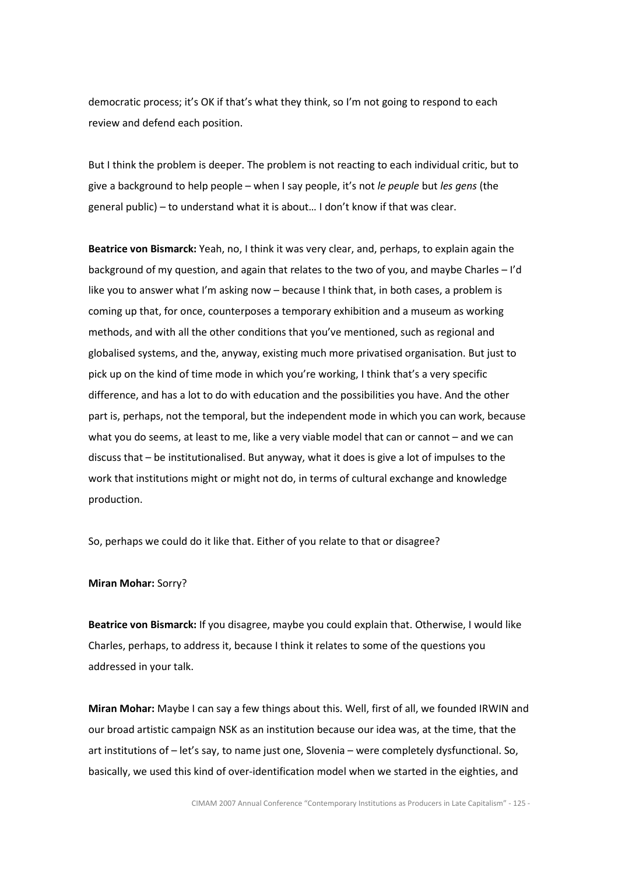democratic process; it's OK if that's what they think, so I'm not going to respond to each review and defend each position.

But I think the problem is deeper. The problem is not reacting to each individual critic, but to give a background to help people – when I say people, it's not le peuple but les gens (the general public) – to understand what it is about… I don't know if that was clear.

Beatrice von Bismarck: Yeah, no, I think it was very clear, and, perhaps, to explain again the background of my question, and again that relates to the two of you, and maybe Charles – I'd like you to answer what I'm asking now – because I think that, in both cases, a problem is coming up that, for once, counterposes a temporary exhibition and a museum as working methods, and with all the other conditions that you've mentioned, such as regional and globalised systems, and the, anyway, existing much more privatised organisation. But just to pick up on the kind of time mode in which you're working, I think that's a very specific difference, and has a lot to do with education and the possibilities you have. And the other part is, perhaps, not the temporal, but the independent mode in which you can work, because what you do seems, at least to me, like a very viable model that can or cannot – and we can discuss that – be institutionalised. But anyway, what it does is give a lot of impulses to the work that institutions might or might not do, in terms of cultural exchange and knowledge production.

So, perhaps we could do it like that. Either of you relate to that or disagree?

### Miran Mohar: Sorry?

Beatrice von Bismarck: If you disagree, maybe you could explain that. Otherwise, I would like Charles, perhaps, to address it, because I think it relates to some of the questions you addressed in your talk.

Miran Mohar: Maybe I can say a few things about this. Well, first of all, we founded IRWIN and our broad artistic campaign NSK as an institution because our idea was, at the time, that the art institutions of – let's say, to name just one, Slovenia – were completely dysfunctional. So, basically, we used this kind of over-identification model when we started in the eighties, and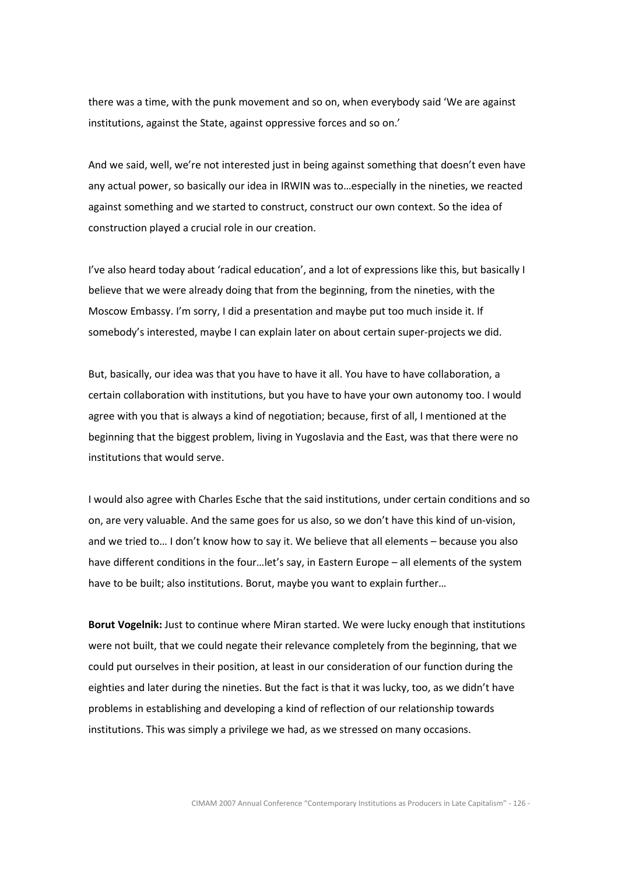there was a time, with the punk movement and so on, when everybody said 'We are against institutions, against the State, against oppressive forces and so on.'

And we said, well, we're not interested just in being against something that doesn't even have any actual power, so basically our idea in IRWIN was to…especially in the nineties, we reacted against something and we started to construct, construct our own context. So the idea of construction played a crucial role in our creation.

I've also heard today about 'radical education', and a lot of expressions like this, but basically I believe that we were already doing that from the beginning, from the nineties, with the Moscow Embassy. I'm sorry, I did a presentation and maybe put too much inside it. If somebody's interested, maybe I can explain later on about certain super-projects we did.

But, basically, our idea was that you have to have it all. You have to have collaboration, a certain collaboration with institutions, but you have to have your own autonomy too. I would agree with you that is always a kind of negotiation; because, first of all, I mentioned at the beginning that the biggest problem, living in Yugoslavia and the East, was that there were no institutions that would serve.

I would also agree with Charles Esche that the said institutions, under certain conditions and so on, are very valuable. And the same goes for us also, so we don't have this kind of un-vision, and we tried to… I don't know how to say it. We believe that all elements – because you also have different conditions in the four... let's say, in Eastern Europe – all elements of the system have to be built; also institutions. Borut, maybe you want to explain further…

Borut Vogelnik: Just to continue where Miran started. We were lucky enough that institutions were not built, that we could negate their relevance completely from the beginning, that we could put ourselves in their position, at least in our consideration of our function during the eighties and later during the nineties. But the fact is that it was lucky, too, as we didn't have problems in establishing and developing a kind of reflection of our relationship towards institutions. This was simply a privilege we had, as we stressed on many occasions.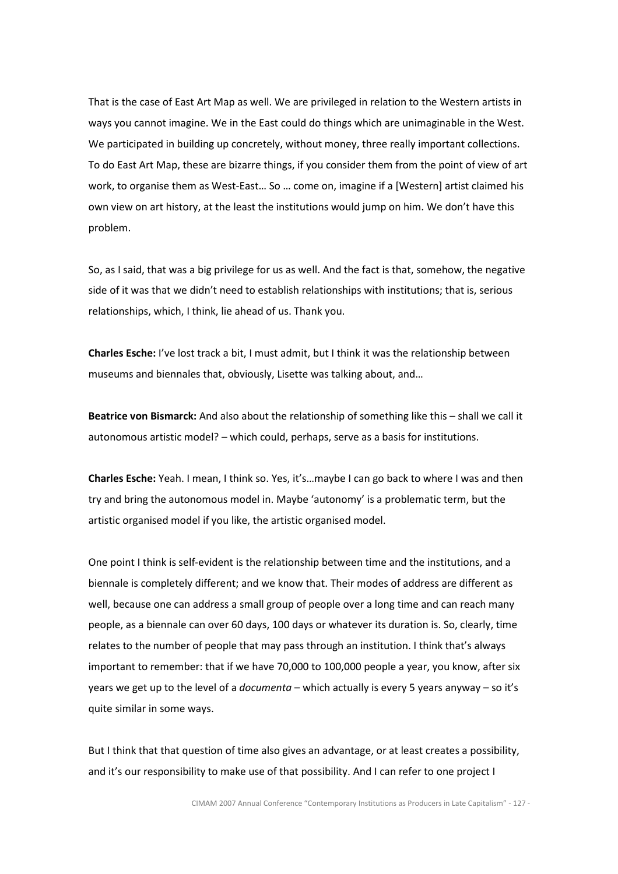That is the case of East Art Map as well. We are privileged in relation to the Western artists in ways you cannot imagine. We in the East could do things which are unimaginable in the West. We participated in building up concretely, without money, three really important collections. To do East Art Map, these are bizarre things, if you consider them from the point of view of art work, to organise them as West-East… So … come on, imagine if a [Western] artist claimed his own view on art history, at the least the institutions would jump on him. We don't have this problem.

So, as I said, that was a big privilege for us as well. And the fact is that, somehow, the negative side of it was that we didn't need to establish relationships with institutions; that is, serious relationships, which, I think, lie ahead of us. Thank you.

Charles Esche: I've lost track a bit, I must admit, but I think it was the relationship between museums and biennales that, obviously, Lisette was talking about, and…

Beatrice von Bismarck: And also about the relationship of something like this - shall we call it autonomous artistic model? – which could, perhaps, serve as a basis for institutions.

Charles Esche: Yeah. I mean, I think so. Yes, it's…maybe I can go back to where I was and then try and bring the autonomous model in. Maybe 'autonomy' is a problematic term, but the artistic organised model if you like, the artistic organised model.

One point I think is self-evident is the relationship between time and the institutions, and a biennale is completely different; and we know that. Their modes of address are different as well, because one can address a small group of people over a long time and can reach many people, as a biennale can over 60 days, 100 days or whatever its duration is. So, clearly, time relates to the number of people that may pass through an institution. I think that's always important to remember: that if we have 70,000 to 100,000 people a year, you know, after six years we get up to the level of a *documenta* – which actually is every 5 years anyway – so it's quite similar in some ways.

But I think that that question of time also gives an advantage, or at least creates a possibility, and it's our responsibility to make use of that possibility. And I can refer to one project I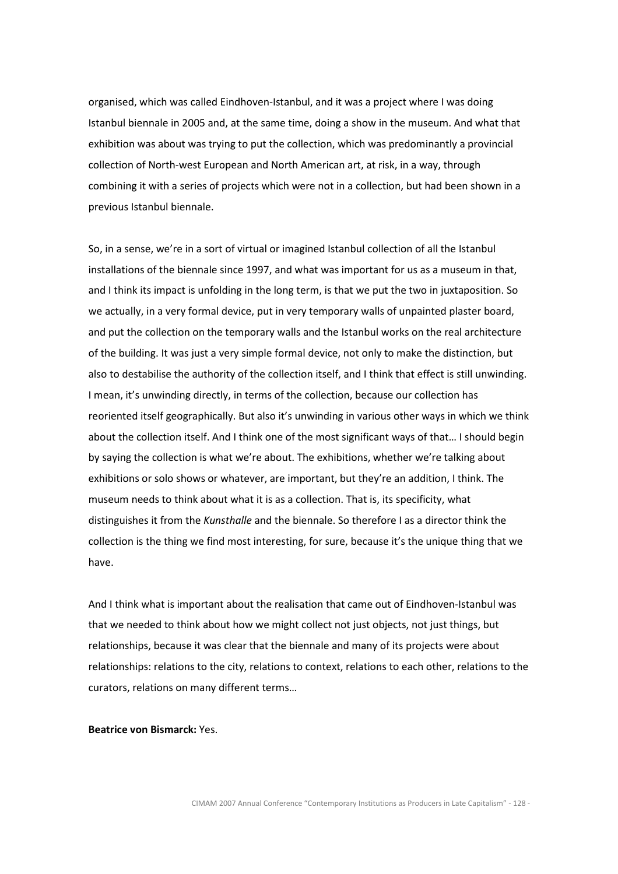organised, which was called Eindhoven-Istanbul, and it was a project where I was doing Istanbul biennale in 2005 and, at the same time, doing a show in the museum. And what that exhibition was about was trying to put the collection, which was predominantly a provincial collection of North-west European and North American art, at risk, in a way, through combining it with a series of projects which were not in a collection, but had been shown in a previous Istanbul biennale.

So, in a sense, we're in a sort of virtual or imagined Istanbul collection of all the Istanbul installations of the biennale since 1997, and what was important for us as a museum in that, and I think its impact is unfolding in the long term, is that we put the two in juxtaposition. So we actually, in a very formal device, put in very temporary walls of unpainted plaster board, and put the collection on the temporary walls and the Istanbul works on the real architecture of the building. It was just a very simple formal device, not only to make the distinction, but also to destabilise the authority of the collection itself, and I think that effect is still unwinding. I mean, it's unwinding directly, in terms of the collection, because our collection has reoriented itself geographically. But also it's unwinding in various other ways in which we think about the collection itself. And I think one of the most significant ways of that… I should begin by saying the collection is what we're about. The exhibitions, whether we're talking about exhibitions or solo shows or whatever, are important, but they're an addition, I think. The museum needs to think about what it is as a collection. That is, its specificity, what distinguishes it from the Kunsthalle and the biennale. So therefore I as a director think the collection is the thing we find most interesting, for sure, because it's the unique thing that we have.

And I think what is important about the realisation that came out of Eindhoven-Istanbul was that we needed to think about how we might collect not just objects, not just things, but relationships, because it was clear that the biennale and many of its projects were about relationships: relations to the city, relations to context, relations to each other, relations to the curators, relations on many different terms…

# Beatrice von Bismarck: Yes.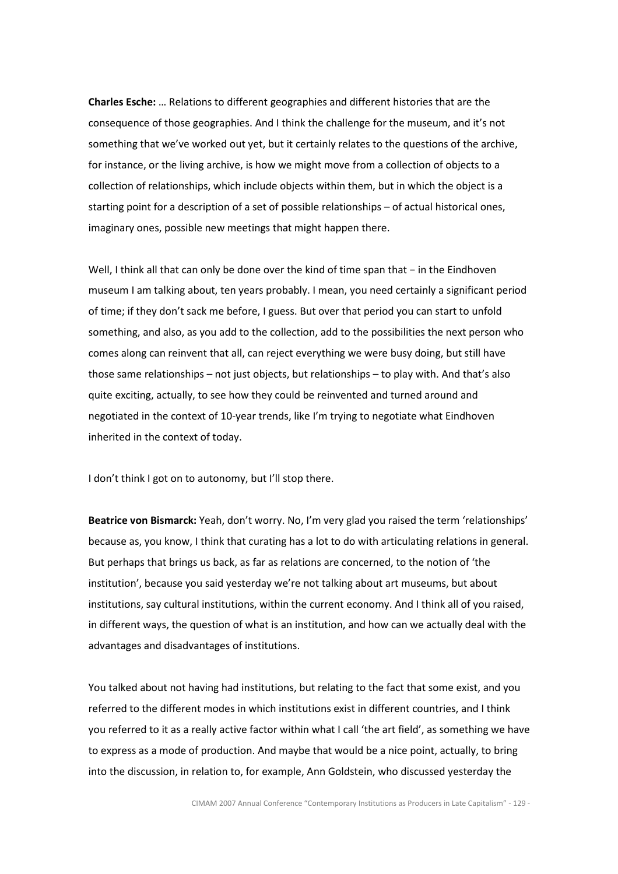Charles Esche: … Relations to different geographies and different histories that are the consequence of those geographies. And I think the challenge for the museum, and it's not something that we've worked out yet, but it certainly relates to the questions of the archive, for instance, or the living archive, is how we might move from a collection of objects to a collection of relationships, which include objects within them, but in which the object is a starting point for a description of a set of possible relationships – of actual historical ones, imaginary ones, possible new meetings that might happen there.

Well, I think all that can only be done over the kind of time span that − in the Eindhoven museum I am talking about, ten years probably. I mean, you need certainly a significant period of time; if they don't sack me before, I guess. But over that period you can start to unfold something, and also, as you add to the collection, add to the possibilities the next person who comes along can reinvent that all, can reject everything we were busy doing, but still have those same relationships – not just objects, but relationships – to play with. And that's also quite exciting, actually, to see how they could be reinvented and turned around and negotiated in the context of 10-year trends, like I'm trying to negotiate what Eindhoven inherited in the context of today.

I don't think I got on to autonomy, but I'll stop there.

Beatrice von Bismarck: Yeah, don't worry. No, I'm very glad you raised the term 'relationships' because as, you know, I think that curating has a lot to do with articulating relations in general. But perhaps that brings us back, as far as relations are concerned, to the notion of 'the institution', because you said yesterday we're not talking about art museums, but about institutions, say cultural institutions, within the current economy. And I think all of you raised, in different ways, the question of what is an institution, and how can we actually deal with the advantages and disadvantages of institutions.

You talked about not having had institutions, but relating to the fact that some exist, and you referred to the different modes in which institutions exist in different countries, and I think you referred to it as a really active factor within what I call 'the art field', as something we have to express as a mode of production. And maybe that would be a nice point, actually, to bring into the discussion, in relation to, for example, Ann Goldstein, who discussed yesterday the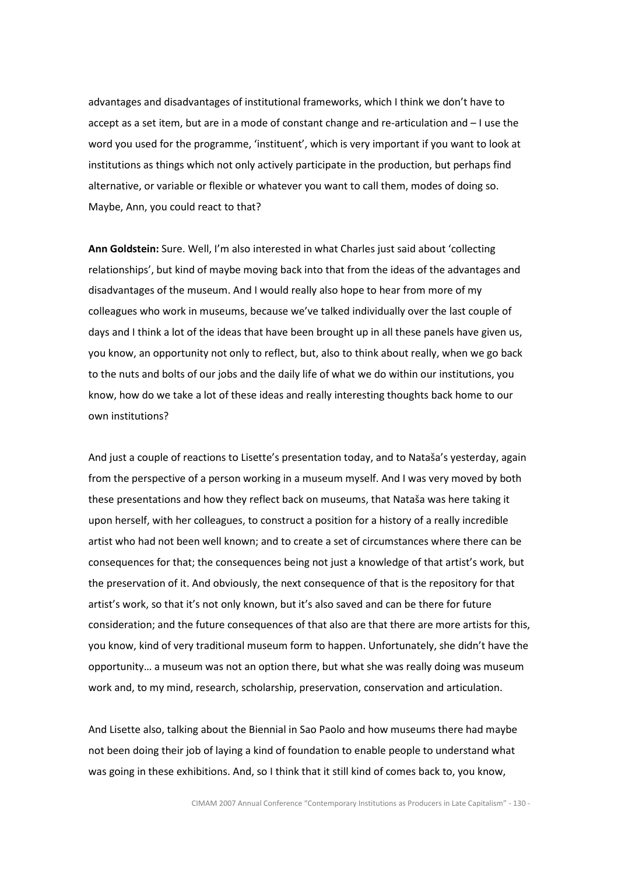advantages and disadvantages of institutional frameworks, which I think we don't have to accept as a set item, but are in a mode of constant change and re-articulation and – I use the word you used for the programme, 'instituent', which is very important if you want to look at institutions as things which not only actively participate in the production, but perhaps find alternative, or variable or flexible or whatever you want to call them, modes of doing so. Maybe, Ann, you could react to that?

Ann Goldstein: Sure. Well, I'm also interested in what Charles just said about 'collecting relationships', but kind of maybe moving back into that from the ideas of the advantages and disadvantages of the museum. And I would really also hope to hear from more of my colleagues who work in museums, because we've talked individually over the last couple of days and I think a lot of the ideas that have been brought up in all these panels have given us, you know, an opportunity not only to reflect, but, also to think about really, when we go back to the nuts and bolts of our jobs and the daily life of what we do within our institutions, you know, how do we take a lot of these ideas and really interesting thoughts back home to our own institutions?

And just a couple of reactions to Lisette's presentation today, and to Nataša's yesterday, again from the perspective of a person working in a museum myself. And I was very moved by both these presentations and how they reflect back on museums, that Nataša was here taking it upon herself, with her colleagues, to construct a position for a history of a really incredible artist who had not been well known; and to create a set of circumstances where there can be consequences for that; the consequences being not just a knowledge of that artist's work, but the preservation of it. And obviously, the next consequence of that is the repository for that artist's work, so that it's not only known, but it's also saved and can be there for future consideration; and the future consequences of that also are that there are more artists for this, you know, kind of very traditional museum form to happen. Unfortunately, she didn't have the opportunity… a museum was not an option there, but what she was really doing was museum work and, to my mind, research, scholarship, preservation, conservation and articulation.

And Lisette also, talking about the Biennial in Sao Paolo and how museums there had maybe not been doing their job of laying a kind of foundation to enable people to understand what was going in these exhibitions. And, so I think that it still kind of comes back to, you know,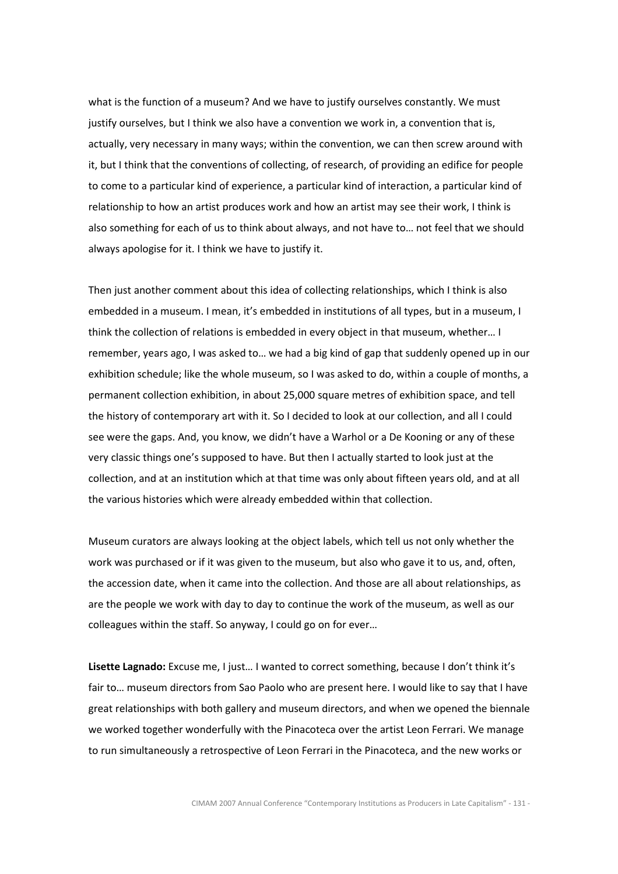what is the function of a museum? And we have to justify ourselves constantly. We must justify ourselves, but I think we also have a convention we work in, a convention that is, actually, very necessary in many ways; within the convention, we can then screw around with it, but I think that the conventions of collecting, of research, of providing an edifice for people to come to a particular kind of experience, a particular kind of interaction, a particular kind of relationship to how an artist produces work and how an artist may see their work, I think is also something for each of us to think about always, and not have to… not feel that we should always apologise for it. I think we have to justify it.

Then just another comment about this idea of collecting relationships, which I think is also embedded in a museum. I mean, it's embedded in institutions of all types, but in a museum, I think the collection of relations is embedded in every object in that museum, whether… I remember, years ago, I was asked to… we had a big kind of gap that suddenly opened up in our exhibition schedule; like the whole museum, so I was asked to do, within a couple of months, a permanent collection exhibition, in about 25,000 square metres of exhibition space, and tell the history of contemporary art with it. So I decided to look at our collection, and all I could see were the gaps. And, you know, we didn't have a Warhol or a De Kooning or any of these very classic things one's supposed to have. But then I actually started to look just at the collection, and at an institution which at that time was only about fifteen years old, and at all the various histories which were already embedded within that collection.

Museum curators are always looking at the object labels, which tell us not only whether the work was purchased or if it was given to the museum, but also who gave it to us, and, often, the accession date, when it came into the collection. And those are all about relationships, as are the people we work with day to day to continue the work of the museum, as well as our colleagues within the staff. So anyway, I could go on for ever…

Lisette Lagnado: Excuse me, I just... I wanted to correct something, because I don't think it's fair to… museum directors from Sao Paolo who are present here. I would like to say that I have great relationships with both gallery and museum directors, and when we opened the biennale we worked together wonderfully with the Pinacoteca over the artist Leon Ferrari. We manage to run simultaneously a retrospective of Leon Ferrari in the Pinacoteca, and the new works or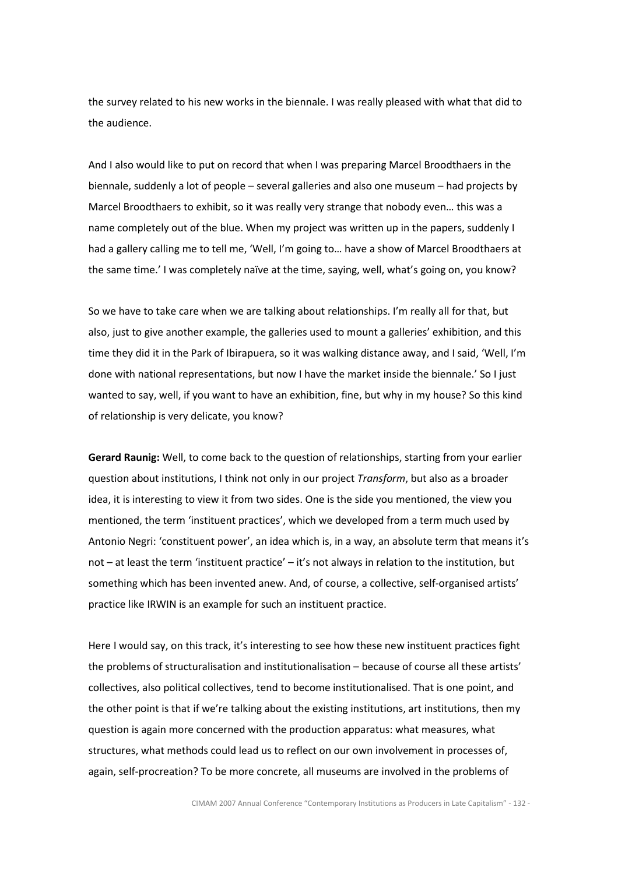the survey related to his new works in the biennale. I was really pleased with what that did to the audience.

And I also would like to put on record that when I was preparing Marcel Broodthaers in the biennale, suddenly a lot of people – several galleries and also one museum – had projects by Marcel Broodthaers to exhibit, so it was really very strange that nobody even… this was a name completely out of the blue. When my project was written up in the papers, suddenly I had a gallery calling me to tell me, 'Well, I'm going to… have a show of Marcel Broodthaers at the same time.' I was completely naïve at the time, saying, well, what's going on, you know?

So we have to take care when we are talking about relationships. I'm really all for that, but also, just to give another example, the galleries used to mount a galleries' exhibition, and this time they did it in the Park of Ibirapuera, so it was walking distance away, and I said, 'Well, I'm done with national representations, but now I have the market inside the biennale.' So I just wanted to say, well, if you want to have an exhibition, fine, but why in my house? So this kind of relationship is very delicate, you know?

Gerard Raunig: Well, to come back to the question of relationships, starting from your earlier question about institutions, I think not only in our project Transform, but also as a broader idea, it is interesting to view it from two sides. One is the side you mentioned, the view you mentioned, the term 'instituent practices', which we developed from a term much used by Antonio Negri: 'constituent power', an idea which is, in a way, an absolute term that means it's not – at least the term 'instituent practice' – it's not always in relation to the institution, but something which has been invented anew. And, of course, a collective, self-organised artists' practice like IRWIN is an example for such an instituent practice.

Here I would say, on this track, it's interesting to see how these new instituent practices fight the problems of structuralisation and institutionalisation – because of course all these artists' collectives, also political collectives, tend to become institutionalised. That is one point, and the other point is that if we're talking about the existing institutions, art institutions, then my question is again more concerned with the production apparatus: what measures, what structures, what methods could lead us to reflect on our own involvement in processes of, again, self-procreation? To be more concrete, all museums are involved in the problems of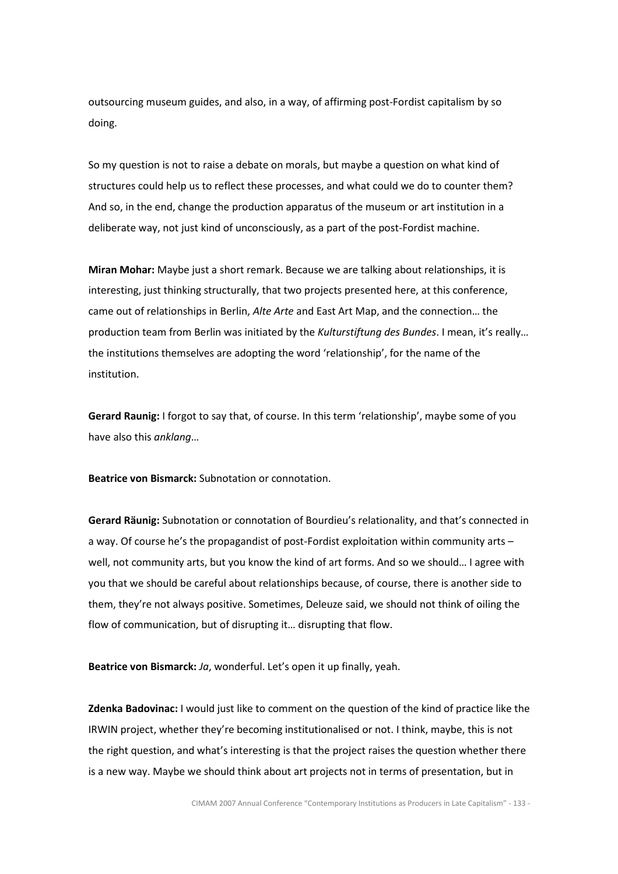outsourcing museum guides, and also, in a way, of affirming post-Fordist capitalism by so doing.

So my question is not to raise a debate on morals, but maybe a question on what kind of structures could help us to reflect these processes, and what could we do to counter them? And so, in the end, change the production apparatus of the museum or art institution in a deliberate way, not just kind of unconsciously, as a part of the post-Fordist machine.

Miran Mohar: Maybe just a short remark. Because we are talking about relationships, it is interesting, just thinking structurally, that two projects presented here, at this conference, came out of relationships in Berlin, Alte Arte and East Art Map, and the connection… the production team from Berlin was initiated by the Kulturstiftung des Bundes. I mean, it's really... the institutions themselves are adopting the word 'relationship', for the name of the institution.

Gerard Raunig: I forgot to say that, of course. In this term 'relationship', maybe some of you have also this anklang…

Beatrice von Bismarck: Subnotation or connotation.

Gerard Räunig: Subnotation or connotation of Bourdieu's relationality, and that's connected in a way. Of course he's the propagandist of post-Fordist exploitation within community arts – well, not community arts, but you know the kind of art forms. And so we should… I agree with you that we should be careful about relationships because, of course, there is another side to them, they're not always positive. Sometimes, Deleuze said, we should not think of oiling the flow of communication, but of disrupting it… disrupting that flow.

Beatrice von Bismarck: Ja, wonderful. Let's open it up finally, yeah.

Zdenka Badovinac: I would just like to comment on the question of the kind of practice like the IRWIN project, whether they're becoming institutionalised or not. I think, maybe, this is not the right question, and what's interesting is that the project raises the question whether there is a new way. Maybe we should think about art projects not in terms of presentation, but in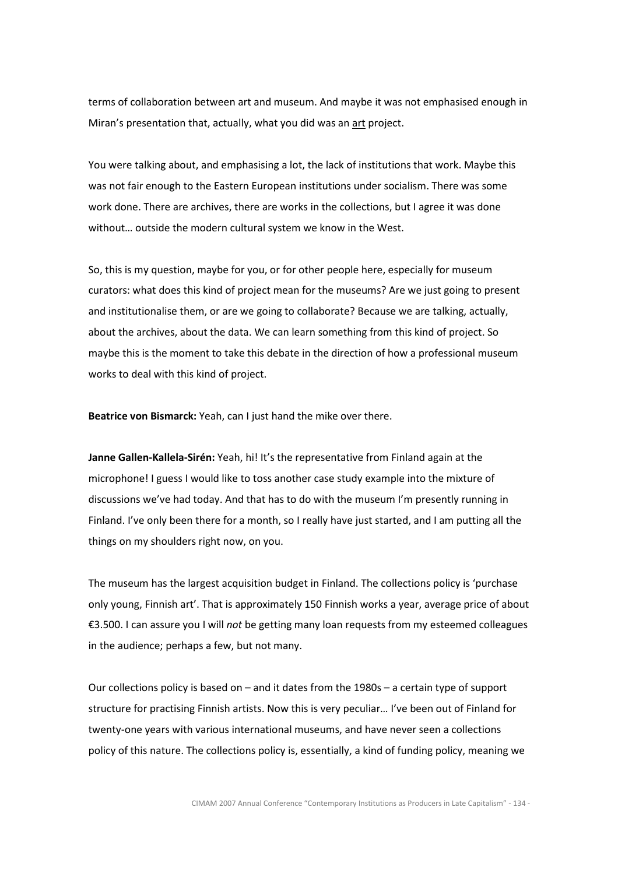terms of collaboration between art and museum. And maybe it was not emphasised enough in Miran's presentation that, actually, what you did was an art project.

You were talking about, and emphasising a lot, the lack of institutions that work. Maybe this was not fair enough to the Eastern European institutions under socialism. There was some work done. There are archives, there are works in the collections, but I agree it was done without… outside the modern cultural system we know in the West.

So, this is my question, maybe for you, or for other people here, especially for museum curators: what does this kind of project mean for the museums? Are we just going to present and institutionalise them, or are we going to collaborate? Because we are talking, actually, about the archives, about the data. We can learn something from this kind of project. So maybe this is the moment to take this debate in the direction of how a professional museum works to deal with this kind of project.

Beatrice von Bismarck: Yeah, can I just hand the mike over there.

Janne Gallen-Kallela-Sirén: Yeah, hi! It's the representative from Finland again at the microphone! I guess I would like to toss another case study example into the mixture of discussions we've had today. And that has to do with the museum I'm presently running in Finland. I've only been there for a month, so I really have just started, and I am putting all the things on my shoulders right now, on you.

The museum has the largest acquisition budget in Finland. The collections policy is 'purchase only young, Finnish art'. That is approximately 150 Finnish works a year, average price of about €3.500. I can assure you I will not be getting many loan requests from my esteemed colleagues in the audience; perhaps a few, but not many.

Our collections policy is based on – and it dates from the 1980s – a certain type of support structure for practising Finnish artists. Now this is very peculiar… I've been out of Finland for twenty-one years with various international museums, and have never seen a collections policy of this nature. The collections policy is, essentially, a kind of funding policy, meaning we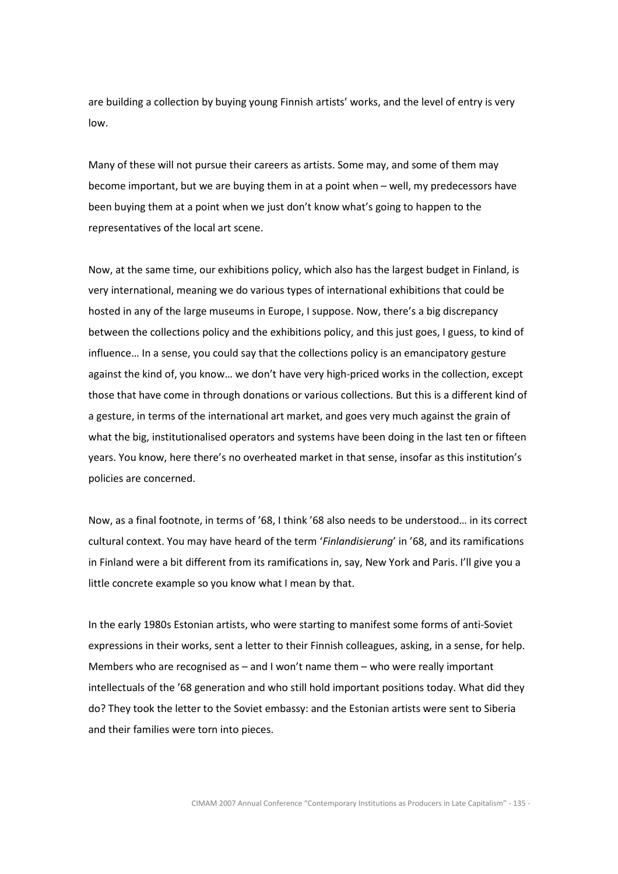are building a collection by buying young Finnish artists' works, and the level of entry is very low.

Many of these will not pursue their careers as artists. Some may, and some of them may become important, but we are buying them in at a point when – well, my predecessors have been buying them at a point when we just don't know what's going to happen to the representatives of the local art scene.

Now, at the same time, our exhibitions policy, which also has the largest budget in Finland, is very international, meaning we do various types of international exhibitions that could be hosted in any of the large museums in Europe, I suppose. Now, there's a big discrepancy between the collections policy and the exhibitions policy, and this just goes, I guess, to kind of influence… In a sense, you could say that the collections policy is an emancipatory gesture against the kind of, you know… we don't have very high-priced works in the collection, except those that have come in through donations or various collections. But this is a different kind of a gesture, in terms of the international art market, and goes very much against the grain of what the big, institutionalised operators and systems have been doing in the last ten or fifteen years. You know, here there's no overheated market in that sense, insofar as this institution's policies are concerned.

Now, as a final footnote, in terms of '68, I think '68 also needs to be understood… in its correct cultural context. You may have heard of the term 'Finlandisierung' in '68, and its ramifications in Finland were a bit different from its ramifications in, say, New York and Paris. I'll give you a little concrete example so you know what I mean by that.

In the early 1980s Estonian artists, who were starting to manifest some forms of anti-Soviet expressions in their works, sent a letter to their Finnish colleagues, asking, in a sense, for help. Members who are recognised as – and I won't name them – who were really important intellectuals of the '68 generation and who still hold important positions today. What did they do? They took the letter to the Soviet embassy: and the Estonian artists were sent to Siberia and their families were torn into pieces.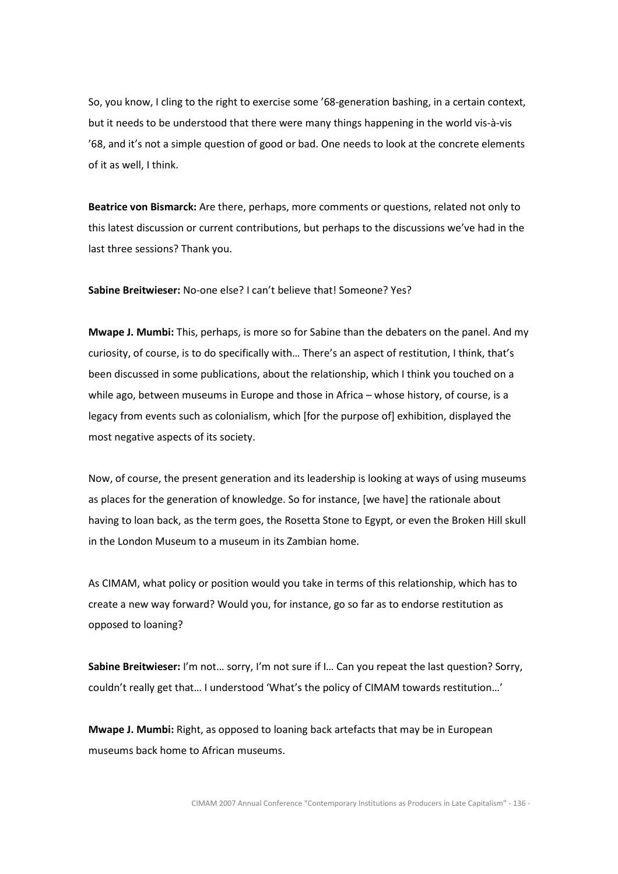So, you know, I cling to the right to exercise some '68-generation bashing, in a certain context, but it needs to be understood that there were many things happening in the world vis-à-vis '68, and it's not a simple question of good or bad. One needs to look at the concrete elements of it as well, I think.

Beatrice von Bismarck: Are there, perhaps, more comments or questions, related not only to this latest discussion or current contributions, but perhaps to the discussions we've had in the last three sessions? Thank you.

Sabine Breitwieser: No-one else? I can't believe that! Someone? Yes?

Mwape J. Mumbi: This, perhaps, is more so for Sabine than the debaters on the panel. And my curiosity, of course, is to do specifically with… There's an aspect of restitution, I think, that's been discussed in some publications, about the relationship, which I think you touched on a while ago, between museums in Europe and those in Africa – whose history, of course, is a legacy from events such as colonialism, which [for the purpose of] exhibition, displayed the most negative aspects of its society.

Now, of course, the present generation and its leadership is looking at ways of using museums as places for the generation of knowledge. So for instance, [we have] the rationale about having to loan back, as the term goes, the Rosetta Stone to Egypt, or even the Broken Hill skull in the London Museum to a museum in its Zambian home.

As CIMAM, what policy or position would you take in terms of this relationship, which has to create a new way forward? Would you, for instance, go so far as to endorse restitution as opposed to loaning?

Sabine Breitwieser: I'm not… sorry, I'm not sure if I… Can you repeat the last question? Sorry, couldn't really get that… I understood 'What's the policy of CIMAM towards restitution…'

Mwape J. Mumbi: Right, as opposed to loaning back artefacts that may be in European museums back home to African museums.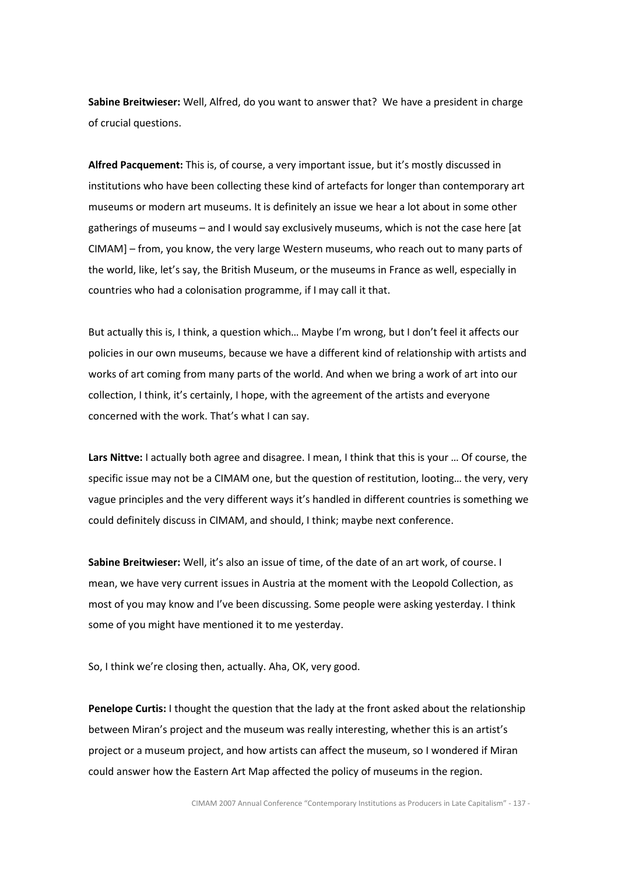Sabine Breitwieser: Well, Alfred, do you want to answer that? We have a president in charge of crucial questions.

Alfred Pacquement: This is, of course, a very important issue, but it's mostly discussed in institutions who have been collecting these kind of artefacts for longer than contemporary art museums or modern art museums. It is definitely an issue we hear a lot about in some other gatherings of museums – and I would say exclusively museums, which is not the case here [at CIMAM] – from, you know, the very large Western museums, who reach out to many parts of the world, like, let's say, the British Museum, or the museums in France as well, especially in countries who had a colonisation programme, if I may call it that.

But actually this is, I think, a question which… Maybe I'm wrong, but I don't feel it affects our policies in our own museums, because we have a different kind of relationship with artists and works of art coming from many parts of the world. And when we bring a work of art into our collection, I think, it's certainly, I hope, with the agreement of the artists and everyone concerned with the work. That's what I can say.

Lars Nittve: I actually both agree and disagree. I mean, I think that this is your ... Of course, the specific issue may not be a CIMAM one, but the question of restitution, looting… the very, very vague principles and the very different ways it's handled in different countries is something we could definitely discuss in CIMAM, and should, I think; maybe next conference.

Sabine Breitwieser: Well, it's also an issue of time, of the date of an art work, of course. I mean, we have very current issues in Austria at the moment with the Leopold Collection, as most of you may know and I've been discussing. Some people were asking yesterday. I think some of you might have mentioned it to me yesterday.

So, I think we're closing then, actually. Aha, OK, very good.

Penelope Curtis: I thought the question that the lady at the front asked about the relationship between Miran's project and the museum was really interesting, whether this is an artist's project or a museum project, and how artists can affect the museum, so I wondered if Miran could answer how the Eastern Art Map affected the policy of museums in the region.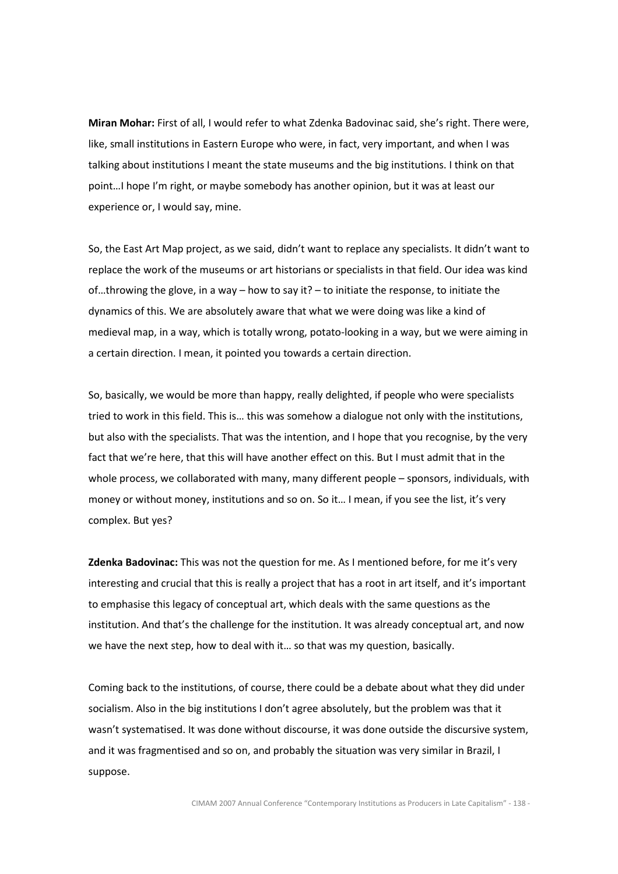Miran Mohar: First of all, I would refer to what Zdenka Badovinac said, she's right. There were, like, small institutions in Eastern Europe who were, in fact, very important, and when I was talking about institutions I meant the state museums and the big institutions. I think on that point…I hope I'm right, or maybe somebody has another opinion, but it was at least our experience or, I would say, mine.

So, the East Art Map project, as we said, didn't want to replace any specialists. It didn't want to replace the work of the museums or art historians or specialists in that field. Our idea was kind of…throwing the glove, in a way – how to say it? – to initiate the response, to initiate the dynamics of this. We are absolutely aware that what we were doing was like a kind of medieval map, in a way, which is totally wrong, potato-looking in a way, but we were aiming in a certain direction. I mean, it pointed you towards a certain direction.

So, basically, we would be more than happy, really delighted, if people who were specialists tried to work in this field. This is… this was somehow a dialogue not only with the institutions, but also with the specialists. That was the intention, and I hope that you recognise, by the very fact that we're here, that this will have another effect on this. But I must admit that in the whole process, we collaborated with many, many different people – sponsors, individuals, with money or without money, institutions and so on. So it… I mean, if you see the list, it's very complex. But yes?

Zdenka Badovinac: This was not the question for me. As I mentioned before, for me it's very interesting and crucial that this is really a project that has a root in art itself, and it's important to emphasise this legacy of conceptual art, which deals with the same questions as the institution. And that's the challenge for the institution. It was already conceptual art, and now we have the next step, how to deal with it… so that was my question, basically.

Coming back to the institutions, of course, there could be a debate about what they did under socialism. Also in the big institutions I don't agree absolutely, but the problem was that it wasn't systematised. It was done without discourse, it was done outside the discursive system, and it was fragmentised and so on, and probably the situation was very similar in Brazil, I suppose.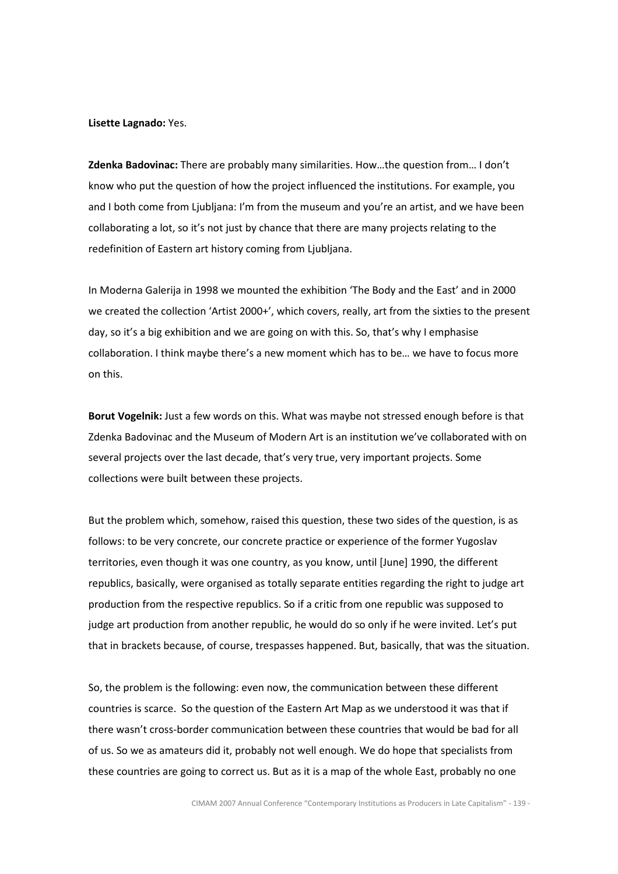Lisette Lagnado: Yes.

Zdenka Badovinac: There are probably many similarities. How…the question from… I don't know who put the question of how the project influenced the institutions. For example, you and I both come from Ljubljana: I'm from the museum and you're an artist, and we have been collaborating a lot, so it's not just by chance that there are many projects relating to the redefinition of Eastern art history coming from Ljubljana.

In Moderna Galerija in 1998 we mounted the exhibition 'The Body and the East' and in 2000 we created the collection 'Artist 2000+', which covers, really, art from the sixties to the present day, so it's a big exhibition and we are going on with this. So, that's why I emphasise collaboration. I think maybe there's a new moment which has to be… we have to focus more on this.

Borut Vogelnik: Just a few words on this. What was maybe not stressed enough before is that Zdenka Badovinac and the Museum of Modern Art is an institution we've collaborated with on several projects over the last decade, that's very true, very important projects. Some collections were built between these projects.

But the problem which, somehow, raised this question, these two sides of the question, is as follows: to be very concrete, our concrete practice or experience of the former Yugoslav territories, even though it was one country, as you know, until [June] 1990, the different republics, basically, were organised as totally separate entities regarding the right to judge art production from the respective republics. So if a critic from one republic was supposed to judge art production from another republic, he would do so only if he were invited. Let's put that in brackets because, of course, trespasses happened. But, basically, that was the situation.

So, the problem is the following: even now, the communication between these different countries is scarce. So the question of the Eastern Art Map as we understood it was that if there wasn't cross-border communication between these countries that would be bad for all of us. So we as amateurs did it, probably not well enough. We do hope that specialists from these countries are going to correct us. But as it is a map of the whole East, probably no one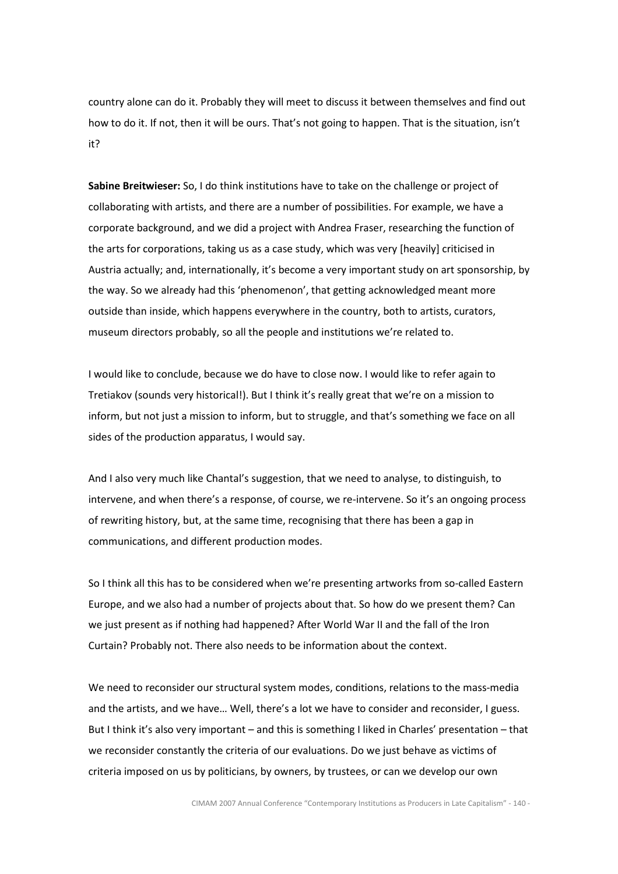country alone can do it. Probably they will meet to discuss it between themselves and find out how to do it. If not, then it will be ours. That's not going to happen. That is the situation, isn't it?

Sabine Breitwieser: So, I do think institutions have to take on the challenge or project of collaborating with artists, and there are a number of possibilities. For example, we have a corporate background, and we did a project with Andrea Fraser, researching the function of the arts for corporations, taking us as a case study, which was very [heavily] criticised in Austria actually; and, internationally, it's become a very important study on art sponsorship, by the way. So we already had this 'phenomenon', that getting acknowledged meant more outside than inside, which happens everywhere in the country, both to artists, curators, museum directors probably, so all the people and institutions we're related to.

I would like to conclude, because we do have to close now. I would like to refer again to Tretiakov (sounds very historical!). But I think it's really great that we're on a mission to inform, but not just a mission to inform, but to struggle, and that's something we face on all sides of the production apparatus, I would say.

And I also very much like Chantal's suggestion, that we need to analyse, to distinguish, to intervene, and when there's a response, of course, we re-intervene. So it's an ongoing process of rewriting history, but, at the same time, recognising that there has been a gap in communications, and different production modes.

So I think all this has to be considered when we're presenting artworks from so-called Eastern Europe, and we also had a number of projects about that. So how do we present them? Can we just present as if nothing had happened? After World War II and the fall of the Iron Curtain? Probably not. There also needs to be information about the context.

We need to reconsider our structural system modes, conditions, relations to the mass-media and the artists, and we have… Well, there's a lot we have to consider and reconsider, I guess. But I think it's also very important – and this is something I liked in Charles' presentation – that we reconsider constantly the criteria of our evaluations. Do we just behave as victims of criteria imposed on us by politicians, by owners, by trustees, or can we develop our own